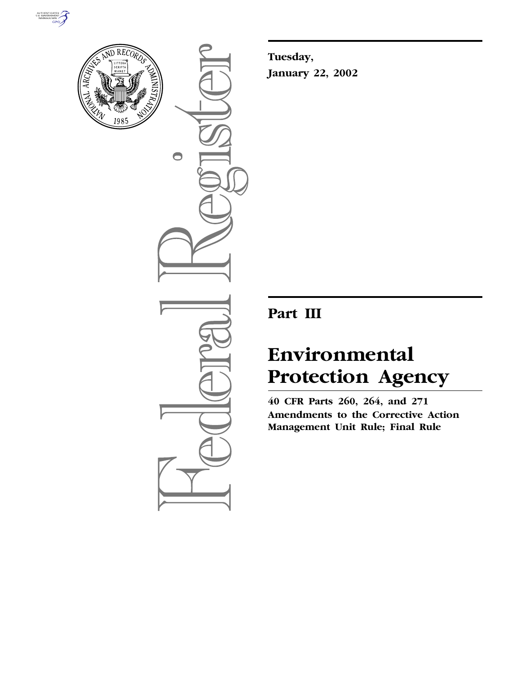



 $\bigcirc$ 

**Tuesday, January 22, 2002**

## **Part III**

# **Environmental Protection Agency**

**40 CFR Parts 260, 264, and 271 Amendments to the Corrective Action Management Unit Rule; Final Rule**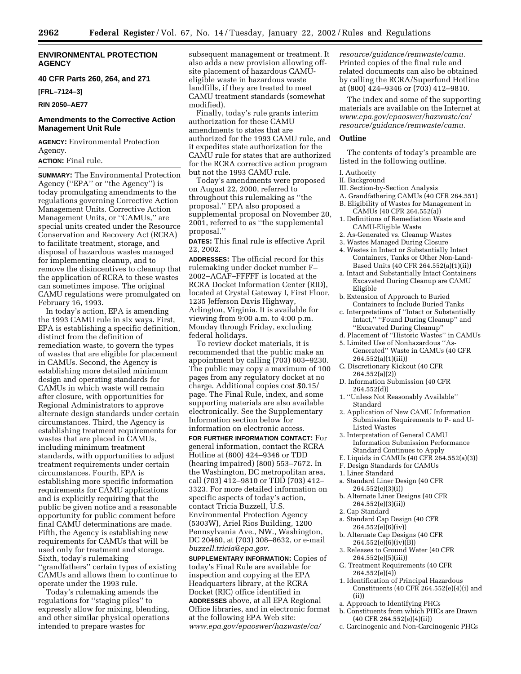#### **ENVIRONMENTAL PROTECTION AGENCY**

#### **40 CFR Parts 260, 264, and 271**

**[FRL–7124–3]**

#### **RIN 2050–AE77**

#### **Amendments to the Corrective Action Management Unit Rule**

**AGENCY:** Environmental Protection Agency.

**ACTION:** Final rule.

**SUMMARY:** The Environmental Protection Agency (''EPA'' or ''the Agency'') is today promulgating amendments to the regulations governing Corrective Action Management Units. Corrective Action Management Units, or ''CAMUs,'' are special units created under the Resource Conservation and Recovery Act (RCRA) to facilitate treatment, storage, and disposal of hazardous wastes managed for implementing cleanup, and to remove the disincentives to cleanup that the application of RCRA to these wastes can sometimes impose. The original CAMU regulations were promulgated on February 16, 1993.

In today's action, EPA is amending the 1993 CAMU rule in six ways. First, EPA is establishing a specific definition, distinct from the definition of remediation waste, to govern the types of wastes that are eligible for placement in CAMUs. Second, the Agency is establishing more detailed minimum design and operating standards for CAMUs in which waste will remain after closure, with opportunities for Regional Administrators to approve alternate design standards under certain circumstances. Third, the Agency is establishing treatment requirements for wastes that are placed in CAMUs, including minimum treatment standards, with opportunities to adjust treatment requirements under certain circumstances. Fourth, EPA is establishing more specific information requirements for CAMU applications and is explicitly requiring that the public be given notice and a reasonable opportunity for public comment before final CAMU determinations are made. Fifth, the Agency is establishing new requirements for CAMUs that will be used only for treatment and storage. Sixth, today's rulemaking ''grandfathers'' certain types of existing CAMUs and allows them to continue to operate under the 1993 rule.

Today's rulemaking amends the regulations for ''staging piles'' to expressly allow for mixing, blending, and other similar physical operations intended to prepare wastes for

subsequent management or treatment. It also adds a new provision allowing offsite placement of hazardous CAMUeligible waste in hazardous waste landfills, if they are treated to meet CAMU treatment standards (somewhat modified).

Finally, today's rule grants interim authorization for these CAMU amendments to states that are authorized for the 1993 CAMU rule, and it expedites state authorization for the CAMU rule for states that are authorized for the RCRA corrective action program but not the 1993 CAMU rule.

Today's amendments were proposed on August 22, 2000, referred to throughout this rulemaking as ''the proposal.'' EPA also proposed a supplemental proposal on November 20, 2001, referred to as ''the supplemental proposal.''

**DATES:** This final rule is effective April 22, 2002.

**ADDRESSES:** The official record for this rulemaking under docket number F– 2002–ACAF–FFFFF is located at the RCRA Docket Information Center (RID), located at Crystal Gateway I, First Floor, 1235 Jefferson Davis Highway, Arlington, Virginia. It is available for viewing from 9:00 a.m. to 4:00 p.m. Monday through Friday, excluding federal holidays.

To review docket materials, it is recommended that the public make an appointment by calling (703) 603–9230. The public may copy a maximum of 100 pages from any regulatory docket at no charge. Additional copies cost \$0.15/ page. The Final Rule, index, and some supporting materials are also available electronically. See the Supplementary Information section below for information on electronic access.

**FOR FURTHER INFORMATION CONTACT:** For general information, contact the RCRA Hotline at (800) 424–9346 or TDD (hearing impaired) (800) 553–7672. In the Washington, DC metropolitan area, call (703) 412–9810 or TDD (703) 412– 3323. For more detailed information on specific aspects of today's action, contact Tricia Buzzell, U.S. Environmental Protection Agency (5303W), Ariel Rios Building, 1200 Pennsylvania Ave., NW., Washington, DC 20460, at (703) 308–8632, or e-mail *buzzell.tricia@epa.gov.*

**SUPPLEMENTARY INFORMATION:** Copies of today's Final Rule are available for inspection and copying at the EPA Headquarters library, at the RCRA Docket (RIC) office identified in **ADDRESSES** above, at all EPA Regional Office libraries, and in electronic format at the following EPA Web site: *www.epa.gov/epaoswer/hazwaste/ca/*

*resource/guidance/remwaste/camu.* Printed copies of the final rule and related documents can also be obtained by calling the RCRA/Superfund Hotline at (800) 424–9346 or (703) 412–9810.

The index and some of the supporting materials are available on the Internet at *www.epa.gov/epaoswer/hazwaste/ca/ resource/guidance/remwaste/camu.*

#### **Outline**

The contents of today's preamble are listed in the following outline.

- I. Authority
- II. Background
- III. Section-by-Section Analysis
- A. Grandfathering CAMUs (40 CFR 264.551)
- B. Eligibility of Wastes for Management in
- CAMUs (40 CFR 264.552(a)) 1. Definitions of Remediation Waste and CAMU-Eligible Waste
- 2. As-Generated vs. Cleanup Wastes
- 3. Wastes Managed During Closure
- 4. Wastes in Intact or Substantially Intact Containers, Tanks or Other Non-Land-Based Units (40 CFR 264.552(a)(1)(ii))
- a. Intact and Substantially Intact Containers Excavated During Cleanup are CAMU Eligible
- b. Extension of Approach to Buried Containers to Include Buried Tanks
- c. Interpretations of ''Intact or Substantially Intact,'' ''Found During Cleanup'' and ''Excavated During Cleanup''
- d. Placement of ''Historic Wastes'' in CAMUs
- 5. Limited Use of Nonhazardous ''As-Generated'' Waste in CAMUs (40 CFR 264.552(a)(1)(iii))
- C. Discretionary Kickout (40 CFR 264.552(a)(2))
- D. Information Submission (40 CFR 264.552(d))
- 1. ''Unless Not Reasonably Available'' Standard
- 2. Application of New CAMU Information Submission Requirements to P- and U-Listed Wastes
- 3. Interpretation of General CAMU Information Submission Performance Standard Continues to Apply
- E. Liquids in CAMUs (40 CFR  $264.552(a)(3)$ )
- F. Design Standards for CAMUs
- 1. Liner Standard
- a. Standard Liner Design (40 CFR 264.552(e)(3)(i))
- b. Alternate Liner Designs (40 CFR 264.552(e)(3)(ii))
- 2. Cap Standard
- a. Standard Cap Design (40 CFR  $264.552(e)(6)(iv)$
- b. Alternate Cap Designs (40 CFR  $264.552(e)(6)(iv)(B)$
- 3. Releases to Ground Water (40 CFR 264.552(e)(5)(iii))
- G. Treatment Requirements (40 CFR  $264.552(e)(4)$
- 1. Identification of Principal Hazardous Constituents (40 CFR  $264.552(e)(4)(i)$  and (ii))
- a. Approach to Identifying PHCs
- b. Constituents from which PHCs are Drawn (40 CFR 264.552(e)(4)(ii))
- c. Carcinogenic and Non-Carcinogenic PHCs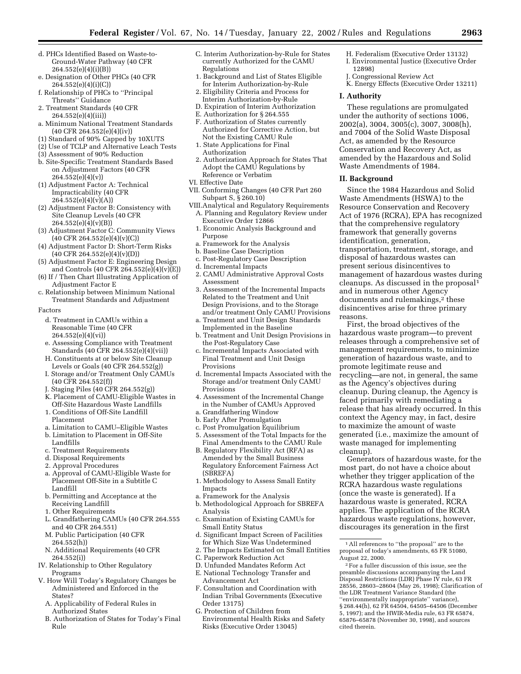- d. PHCs Identified Based on Waste-to-Ground-Water Pathway (40 CFR 264.552(e)(4)(i)(B))
- e. Designation of Other PHCs (40 CFR 264.552(e)(4)(i)(C))
- f. Relationship of PHCs to ''Principal Threats'' Guidance
- 2. Treatment Standards (40 CFR 264.552(e)(4)(iii))
- a. Minimum National Treatment Standards (40 CFR 264.552(e)(4)(iv))
- (1) Standard of 90% Capped by 10XUTS
- (2) Use of TCLP and Alternative Leach Tests
- (3) Assessment of 90% Reduction b. Site-Specific Treatment Standards Based on Adjustment Factors (40 CFR  $264.552(e)(4)(v)$
- (1) Adjustment Factor A: Technical Impracticability (40 CFR  $26\overline{4.552(e)(4)(v)(A)}}$
- (2) Adjustment Factor B: Consistency with Site Cleanup Levels (40 CFR  $264.552(e)(4)(v)(B)$
- (3) Adjustment Factor C: Community Views  $(40 \text{ CFR } 264.552(e)(4)(v)(C))$
- (4) Adjustment Factor D: Short-Term Risks  $(40 \text{ CFR } 264.552(e)(4)(v)(D))$
- (5) Adjustment Factor E: Engineering Design and Controls (40 CFR 264.552(e)(4)(v)(E))
- (6) If / Then Chart Illustrating Application of Adjustment Factor E
- c. Relationship between Minimum National Treatment Standards and Adjustment
- Factors
	- d. Treatment in CAMUs within a Reasonable Time (40 CFR 264.552(e)(4)(vi))
	- e. Assessing Compliance with Treatment Standards (40 CFR 264.552(e)(4)(vii))
	- H. Constituents at or below Site Cleanup Levels or Goals (40 CFR 264.552(g))
	- I. Storage and/or Treatment Only CAMUs (40 CFR 264.552(f))
	- J. Staging Piles (40 CFR 264.552(g))
	- K. Placement of CAMU-Eligible Wastes in Off-Site Hazardous Waste Landfills
	- 1. Conditions of Off-Site Landfill Placement
	- a. Limitation to CAMU–Eligible Wastes
	- b. Limitation to Placement in Off-Site Landfills
	- c. Treatment Requirements
	- d. Disposal Requirements
	- 2. Approval Procedures
	- a. Approval of CAMU-Eligible Waste for Placement Off-Site in a Subtitle C Landfill
	- b. Permitting and Acceptance at the Receiving Landfill
	- 1. Other Requirements
	- L. Grandfathering CAMUs (40 CFR 264.555 and 40 CFR 264.551)
	- M. Public Participation (40 CFR 264.552(h))
	- N. Additional Requirements (40 CFR 264.552(i))
- IV. Relationship to Other Regulatory Programs
- V. How Will Today's Regulatory Changes be Administered and Enforced in the States?
	- A. Applicability of Federal Rules in Authorized States
	- B. Authorization of States for Today's Final Rule
- C. Interim Authorization-by-Rule for States currently Authorized for the CAMU Regulations
- 1. Background and List of States Eligible for Interim Authorization-by-Rule 2. Eligibility Criteria and Process for
- Interim Authorization-by-Rule
- D. Expiration of Interim Authorization
- E. Authorization for § 264.555
- F. Authorization of States currently Authorized for Corrective Action, but Not the Existing CAMU Rule
- 1. State Applications for Final Authorization
- 2. Authorization Approach for States That Adopt the CAMU Regulations by Reference or Verbatim
- VI. Effective Date
- VII. Conforming Changes (40 CFR Part 260 Subpart S, § 260.10)
- VIII.Analytical and Regulatory Requirements A. Planning and Regulatory Review under Executive Order 12866
	- 1. Economic Analysis Background and Purpose
	- a. Framework for the Analysis
	- b. Baseline Case Description
	- c. Post-Regulatory Case Description
	- d. Incremental Impacts
	- 2. CAMU Administrative Approval Costs Assessment
	- 3. Assessment of the Incremental Impacts Related to the Treatment and Unit Design Provisions, and to the Storage and/or treatment Only CAMU Provisions
	- a. Treatment and Unit Design Standards Implemented in the Baseline
	- b. Treatment and Unit Design Provisions in the Post-Regulatory Case
	- c. Incremental Impacts Associated with Final Treatment and Unit Design Provisions
	- d. Incremental Impacts Associated with the Storage and/or treatment Only CAMU Provisions
	- 4. Assessment of the Incremental Change in the Number of CAMUs Approved
- a. Grandfathering Window
- b. Early After Promulgation
- c. Post Promulgation Equilibrium
- 5. Assessment of the Total Impacts for the Final Amendments to the CAMU Rule
- B. Regulatory Flexibility Act (RFA) as Amended by the Small Business Regulatory Enforcement Fairness Act (SBREFA)
- 1. Methodology to Assess Small Entity Impacts
- a. Framework for the Analysis
- b. Methodological Approach for SBREFA Analysis
- c. Examination of Existing CAMUs for Small Entity Status
- d. Significant Impact Screen of Facilities for Which Size Was Undetermined
- 2. The Impacts Estimated on Small Entities
- C. Paperwork Reduction Act
- D. Unfunded Mandates Reform Act
- E. National Technology Transfer and Advancement Act
- F. Consultation and Coordination with Indian Tribal Governments (Executive Order 13175)
- G. Protection of Children from Environmental Health Risks and Safety Risks (Executive Order 13045)
- H. Federalism (Executive Order 13132) I. Environmental Justice (Executive Order 12898)
- J. Congressional Review Act
- K. Energy Effects (Executive Order 13211)

#### **I. Authority**

These regulations are promulgated under the authority of sections 1006, 2002(a), 3004, 3005(c), 3007, 3008(h), and 7004 of the Solid Waste Disposal Act, as amended by the Resource Conservation and Recovery Act, as amended by the Hazardous and Solid Waste Amendments of 1984.

#### **II. Background**

Since the 1984 Hazardous and Solid Waste Amendments (HSWA) to the Resource Conservation and Recovery Act of 1976 (RCRA), EPA has recognized that the comprehensive regulatory framework that generally governs identification, generation, transportation, treatment, storage, and disposal of hazardous wastes can present serious disincentives to management of hazardous wastes during cleanups. As discussed in the proposal1 and in numerous other Agency documents and rulemakings,<sup>2</sup> these disincentives arise for three primary reasons.

First, the broad objectives of the hazardous waste program—to prevent releases through a comprehensive set of management requirements, to minimize generation of hazardous waste, and to promote legitimate reuse and recycling—are not, in general, the same as the Agency's objectives during cleanup. During cleanup, the Agency is faced primarily with remediating a release that has already occurred. In this context the Agency may, in fact, desire to maximize the amount of waste generated (i.e., maximize the amount of waste managed for implementing cleanup).

Generators of hazardous waste, for the most part, do not have a choice about whether they trigger application of the RCRA hazardous waste regulations (once the waste is generated). If a hazardous waste is generated, RCRA applies. The application of the RCRA hazardous waste regulations, however, discourages its generation in the first

<sup>1</sup>All references to ''the proposal'' are to the proposal of today's amendments, 65 FR 51080, August 22, 2000.

<sup>2</sup>For a fuller discussion of this issue, see the preamble discussions accompanying the Land Disposal Restrictions (LDR) Phase IV rule, 63 FR 28556, 28603–28604 (May 26, 1998); Clarification of the LDR Treatment Variance Standard (the ''environmentally inappropriate'' variance), § 268.44(h), 62 FR 64504, 64505-64506 (December 5, 1997); and the HWIR-Media rule, 63 FR 65874, 65876–65878 (November 30, 1998), and sources cited therein.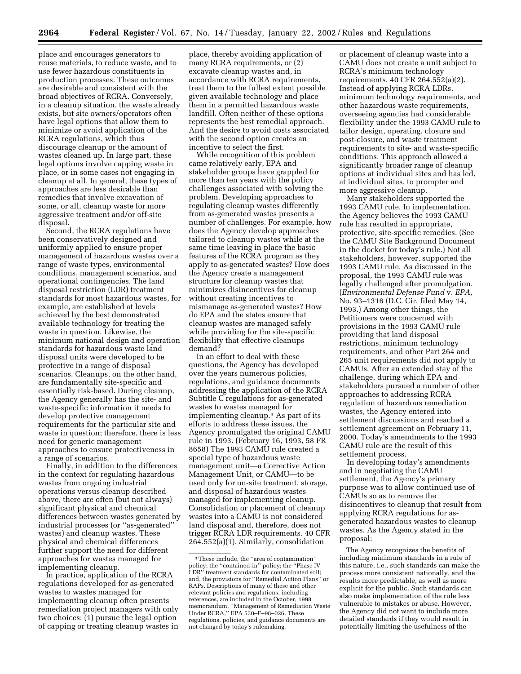place and encourages generators to reuse materials, to reduce waste, and to use fewer hazardous constituents in production processes. These outcomes are desirable and consistent with the broad objectives of RCRA. Conversely, in a cleanup situation, the waste already exists, but site owners/operators often have legal options that allow them to minimize or avoid application of the RCRA regulations, which thus discourage cleanup or the amount of wastes cleaned up. In large part, these legal options involve capping waste in place, or in some cases not engaging in cleanup at all. In general, these types of approaches are less desirable than remedies that involve excavation of some, or all, cleanup waste for more aggressive treatment and/or off-site disposal.

Second, the RCRA regulations have been conservatively designed and uniformly applied to ensure proper management of hazardous wastes over a range of waste types, environmental conditions, management scenarios, and operational contingencies. The land disposal restriction (LDR) treatment standards for most hazardous wastes, for example, are established at levels achieved by the best demonstrated available technology for treating the waste in question. Likewise, the minimum national design and operation standards for hazardous waste land disposal units were developed to be protective in a range of disposal scenarios. Cleanups, on the other hand, are fundamentally site-specific and essentially risk-based. During cleanup, the Agency generally has the site- and waste-specific information it needs to develop protective management requirements for the particular site and waste in question; therefore, there is less need for generic management approaches to ensure protectiveness in a range of scenarios.

Finally, in addition to the differences in the context for regulating hazardous wastes from ongoing industrial operations versus cleanup described above, there are often (but not always) significant physical and chemical differences between wastes generated by industrial processes (or ''as-generated'' wastes) and cleanup wastes. These physical and chemical differences further support the need for different approaches for wastes managed for implementing cleanup.

In practice, application of the RCRA regulations developed for as-generated wastes to wastes managed for implementing cleanup often presents remediation project managers with only two choices: (1) pursue the legal option of capping or treating cleanup wastes in

place, thereby avoiding application of many RCRA requirements, or (2) excavate cleanup wastes and, in accordance with RCRA requirements, treat them to the fullest extent possible given available technology and place them in a permitted hazardous waste landfill. Often neither of these options represents the best remedial approach. And the desire to avoid costs associated with the second option creates an incentive to select the first.

While recognition of this problem came relatively early, EPA and stakeholder groups have grappled for more than ten years with the policy challenges associated with solving the problem. Developing approaches to regulating cleanup wastes differently from as-generated wastes presents a number of challenges. For example, how does the Agency develop approaches tailored to cleanup wastes while at the same time leaving in place the basic features of the RCRA program as they apply to as-generated wastes? How does the Agency create a management structure for cleanup wastes that minimizes disincentives for cleanup without creating incentives to mismanage as-generated wastes? How do EPA and the states ensure that cleanup wastes are managed safely while providing for the site-specific flexibility that effective cleanups demand?

In an effort to deal with these questions, the Agency has developed over the years numerous policies, regulations, and guidance documents addressing the application of the RCRA Subtitle C regulations for as-generated wastes to wastes managed for implementing cleanup.3 As part of its efforts to address these issues, the Agency promulgated the original CAMU rule in 1993. (February 16, 1993, 58 FR 8658) The 1993 CAMU rule created a special type of hazardous waste management unit—a Corrective Action Management Unit, or CAMU—to be used only for on-site treatment, storage, and disposal of hazardous wastes managed for implementing cleanup. Consolidation or placement of cleanup wastes into a CAMU is not considered land disposal and, therefore, does not trigger RCRA LDR requirements. 40 CFR 264.552(a)(1). Similarly, consolidation

or placement of cleanup waste into a CAMU does not create a unit subject to RCRA's minimum technology requirements. 40 CFR 264.552(a)(2). Instead of applying RCRA LDRs, minimum technology requirements, and other hazardous waste requirements, overseeing agencies had considerable flexibility under the 1993 CAMU rule to tailor design, operating, closure and post-closure, and waste treatment requirements to site- and waste-specific conditions. This approach allowed a significantly broader range of cleanup options at individual sites and has led, at individual sites, to prompter and more aggressive cleanup.

Many stakeholders supported the 1993 CAMU rule. In implementation, the Agency believes the 1993 CAMU rule has resulted in appropriate, protective, site-specific remedies. (See the CAMU Site Background Document in the docket for today's rule.) Not all stakeholders, however, supported the 1993 CAMU rule. As discussed in the proposal, the 1993 CAMU rule was legally challenged after promulgation. (*Environmental Defense Fund* v. *EPA,* No. 93–1316 (D.C. Cir. filed May 14, 1993.) Among other things, the Petitioners were concerned with provisions in the 1993 CAMU rule providing that land disposal restrictions, minimum technology requirements, and other Part 264 and 265 unit requirements did not apply to CAMUs. After an extended stay of the challenge, during which EPA and stakeholders pursued a number of other approaches to addressing RCRA regulation of hazardous remediation wastes, the Agency entered into settlement discussions and reached a settlement agreement on February 11, 2000. Today's amendments to the 1993 CAMU rule are the result of this settlement process.

In developing today's amendments and in negotiating the CAMU settlement, the Agency's primary purpose was to allow continued use of CAMUs so as to remove the disincentives to cleanup that result from applying RCRA regulations for asgenerated hazardous wastes to cleanup wastes. As the Agency stated in the proposal:

The Agency recognizes the benefits of including minimum standards in a rule of this nature, i.e., such standards can make the process more consistent nationally, and the results more predictable, as well as more explicit for the public. Such standards can also make implementation of the rule less vulnerable to mistakes or abuse. However, the Agency did not want to include more detailed standards if they would result in potentially limiting the usefulness of the

<sup>3</sup>These include, the ''area of contamination'' policy; the ''contained-in'' policy; the ''Phase IV LDR'' treatment standards for contaminated soil; and, the provisions for "Remedial Action Plans" RAPs. Descriptions of many of these and other relevant policies and regulations, including references, are included in the October, 1998 memorandum, ''Management of Remediation Waste Under RCRA,'' EPA 530–F–98–026. These regulations, policies, and guidance documents are not changed by today's rulemaking.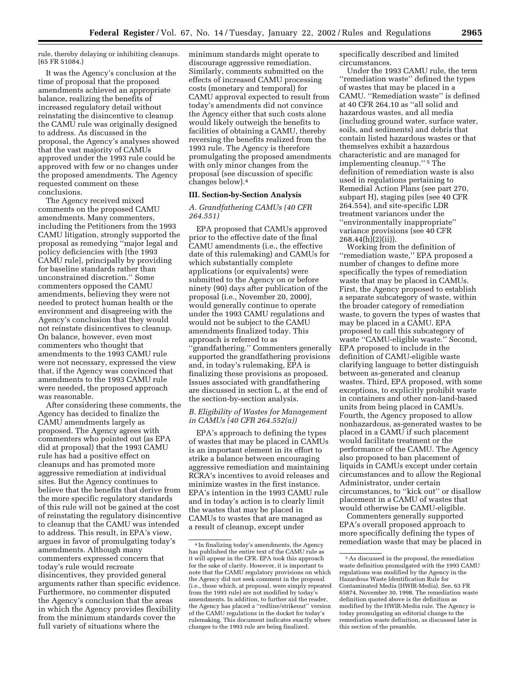rule, thereby delaying or inhibiting cleanups. (65 FR 51084.)

It was the Agency's conclusion at the time of proposal that the proposed amendments achieved an appropriate balance, realizing the benefits of increased regulatory detail without reinstating the disincentive to cleanup the CAMU rule was originally designed to address. As discussed in the proposal, the Agency's analyses showed that the vast majority of CAMUs approved under the 1993 rule could be approved with few or no changes under the proposed amendments. The Agency requested comment on these conclusions.

The Agency received mixed comments on the proposed CAMU amendments. Many commenters, including the Petitioners from the 1993 CAMU litigation, strongly supported the proposal as remedying ''major legal and policy deficiencies with [the 1993 CAMU rule], principally by providing for baseline standards rather than unconstrained discretion.'' Some commenters opposed the CAMU amendments, believing they were not needed to protect human health or the environment and disagreeing with the Agency's conclusion that they would not reinstate disincentives to cleanup. On balance, however, even most commenters who thought that amendments to the 1993 CAMU rule were not necessary, expressed the view that, if the Agency was convinced that amendments to the 1993 CAMU rule were needed, the proposed approach was reasonable.

After considering these comments, the Agency has decided to finalize the CAMU amendments largely as proposed. The Agency agrees with commenters who pointed out (as EPA did at proposal) that the 1993 CAMU rule has had a positive effect on cleanups and has promoted more aggressive remediation at individual sites. But the Agency continues to believe that the benefits that derive from the more specific regulatory standards of this rule will not be gained at the cost of reinstating the regulatory disincentive to cleanup that the CAMU was intended to address. This result, in EPA's view, argues in favor of promulgating today's amendments. Although many commenters expressed concern that today's rule would recreate disincentives, they provided general arguments rather than specific evidence. Furthermore, no commenter disputed the Agency's conclusion that the areas in which the Agency provides flexibility from the minimum standards cover the full variety of situations where the

minimum standards might operate to discourage aggressive remediation. Similarly, comments submitted on the effects of increased CAMU processing costs (monetary and temporal) for CAMU approval expected to result from today's amendments did not convince the Agency either that such costs alone would likely outweigh the benefits to facilities of obtaining a CAMU, thereby reversing the benefits realized from the 1993 rule. The Agency is therefore promulgating the proposed amendments with only minor changes from the proposal (see discussion of specific changes below).4

#### **III. Section-by-Section Analysis**

#### *A. Grandfathering CAMUs (40 CFR 264.551)*

EPA proposed that CAMUs approved prior to the effective date of the final CAMU amendments (i.e., the effective date of this rulemaking) and CAMUs for which substantially complete applications (or equivalents) were submitted to the Agency on or before ninety (90) days after publication of the proposal (i.e., November 20, 2000), would generally continue to operate under the 1993 CAMU regulations and would not be subject to the CAMU amendments finalized today. This approach is referred to as ''grandfathering.'' Commenters generally supported the grandfathering provisions and, in today's rulemaking, EPA is finalizing these provisions as proposed. Issues associated with grandfathering are discussed in section L, at the end of the section-by-section analysis.

#### *B. Eligibility of Wastes for Management in CAMUs (40 CFR 264.552(a))*

EPA's approach to defining the types of wastes that may be placed in CAMUs is an important element in its effort to strike a balance between encouraging aggressive remediation and maintaining RCRA's incentives to avoid releases and minimize wastes in the first instance. EPA's intention in the 1993 CAMU rule and in today's action is to clearly limit the wastes that may be placed in CAMUs to wastes that are managed as a result of cleanup, except under

specifically described and limited circumstances.

Under the 1993 CAMU rule, the term ''remediation waste'' defined the types of wastes that may be placed in a CAMU. ''Remediation waste'' is defined at 40 CFR 264.10 as ''all solid and hazardous wastes, and all media (including ground water, surface water, soils, and sediments) and debris that contain listed hazardous wastes or that themselves exhibit a hazardous characteristic and are managed for implementing cleanup.'' 5 The definition of remediation waste is also used in regulations pertaining to Remedial Action Plans (see part 270, subpart H), staging piles (see 40 CFR 264.554), and site-specific LDR treatment variances under the ''environmentally inappropriate'' variance provisions (see 40 CFR 268.44(h)(2)(ii)).

Working from the definition of ''remediation waste,'' EPA proposed a number of changes to define more specifically the types of remediation waste that may be placed in CAMUs. First, the Agency proposed to establish a separate subcategory of waste, within the broader category of remediation waste, to govern the types of wastes that may be placed in a CAMU. EPA proposed to call this subcategory of waste ''CAMU-eligible waste.'' Second, EPA proposed to include in the definition of CAMU-eligible waste clarifying language to better distinguish between as-generated and cleanup wastes. Third, EPA proposed, with some exceptions, to explicitly prohibit waste in containers and other non-land-based units from being placed in CAMUs. Fourth, the Agency proposed to allow nonhazardous, as-generated wastes to be placed in a CAMU if such placement would facilitate treatment or the performance of the CAMU. The Agency also proposed to ban placement of liquids in CAMUs except under certain circumstances and to allow the Regional Administrator, under certain circumstances, to ''kick out'' or disallow placement in a CAMU of wastes that would otherwise be CAMU-eligible.

Commenters generally supported EPA's overall proposed approach to more specifically defining the types of remediation waste that may be placed in

<sup>4</sup> In finalizing today's amendments, the Agency has published the entire text of the CAMU rule as it will appear in the CFR. EPA took this approach for the sake of clarity. However, it is important to note that the CAMU regulatory provisions on which the Agency did not seek comment in the proposal (i.e., those which, at proposal, were simply repeated from the 1993 rule) are not modified by today's amendments. In addition, to further aid the reader, the Agency has placed a ''redline/strikeout'' version of the CAMU regulations in the docket for today's rulemaking. This document indicates exactly where changes to the 1993 rule are being finalized.

<sup>5</sup>As discussed in the proposal, the remediation waste definition promulgated with the 1993 CAMU regulations was modified by the Agency in the Hazardous Waste Identification Rule for Contaminated Media (HWIR-Media). See, 63 FR 65874, November 30, 1998. The remediation waste definition quoted above is the definition as modified by the HWIR-Media rule. The Agency is today promulgating an editorial change to the remediation waste definition, as discussed later in this section of the preamble.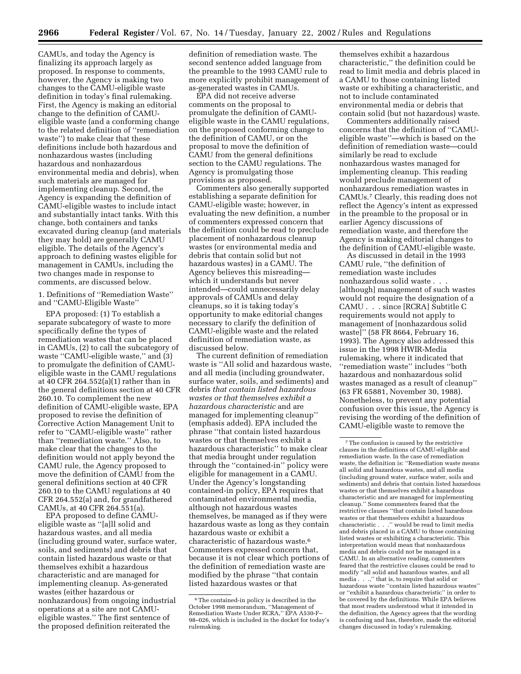CAMUs, and today the Agency is finalizing its approach largely as proposed. In response to comments, however, the Agency is making two changes to the CAMU-eligible waste definition in today's final rulemaking. First, the Agency is making an editorial change to the definition of CAMUeligible waste (and a conforming change to the related definition of ''remediation waste'') to make clear that these definitions include both hazardous and nonhazardous wastes (including hazardous and nonhazardous environmental media and debris), when such materials are managed for implementing cleanup. Second, the Agency is expanding the definition of CAMU-eligible wastes to include intact and substantially intact tanks. With this change, both containers and tanks excavated during cleanup (and materials they may hold) are generally CAMU eligible. The details of the Agency's approach to defining wastes eligible for management in CAMUs, including the two changes made in response to comments, are discussed below.

1. Definitions of ''Remediation Waste'' and ''CAMU-Eligible Waste''

EPA proposed: (1) To establish a separate subcategory of waste to more specifically define the types of remediation wastes that can be placed in CAMUs, (2) to call the subcategory of waste "CAMU-eligible waste," and (3) to promulgate the definition of CAMUeligible waste in the CAMU regulations at 40 CFR 264.552(a)(1) rather than in the general definitions section at 40 CFR 260.10. To complement the new definition of CAMU-eligible waste, EPA proposed to revise the definition of Corrective Action Management Unit to refer to ''CAMU-eligible waste'' rather than ''remediation waste.'' Also, to make clear that the changes to the definition would not apply beyond the CAMU rule, the Agency proposed to move the definition of CAMU from the general definitions section at 40 CFR 260.10 to the CAMU regulations at 40 CFR 264.552(a) and, for grandfathered CAMUs, at 40 CFR 264.551(a).

EPA proposed to define CAMUeligible waste as ''[a]ll solid and hazardous wastes, and all media (including ground water, surface water, soils, and sediments) and debris that contain listed hazardous waste or that themselves exhibit a hazardous characteristic and are managed for implementing cleanup. As-generated wastes (either hazardous or nonhazardous) from ongoing industrial operations at a site are not CAMUeligible wastes.'' The first sentence of the proposed definition reiterated the

definition of remediation waste. The second sentence added language from the preamble to the 1993 CAMU rule to more explicitly prohibit management of as-generated wastes in CAMUs.

EPA did not receive adverse comments on the proposal to promulgate the definition of CAMUeligible waste in the CAMU regulations, on the proposed conforming change to the definition of CAMU, or on the proposal to move the definition of CAMU from the general definitions section to the CAMU regulations. The Agency is promulgating those provisions as proposed.

Commenters also generally supported establishing a separate definition for CAMU-eligible waste; however, in evaluating the new definition, a number of commenters expressed concern that the definition could be read to preclude placement of nonhazardous cleanup wastes (or environmental media and debris that contain solid but not hazardous wastes) in a CAMU. The Agency believes this misreading which it understands but never intended—could unnecessarily delay approvals of CAMUs and delay cleanups, so it is taking today's opportunity to make editorial changes necessary to clarify the definition of CAMU-eligible waste and the related definition of remediation waste, as discussed below.

The current definition of remediation waste is ''All solid and hazardous waste, and all media (including groundwater, surface water, soils, and sediments) and debris *that contain listed hazardous wastes or that themselves exhibit a hazardous characteristic* and are managed for implementing cleanup'' (emphasis added). EPA included the phrase ''that contain listed hazardous wastes or that themselves exhibit a hazardous characteristic'' to make clear that media brought under regulation through the ''contained-in'' policy were eligible for management in a CAMU. Under the Agency's longstanding contained-in policy, EPA requires that contaminated environmental media, although not hazardous wastes themselves, be managed as if they were hazardous waste as long as they contain hazardous waste or exhibit a characteristic of hazardous waste.6 Commenters expressed concern that, because it is not clear which portions of the definition of remediation waste are modified by the phrase ''that contain listed hazardous wastes or that

themselves exhibit a hazardous characteristic,'' the definition could be read to limit media and debris placed in a CAMU to those containing listed waste or exhibiting a characteristic, and not to include contaminated environmental media or debris that contain solid (but not hazardous) waste.

Commenters additionally raised concerns that the definition of ''CAMUeligible waste''—which is based on the definition of remediation waste—could similarly be read to exclude nonhazardous wastes managed for implementing cleanup. This reading would preclude management of nonhazardous remediation wastes in CAMUs.7 Clearly, this reading does not reflect the Agency's intent as expressed in the preamble to the proposal or in earlier Agency discussions of remediation waste, and therefore the Agency is making editorial changes to the definition of CAMU-eligible waste.

As discussed in detail in the 1993 CAMU rule, ''the definition of remediation waste includes nonhazardous solid waste . . . [although] management of such wastes would not require the designation of a CAMU . . . since [RCRA] Subtitle C requirements would not apply to management of [nonhazardous solid waste]'' (58 FR 8664, February 16, 1993). The Agency also addressed this issue in the 1998 HWIR-Media rulemaking, where it indicated that ''remediation waste'' includes ''both hazardous and nonhazardous solid wastes managed as a result of cleanup'' (63 FR 65881, November 30, 1988). Nonetheless, to prevent any potential confusion over this issue, the Agency is revising the wording of the definition of CAMU-eligible waste to remove the

<sup>6</sup>The contained-in policy is described in the October 1998 memorandum, ''Management of Remediation Waste Under RCRA,'' EPA A530-F– 98–026, which is included in the docket for today's rulemaking.

<sup>7</sup>The confusion is caused by the restrictive clauses in the definitions of CAMU-eligible and remediation waste. In the case of remediation waste, the definition is: ''Remediation waste means all solid and hazardous wastes, and all media (including ground water, surface water, soils and sediments) and debris that contain listed hazardous wastes or that themselves exhibit a hazardous characteristic and are managed for implementing cleanup.'' Some commenters feared that the restrictive clauses ''that contain listed hazardous wastes or that themselves exhibit a hazardous characteristic . . .'' would be read to limit media and debris placed in a CAMU to those containing listed wastes or exhibiting a characteristic. This interpretation would mean that nonhazardous media and debris could not be managed in a CAMU. In an alternative reading, commenters feared that the restrictive clauses could be read to modify ''all solid and hazardous wastes, and all media . . .,'' that is, to require that solid or hazardous waste ''contain listed hazardous wastes'' or ''exhibit a hazardous characteristic'' in order to be covered by the definitions. While EPA believes that most readers understood what it intended in the definition, the Agency agrees that the wording is confusing and has, therefore, made the editorial changes discussed in today's rulemaking.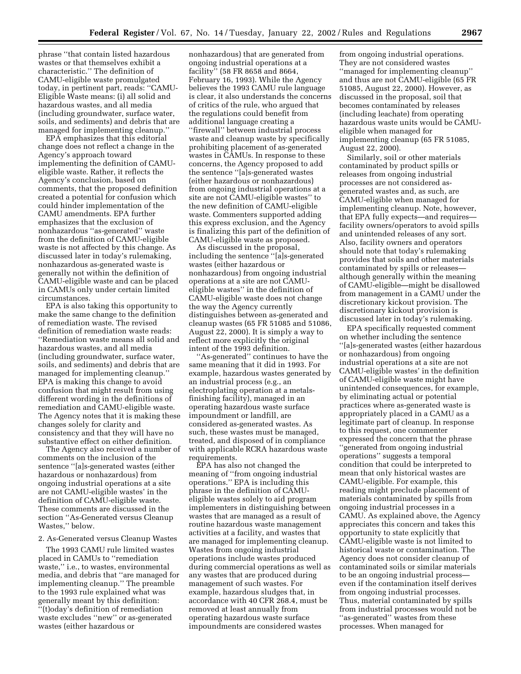phrase ''that contain listed hazardous wastes or that themselves exhibit a characteristic.'' The definition of CAMU-eligible waste promulgated today, in pertinent part, reads: ''CAMU-Eligible Waste means: (i) all solid and hazardous wastes, and all media (including groundwater, surface water, soils, and sediments) and debris that are managed for implementing cleanup.''

EPA emphasizes that this editorial change does not reflect a change in the Agency's approach toward implementing the definition of CAMUeligible waste. Rather, it reflects the Agency's conclusion, based on comments, that the proposed definition created a potential for confusion which could hinder implementation of the CAMU amendments. EPA further emphasizes that the exclusion of nonhazardous ''as-generated'' waste from the definition of CAMU-eligible waste is not affected by this change. As discussed later in today's rulemaking, nonhazardous as-generated waste is generally not within the definition of CAMU-eligible waste and can be placed in CAMUs only under certain limited circumstances.

EPA is also taking this opportunity to make the same change to the definition of remediation waste. The revised definition of remediation waste reads: ''Remediation waste means all solid and hazardous wastes, and all media (including groundwater, surface water, soils, and sediments) and debris that are managed for implementing cleanup.'' EPA is making this change to avoid confusion that might result from using different wording in the definitions of remediation and CAMU-eligible waste. The Agency notes that it is making these changes solely for clarity and consistency and that they will have no substantive effect on either definition.

The Agency also received a number of comments on the inclusion of the sentence ''[a]s-generated wastes (either hazardous or nonhazardous) from ongoing industrial operations at a site are not CAMU-eligible wastes' in the definition of CAMU-eligible waste. These comments are discussed in the section ''As-Generated versus Cleanup Wastes,'' below.

#### 2. As-Generated versus Cleanup Wastes

The 1993 CAMU rule limited wastes placed in CAMUs to ''remediation waste,'' i.e., to wastes, environmental media, and debris that ''are managed for implementing cleanup.'' The preamble to the 1993 rule explained what was generally meant by this definition: ''(t)oday's definition of remediation waste excludes ''new'' or as-generated wastes (either hazardous or

nonhazardous) that are generated from ongoing industrial operations at a facility'' (58 FR 8658 and 8664, February 16, 1993). While the Agency believes the 1993 CAMU rule language is clear, it also understands the concerns of critics of the rule, who argued that the regulations could benefit from additional language creating a ''firewall'' between industrial process waste and cleanup waste by specifically prohibiting placement of as-generated wastes in CAMUs. In response to these concerns, the Agency proposed to add the sentence ''[a]s-generated wastes (either hazardous or nonhazardous) from ongoing industrial operations at a site are not CAMU-eligible wastes'' to the new definition of CAMU-eligible waste. Commenters supported adding this express exclusion, and the Agency is finalizing this part of the definition of CAMU-eligible waste as proposed.

As discussed in the proposal, including the sentence ''[a]s-generated wastes (either hazardous or nonhazardous) from ongoing industrial operations at a site are not CAMUeligible wastes'' in the definition of CAMU-eligible waste does not change the way the Agency currently distinguishes between as-generated and cleanup wastes (65 FR 51085 and 51086, August 22, 2000). It is simply a way to reflect more explicitly the original intent of the 1993 definition.

''As-generated'' continues to have the same meaning that it did in 1993. For example, hazardous wastes generated by an industrial process (e.g., an electroplating operation at a metalsfinishing facility), managed in an operating hazardous waste surface impoundment or landfill, are considered as-generated wastes. As such, these wastes must be managed, treated, and disposed of in compliance with applicable RCRA hazardous waste requirements.

EPA has also not changed the meaning of ''from ongoing industrial operations.'' EPA is including this phrase in the definition of CAMUeligible wastes solely to aid program implementers in distinguishing between wastes that are managed as a result of routine hazardous waste management activities at a facility, and wastes that are managed for implementing cleanup. Wastes from ongoing industrial operations include wastes produced during commercial operations as well as any wastes that are produced during management of such wastes. For example, hazardous sludges that, in accordance with 40 CFR 268.4, must be removed at least annually from operating hazardous waste surface impoundments are considered wastes

from ongoing industrial operations. They are not considered wastes ''managed for implementing cleanup'' and thus are not CAMU-eligible (65 FR 51085, August 22, 2000). However, as discussed in the proposal, soil that becomes contaminated by releases (including leachate) from operating hazardous waste units would be CAMUeligible when managed for implementing cleanup (65 FR 51085, August 22, 2000).

Similarly, soil or other materials contaminated by product spills or releases from ongoing industrial processes are not considered asgenerated wastes and, as such, are CAMU-eligible when managed for implementing cleanup. Note, however, that EPA fully expects—and requires facility owners/operators to avoid spills and unintended releases of any sort. Also, facility owners and operators should note that today's rulemaking provides that soils and other materials contaminated by spills or releases although generally within the meaning of CAMU-eligible—might be disallowed from management in a CAMU under the discretionary kickout provision. The discretionary kickout provision is discussed later in today's rulemaking.

EPA specifically requested comment on whether including the sentence ''[a]s-generated wastes (either hazardous or nonhazardous) from ongoing industrial operations at a site are not CAMU-eligible wastes' in the definition of CAMU-eligible waste might have unintended consequences, for example, by eliminating actual or potential practices where as-generated waste is appropriately placed in a CAMU as a legitimate part of cleanup. In response to this request, one commenter expressed the concern that the phrase ''generated from ongoing industrial operations'' suggests a temporal condition that could be interpreted to mean that only historical wastes are CAMU-eligible. For example, this reading might preclude placement of materials contaminated by spills from ongoing industrial processes in a CAMU. As explained above, the Agency appreciates this concern and takes this opportunity to state explicitly that CAMU-eligible waste is not limited to historical waste or contamination. The Agency does not consider cleanup of contaminated soils or similar materials to be an ongoing industrial process even if the contamination itself derives from ongoing industrial processes. Thus, material contaminated by spills from industrial processes would not be ''as-generated'' wastes from these processes. When managed for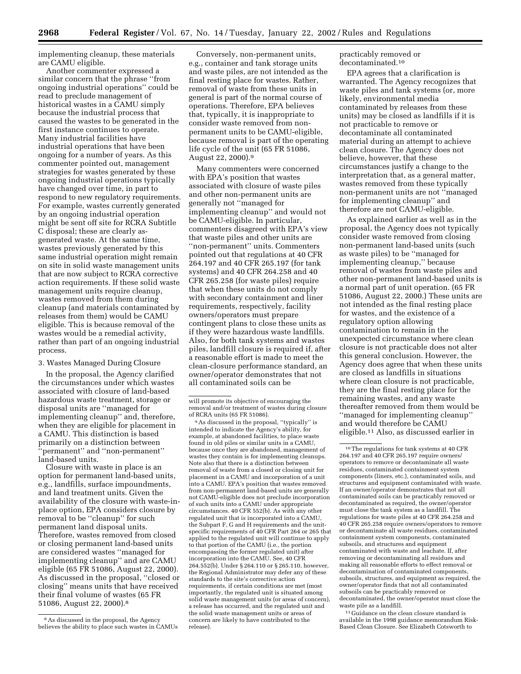implementing cleanup, these materials are CAMU eligible.

Another commenter expressed a similar concern that the phrase ''from ongoing industrial operations'' could be read to preclude management of historical wastes in a CAMU simply because the industrial process that caused the wastes to be generated in the first instance continues to operate. Many industrial facilities have industrial operations that have been ongoing for a number of years. As this commenter pointed out, management strategies for wastes generated by these ongoing industrial operations typically have changed over time, in part to respond to new regulatory requirements. For example, wastes currently generated by an ongoing industrial operation might be sent off site for RCRA Subtitle C disposal; these are clearly asgenerated waste. At the same time, wastes previously generated by this same industrial operation might remain on site in solid waste management units that are now subject to RCRA corrective action requirements. If these solid waste management units require cleanup, wastes removed from them during cleanup (and materials contaminated by releases from them) would be CAMU eligible. This is because removal of the wastes would be a remedial activity, rather than part of an ongoing industrial process.

#### 3. Wastes Managed During Closure

In the proposal, the Agency clarified the circumstances under which wastes associated with closure of land-based hazardous waste treatment, storage or disposal units are ''managed for implementing cleanup'' and, therefore, when they are eligible for placement in a CAMU. This distinction is based primarily on a distinction between ''permanent'' and ''non-permanent'' land-based units.

Closure with waste in place is an option for permanent land-based units, e.g., landfills, surface impoundments, and land treatment units. Given the availability of the closure with waste-inplace option, EPA considers closure by removal to be ''cleanup'' for such permanent land disposal units. Therefore, wastes removed from closed or closing permanent land-based units are considered wastes ''managed for implementing cleanup'' and are CAMU eligible (65 FR 51086, August 22, 2000). As discussed in the proposal, ''closed or closing'' means units that have received their final volume of wastes (65 FR 51086, August 22, 2000).8

Conversely, non-permanent units, e.g., container and tank storage units and waste piles, are not intended as the final resting place for wastes. Rather, removal of waste from these units in general is part of the normal course of operations. Therefore, EPA believes that, typically, it is inappropriate to consider waste removed from nonpermanent units to be CAMU-eligible, because removal is part of the operating life cycle of the unit (65 FR 51086, August 22, 2000).9

Many commenters were concerned with EPA's position that wastes associated with closure of waste piles and other non-permanent units are generally not ''managed for implementing cleanup'' and would not be CAMU-eligible. In particular, commenters disagreed with EPA's view that waste piles and other units are ''non-permanent'' units. Commenters pointed out that regulations at 40 CFR 264.197 and 40 CFR 265.197 (for tank systems) and 40 CFR 264.258 and 40 CFR 265.258 (for waste piles) require that when these units do not comply with secondary containment and liner requirements, respectively, facility owners/operators must prepare contingent plans to close these units as if they were hazardous waste landfills. Also, for both tank systems and wastes piles, landfill closure is required if, after a reasonable effort is made to meet the clean-closure performance standard, an owner/operator demonstrates that not all contaminated soils can be

9As discussed in the proposal, ''typically'' is intended to indicate the Agency's ability, for example, at abandoned facilities, to place waste found in old piles or similar units in a CAMU, because once they are abandoned, management of wastes they contain is for implementing cleanups. Note also that there is a distinction between removal of waste from a closed or closing unit for placement in a CAMU and incorporation of a unit into a CAMU. EPA's position that wastes removed from non-permanent land-based units are generally not CAMU-eligible does not preclude incorporation of such units into a CAMU under appropriate circumstances. 40 CFR 552(b). As with any other regulated unit that is incorporated into a CAMU, the Subpart F, G and H requirements and the unitspecific requirements of 40 CFR Part 264 or 265 that applied to the regulated unit will continue to apply to that portion of the CAMU (i.e., the portion encompassing the former regulated unit) after incorporation into the CAMU. See, 40 CFR 264.552(b). Under § 264.110 or § 265.110, however, the Regional Administrator may defer any of these standards to the site's corrective action requirements, if certain conditions are met (most importantly, the regulated unit is situated among solid waste management units (or areas of concern), a release has occurred, and the regulated unit and the solid waste management units or areas of concern are likely to have contributed to the release).

practicably removed or decontaminated.10

EPA agrees that a clarification is warranted. The Agency recognizes that waste piles and tank systems (or, more likely, environmental media contaminated by releases from these units) may be closed as landfills if it is not practicable to remove or decontaminate all contaminated material during an attempt to achieve clean closure. The Agency does not believe, however, that these circumstances justify a change to the interpretation that, as a general matter, wastes removed from these typically non-permanent units are not ''managed for implementing cleanup'' and therefore are not CAMU-eligible.

As explained earlier as well as in the proposal, the Agency does not typically consider waste removed from closing non-permanent land-based units (such as waste piles) to be ''managed for implementing cleanup,'' because removal of wastes from waste piles and other non-permanent land-based units is a normal part of unit operation. (65 FR 51086, August 22, 2000.) These units are not intended as the final resting place for wastes, and the existence of a regulatory option allowing contamination to remain in the unexpected circumstance where clean closure is not practicable does not alter this general conclusion. However, the Agency does agree that when these units are closed as landfills in situations where clean closure is not practicable, they are the final resting place for the remaining wastes, and any waste thereafter removed from them would be ''managed for implementing cleanup'' and would therefore be CAMU eligible.11 Also, as discussed earlier in

 $^{\rm 11}$  Guidance on the clean closure standard is available in the 1998 guidance memorandum Risk-Based Clean Closure. See Elizabeth Cotsworth to

<sup>8</sup>As discussed in the proposal, the Agency believes the ability to place such wastes in CAMUs

will promote its objective of encouraging the removal and/or treatment of wastes during closure of RCRA units (65 FR 51086).

<sup>10</sup>The regulations for tank systems at 40 CFR 264.197 and 40 CFR 265.197 require owners/ operators to remove or decontaminate all waste residues, contaminated containment system components (liners, etc.), contaminated soils, and structures and equipment contaminated with waste. If an owner/operator demonstrates that not all contaminated soils can be practicably removed or decontaminated as required, the owner/operator must close the tank system as a landfill. The regulations for waste piles at 40 CFR 264.258 and 40 CFR 265.258 require owners/operators to remove or decontaminate all waste residues, contaminated containment system components, contaminated subsoils, and structures and equipment contaminated with waste and leachate. If, after removing or decontaminating all residues and making all reasonable efforts to effect removal or decontamination of contaminated components, subsoils, structures, and equipment as required, the owner/operator finds that not all contaminated subsoils can be practicably removed or decontaminated, the owner/operator must close the waste pile as a landfill.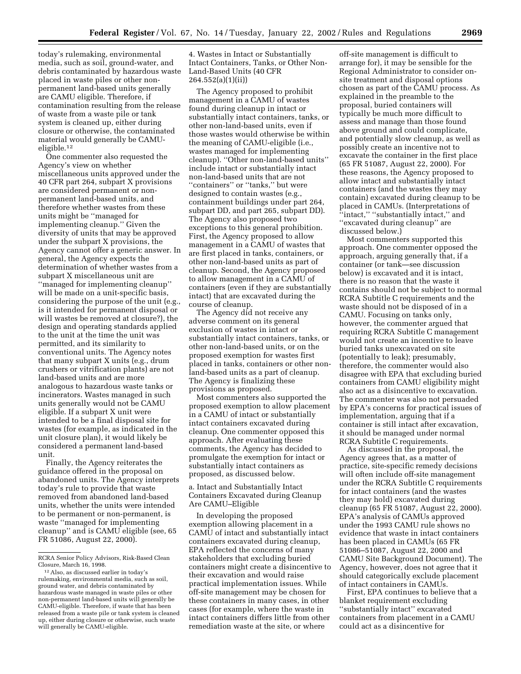today's rulemaking, environmental media, such as soil, ground-water, and debris contaminated by hazardous waste placed in waste piles or other nonpermanent land-based units generally are CAMU eligible. Therefore, if contamination resulting from the release of waste from a waste pile or tank system is cleaned up, either during closure or otherwise, the contaminated material would generally be CAMUeligible.12

One commenter also requested the Agency's view on whether miscellaneous units approved under the 40 CFR part 264, subpart X provisions are considered permanent or nonpermanent land-based units, and therefore whether wastes from these units might be ''managed for implementing cleanup.'' Given the diversity of units that may be approved under the subpart X provisions, the Agency cannot offer a generic answer. In general, the Agency expects the determination of whether wastes from a subpart X miscellaneous unit are ''managed for implementing cleanup'' will be made on a unit-specific basis, considering the purpose of the unit (e.g., is it intended for permanent disposal or will wastes be removed at closure?), the design and operating standards applied to the unit at the time the unit was permitted, and its similarity to conventional units. The Agency notes that many subpart X units (e.g., drum crushers or vitrification plants) are not land-based units and are more analogous to hazardous waste tanks or incinerators. Wastes managed in such units generally would not be CAMU eligible. If a subpart X unit were intended to be a final disposal site for wastes (for example, as indicated in the unit closure plan), it would likely be considered a permanent land-based unit.

Finally, the Agency reiterates the guidance offered in the proposal on abandoned units. The Agency interprets today's rule to provide that waste removed from abandoned land-based units, whether the units were intended to be permanent or non-permanent, is waste ''managed for implementing cleanup'' and is CAMU eligible (see, 65 FR 51086, August 22, 2000).

4. Wastes in Intact or Substantially Intact Containers, Tanks, or Other Non-Land-Based Units (40 CFR 264.552(a)(1)(ii))

The Agency proposed to prohibit management in a CAMU of wastes found during cleanup in intact or substantially intact containers, tanks, or other non-land-based units, even if those wastes would otherwise be within the meaning of CAMU-eligible (i.e., wastes managed for implementing cleanup). ''Other non-land-based units'' include intact or substantially intact non-land-based units that are not ''containers'' or ''tanks,'' but were designed to contain wastes (e.g., containment buildings under part 264, subpart DD, and part 265, subpart DD). The Agency also proposed two exceptions to this general prohibition. First, the Agency proposed to allow management in a CAMU of wastes that are first placed in tanks, containers, or other non-land-based units as part of cleanup. Second, the Agency proposed to allow management in a CAMU of containers (even if they are substantially intact) that are excavated during the course of cleanup.

The Agency did not receive any adverse comment on its general exclusion of wastes in intact or substantially intact containers, tanks, or other non-land-based units, or on the proposed exemption for wastes first placed in tanks, containers or other nonland-based units as a part of cleanup. The Agency is finalizing these provisions as proposed.

Most commenters also supported the proposed exemption to allow placement in a CAMU of intact or substantially intact containers excavated during cleanup. One commenter opposed this approach. After evaluating these comments, the Agency has decided to promulgate the exemption for intact or substantially intact containers as proposed, as discussed below.

a. Intact and Substantially Intact Containers Excavated during Cleanup Are CAMU–Eligible

In developing the proposed exemption allowing placement in a CAMU of intact and substantially intact containers excavated during cleanup, EPA reflected the concerns of many stakeholders that excluding buried containers might create a disincentive to their excavation and would raise practical implementation issues. While off-site management may be chosen for these containers in many cases, in other cases (for example, where the waste in intact containers differs little from other remediation waste at the site, or where

off-site management is difficult to arrange for), it may be sensible for the Regional Administrator to consider onsite treatment and disposal options chosen as part of the CAMU process. As explained in the preamble to the proposal, buried containers will typically be much more difficult to assess and manage than those found above ground and could complicate, and potentially slow cleanup, as well as possibly create an incentive not to excavate the container in the first place (65 FR 51087, August 22, 2000). For these reasons, the Agency proposed to allow intact and substantially intact containers (and the wastes they may contain) excavated during cleanup to be placed in CAMUs. (Interpretations of "intact," "substantially intact," and ''excavated during cleanup'' are discussed below.)

Most commenters supported this approach. One commenter opposed the approach, arguing generally that, if a container (or tank—see discussion below) is excavated and it is intact, there is no reason that the waste it contains should not be subject to normal RCRA Subtitle C requirements and the waste should not be disposed of in a CAMU. Focusing on tanks only, however, the commenter argued that requiring RCRA Subtitle C management would not create an incentive to leave buried tanks unexcavated on site (potentially to leak); presumably, therefore, the commenter would also disagree with EPA that excluding buried containers from CAMU eligibility might also act as a disincentive to excavation. The commenter was also not persuaded by EPA's concerns for practical issues of implementation, arguing that if a container is still intact after excavation, it should be managed under normal RCRA Subtitle C requirements.

As discussed in the proposal, the Agency agrees that, as a matter of practice, site-specific remedy decisions will often include off-site management under the RCRA Subtitle C requirements for intact containers (and the wastes they may hold) excavated during cleanup (65 FR 51087, August 22, 2000). EPA's analysis of CAMUs approved under the 1993 CAMU rule shows no evidence that waste in intact containers has been placed in CAMUs (65 FR 51086–51087, August 22, 2000 and CAMU Site Background Document). The Agency, however, does not agree that it should categorically exclude placement of intact containers in CAMUs.

First, EPA continues to believe that a blanket requirement excluding ''substantially intact'' excavated containers from placement in a CAMU could act as a disincentive for

RCRA Senior Policy Advisors, Risk-Based Clean Closure, March 16, 1998.

<sup>12</sup>Also, as discussed earlier in today's rulemaking, environmental media, such as soil, ground water, and debris contaminated by hazardous waste managed in waste piles or other non-permanent land-based units will generally be CAMU-eligible. Therefore, if waste that has been released from a waste pile or tank system is cleaned up, either during closure or otherwise, such waste will generally be CAMU-eligible.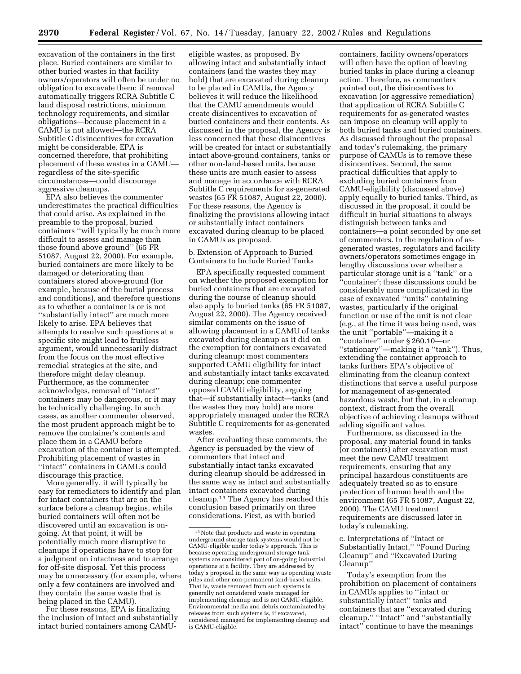excavation of the containers in the first place. Buried containers are similar to other buried wastes in that facility owners/operators will often be under no obligation to excavate them; if removal automatically triggers RCRA Subtitle C land disposal restrictions, minimum technology requirements, and similar obligations—because placement in a CAMU is not allowed—the RCRA Subtitle C disincentives for excavation might be considerable. EPA is concerned therefore, that prohibiting placement of these wastes in a CAMU regardless of the site-specific circumstances—could discourage aggressive cleanups.

EPA also believes the commenter underestimates the practical difficulties that could arise. As explained in the preamble to the proposal, buried containers ''will typically be much more difficult to assess and manage than those found above ground'' (65 FR 51087, August 22, 2000). For example, buried containers are more likely to be damaged or deteriorating than containers stored above-ground (for example, because of the burial process and conditions), and therefore questions as to whether a container is or is not ''substantially intact'' are much more likely to arise. EPA believes that attempts to resolve such questions at a specific site might lead to fruitless argument, would unnecessarily distract from the focus on the most effective remedial strategies at the site, and therefore might delay cleanup. Furthermore, as the commenter acknowledges, removal of ''intact'' containers may be dangerous, or it may be technically challenging. In such cases, as another commenter observed, the most prudent approach might be to remove the container's contents and place them in a CAMU before excavation of the container is attempted. Prohibiting placement of wastes in ''intact'' containers in CAMUs could discourage this practice.

More generally, it will typically be easy for remediators to identify and plan for intact containers that are on the surface before a cleanup begins, while buried containers will often not be discovered until an excavation is ongoing. At that point, it will be potentially much more disruptive to cleanups if operations have to stop for a judgment on intactness and to arrange for off-site disposal. Yet this process may be unnecessary (for example, where only a few containers are involved and they contain the same waste that is being placed in the CAMU).

For these reasons, EPA is finalizing the inclusion of intact and substantially intact buried containers among CAMU-

eligible wastes, as proposed. By allowing intact and substantially intact containers (and the wastes they may hold) that are excavated during cleanup to be placed in CAMUs, the Agency believes it will reduce the likelihood that the CAMU amendments would create disincentives to excavation of buried containers and their contents. As discussed in the proposal, the Agency is less concerned that these disincentives will be created for intact or substantially intact above-ground containers, tanks or other non-land-based units, because these units are much easier to assess and manage in accordance with RCRA Subtitle C requirements for as-generated wastes (65 FR 51087, August 22, 2000). For these reasons, the Agency is finalizing the provisions allowing intact or substantially intact containers excavated during cleanup to be placed in CAMUs as proposed.

b. Extension of Approach to Buried Containers to Include Buried Tanks

EPA specifically requested comment on whether the proposed exemption for buried containers that are excavated during the course of cleanup should also apply to buried tanks (65 FR 51087, August 22, 2000). The Agency received similar comments on the issue of allowing placement in a CAMU of tanks excavated during cleanup as it did on the exemption for containers excavated during cleanup: most commenters supported CAMU eligibility for intact and substantially intact tanks excavated during cleanup; one commenter opposed CAMU eligibility, arguing that—if substantially intact—tanks (and the wastes they may hold) are more appropriately managed under the RCRA Subtitle C requirements for as-generated wastes.

After evaluating these comments, the Agency is persuaded by the view of commenters that intact and substantially intact tanks excavated during cleanup should be addressed in the same way as intact and substantially intact containers excavated during cleanup.13 The Agency has reached this conclusion based primarily on three considerations. First, as with buried

containers, facility owners/operators will often have the option of leaving buried tanks in place during a cleanup action. Therefore, as commenters pointed out, the disincentives to excavation (or aggressive remediation) that application of RCRA Subtitle C requirements for as-generated wastes can impose on cleanup will apply to both buried tanks and buried containers. As discussed throughout the proposal and today's rulemaking, the primary purpose of CAMUs is to remove these disincentives. Second, the same practical difficulties that apply to excluding buried containers from CAMU-eligibility (discussed above) apply equally to buried tanks. Third, as discussed in the proposal, it could be difficult in burial situations to always distinguish between tanks and containers—a point seconded by one set of commenters. In the regulation of asgenerated wastes, regulators and facility owners/operators sometimes engage in lengthy discussions over whether a particular storage unit is a ''tank'' or a ''container'; these discussions could be considerably more complicated in the case of excavated ''units'' containing wastes, particularly if the original function or use of the unit is not clear (e.g., at the time it was being used, was the unit ''portable''—making it a ''container'' under § 260.10—or ''stationary''—making it a ''tank''). Thus, extending the container approach to tanks furthers EPA's objective of eliminating from the cleanup context distinctions that serve a useful purpose for management of as-generated hazardous waste, but that, in a cleanup context, distract from the overall objective of achieving cleanups without adding significant value.

Furthermore, as discussed in the proposal, any material found in tanks (or containers) after excavation must meet the new CAMU treatment requirements, ensuring that any principal hazardous constituents are adequately treated so as to ensure protection of human health and the environment (65 FR 51087, August 22, 2000). The CAMU treatment requirements are discussed later in today's rulemaking.

c. Interpretations of ''Intact or Substantially Intact,'' ''Found During Cleanup'' and ''Excavated During Cleanup''

Today's exemption from the prohibition on placement of containers in CAMUs applies to ''intact or substantially intact'' tanks and containers that are ''excavated during cleanup.'' ''Intact'' and ''substantially intact'' continue to have the meanings

<sup>&</sup>lt;sup>13</sup> Note that products and waste in operating underground storage tank systems would not be CAMU-eligible under today's approach. This is because operating underground storage tank systems are considered part of on-going industrial operations at a facility. They are addressed by today's proposal in the same way as operating waste piles and other non-permanent land-based units. That is, waste removed from such systems is generally not considered waste managed for implementing cleanup and is not CAMU-eligible. Environmental media and debris contaminated by releases from such systems is, if excavated, considered managed for implementing cleanup and is CAMU-eligible.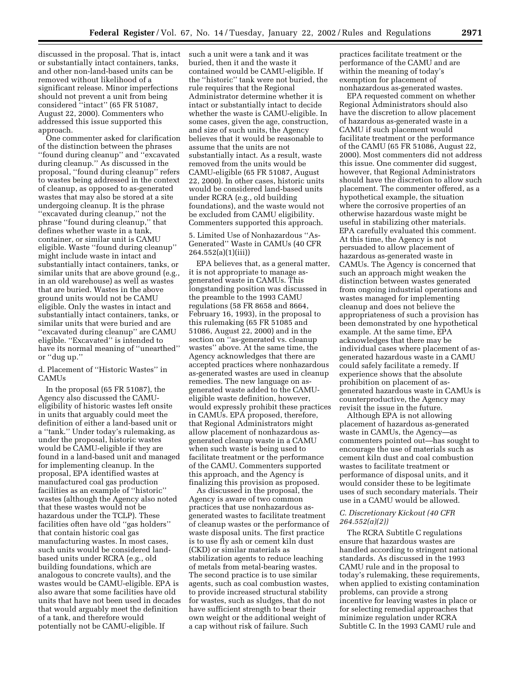discussed in the proposal. That is, intact or substantially intact containers, tanks, and other non-land-based units can be removed without likelihood of a significant release. Minor imperfections should not prevent a unit from being considered ''intact'' (65 FR 51087, August 22, 2000). Commenters who addressed this issue supported this approach.

One commenter asked for clarification of the distinction between the phrases ''found during cleanup'' and ''excavated during cleanup.'' As discussed in the proposal, ''found during cleanup'' refers to wastes being addressed in the context of cleanup, as opposed to as-generated wastes that may also be stored at a site undergoing cleanup. It is the phrase ''excavated during cleanup,'' not the phrase ''found during cleanup,'' that defines whether waste in a tank, container, or similar unit is CAMU eligible. Waste ''found during cleanup'' might include waste in intact and substantially intact containers, tanks, or similar units that are above ground (e.g., in an old warehouse) as well as wastes that are buried. Wastes in the above ground units would not be CAMU eligible. Only the wastes in intact and substantially intact containers, tanks, or similar units that were buried and are ''excavated during cleanup'' are CAMU eligible. ''Excavated'' is intended to have its normal meaning of ''unearthed'' or ''dug up.''

#### d. Placement of ''Historic Wastes'' in **CAMUs**

In the proposal (65 FR 51087), the Agency also discussed the CAMUeligibility of historic wastes left onsite in units that arguably could meet the definition of either a land-based unit or a ''tank.'' Under today's rulemaking, as under the proposal, historic wastes would be CAMU-eligible if they are found in a land-based unit and managed for implementing cleanup. In the proposal, EPA identified wastes at manufactured coal gas production facilities as an example of ''historic'' wastes (although the Agency also noted that these wastes would not be hazardous under the TCLP). These facilities often have old ''gas holders'' that contain historic coal gas manufacturing wastes. In most cases, such units would be considered landbased units under RCRA (e.g., old building foundations, which are analogous to concrete vaults), and the wastes would be CAMU-eligible. EPA is also aware that some facilities have old units that have not been used in decades that would arguably meet the definition of a tank, and therefore would potentially not be CAMU-eligible. If

such a unit were a tank and it was buried, then it and the waste it contained would be CAMU-eligible. If the ''historic'' tank were not buried, the rule requires that the Regional Administrator determine whether it is intact or substantially intact to decide whether the waste is CAMU-eligible. In some cases, given the age, construction, and size of such units, the Agency believes that it would be reasonable to assume that the units are not substantially intact. As a result, waste removed from the units would be CAMU-eligible (65 FR 51087, August 22, 2000). In other cases, historic units would be considered land-based units under RCRA (e.g., old building foundations), and the waste would not be excluded from CAMU eligibility. Commenters supported this approach.

#### 5. Limited Use of Nonhazardous ''As-Generated'' Waste in CAMUs (40 CFR 264.552(a)(1)(iii))

EPA believes that, as a general matter, it is not appropriate to manage asgenerated waste in CAMUs. This longstanding position was discussed in the preamble to the 1993 CAMU regulations (58 FR 8658 and 8664, February 16, 1993), in the proposal to this rulemaking (65 FR 51085 and 51086, August 22, 2000) and in the section on ''as-generated vs. cleanup wastes'' above. At the same time, the Agency acknowledges that there are accepted practices where nonhazardous as-generated wastes are used in cleanup remedies. The new language on asgenerated waste added to the CAMUeligible waste definition, however, would expressly prohibit these practices in CAMUs. EPA proposed, therefore, that Regional Administrators might allow placement of nonhazardous asgenerated cleanup waste in a CAMU when such waste is being used to facilitate treatment or the performance of the CAMU. Commenters supported this approach, and the Agency is finalizing this provision as proposed.

As discussed in the proposal, the Agency is aware of two common practices that use nonhazardous asgenerated wastes to facilitate treatment of cleanup wastes or the performance of waste disposal units. The first practice is to use fly ash or cement kiln dust (CKD) or similar materials as stabilization agents to reduce leaching of metals from metal-bearing wastes. The second practice is to use similar agents, such as coal combustion wastes, to provide increased structural stability for wastes, such as sludges, that do not have sufficient strength to bear their own weight or the additional weight of a cap without risk of failure. Such

practices facilitate treatment or the performance of the CAMU and are within the meaning of today's exemption for placement of nonhazardous as-generated wastes.

EPA requested comment on whether Regional Administrators should also have the discretion to allow placement of hazardous as-generated waste in a CAMU if such placement would facilitate treatment or the performance of the CAMU (65 FR 51086, August 22, 2000). Most commenters did not address this issue. One commenter did suggest, however, that Regional Administrators should have the discretion to allow such placement. The commenter offered, as a hypothetical example, the situation where the corrosive properties of an otherwise hazardous waste might be useful in stabilizing other materials. EPA carefully evaluated this comment. At this time, the Agency is not persuaded to allow placement of hazardous as-generated waste in CAMUs. The Agency is concerned that such an approach might weaken the distinction between wastes generated from ongoing industrial operations and wastes managed for implementing cleanup and does not believe the appropriateness of such a provision has been demonstrated by one hypothetical example. At the same time, EPA acknowledges that there may be individual cases where placement of asgenerated hazardous waste in a CAMU could safely facilitate a remedy. If experience shows that the absolute prohibition on placement of asgenerated hazardous waste in CAMUs is counterproductive, the Agency may revisit the issue in the future.

Although EPA is not allowing placement of hazardous as-generated waste in CAMUs, the Agency—as commenters pointed out—has sought to encourage the use of materials such as cement kiln dust and coal combustion wastes to facilitate treatment or performance of disposal units, and it would consider these to be legitimate uses of such secondary materials. Their use in a CAMU would be allowed.

#### *C. Discretionary Kickout (40 CFR 264.552(a)(2))*

The RCRA Subtitle C regulations ensure that hazardous wastes are handled according to stringent national standards. As discussed in the 1993 CAMU rule and in the proposal to today's rulemaking, these requirements, when applied to existing contamination problems, can provide a strong incentive for leaving wastes in place or for selecting remedial approaches that minimize regulation under RCRA Subtitle C. In the 1993 CAMU rule and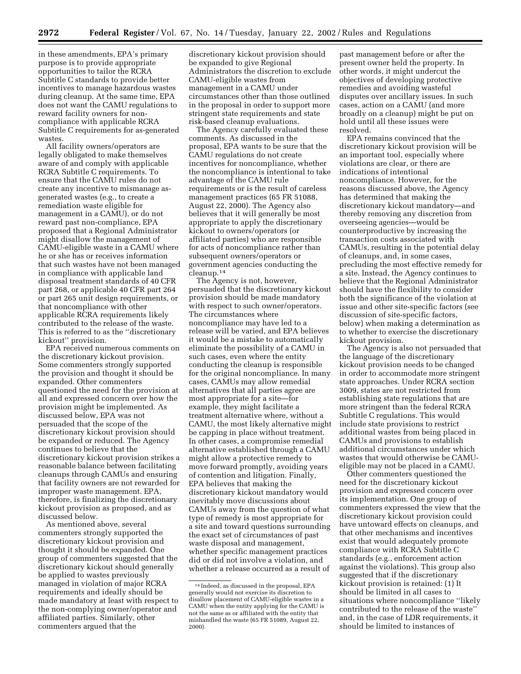in these amendments, EPA's primary purpose is to provide appropriate opportunities to tailor the RCRA Subtitle C standards to provide better incentives to manage hazardous wastes during cleanup. At the same time, EPA does not want the CAMU regulations to reward facility owners for noncompliance with applicable RCRA Subtitle C requirements for as-generated wastes.

All facility owners/operators are legally obligated to make themselves aware of and comply with applicable RCRA Subtitle C requirements. To ensure that the CAMU rules do not create any incentive to mismanage asgenerated wastes (e.g., to create a remediation waste eligible for management in a CAMU), or do not reward past non-compliance, EPA proposed that a Regional Administrator might disallow the management of CAMU-eligible waste in a CAMU where he or she has or receives information that such wastes have not been managed in compliance with applicable land disposal treatment standards of 40 CFR part 268, or applicable 40 CFR part 264 or part 265 unit design requirements, or that noncompliance with other applicable RCRA requirements likely contributed to the release of the waste. This is referred to as the ''discretionary kickout'' provision.

EPA received numerous comments on the discretionary kickout provision. Some commenters strongly supported the provision and thought it should be expanded. Other commenters questioned the need for the provision at all and expressed concern over how the provision might be implemented. As discussed below, EPA was not persuaded that the scope of the discretionary kickout provision should be expanded or reduced. The Agency continues to believe that the discretionary kickout provision strikes a reasonable balance between facilitating cleanups through CAMUs and ensuring that facility owners are not rewarded for improper waste management. EPA, therefore, is finalizing the discretionary kickout provision as proposed, and as discussed below.

As mentioned above, several commenters strongly supported the discretionary kickout provision and thought it should be expanded. One group of commenters suggested that the discretionary kickout should generally be applied to wastes previously managed in violation of major RCRA requirements and ideally should be made mandatory at least with respect to the non-complying owner/operator and affiliated parties. Similarly, other commenters argued that the

discretionary kickout provision should be expanded to give Regional Administrators the discretion to exclude CAMU-eligible wastes from management in a CAMU under circumstances other than those outlined in the proposal in order to support more stringent state requirements and state risk-based cleanup evaluations.

The Agency carefully evaluated these comments. As discussed in the proposal, EPA wants to be sure that the CAMU regulations do not create incentives for noncompliance, whether the noncompliance is intentional to take advantage of the CAMU rule requirements or is the result of careless management practices (65 FR 51088, August 22, 2000). The Agency also believes that it will generally be most appropriate to apply the discretionary kickout to owners/operators (or affiliated parties) who are responsible for acts of noncompliance rather than subsequent owners/operators or government agencies conducting the cleanup.14

The Agency is not, however, persuaded that the discretionary kickout provision should be made mandatory with respect to such owner/operators. The circumstances where noncompliance may have led to a release will be varied, and EPA believes it would be a mistake to automatically eliminate the possibility of a CAMU in such cases, even where the entity conducting the cleanup is responsible for the original noncompliance. In many cases, CAMUs may allow remedial alternatives that all parties agree are most appropriate for a site—for example, they might facilitate a treatment alternative where, without a CAMU, the most likely alternative might be capping in place without treatment. In other cases, a compromise remedial alternative established through a CAMU might allow a protective remedy to move forward promptly, avoiding years of contention and litigation. Finally, EPA believes that making the discretionary kickout mandatory would inevitably move discussions about CAMUs away from the question of what type of remedy is most appropriate for a site and toward questions surrounding the exact set of circumstances of past waste disposal and management, whether specific management practices did or did not involve a violation, and whether a release occurred as a result of

past management before or after the present owner held the property. In other words, it might undercut the objectives of developing protective remedies and avoiding wasteful disputes over ancillary issues. In such cases, action on a CAMU (and more broadly on a cleanup) might be put on hold until all these issues were resolved.

EPA remains convinced that the discretionary kickout provision will be an important tool, especially where violations are clear, or there are indications of intentional noncompliance. However, for the reasons discussed above, the Agency has determined that making the discretionary kickout mandatory—and thereby removing any discretion from overseeing agencies—would be counterproductive by increasing the transaction costs associated with CAMUs, resulting in the potential delay of cleanups, and, in some cases, precluding the most effective remedy for a site. Instead, the Agency continues to believe that the Regional Administrator should have the flexibility to consider both the significance of the violation at issue and other site-specific factors (see discussion of site-specific factors, below) when making a determination as to whether to exercise the discretionary kickout provision.

The Agency is also not persuaded that the language of the discretionary kickout provision needs to be changed in order to accommodate more stringent state approaches. Under RCRA section 3009, states are not restricted from establishing state regulations that are more stringent than the federal RCRA Subtitle C regulations. This would include state provisions to restrict additional wastes from being placed in CAMUs and provisions to establish additional circumstances under which wastes that would otherwise be CAMUeligible may not be placed in a CAMU.

Other commenters questioned the need for the discretionary kickout provision and expressed concern over its implementation. One group of commenters expressed the view that the discretionary kickout provision could have untoward effects on cleanups, and that other mechanisms and incentives exist that would adequately promote compliance with RCRA Subtitle C standards (e.g., enforcement action against the violations). This group also suggested that if the discretionary kickout provision is retained: (1) It should be limited in all cases to situations where noncompliance ''likely contributed to the release of the waste'' and, in the case of LDR requirements, it should be limited to instances of

<sup>14</sup> Indeed, as discussed in the proposal, EPA generally would not exercise its discretion to disallow placement of CAMU-eligible wastes in a CAMU when the entity applying for the CAMU is not the same as or affiliated with the entity that mishandled the waste (65 FR 51089, August 22, 2000).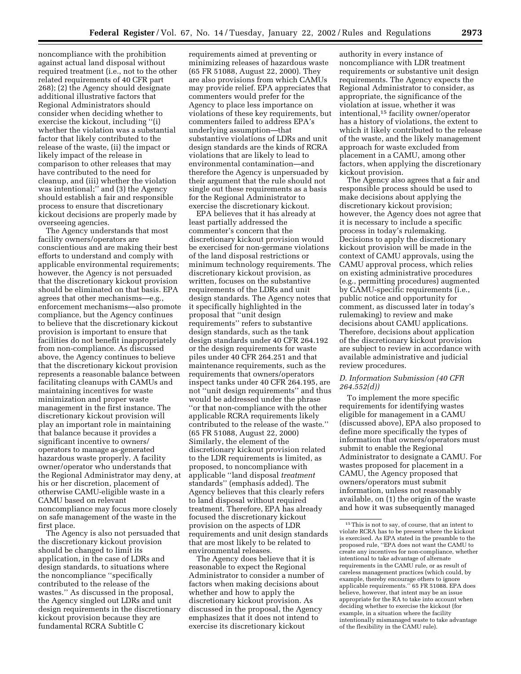noncompliance with the prohibition against actual land disposal without required treatment (i.e., not to the other related requirements of 40 CFR part 268); (2) the Agency should designate additional illustrative factors that Regional Administrators should consider when deciding whether to exercise the kickout, including ''(i) whether the violation was a substantial factor that likely contributed to the release of the waste, (ii) the impact or likely impact of the release in comparison to other releases that may have contributed to the need for cleanup, and (iii) whether the violation was intentional;'' and (3) the Agency should establish a fair and responsible process to ensure that discretionary kickout decisions are properly made by overseeing agencies.

The Agency understands that most facility owners/operators are conscientious and are making their best efforts to understand and comply with applicable environmental requirements; however, the Agency is not persuaded that the discretionary kickout provision should be eliminated on that basis. EPA agrees that other mechanisms—e.g., enforcement mechanisms—also promote compliance, but the Agency continues to believe that the discretionary kickout provision is important to ensure that facilities do not benefit inappropriately from non-compliance. As discussed above, the Agency continues to believe that the discretionary kickout provision represents a reasonable balance between facilitating cleanups with CAMUs and maintaining incentives for waste minimization and proper waste management in the first instance. The discretionary kickout provision will play an important role in maintaining that balance because it provides a significant incentive to owners/ operators to manage as-generated hazardous waste properly. A facility owner/operator who understands that the Regional Administrator may deny, at his or her discretion, placement of otherwise CAMU-eligible waste in a CAMU based on relevant noncompliance may focus more closely on safe management of the waste in the first place.

The Agency is also not persuaded that the discretionary kickout provision should be changed to limit its application, in the case of LDRs and design standards, to situations where the noncompliance ''specifically contributed to the release of the wastes.'' As discussed in the proposal, the Agency singled out LDRs and unit design requirements in the discretionary kickout provision because they are fundamental RCRA Subtitle C

requirements aimed at preventing or minimizing releases of hazardous waste (65 FR 51088, August 22, 2000). They are also provisions from which CAMUs may provide relief. EPA appreciates that commenters would prefer for the Agency to place less importance on violations of these key requirements, but commenters failed to address EPA's underlying assumption—that substantive violations of LDRs and unit design standards are the kinds of RCRA violations that are likely to lead to environmental contamination—and therefore the Agency is unpersuaded by their argument that the rule should not single out these requirements as a basis for the Regional Administrator to exercise the discretionary kickout.

EPA believes that it has already at least partially addressed the commenter's concern that the discretionary kickout provision would be exercised for non-germane violations of the land disposal restrictions or minimum technology requirements. The discretionary kickout provision, as written, focuses on the substantive requirements of the LDRs and unit design standards. The Agency notes that it specifically highlighted in the proposal that ''unit design requirements'' refers to substantive design standards, such as the tank design standards under 40 CFR 264.192 or the design requirements for waste piles under 40 CFR 264.251 and that maintenance requirements, such as the requirements that owners/operators inspect tanks under 40 CFR 264.195, are not ''unit design requirements'' and thus would be addressed under the phrase ''or that non-compliance with the other applicable RCRA requirements likely contributed to the release of the waste.'' (65 FR 51088, August 22, 2000) Similarly, the element of the discretionary kickout provision related to the LDR requirements is limited, as proposed, to noncompliance with applicable ''land disposal *treatment* standards'' (emphasis added). The Agency believes that this clearly refers to land disposal without required treatment. Therefore, EPA has already focused the discretionary kickout provision on the aspects of LDR requirements and unit design standards that are most likely to be related to environmental releases.

The Agency does believe that it is reasonable to expect the Regional Administrator to consider a number of factors when making decisions about whether and how to apply the discretionary kickout provision. As discussed in the proposal, the Agency emphasizes that it does not intend to exercise its discretionary kickout

authority in every instance of noncompliance with LDR treatment requirements or substantive unit design requirements. The Agency expects the Regional Administrator to consider, as appropriate, the significance of the violation at issue, whether it was intentional,15 facility owner/operator has a history of violations, the extent to which it likely contributed to the release of the waste, and the likely management approach for waste excluded from placement in a CAMU, among other factors, when applying the discretionary kickout provision.

The Agency also agrees that a fair and responsible process should be used to make decisions about applying the discretionary kickout provision; however, the Agency does not agree that it is necessary to include a specific process in today's rulemaking. Decisions to apply the discretionary kickout provision will be made in the context of CAMU approvals, using the CAMU approval process, which relies on existing administrative procedures (e.g., permitting procedures) augmented by CAMU-specific requirements (i.e., public notice and opportunity for comment, as discussed later in today's rulemaking) to review and make decisions about CAMU applications. Therefore, decisions about application of the discretionary kickout provision are subject to review in accordance with available administrative and judicial review procedures.

#### *D. Information Submission (40 CFR 264.552(d))*

To implement the more specific requirements for identifying wastes eligible for management in a CAMU (discussed above), EPA also proposed to define more specifically the types of information that owners/operators must submit to enable the Regional Administrator to designate a CAMU. For wastes proposed for placement in a CAMU, the Agency proposed that owners/operators must submit information, unless not reasonably available, on (1) the origin of the waste and how it was subsequently managed

<sup>15</sup>This is not to say, of course, that an intent to violate RCRA has to be present where the kickout is exercised. As EPA stated in the preamble to the proposed rule, ''EPA does not want the CAMU to create any incentives for non-compliance, whether intentional to take advantage of alternate requirements in the CAMU rule, or as result of careless management practices (which could, by example, thereby encourage others to ignore applicable requirements.'' 65 FR 51088. EPA does believe, however, that intent may be an issue appropriate for the RA to take into account when deciding whether to exercise the kickout (for example, in a situation where the facility intentionally mismanaged waste to take advantage of the flexibility in the CAMU rule).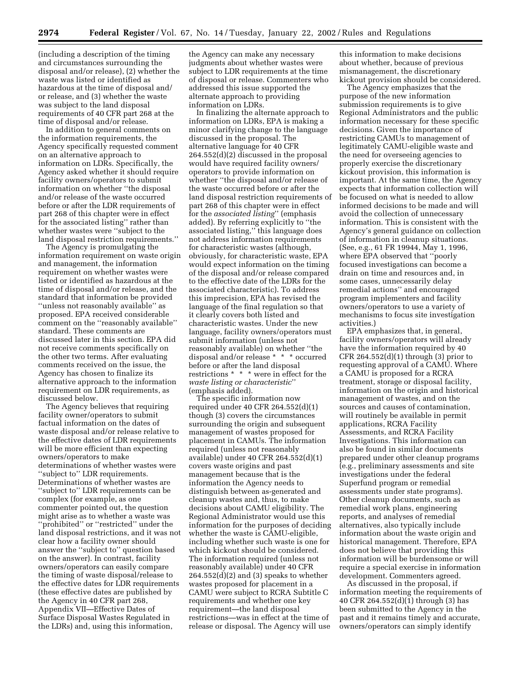(including a description of the timing and circumstances surrounding the disposal and/or release), (2) whether the waste was listed or identified as hazardous at the time of disposal and/ or release, and (3) whether the waste was subject to the land disposal requirements of 40 CFR part 268 at the time of disposal and/or release.

In addition to general comments on the information requirements, the Agency specifically requested comment on an alternative approach to information on LDRs. Specifically, the Agency asked whether it should require facility owners/operators to submit information on whether ''the disposal and/or release of the waste occurred before or after the LDR requirements of part 268 of this chapter were in effect for the associated listing'' rather than whether wastes were ''subject to the land disposal restriction requirements.''

The Agency is promulgating the information requirement on waste origin and management, the information requirement on whether wastes were listed or identified as hazardous at the time of disposal and/or release, and the standard that information be provided ''unless not reasonably available'' as proposed. EPA received considerable comment on the ''reasonably available'' standard. These comments are discussed later in this section. EPA did not receive comments specifically on the other two terms. After evaluating comments received on the issue, the Agency has chosen to finalize its alternative approach to the information requirement on LDR requirements, as discussed below.

The Agency believes that requiring facility owner/operators to submit factual information on the dates of waste disposal and/or release relative to the effective dates of LDR requirements will be more efficient than expecting owners/operators to make determinations of whether wastes were ''subject to'' LDR requirements. Determinations of whether wastes are ''subject to'' LDR requirements can be complex (for example, as one commenter pointed out, the question might arise as to whether a waste was ''prohibited'' or ''restricted'' under the land disposal restrictions, and it was not clear how a facility owner should answer the ''subject to'' question based on the answer). In contrast, facility owners/operators can easily compare the timing of waste disposal/release to the effective dates for LDR requirements (these effective dates are published by the Agency in 40 CFR part 268, Appendix VII—Effective Dates of Surface Disposal Wastes Regulated in the LDRs) and, using this information,

the Agency can make any necessary judgments about whether wastes were subject to LDR requirements at the time of disposal or release. Commenters who addressed this issue supported the alternate approach to providing information on LDRs.

In finalizing the alternate approach to information on LDRs, EPA is making a minor clarifying change to the language discussed in the proposal. The alternative language for 40 CFR 264.552(d)(2) discussed in the proposal would have required facility owners/ operators to provide information on whether ''the disposal and/or release of the waste occurred before or after the land disposal restriction requirements of part 268 of this chapter were in effect for the *associated listing*'' (emphasis added). By referring explicitly to ''the associated listing,'' this language does not address information requirements for characteristic wastes (although, obviously, for characteristic waste, EPA would expect information on the timing of the disposal and/or release compared to the effective date of the LDRs for the associated characteristic). To address this imprecision, EPA has revised the language of the final regulation so that it clearly covers both listed and characteristic wastes. Under the new language, facility owners/operators must submit information (unless not reasonably available) on whether ''the disposal and/or release \* \* \* occurred before or after the land disposal restrictions \* \* \* were in effect for the *waste listing or characteristic*'' (emphasis added).

The specific information now required under 40 CFR 264.552(d)(1) though (3) covers the circumstances surrounding the origin and subsequent management of wastes proposed for placement in CAMUs. The information required (unless not reasonably available) under 40 CFR 264.552(d)(1) covers waste origins and past management because that is the information the Agency needs to distinguish between as-generated and cleanup wastes and, thus, to make decisions about CAMU eligibility. The Regional Administrator would use this information for the purposes of deciding whether the waste is CAMU-eligible, including whether such waste is one for which kickout should be considered. The information required (unless not reasonably available) under 40 CFR  $264.552(d)(2)$  and (3) speaks to whether wastes proposed for placement in a CAMU were subject to RCRA Subtitle C requirements and whether one key requirement—the land disposal restrictions—was in effect at the time of release or disposal. The Agency will use

this information to make decisions about whether, because of previous mismanagement, the discretionary kickout provision should be considered.

The Agency emphasizes that the purpose of the new information submission requirements is to give Regional Administrators and the public information necessary for these specific decisions. Given the importance of restricting CAMUs to management of legitimately CAMU-eligible waste and the need for overseeing agencies to properly exercise the discretionary kickout provision, this information is important. At the same time, the Agency expects that information collection will be focused on what is needed to allow informed decisions to be made and will avoid the collection of unnecessary information. This is consistent with the Agency's general guidance on collection of information in cleanup situations. (See, e.g., 61 FR 19944, May 1, 1996, where EPA observed that ''poorly focused investigations can become a drain on time and resources and, in some cases, unnecessarily delay remedial actions'' and encouraged program implementers and facility owners/operators to use a variety of mechanisms to focus site investigation activities.)

EPA emphasizes that, in general, facility owners/operators will already have the information required by 40 CFR  $264.552(d)(1)$  through (3) prior to requesting approval of a CAMU. Where a CAMU is proposed for a RCRA treatment, storage or disposal facility, information on the origin and historical management of wastes, and on the sources and causes of contamination, will routinely be available in permit applications, RCRA Facility Assessments, and RCRA Facility Investigations. This information can also be found in similar documents prepared under other cleanup programs (e.g., preliminary assessments and site investigations under the federal Superfund program or remedial assessments under state programs). Other cleanup documents, such as remedial work plans, engineering reports, and analyses of remedial alternatives, also typically include information about the waste origin and historical management. Therefore, EPA does not believe that providing this information will be burdensome or will require a special exercise in information development. Commenters agreed.

As discussed in the proposal, if information meeting the requirements of 40 CFR 264.552(d)(1) through (3) has been submitted to the Agency in the past and it remains timely and accurate, owners/operators can simply identify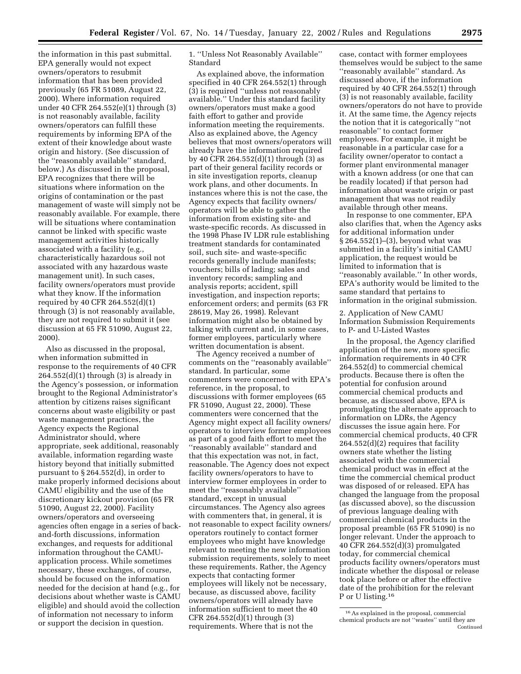the information in this past submittal. EPA generally would not expect owners/operators to resubmit information that has been provided previously (65 FR 51089, August 22, 2000). Where information required under 40 CFR 264.552(e)(1) through (3) is not reasonably available, facility owners/operators can fulfill these requirements by informing EPA of the extent of their knowledge about waste origin and history. (See discussion of the ''reasonably available'' standard, below.) As discussed in the proposal, EPA recognizes that there will be situations where information on the origins of contamination or the past management of waste will simply not be reasonably available. For example, there will be situations where contamination cannot be linked with specific waste management activities historically associated with a facility (e.g., characteristically hazardous soil not associated with any hazardous waste management unit). In such cases, facility owners/operators must provide what they know. If the information required by 40 CFR 264.552(d)(1) through (3) is not reasonably available, they are not required to submit it (see discussion at 65 FR 51090, August 22, 2000).

Also as discussed in the proposal, when information submitted in response to the requirements of 40 CFR  $264.552(d)(1)$  through  $(3)$  is already in the Agency's possession, or information brought to the Regional Administrator's attention by citizens raises significant concerns about waste eligibility or past waste management practices, the Agency expects the Regional Administrator should, where appropriate, seek additional, reasonably available, information regarding waste history beyond that initially submitted pursuant to § 264.552(d), in order to make properly informed decisions about CAMU eligibility and the use of the discretionary kickout provision (65 FR 51090, August 22, 2000). Facility owners/operators and overseeing agencies often engage in a series of backand-forth discussions, information exchanges, and requests for additional information throughout the CAMUapplication process. While sometimes necessary, these exchanges, of course, should be focused on the information needed for the decision at hand (e.g., for decisions about whether waste is CAMU eligible) and should avoid the collection of information not necessary to inform or support the decision in question.

1. ''Unless Not Reasonably Available'' Standard

As explained above, the information specified in 40 CFR 264.552(1) through (3) is required ''unless not reasonably available.'' Under this standard facility owners/operators must make a good faith effort to gather and provide information meeting the requirements. Also as explained above, the Agency believes that most owners/operators will already have the information required by 40 CFR 264.552(d)(1) through (3) as part of their general facility records or in site investigation reports, cleanup work plans, and other documents. In instances where this is not the case, the Agency expects that facility owners/ operators will be able to gather the information from existing site- and waste-specific records. As discussed in the 1998 Phase IV LDR rule establishing treatment standards for contaminated soil, such site- and waste-specific records generally include manifests; vouchers; bills of lading; sales and inventory records; sampling and analysis reports; accident, spill investigation, and inspection reports; enforcement orders; and permits (63 FR 28619, May 26, 1998). Relevant information might also be obtained by talking with current and, in some cases, former employees, particularly where written documentation is absent.

The Agency received a number of comments on the ''reasonably available'' standard. In particular, some commenters were concerned with EPA's reference, in the proposal, to discussions with former employees (65 FR 51090, August 22, 2000). These commenters were concerned that the Agency might expect all facility owners/ operators to interview former employees as part of a good faith effort to meet the ''reasonably available'' standard and that this expectation was not, in fact, reasonable. The Agency does not expect facility owners/operators to have to interview former employees in order to meet the ''reasonably available'' standard, except in unusual circumstances. The Agency also agrees with commenters that, in general, it is not reasonable to expect facility owners/ operators routinely to contact former employees who might have knowledge relevant to meeting the new information submission requirements, solely to meet these requirements. Rather, the Agency expects that contacting former employees will likely not be necessary, because, as discussed above, facility owners/operators will already have information sufficient to meet the 40 CFR 264.552(d)(1) through (3) requirements. Where that is not the

case, contact with former employees themselves would be subject to the same ''reasonably available'' standard. As discussed above, if the information required by 40 CFR 264.552(1) through (3) is not reasonably available, facility owners/operators do not have to provide it. At the same time, the Agency rejects the notion that it is categorically ''not reasonable'' to contact former employees. For example, it might be reasonable in a particular case for a facility owner/operator to contact a former plant environmental manager with a known address (or one that can be readily located) if that person had information about waste origin or past management that was not readily available through other means.

In response to one commenter, EPA also clarifies that, when the Agency asks for additional information under § 264.552(1)–(3), beyond what was submitted in a facility's initial CAMU application, the request would be limited to information that is ''reasonably available.'' In other words, EPA's authority would be limited to the same standard that pertains to information in the original submission.

2. Application of New CAMU Information Submission Requirements to P- and U-Listed Wastes

In the proposal, the Agency clarified application of the new, more specific information requirements in 40 CFR 264.552(d) to commercial chemical products. Because there is often the potential for confusion around commercial chemical products and because, as discussed above, EPA is promulgating the alternate approach to information on LDRs, the Agency discusses the issue again here. For commercial chemical products, 40 CFR 264.552(d)(2) requires that facility owners state whether the listing associated with the commercial chemical product was in effect at the time the commercial chemical product was disposed of or released. EPA has changed the language from the proposal (as discussed above), so the discussion of previous language dealing with commercial chemical products in the proposal preamble (65 FR 51090) is no longer relevant. Under the approach to 40 CFR 264.552(d)(3) promulgated today, for commercial chemical products facility owners/operators must indicate whether the disposal or release took place before or after the effective date of the prohibition for the relevant P or U listing.16

<sup>16</sup>As explained in the proposal, commercial chemical products are not ''wastes'' until they are Continued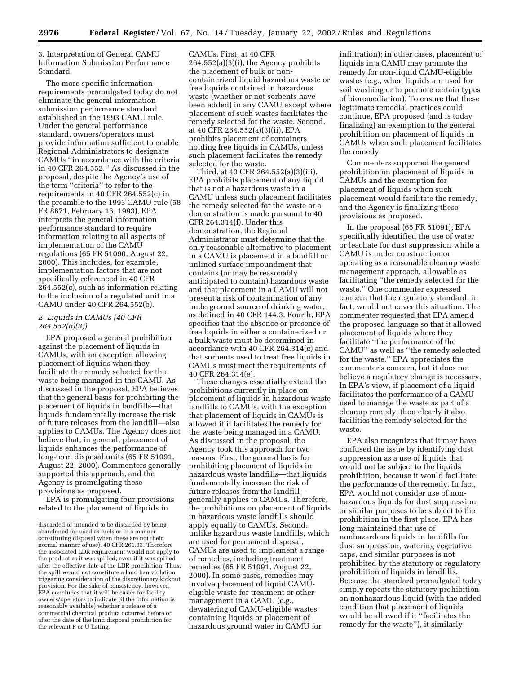3. Interpretation of General CAMU Information Submission Performance Standard

The more specific information requirements promulgated today do not eliminate the general information submission performance standard established in the 1993 CAMU rule. Under the general performance standard, owners/operators must provide information sufficient to enable Regional Administrators to designate CAMUs ''in accordance with the criteria in 40 CFR 264.552.'' As discussed in the proposal, despite the Agency's use of the term ''criteria'' to refer to the requirements in 40 CFR 264.552(c) in the preamble to the 1993 CAMU rule (58 FR 8671, February 16, 1993), EPA interprets the general information performance standard to require information relating to all aspects of implementation of the CAMU regulations (65 FR 51090, August 22, 2000). This includes, for example, implementation factors that are not specifically referenced in 40 CFR 264.552(c), such as information relating to the inclusion of a regulated unit in a CAMU under 40 CFR 264.552(b).

#### *E. Liquids in CAMUs (40 CFR 264.552(a)(3))*

EPA proposed a general prohibition against the placement of liquids in CAMUs, with an exception allowing placement of liquids when they facilitate the remedy selected for the waste being managed in the CAMU. As discussed in the proposal, EPA believes that the general basis for prohibiting the placement of liquids in landfills—that liquids fundamentally increase the risk of future releases from the landfill—also applies to CAMUs. The Agency does not believe that, in general, placement of liquids enhances the performance of long-term disposal units (65 FR 51091, August 22, 2000). Commenters generally supported this approach, and the Agency is promulgating these provisions as proposed.

EPA is promulgating four provisions related to the placement of liquids in

CAMUs. First, at 40 CFR 264.552(a)(3)(i), the Agency prohibits the placement of bulk or noncontainerized liquid hazardous waste or free liquids contained in hazardous waste (whether or not sorbents have been added) in any CAMU except where placement of such wastes facilitates the remedy selected for the waste. Second, at 40 CFR 264.552(a)(3)(ii), EPA prohibits placement of containers holding free liquids in CAMUs, unless such placement facilitates the remedy selected for the waste.

Third, at 40 CFR 264.552(a)(3)(iii), EPA prohibits placement of any liquid that is not a hazardous waste in a CAMU unless such placement facilitates the remedy selected for the waste or a demonstration is made pursuant to 40 CFR 264.314(f). Under this demonstration, the Regional Administrator must determine that the only reasonable alternative to placement in a CAMU is placement in a landfill or unlined surface impoundment that contains (or may be reasonably anticipated to contain) hazardous waste and that placement in a CAMU will not present a risk of contamination of any underground source of drinking water, as defined in 40 CFR 144.3. Fourth, EPA specifies that the absence or presence of free liquids in either a containerized or a bulk waste must be determined in accordance with 40 CFR 264.314(c) and that sorbents used to treat free liquids in CAMUs must meet the requirements of 40 CFR 264.314(e).

These changes essentially extend the prohibitions currently in place on placement of liquids in hazardous waste landfills to CAMUs, with the exception that placement of liquids in CAMUs is allowed if it facilitates the remedy for the waste being managed in a CAMU. As discussed in the proposal, the Agency took this approach for two reasons. First, the general basis for prohibiting placement of liquids in hazardous waste landfills—that liquids fundamentally increase the risk of future releases from the landfill generally applies to CAMUs. Therefore, the prohibitions on placement of liquids in hazardous waste landfills should apply equally to CAMUs. Second, unlike hazardous waste landfills, which are used for permanent disposal, CAMUs are used to implement a range of remedies, including treatment remedies (65 FR 51091, August 22, 2000). In some cases, remedies may involve placement of liquid CAMUeligible waste for treatment or other management in a CAMU (e.g., dewatering of CAMU-eligible wastes containing liquids or placement of hazardous ground water in CAMU for

infiltration); in other cases, placement of liquids in a CAMU may promote the remedy for non-liquid CAMU-eligible wastes (e.g., when liquids are used for soil washing or to promote certain types of bioremediation). To ensure that these legitimate remedial practices could continue, EPA proposed (and is today finalizing) an exemption to the general prohibition on placement of liquids in CAMUs when such placement facilitates the remedy.

Commenters supported the general prohibition on placement of liquids in CAMUs and the exemption for placement of liquids when such placement would facilitate the remedy, and the Agency is finalizing these provisions as proposed.

In the proposal (65 FR 51091), EPA specifically identified the use of water or leachate for dust suppression while a CAMU is under construction or operating as a reasonable cleanup waste management approach, allowable as facilitating ''the remedy selected for the waste.'' One commenter expressed concern that the regulatory standard, in fact, would not cover this situation. The commenter requested that EPA amend the proposed language so that it allowed placement of liquids where they facilitate ''the performance of the CAMU'' as well as ''the remedy selected for the waste.'' EPA appreciates the commenter's concern, but it does not believe a regulatory change is necessary. In EPA's view, if placement of a liquid facilitates the performance of a CAMU used to manage the waste as part of a cleanup remedy, then clearly it also facilities the remedy selected for the waste.

EPA also recognizes that it may have confused the issue by identifying dust suppression as a use of liquids that would not be subject to the liquids prohibition, because it would facilitate the performance of the remedy. In fact, EPA would not consider use of nonhazardous liquids for dust suppression or similar purposes to be subject to the prohibition in the first place. EPA has long maintained that use of nonhazardous liquids in landfills for dust suppression, watering vegetative caps, and similar purposes is not prohibited by the statutory or regulatory prohibition of liquids in landfills. Because the standard promulgated today simply repeats the statutory prohibition on nonhazardous liquid (with the added condition that placement of liquids would be allowed if it ''facilitates the remedy for the waste''), it similarly

discarded or intended to be discarded by being abandoned (or used as fuels or in a manner constituting disposal when these are not their normal manner of use). 40 CFR 261.33. Therefore the associated LDR requirement would not apply to the product as it was spilled, even if it was spilled after the effective date of the LDR prohibition. Thus, the spill would not constitute a land ban violation triggering consideration of the discretionary kickout provision. For the sake of consistency, however, EPA concludes that it will be easier for facility owners/operators to indicate (if the information is reasonably available) whether a release of a commercial chemical product occurred before or after the date of the land disposal prohibition for the relevant P or U listing.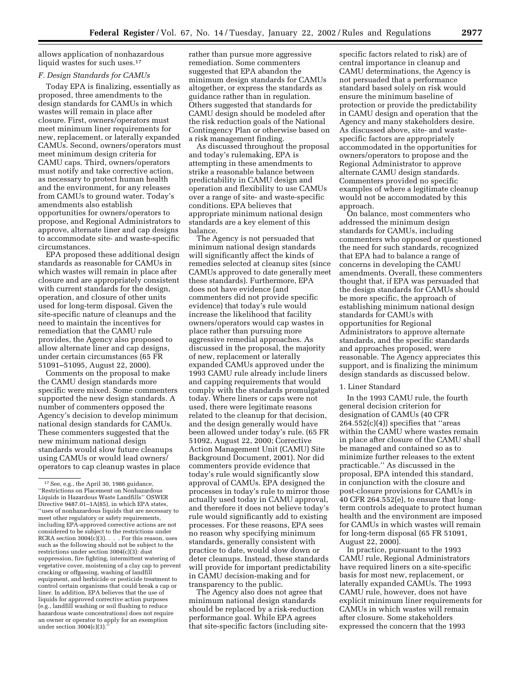allows application of nonhazardous liquid wastes for such uses.<sup>17</sup>

#### *F. Design Standards for CAMUs*

Today EPA is finalizing, essentially as proposed, three amendments to the design standards for CAMUs in which wastes will remain in place after closure. First, owners/operators must meet minimum liner requirements for new, replacement, or laterally expanded CAMUs. Second, owners/operators must meet minimum design criteria for CAMU caps. Third, owners/operators must notify and take corrective action, as necessary to protect human health and the environment, for any releases from CAMUs to ground water. Today's amendments also establish opportunities for owners/operators to propose, and Regional Administrators to approve, alternate liner and cap designs to accommodate site- and waste-specific circumstances.

EPA proposed these additional design standards as reasonable for CAMUs in which wastes will remain in place after closure and are appropriately consistent with current standards for the design, operation, and closure of other units used for long-term disposal. Given the site-specific nature of cleanups and the need to maintain the incentives for remediation that the CAMU rule provides, the Agency also proposed to allow alternate liner and cap designs, under certain circumstances (65 FR 51091–51095, August 22, 2000).

Comments on the proposal to make the CAMU design standards more specific were mixed. Some commenters supported the new design standards. A number of commenters opposed the Agency's decision to develop minimum national design standards for CAMUs. These commenters suggested that the new minimum national design standards would slow future cleanups using CAMUs or would lead owners/ operators to cap cleanup wastes in place

rather than pursue more aggressive remediation. Some commenters suggested that EPA abandon the minimum design standards for CAMUs altogether, or express the standards as guidance rather than in regulation. Others suggested that standards for CAMU design should be modeled after the risk reduction goals of the National Contingency Plan or otherwise based on a risk management finding.

As discussed throughout the proposal and today's rulemaking, EPA is attempting in these amendments to strike a reasonable balance between predictability in CAMU design and operation and flexibility to use CAMUs over a range of site- and waste-specific conditions. EPA believes that appropriate minimum national design standards are a key element of this balance.

The Agency is not persuaded that minimum national design standards will significantly affect the kinds of remedies selected at cleanup sites (since CAMUs approved to date generally meet these standards). Furthermore, EPA does not have evidence (and commenters did not provide specific evidence) that today's rule would increase the likelihood that facility owners/operators would cap wastes in place rather than pursuing more aggressive remedial approaches. As discussed in the proposal, the majority of new, replacement or laterally expanded CAMUs approved under the 1993 CAMU rule already include liners and capping requirements that would comply with the standards promulgated today. Where liners or caps were not used, there were legitimate reasons related to the cleanup for that decision, and the design generally would have been allowed under today's rule. (65 FR 51092, August 22, 2000; Corrective Action Management Unit (CAMU) Site Background Document, 2001). Nor did commenters provide evidence that today's rule would significantly slow approval of CAMUs. EPA designed the processes in today's rule to mirror those actually used today in CAMU approval, and therefore it does not believe today's rule would significantly add to existing processes. For these reasons, EPA sees no reason why specifying minimum standards, generally consistent with practice to date, would slow down or deter cleanups. Instead, these standards will provide for important predictability in CAMU decision-making and for transparency to the public.

The Agency also does not agree that minimum national design standards should be replaced by a risk-reduction performance goal. While EPA agrees that site-specific factors (including sitespecific factors related to risk) are of central importance in cleanup and CAMU determinations, the Agency is not persuaded that a performance standard based solely on risk would ensure the minimum baseline of protection or provide the predictability in CAMU design and operation that the Agency and many stakeholders desire. As discussed above, site- and wastespecific factors are appropriately accommodated in the opportunities for owners/operators to propose and the Regional Administrator to approve alternate CAMU design standards. Commenters provided no specific examples of where a legitimate cleanup would not be accommodated by this approach.

On balance, most commenters who addressed the minimum design standards for CAMUs, including commenters who opposed or questioned the need for such standards, recognized that EPA had to balance a range of concerns in developing the CAMU amendments. Overall, these commenters thought that, if EPA was persuaded that the design standards for CAMUs should be more specific, the approach of establishing minimum national design standards for CAMUs with opportunities for Regional Administrators to approve alternate standards, and the specific standards and approaches proposed, were reasonable. The Agency appreciates this support, and is finalizing the minimum design standards as discussed below.

#### 1. Liner Standard

In the 1993 CAMU rule, the fourth general decision criterion for designation of CAMUs (40 CFR  $264.552(c)(4)$ ) specifies that "areas within the CAMU where wastes remain in place after closure of the CAMU shall be managed and contained so as to minimize further releases to the extent practicable.'' As discussed in the proposal, EPA intended this standard, in conjunction with the closure and post-closure provisions for CAMUs in 40 CFR 264.552(e), to ensure that longterm controls adequate to protect human health and the environment are imposed for CAMUs in which wastes will remain for long-term disposal (65 FR 51091, August 22, 2000).

In practice, pursuant to the 1993 CAMU rule, Regional Administrators have required liners on a site-specific basis for most new, replacement, or laterally expanded CAMUs. The 1993 CAMU rule, however, does not have explicit minimum liner requirements for CAMUs in which wastes will remain after closure. Some stakeholders expressed the concern that the 1993

<sup>17</sup>See, e.g., the April 30, 1986 guidance, ''Restrictions on Placement on Nonhazardous Liquids in Hazardous Waste Landfills'' OSWER Directive 9487.01–1A(85), in which EPA states, ''uses of nonhazardous liquids that are necessary to meet other regulatory or safety requirements, including EPA-approved corrective actions are not considered to be subject to the restrictions under RCRA section 3004(c)(3). . . . For this reason, uses such as the following should not be subject to the restrictions under section 3004(c)(3): dust suppression, fire fighting, intermittent watering of vegetative cover, moistening of a clay cap to prevent cracking or offgassing, washing of landfill equipment, and herbicide or pesticide treatment to control certain organisms that could break a cap or liner. In addition, EPA believes that the use of liquids for approved corrective action purposes (e.g., landfill washing or soil flushing to reduce hazardous waste concentrations) does not require an owner or operator to apply for an exemption under section  $3004(c)(3)$ .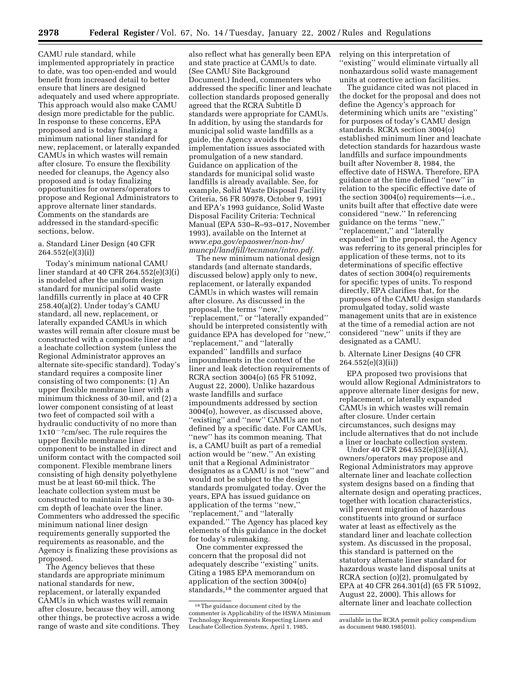CAMU rule standard, while implemented appropriately in practice to date, was too open-ended and would benefit from increased detail to better ensure that liners are designed adequately and used where appropriate. This approach would also make CAMU design more predictable for the public. In response to these concerns, EPA proposed and is today finalizing a minimum national liner standard for new, replacement, or laterally expanded CAMUs in which wastes will remain after closure. To ensure the flexibility needed for cleanups, the Agency also proposed and is today finalizing opportunities for owners/operators to propose and Regional Administrators to approve alternate liner standards. Comments on the standards are addressed in the standard-specific sections, below.

#### a. Standard Liner Design (40 CFR 264.552(e)(3)(i))

Today's minimum national CAMU liner standard at 40 CFR 264.552(e)(3)(i) is modeled after the uniform design standard for municipal solid waste landfills currently in place at 40 CFR 258.40(a)(2). Under today's CAMU standard, all new, replacement, or laterally expanded CAMUs in which wastes will remain after closure must be constructed with a composite liner and a leachate collection system (unless the Regional Administrator approves an alternate site-specific standard). Today's standard requires a composite liner consisting of two components: (1) An upper flexible membrane liner with a minimum thickness of 30-mil, and (2) a lower component consisting of at least two feet of compacted soil with a hydraulic conductivity of no more than  $1x10<sup>-7</sup>cm/sec.$  The rule requires the upper flexible membrane liner component to be installed in direct and uniform contact with the compacted soil component. Flexible membrane liners consisting of high density polyethylene must be at least 60-mil thick. The leachate collection system must be constructed to maintain less than a 30 cm depth of leachate over the liner. Commenters who addressed the specific minimum national liner design requirements generally supported the requirements as reasonable, and the Agency is finalizing these provisions as proposed.

The Agency believes that these standards are appropriate minimum national standards for new, replacement, or laterally expanded CAMUs in which wastes will remain after closure, because they will, among other things, be protective across a wide range of waste and site conditions. They

also reflect what has generally been EPA and state practice at CAMUs to date. (See CAMU Site Background Document.) Indeed, commenters who addressed the specific liner and leachate collection standards proposed generally agreed that the RCRA Subtitle D standards were appropriate for CAMUs. In addition, by using the standards for municipal solid waste landfills as a guide, the Agency avoids the implementation issues associated with promulgation of a new standard. Guidance on application of the standards for municipal solid waste landfills is already available. See, for example, Solid Waste Disposal Facility Criteria, 56 FR 50978, October 9, 1991 and EPA's 1993 guidance, Solid Waste Disposal Facility Criteria: Technical Manual (EPA 530–R–93–017, November 1993), available on the Internet at *www.epa.gov/epaoswer/non-hw/ muncpl/landfill/tecnman/intro.pdf.*

The new minimum national design standards (and alternate standards, discussed below) apply only to new, replacement, or laterally expanded CAMUs in which wastes will remain after closure. As discussed in the proposal, the terms ''new,'' ''replacement,'' or ''laterally expanded'' should be interpreted consistently with guidance EPA has developed for ''new,'' ''replacement,'' and ''laterally expanded'' landfills and surface impoundments in the context of the liner and leak detection requirements of RCRA section 3004(o) (65 FR 51092, August 22, 2000). Unlike hazardous waste landfills and surface impoundments addressed by section 3004(o), however, as discussed above, ''existing'' and ''new'' CAMUs are not defined by a specific date. For CAMUs, ''new'' has its common meaning. That is, a CAMU built as part of a remedial action would be ''new.'' An existing unit that a Regional Administrator designates as a CAMU is not ''new'' and would not be subject to the design standards promulgated today. Over the years, EPA has issued guidance on application of the terms ''new,'' ''replacement,'' and ''laterally expanded.'' The Agency has placed key elements of this guidance in the docket for today's rulemaking.

One commenter expressed the concern that the proposal did not adequately describe ''existing'' units. Citing a 1985 EPA memorandum on application of the section 3004(o) standards,18 the commenter argued that relying on this interpretation of ''existing'' would eliminate virtually all nonhazardous solid waste management units at corrective action facilities.

The guidance cited was not placed in the docket for the proposal and does not define the Agency's approach for determining which units are ''existing'' for purposes of today's CAMU design standards. RCRA section 3004(o) established minimum liner and leachate detection standards for hazardous waste landfills and surface impoundments built after November 8, 1984, the effective date of HSWA. Therefore, EPA guidance at the time defined ''new'' in relation to the specific effective date of the section 3004(o) requirements—i.e., units built after that effective date were considered ''new.'' In referencing guidance on the terms ''new,'' ''replacement,'' and ''laterally expanded'' in the proposal, the Agency was referring to its general principles for application of these terms, not to its determinations of specific effective dates of section 3004(o) requirements for specific types of units. To respond directly, EPA clarifies that, for the purposes of the CAMU design standards promulgated today, solid waste management units that are in existence at the time of a remedial action are not considered ''new'' units if they are designated as a CAMU.

#### b. Alternate Liner Designs (40 CFR 264.552(e)(3)(ii))

EPA proposed two provisions that would allow Regional Administrators to approve alternate liner designs for new, replacement, or laterally expanded CAMUs in which wastes will remain after closure. Under certain circumstances, such designs may include alternatives that do not include a liner or leachate collection system.

Under 40 CFR 264.552(e)(3)(ii)(A), owners/operators may propose and Regional Administrators may approve alternate liner and leachate collection system designs based on a finding that alternate design and operating practices, together with location characteristics, will prevent migration of hazardous constituents into ground or surface water at least as effectively as the standard liner and leachate collection system. As discussed in the proposal, this standard is patterned on the statutory alternate liner standard for hazardous waste land disposal units at RCRA section (o)(2), promulgated by EPA at 40 CFR 264.301(d) (65 FR 51092, August 22, 2000). This allows for alternate liner and leachate collection

<sup>18</sup>The guidance document cited by the commenter is Applicability of the HSWA Minimum Technology Requirements Respecting Liners and Leachate Collection Systems, April 1, 1985,

available in the RCRA permit policy compendium as document 9480.1985(01).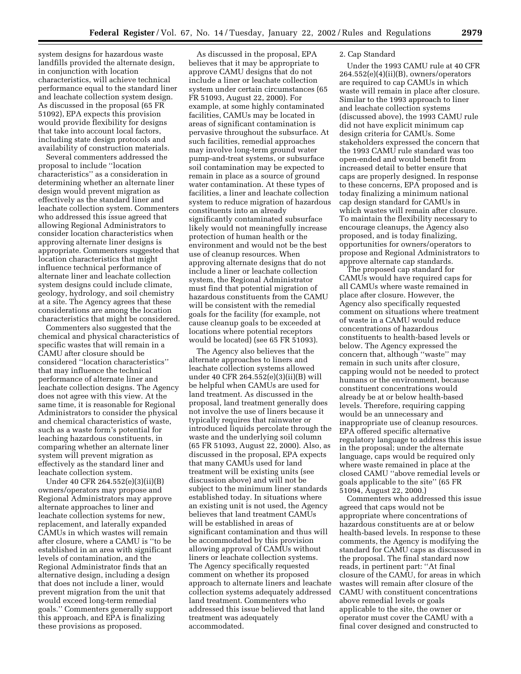system designs for hazardous waste landfills provided the alternate design, in conjunction with location characteristics, will achieve technical performance equal to the standard liner and leachate collection system design. As discussed in the proposal (65 FR 51092), EPA expects this provision would provide flexibility for designs that take into account local factors, including state design protocols and availability of construction materials.

Several commenters addressed the proposal to include ''location characteristics'' as a consideration in determining whether an alternate liner design would prevent migration as effectively as the standard liner and leachate collection system. Commenters who addressed this issue agreed that allowing Regional Administrators to consider location characteristics when approving alternate liner designs is appropriate. Commenters suggested that location characteristics that might influence technical performance of alternate liner and leachate collection system designs could include climate, geology, hydrology, and soil chemistry at a site. The Agency agrees that these considerations are among the location characteristics that might be considered.

Commenters also suggested that the chemical and physical characteristics of specific wastes that will remain in a CAMU after closure should be considered ''location characteristics'' that may influence the technical performance of alternate liner and leachate collection designs. The Agency does not agree with this view. At the same time, it is reasonable for Regional Administrators to consider the physical and chemical characteristics of waste, such as a waste form's potential for leaching hazardous constituents, in comparing whether an alternate liner system will prevent migration as effectively as the standard liner and leachate collection system.

Under 40 CFR 264.552(e)(3)(ii)(B) owners/operators may propose and Regional Administrators may approve alternate approaches to liner and leachate collection systems for new, replacement, and laterally expanded CAMUs in which wastes will remain after closure, where a CAMU is ''to be established in an area with significant levels of contamination, and the Regional Administrator finds that an alternative design, including a design that does not include a liner, would prevent migration from the unit that would exceed long-term remedial goals.'' Commenters generally support this approach, and EPA is finalizing these provisions as proposed.

As discussed in the proposal, EPA believes that it may be appropriate to approve CAMU designs that do not include a liner or leachate collection system under certain circumstances (65 FR 51093, August 22, 2000). For example, at some highly contaminated facilities, CAMUs may be located in areas of significant contamination is pervasive throughout the subsurface. At such facilities, remedial approaches may involve long-term ground water pump-and-treat systems, or subsurface soil contamination may be expected to remain in place as a source of ground water contamination. At these types of facilities, a liner and leachate collection system to reduce migration of hazardous constituents into an already significantly contaminated subsurface likely would not meaningfully increase protection of human health or the environment and would not be the best use of cleanup resources. When approving alternate designs that do not include a liner or leachate collection system, the Regional Administrator must find that potential migration of hazardous constituents from the CAMU will be consistent with the remedial goals for the facility (for example, not cause cleanup goals to be exceeded at locations where potential receptors would be located) (see 65 FR 51093).

The Agency also believes that the alternate approaches to liners and leachate collection systems allowed under 40 CFR 264.552(e)(3)(ii)(B) will be helpful when CAMUs are used for land treatment. As discussed in the proposal, land treatment generally does not involve the use of liners because it typically requires that rainwater or introduced liquids percolate through the waste and the underlying soil column (65 FR 51093, August 22, 2000). Also, as discussed in the proposal, EPA expects that many CAMUs used for land treatment will be existing units (see discussion above) and will not be subject to the minimum liner standards established today. In situations where an existing unit is not used, the Agency believes that land treatment CAMUs will be established in areas of significant contamination and thus will be accommodated by this provision allowing approval of CAMUs without liners or leachate collection systems. The Agency specifically requested comment on whether its proposed approach to alternate liners and leachate collection systems adequately addressed land treatment. Commenters who addressed this issue believed that land treatment was adequately accommodated.

#### 2. Cap Standard

Under the 1993 CAMU rule at 40 CFR 264.552(e)(4)(ii)(B), owners/operators are required to cap CAMUs in which waste will remain in place after closure. Similar to the 1993 approach to liner and leachate collection systems (discussed above), the 1993 CAMU rule did not have explicit minimum cap design criteria for CAMUs. Some stakeholders expressed the concern that the 1993 CAMU rule standard was too open-ended and would benefit from increased detail to better ensure that caps are properly designed. In response to these concerns, EPA proposed and is today finalizing a minimum national cap design standard for CAMUs in which wastes will remain after closure. To maintain the flexibility necessary to encourage cleanups, the Agency also proposed, and is today finalizing, opportunities for owners/operators to propose and Regional Administrators to approve alternate cap standards.

The proposed cap standard for CAMUs would have required caps for all CAMUs where waste remained in place after closure. However, the Agency also specifically requested comment on situations where treatment of waste in a CAMU would reduce concentrations of hazardous constituents to health-based levels or below. The Agency expressed the concern that, although ''waste'' may remain in such units after closure, capping would not be needed to protect humans or the environment, because constituent concentrations would already be at or below health-based levels. Therefore, requiring capping would be an unnecessary and inappropriate use of cleanup resources. EPA offered specific alternative regulatory language to address this issue in the proposal; under the alternate language, caps would be required only where waste remained in place at the closed CAMU ''above remedial levels or goals applicable to the site'' (65 FR 51094, August 22, 2000.)

Commenters who addressed this issue agreed that caps would not be appropriate where concentrations of hazardous constituents are at or below health-based levels. In response to these comments, the Agency is modifying the standard for CAMU caps as discussed in the proposal. The final standard now reads, in pertinent part: ''At final closure of the CAMU, for areas in which wastes will remain after closure of the CAMU with constituent concentrations above remedial levels or goals applicable to the site, the owner or operator must cover the CAMU with a final cover designed and constructed to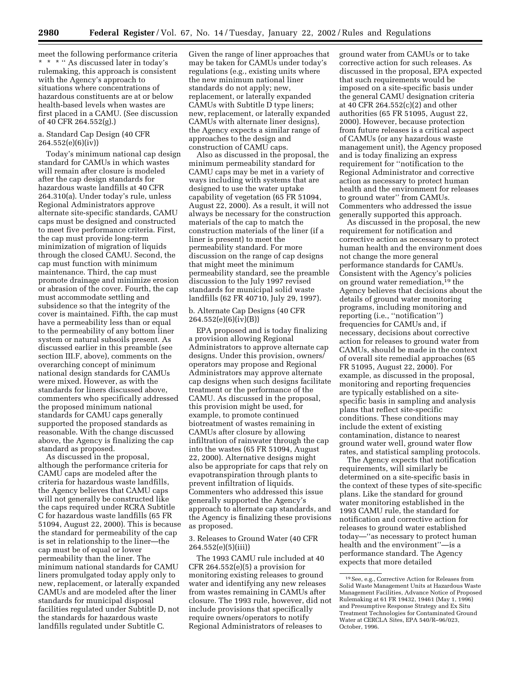meet the following performance criteria \* \* \* '' As discussed later in today's rulemaking, this approach is consistent with the Agency's approach to situations where concentrations of hazardous constituents are at or below health-based levels when wastes are first placed in a CAMU. (See discussion of 40 CFR 264.552(g).)

#### a. Standard Cap Design (40 CFR 264.552(e)(6)(iv))

Today's minimum national cap design standard for CAMUs in which wastes will remain after closure is modeled after the cap design standards for hazardous waste landfills at 40 CFR 264.310(a). Under today's rule, unless Regional Administrators approve alternate site-specific standards, CAMU caps must be designed and constructed to meet five performance criteria. First, the cap must provide long-term minimization of migration of liquids through the closed CAMU. Second, the cap must function with minimum maintenance. Third, the cap must promote drainage and minimize erosion or abrasion of the cover. Fourth, the cap must accommodate settling and subsidence so that the integrity of the cover is maintained. Fifth, the cap must have a permeability less than or equal to the permeability of any bottom liner system or natural subsoils present. As discussed earlier in this preamble (see section III.F, above), comments on the overarching concept of minimum national design standards for CAMUs were mixed. However, as with the standards for liners discussed above, commenters who specifically addressed the proposed minimum national standards for CAMU caps generally supported the proposed standards as reasonable. With the change discussed above, the Agency is finalizing the cap standard as proposed.

As discussed in the proposal, although the performance criteria for CAMU caps are modeled after the criteria for hazardous waste landfills, the Agency believes that CAMU caps will not generally be constructed like the caps required under RCRA Subtitle C for hazardous waste landfills (65 FR 51094, August 22, 2000). This is because the standard for permeability of the cap is set in relationship to the liner—the cap must be of equal or lower permeability than the liner. The minimum national standards for CAMU liners promulgated today apply only to new, replacement, or laterally expanded CAMUs and are modeled after the liner standards for municipal disposal facilities regulated under Subtitle D, not the standards for hazardous waste landfills regulated under Subtitle C.

Given the range of liner approaches that may be taken for CAMUs under today's regulations (e.g., existing units where the new minimum national liner standards do not apply; new, replacement, or laterally expanded CAMUs with Subtitle D type liners; new, replacement, or laterally expanded CAMUs with alternate liner designs), the Agency expects a similar range of approaches to the design and construction of CAMU caps.

Also as discussed in the proposal, the minimum permeability standard for CAMU caps may be met in a variety of ways including with systems that are designed to use the water uptake capability of vegetation (65 FR 51094, August 22, 2000). As a result, it will not always be necessary for the construction materials of the cap to match the construction materials of the liner (if a liner is present) to meet the permeability standard. For more discussion on the range of cap designs that might meet the minimum permeability standard, see the preamble discussion to the July 1997 revised standards for municipal solid waste landfills (62 FR 40710, July 29, 1997).

b. Alternate Cap Designs (40 CFR 264.552(e)(6)(iv)(B))

EPA proposed and is today finalizing a provision allowing Regional Administrators to approve alternate cap designs. Under this provision, owners/ operators may propose and Regional Administrators may approve alternate cap designs when such designs facilitate treatment or the performance of the CAMU. As discussed in the proposal, this provision might be used, for example, to promote continued biotreatment of wastes remaining in CAMUs after closure by allowing infiltration of rainwater through the cap into the wastes (65 FR 51094, August 22, 2000). Alternative designs might also be appropriate for caps that rely on evapotranspiration through plants to prevent infiltration of liquids. Commenters who addressed this issue generally supported the Agency's approach to alternate cap standards, and the Agency is finalizing these provisions as proposed.

#### 3. Releases to Ground Water (40 CFR 264.552(e)(5)(iii))

The 1993 CAMU rule included at 40 CFR  $264.552(e)(5)$  a provision for monitoring existing releases to ground water and identifying any new releases from wastes remaining in CAMUs after closure. The 1993 rule, however, did not include provisions that specifically require owners/operators to notify Regional Administrators of releases to

ground water from CAMUs or to take corrective action for such releases. As discussed in the proposal, EPA expected that such requirements would be imposed on a site-specific basis under the general CAMU designation criteria at 40 CFR 264.552(c)(2) and other authorities (65 FR 51095, August 22, 2000). However, because protection from future releases is a critical aspect of CAMUs (or any hazardous waste management unit), the Agency proposed and is today finalizing an express requirement for ''notification to the Regional Administrator and corrective action as necessary to protect human health and the environment for releases to ground water'' from CAMUs. Commenters who addressed the issue generally supported this approach.

As discussed in the proposal, the new requirement for notification and corrective action as necessary to protect human health and the environment does not change the more general performance standards for CAMUs. Consistent with the Agency's policies on ground water remediation,19 the Agency believes that decisions about the details of ground water monitoring programs, including monitoring and reporting (i.e., ''notification'') frequencies for CAMUs and, if necessary, decisions about corrective action for releases to ground water from CAMUs, should be made in the context of overall site remedial approaches (65 FR 51095, August 22, 2000). For example, as discussed in the proposal, monitoring and reporting frequencies are typically established on a sitespecific basis in sampling and analysis plans that reflect site-specific conditions. These conditions may include the extent of existing contamination, distance to nearest ground water well, ground water flow rates, and statistical sampling protocols.

The Agency expects that notification requirements, will similarly be determined on a site-specific basis in the context of these types of site-specific plans. Like the standard for ground water monitoring established in the 1993 CAMU rule, the standard for notification and corrective action for releases to ground water established today—''as necessary to protect human health and the environment''—is a performance standard. The Agency expects that more detailed

<sup>19</sup>See, e.g., Corrective Action for Releases from Solid Waste Management Units at Hazardous Waste Management Facilities, Advance Notice of Proposed Rulemaking at 61 FR 19432, 19461 (May 1, 1996) and Presumptive Response Strategy and Ex Situ Treatment Technologies for Contaminated Ground Water at CERCLA Sites, EPA 540/R–96/023, October, 1996.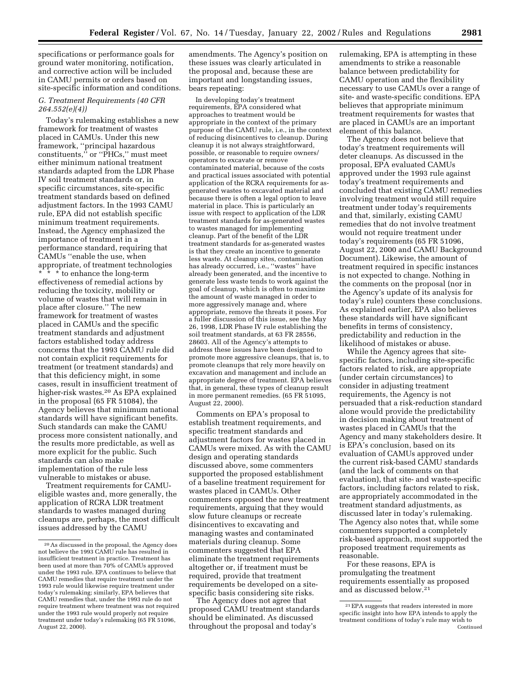specifications or performance goals for ground water monitoring, notification, and corrective action will be included in CAMU permits or orders based on site-specific information and conditions.

#### *G. Treatment Requirements (40 CFR 264.552(e)(4))*

Today's rulemaking establishes a new framework for treatment of wastes placed in CAMUs. Under this new framework, ''principal hazardous constituents,'' or ''PHCs,'' must meet either minimum national treatment standards adapted from the LDR Phase IV soil treatment standards or, in specific circumstances, site-specific treatment standards based on defined adjustment factors. In the 1993 CAMU rule, EPA did not establish specific minimum treatment requirements. Instead, the Agency emphasized the importance of treatment in a performance standard, requiring that CAMUs ''enable the use, when appropriate, of treatment technologies \* \* \* to enhance the long-term effectiveness of remedial actions by reducing the toxicity, mobility or volume of wastes that will remain in place after closure.'' The new framework for treatment of wastes placed in CAMUs and the specific treatment standards and adjustment factors established today address concerns that the 1993 CAMU rule did not contain explicit requirements for treatment (or treatment standards) and that this deficiency might, in some cases, result in insufficient treatment of higher-risk wastes.20 As EPA explained in the proposal (65 FR 51084), the Agency believes that minimum national standards will have significant benefits. Such standards can make the CAMU process more consistent nationally, and the results more predictable, as well as more explicit for the public. Such standards can also make implementation of the rule less vulnerable to mistakes or abuse.

Treatment requirements for CAMUeligible wastes and, more generally, the application of RCRA LDR treatment standards to wastes managed during cleanups are, perhaps, the most difficult issues addressed by the CAMU

amendments. The Agency's position on these issues was clearly articulated in the proposal and, because these are important and longstanding issues, bears repeating:

In developing today's treatment requirements, EPA considered what approaches to treatment would be appropriate in the context of the primary purpose of the CAMU rule, i.e., in the context of reducing disincentives to cleanup. During cleanup it is not always straightforward, possible, or reasonable to require owners/ operators to excavate or remove contaminated material, because of the costs and practical issues associated with potential application of the RCRA requirements for asgenerated wastes to excavated material and because there is often a legal option to leave material in place. This is particularly an issue with respect to application of the LDR treatment standards for as-generated wastes to wastes managed for implementing cleanup. Part of the benefit of the LDR treatment standards for as-generated wastes is that they create an incentive to generate less waste. At cleanup sites, contamination has already occurred, i.e., ''wastes'' have already been generated, and the incentive to generate less waste tends to work against the goal of cleanup, which is often to maximize the amount of waste managed in order to more aggressively manage and, where appropriate, remove the threats it poses. For a fuller discussion of this issue, see the May 26, 1998, LDR Phase IV rule establishing the soil treatment standards, at 63 FR 28556, 28603. All of the Agency's attempts to address these issues have been designed to promote more aggressive cleanups, that is, to promote cleanups that rely more heavily on excavation and management and include an appropriate degree of treatment. EPA believes that, in general, these types of cleanup result in more permanent remedies. (65 FR 51095, August 22, 2000).

Comments on EPA's proposal to establish treatment requirements, and specific treatment standards and adjustment factors for wastes placed in CAMUs were mixed. As with the CAMU design and operating standards discussed above, some commenters supported the proposed establishment of a baseline treatment requirement for wastes placed in CAMUs. Other commenters opposed the new treatment requirements, arguing that they would slow future cleanups or recreate disincentives to excavating and managing wastes and contaminated materials during cleanup. Some commenters suggested that EPA eliminate the treatment requirements altogether or, if treatment must be required, provide that treatment requirements be developed on a sitespecific basis considering site risks.

The Agency does not agree that proposed CAMU treatment standards should be eliminated. As discussed throughout the proposal and today's

rulemaking, EPA is attempting in these amendments to strike a reasonable balance between predictability for CAMU operation and the flexibility necessary to use CAMUs over a range of site- and waste-specific conditions. EPA believes that appropriate minimum treatment requirements for wastes that are placed in CAMUs are an important element of this balance.

The Agency does not believe that today's treatment requirements will deter cleanups. As discussed in the proposal, EPA evaluated CAMUs approved under the 1993 rule against today's treatment requirements and concluded that existing CAMU remedies involving treatment would still require treatment under today's requirements and that, similarly, existing CAMU remedies that do not involve treatment would not require treatment under today's requirements (65 FR 51096, August 22, 2000 and CAMU Background Document). Likewise, the amount of treatment required in specific instances is not expected to change. Nothing in the comments on the proposal (nor in the Agency's update of its analysis for today's rule) counters these conclusions. As explained earlier, EPA also believes these standards will have significant benefits in terms of consistency, predictability and reduction in the likelihood of mistakes or abuse.

While the Agency agrees that sitespecific factors, including site-specific factors related to risk, are appropriate (under certain circumstances) to consider in adjusting treatment requirements, the Agency is not persuaded that a risk-reduction standard alone would provide the predictability in decision making about treatment of wastes placed in CAMUs that the Agency and many stakeholders desire. It is EPA's conclusion, based on its evaluation of CAMUs approved under the current risk-based CAMU standards (and the lack of comments on that evaluation), that site- and waste-specific factors, including factors related to risk, are appropriately accommodated in the treatment standard adjustments, as discussed later in today's rulemaking. The Agency also notes that, while some commenters supported a completely risk-based approach, most supported the proposed treatment requirements as reasonable.

For these reasons, EPA is promulgating the treatment requirements essentially as proposed and as discussed below.21

<sup>20</sup>As discussed in the proposal, the Agency does not believe the 1993 CAMU rule has resulted in insufficient treatment in practice. Treatment has been used at more than 70% of CAMUs approved under the 1993 rule. EPA continues to believe that CAMU remedies that require treatment under the 1993 rule would likewise require treatment under today's rulemaking; similarly, EPA believes that CAMU remedies that, under the 1993 rule do not require treatment where treatment was not required under the 1993 rule would properly not require treatment under today's rulemaking (65 FR 51096, August 22, 2000).

<sup>21</sup>EPA suggests that readers interested in more specific insight into how EPA intends to apply the treatment conditions of today's rule may wish to Continued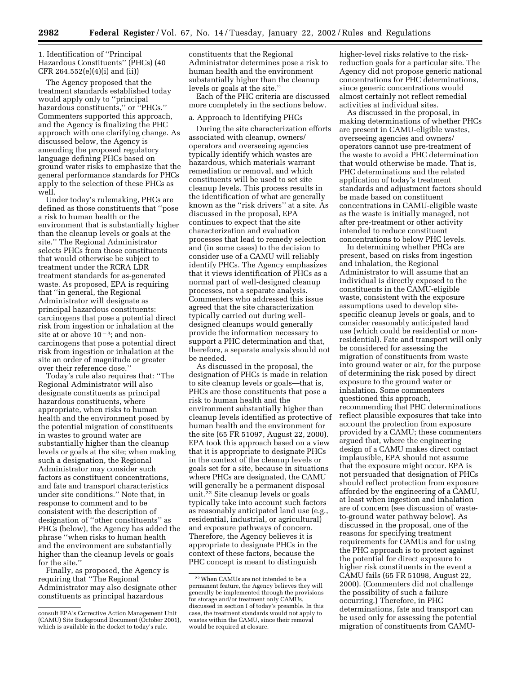1. Identification of ''Principal Hazardous Constituents'' (PHCs) (40 CFR 264.552(e)(4)(i) and (ii))

The Agency proposed that the treatment standards established today would apply only to ''principal hazardous constituents,'' or ''PHCs.'' Commenters supported this approach, and the Agency is finalizing the PHC approach with one clarifying change. As discussed below, the Agency is amending the proposed regulatory language defining PHCs based on ground water risks to emphasize that the general performance standards for PHCs apply to the selection of these PHCs as well.

Under today's rulemaking, PHCs are defined as those constituents that ''pose a risk to human health or the environment that is substantially higher than the cleanup levels or goals at the site.'' The Regional Administrator selects PHCs from those constituents that would otherwise be subject to treatment under the RCRA LDR treatment standards for as-generated waste. As proposed, EPA is requiring that ''in general, the Regional Administrator will designate as principal hazardous constituents: carcinogens that pose a potential direct risk from ingestion or inhalation at the site at or above  $10^{-3}$ ; and noncarcinogens that pose a potential direct risk from ingestion or inhalation at the site an order of magnitude or greater over their reference dose.''

Today's rule also requires that: ''The Regional Administrator will also designate constituents as principal hazardous constituents, where appropriate, when risks to human health and the environment posed by the potential migration of constituents in wastes to ground water are substantially higher than the cleanup levels or goals at the site; when making such a designation, the Regional Administrator may consider such factors as constituent concentrations, and fate and transport characteristics under site conditions.'' Note that, in response to comment and to be consistent with the description of designation of ''other constituents'' as PHCs (below), the Agency has added the phrase ''when risks to human health and the environment are substantially higher than the cleanup levels or goals for the site.''

Finally, as proposed, the Agency is requiring that ''The Regional Administrator may also designate other constituents as principal hazardous

constituents that the Regional Administrator determines pose a risk to human health and the environment substantially higher than the cleanup levels or goals at the site.''

Each of the PHC criteria are discussed more completely in the sections below.

#### a. Approach to Identifying PHCs

During the site characterization efforts associated with cleanup, owners/ operators and overseeing agencies typically identify which wastes are hazardous, which materials warrant remediation or removal, and which constituents will be used to set site cleanup levels. This process results in the identification of what are generally known as the ''risk drivers'' at a site. As discussed in the proposal, EPA continues to expect that the site characterization and evaluation processes that lead to remedy selection and (in some cases) to the decision to consider use of a CAMU will reliably identify PHCs. The Agency emphasizes that it views identification of PHCs as a normal part of well-designed cleanup processes, not a separate analysis. Commenters who addressed this issue agreed that the site characterization typically carried out during welldesigned cleanups would generally provide the information necessary to support a PHC determination and that, therefore, a separate analysis should not be needed.

As discussed in the proposal, the designation of PHCs is made in relation to site cleanup levels or goals—that is, PHCs are those constituents that pose a risk to human health and the environment substantially higher than cleanup levels identified as protective of human health and the environment for the site (65 FR 51097, August 22, 2000). EPA took this approach based on a view that it is appropriate to designate PHCs in the context of the cleanup levels or goals set for a site, because in situations where PHCs are designated, the CAMU will generally be a permanent disposal unit.22 Site cleanup levels or goals typically take into account such factors as reasonably anticipated land use (e.g., residential, industrial, or agricultural) and exposure pathways of concern. Therefore, the Agency believes it is appropriate to designate PHCs in the context of these factors, because the PHC concept is meant to distinguish

higher-level risks relative to the riskreduction goals for a particular site. The Agency did not propose generic national concentrations for PHC determinations, since generic concentrations would almost certainly not reflect remedial activities at individual sites.

As discussed in the proposal, in making determinations of whether PHCs are present in CAMU-eligible wastes, overseeing agencies and owners/ operators cannot use pre-treatment of the waste to avoid a PHC determination that would otherwise be made. That is, PHC determinations and the related application of today's treatment standards and adjustment factors should be made based on constituent concentrations in CAMU-eligible waste as the waste is initially managed, not after pre-treatment or other activity intended to reduce constituent concentrations to below PHC levels.

In determining whether PHCs are present, based on risks from ingestion and inhalation, the Regional Administrator to will assume that an individual is directly exposed to the constituents in the CAMU-eligible waste, consistent with the exposure assumptions used to develop sitespecific cleanup levels or goals, and to consider reasonably anticipated land use (which could be residential or nonresidential). Fate and transport will only be considered for assessing the migration of constituents from waste into ground water or air, for the purpose of determining the risk posed by direct exposure to the ground water or inhalation. Some commenters questioned this approach, recommending that PHC determinations reflect plausible exposures that take into account the protection from exposure provided by a CAMU; these commenters argued that, where the engineering design of a CAMU makes direct contact implausible, EPA should not assume that the exposure might occur. EPA is not persuaded that designation of PHCs should reflect protection from exposure afforded by the engineering of a CAMU, at least when ingestion and inhalation are of concern (see discussion of wasteto-ground water pathway below). As discussed in the proposal, one of the reasons for specifying treatment requirements for CAMUs and for using the PHC approach is to protect against the potential for direct exposure to higher risk constituents in the event a CAMU fails (65 FR 51098, August 22, 2000). (Commenters did not challenge the possibility of such a failure occurring.) Therefore, in PHC determinations, fate and transport can be used only for assessing the potential migration of constituents from CAMU-

consult EPA's Corrective Action Management Unit (CAMU) Site Background Document (October 2001), which is available in the docket to today's rule.

<sup>22</sup>When CAMUs are not intended to be a permanent feature, the Agency believes they will generally be implemented through the provisions for storage and/or treatment only CAMUs, discussed in section I of today's preamble. In this case, the treatment standards would not apply to wastes within the CAMU, since their removal would be required at closure.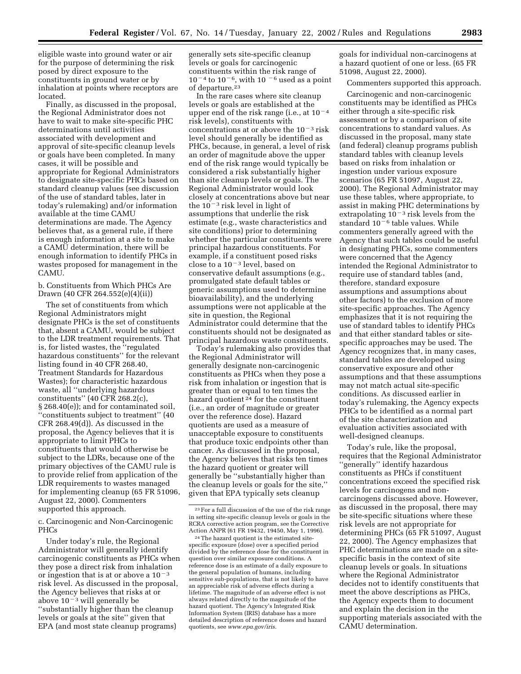eligible waste into ground water or air for the purpose of determining the risk posed by direct exposure to the constituents in ground water or by inhalation at points where receptors are located.

Finally, as discussed in the proposal, the Regional Administrator does not have to wait to make site-specific PHC determinations until activities associated with development and approval of site-specific cleanup levels or goals have been completed. In many cases, it will be possible and appropriate for Regional Administrators to designate site-specific PHCs based on standard cleanup values (see discussion of the use of standard tables, later in today's rulemaking) and/or information available at the time CAMU determinations are made. The Agency believes that, as a general rule, if there is enough information at a site to make a CAMU determination, there will be enough information to identify PHCs in wastes proposed for management in the CAMU.

b. Constituents from Which PHCs Are Drawn (40 CFR 264.552(e)(4)(ii))

The set of constituents from which Regional Administrators might designate PHCs is the set of constituents that, absent a CAMU, would be subject to the LDR treatment requirements. That is, for listed wastes, the ''regulated hazardous constituents'' for the relevant listing found in 40 CFR 268.40, Treatment Standards for Hazardous Wastes); for characteristic hazardous waste, all ''underlying hazardous constituents'' (40 CFR 268.2(c), § 268.40(e)); and for contaminated soil, ''constituents subject to treatment'' (40 CFR 268.49(d)). As discussed in the proposal, the Agency believes that it is appropriate to limit PHCs to constituents that would otherwise be subject to the LDRs, because one of the primary objectives of the CAMU rule is to provide relief from application of the LDR requirements to wastes managed for implementing cleanup (65 FR 51096, August 22, 2000). Commenters supported this approach.

c. Carcinogenic and Non-Carcinogenic PHCs

Under today's rule, the Regional Administrator will generally identify carcinogenic constituents as PHCs when they pose a direct risk from inhalation or ingestion that is at or above a  $10^{-3}$ risk level. As discussed in the proposal, the Agency believes that risks at or above  $10^{-3}$  will generally be ''substantially higher than the cleanup levels or goals at the site'' given that EPA (and most state cleanup programs)

generally sets site-specific cleanup levels or goals for carcinogenic constituents within the risk range of  $10^{-4}$  to  $10^{-6}$ , with  $10^{-6}$  used as a point of departure.23

In the rare cases where site cleanup levels or goals are established at the upper end of the risk range (i.e., at  $10^{-4}$ ) risk levels), constituents with concentrations at or above the  $10^{-3}$  risk level should generally be identified as PHCs, because, in general, a level of risk an order of magnitude above the upper end of the risk range would typically be considered a risk substantially higher than site cleanup levels or goals. The Regional Administrator would look closely at concentrations above but near the  $10^{-3}$  risk level in light of assumptions that underlie the risk estimate (e.g., waste characteristics and site conditions) prior to determining whether the particular constituents were principal hazardous constituents. For example, if a constituent posed risks close to a  $10^{-3}$  level, based on conservative default assumptions (e.g., promulgated state default tables or generic assumptions used to determine bioavailability), and the underlying assumptions were not applicable at the site in question, the Regional Administrator could determine that the constituents should not be designated as principal hazardous waste constituents.

Today's rulemaking also provides that the Regional Administrator will generally designate non-carcinogenic constituents as PHCs when they pose a risk from inhalation or ingestion that is greater than or equal to ten times the hazard quotient 24 for the constituent (i.e., an order of magnitude or greater over the reference dose). Hazard quotients are used as a measure of unacceptable exposure to constituents that produce toxic endpoints other than cancer. As discussed in the proposal, the Agency believes that risks ten times the hazard quotient or greater will generally be ''substantially higher than the cleanup levels or goals for the site,'' given that EPA typically sets cleanup

goals for individual non-carcinogens at a hazard quotient of one or less. (65 FR 51098, August 22, 2000).

Commenters supported this approach.

Carcinogenic and non-carcinogenic constituents may be identified as PHCs either through a site-specific risk assessment or by a comparison of site concentrations to standard values. As discussed in the proposal, many state (and federal) cleanup programs publish standard tables with cleanup levels based on risks from inhalation or ingestion under various exposure scenarios (65 FR 51097, August 22, 2000). The Regional Administrator may use these tables, where appropriate, to assist in making PHC determinations by extrapolating  $10^{-3}$  risk levels from the standard  $10<sup>-6</sup>$  table values. While commenters generally agreed with the Agency that such tables could be useful in designating PHCs, some commenters were concerned that the Agency intended the Regional Administrator to require use of standard tables (and, therefore, standard exposure assumptions and assumptions about other factors) to the exclusion of more site-specific approaches. The Agency emphasizes that it is not requiring the use of standard tables to identify PHCs and that either standard tables or sitespecific approaches may be used. The Agency recognizes that, in many cases, standard tables are developed using conservative exposure and other assumptions and that these assumptions may not match actual site-specific conditions. As discussed earlier in today's rulemaking, the Agency expects PHCs to be identified as a normal part of the site characterization and evaluation activities associated with well-designed cleanups.

Today's rule, like the proposal, requires that the Regional Administrator ''generally'' identify hazardous constituents as PHCs if constituent concentrations exceed the specified risk levels for carcinogens and noncarcinogens discussed above. However, as discussed in the proposal, there may be site-specific situations where these risk levels are not appropriate for determining PHCs (65 FR 51097, August 22, 2000). The Agency emphasizes that PHC determinations are made on a sitespecific basis in the context of site cleanup levels or goals. In situations where the Regional Administrator decides not to identify constituents that meet the above descriptions as PHCs, the Agency expects them to document and explain the decision in the supporting materials associated with the CAMU determination.

<sup>23</sup>For a full discussion of the use of the risk range in setting site-specific cleanup levels or goals in the RCRA corrective action program, see the Corrective Action ANPR (61 FR 19432, 19450, May 1, 1996).

<sup>24</sup>The hazard quotient is the estimated sitespecific exposure (dose) over a specified period divided by the reference dose for the constituent in question over similar exposure conditions. A reference dose is an estimate of a daily exposure to the general population of humans, including sensitive sub-populations, that is not likely to have an appreciable risk of adverse effects during a lifetime. The magnitude of an adverse effect is not always related directly to the magnitude of the hazard quotient. The Agency's Integrated Risk Information System (IRIS) database has a more detailed description of reference doses and hazard quotients, see *www.epa.gov/iris*.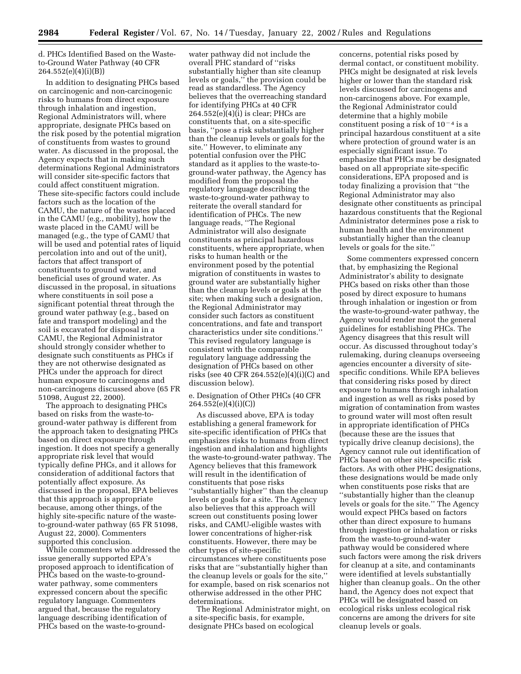d. PHCs Identified Based on the Wasteto-Ground Water Pathway (40 CFR 264.552(e)(4)(i)(B))

In addition to designating PHCs based on carcinogenic and non-carcinogenic risks to humans from direct exposure through inhalation and ingestion, Regional Administrators will, where appropriate, designate PHCs based on the risk posed by the potential migration of constituents from wastes to ground water. As discussed in the proposal, the Agency expects that in making such determinations Regional Administrators will consider site-specific factors that could affect constituent migration. These site-specific factors could include factors such as the location of the CAMU, the nature of the wastes placed in the CAMU (e.g., mobility), how the waste placed in the CAMU will be managed (e.g., the type of CAMU that will be used and potential rates of liquid percolation into and out of the unit), factors that affect transport of constituents to ground water, and beneficial uses of ground water. As discussed in the proposal, in situations where constituents in soil pose a significant potential threat through the ground water pathway (e.g., based on fate and transport modeling) and the soil is excavated for disposal in a CAMU, the Regional Administrator should strongly consider whether to designate such constituents as PHCs if they are not otherwise designated as PHCs under the approach for direct human exposure to carcinogens and non-carcinogens discussed above (65 FR 51098, August 22, 2000).

The approach to designating PHCs based on risks from the waste-toground-water pathway is different from the approach taken to designating PHCs based on direct exposure through ingestion. It does not specify a generally appropriate risk level that would typically define PHCs, and it allows for consideration of additional factors that potentially affect exposure. As discussed in the proposal, EPA believes that this approach is appropriate because, among other things, of the highly site-specific nature of the wasteto-ground-water pathway (65 FR 51098, August 22, 2000). Commenters supported this conclusion.

While commenters who addressed the issue generally supported EPA's proposed approach to identification of PHCs based on the waste-to-groundwater pathway, some commenters expressed concern about the specific regulatory language. Commenters argued that, because the regulatory language describing identification of PHCs based on the waste-to-ground-

water pathway did not include the overall PHC standard of ''risks substantially higher than site cleanup levels or goals,'' the provision could be read as standardless. The Agency believes that the overreaching standard for identifying PHCs at 40 CFR 264.552(e)(4)(i) is clear; PHCs are constituents that, on a site-specific basis, ''pose a risk substantially higher than the cleanup levels or goals for the site.'' However, to eliminate any potential confusion over the PHC standard as it applies to the waste-toground-water pathway, the Agency has modified from the proposal the regulatory language describing the waste-to-ground-water pathway to reiterate the overall standard for identification of PHCs. The new language reads, ''The Regional Administrator will also designate constituents as principal hazardous constituents, where appropriate, when risks to human health or the environment posed by the potential migration of constituents in wastes to ground water are substantially higher than the cleanup levels or goals at the site; when making such a designation, the Regional Administrator may consider such factors as constituent concentrations, and fate and transport characteristics under site conditions.'' This revised regulatory language is consistent with the comparable regulatory language addressing the designation of PHCs based on other risks (see 40 CFR 264.552(e)(4)(i)(C) and discussion below).

e. Designation of Other PHCs (40 CFR  $264.552(e)(4)(i)(C)$ 

As discussed above, EPA is today establishing a general framework for site-specific identification of PHCs that emphasizes risks to humans from direct ingestion and inhalation and highlights the waste-to-ground-water pathway. The Agency believes that this framework will result in the identification of constituents that pose risks ''substantially higher'' than the cleanup levels or goals for a site. The Agency also believes that this approach will screen out constituents posing lower risks, and CAMU-eligible wastes with lower concentrations of higher-risk constituents. However, there may be other types of site-specific circumstances where constituents pose risks that are ''substantially higher than the cleanup levels or goals for the site,'' for example, based on risk scenarios not otherwise addressed in the other PHC determinations.

The Regional Administrator might, on a site-specific basis, for example, designate PHCs based on ecological

concerns, potential risks posed by dermal contact, or constituent mobility. PHCs might be designated at risk levels higher or lower than the standard risk levels discussed for carcinogens and non-carcinogens above. For example, the Regional Administrator could determine that a highly mobile constituent posing a risk of  $10<sup>-4</sup>$  is a principal hazardous constituent at a site where protection of ground water is an especially significant issue. To emphasize that PHCs may be designated based on all appropriate site-specific considerations, EPA proposed and is today finalizing a provision that ''the Regional Administrator may also designate other constituents as principal hazardous constituents that the Regional Administrator determines pose a risk to human health and the environment substantially higher than the cleanup levels or goals for the site.''

Some commenters expressed concern that, by emphasizing the Regional Administrator's ability to designate PHCs based on risks other than those posed by direct exposure to humans through inhalation or ingestion or from the waste-to-ground-water pathway, the Agency would render moot the general guidelines for establishing PHCs. The Agency disagrees that this result will occur. As discussed throughout today's rulemaking, during cleanups overseeing agencies encounter a diversity of sitespecific conditions. While EPA believes that considering risks posed by direct exposure to humans through inhalation and ingestion as well as risks posed by migration of contamination from wastes to ground water will most often result in appropriate identification of PHCs (because these are the issues that typically drive cleanup decisions), the Agency cannot rule out identification of PHCs based on other site-specific risk factors. As with other PHC designations, these designations would be made only when constituents pose risks that are ''substantially higher than the cleanup levels or goals for the site.'' The Agency would expect PHCs based on factors other than direct exposure to humans through ingestion or inhalation or risks from the waste-to-ground-water pathway would be considered where such factors were among the risk drivers for cleanup at a site, and contaminants were identified at levels substantially higher than cleanup goals.. On the other hand, the Agency does not expect that PHCs will be designated based on ecological risks unless ecological risk concerns are among the drivers for site cleanup levels or goals.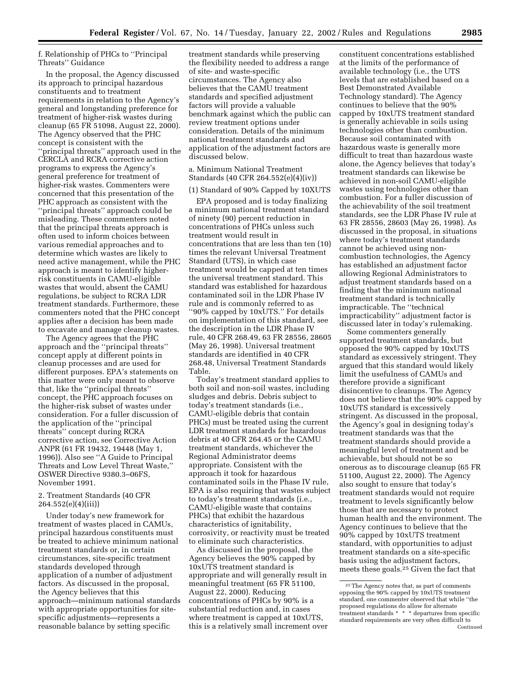#### f. Relationship of PHCs to ''Principal Threats'' Guidance

In the proposal, the Agency discussed its approach to principal hazardous constituents and to treatment requirements in relation to the Agency's general and longstanding preference for treatment of higher-risk wastes during cleanup (65 FR 51098, August 22, 2000). The Agency observed that the PHC concept is consistent with the ''principal threats'' approach used in the CERCLA and RCRA corrective action programs to express the Agency's general preference for treatment of higher-risk wastes. Commenters were concerned that this presentation of the PHC approach as consistent with the ''principal threats'' approach could be misleading. These commenters noted that the principal threats approach is often used to inform choices between various remedial approaches and to determine which wastes are likely to need active management, while the PHC approach is meant to identify higherrisk constituents in CAMU-eligible wastes that would, absent the CAMU regulations, be subject to RCRA LDR treatment standards. Furthermore, these commenters noted that the PHC concept applies after a decision has been made to excavate and manage cleanup wastes.

The Agency agrees that the PHC approach and the ''principal threats'' concept apply at different points in cleanup processes and are used for different purposes. EPA's statements on this matter were only meant to observe that, like the ''principal threats'' concept, the PHC approach focuses on the higher-risk subset of wastes under consideration. For a fuller discussion of the application of the ''principal threats'' concept during RCRA corrective action, see Corrective Action ANPR (61 FR 19432, 19448 (May 1, 1996)). Also see ''A Guide to Principal Threats and Low Level Threat Waste,'' OSWER Directive 9380.3–06FS, November 1991.

#### 2. Treatment Standards (40 CFR 264.552(e)(4)(iii))

Under today's new framework for treatment of wastes placed in CAMUs, principal hazardous constituents must be treated to achieve minimum national treatment standards or, in certain circumstances, site-specific treatment standards developed through application of a number of adjustment factors. As discussed in the proposal, the Agency believes that this approach—minimum national standards with appropriate opportunities for sitespecific adjustments—represents a reasonable balance by setting specific

treatment standards while preserving the flexibility needed to address a range of site- and waste-specific circumstances. The Agency also believes that the CAMU treatment standards and specified adjustment factors will provide a valuable benchmark against which the public can review treatment options under consideration. Details of the minimum national treatment standards and application of the adjustment factors are discussed below.

### a. Minimum National Treatment Standards (40 CFR 264.552(e)(4)(iv))

#### (1) Standard of 90% Capped by 10XUTS

EPA proposed and is today finalizing a minimum national treatment standard of ninety (90) percent reduction in concentrations of PHCs unless such treatment would result in concentrations that are less than ten (10) times the relevant Universal Treatment Standard (UTS), in which case treatment would be capped at ten times the universal treatment standard. This standard was established for hazardous contaminated soil in the LDR Phase IV rule and is commonly referred to as ''90% capped by 10xUTS.'' For details on implementation of this standard, see the description in the LDR Phase IV rule, 40 CFR 268.49, 63 FR 28556, 28605 (May 26, 1998). Universal treatment standards are identified in 40 CFR 268.48, Universal Treatment Standards Table.

Today's treatment standard applies to both soil and non-soil wastes, including sludges and debris. Debris subject to today's treatment standards (i.e., CAMU-eligible debris that contain PHCs) must be treated using the current LDR treatment standards for hazardous debris at 40 CFR 264.45 or the CAMU treatment standards, whichever the Regional Administrator deems appropriate. Consistent with the approach it took for hazardous contaminated soils in the Phase IV rule, EPA is also requiring that wastes subject to today's treatment standards (i.e., CAMU-eligible waste that contains PHCs) that exhibit the hazardous characteristics of ignitability, corrosivity, or reactivity must be treated to eliminate such characteristics.

As discussed in the proposal, the Agency believes the 90% capped by 10xUTS treatment standard is appropriate and will generally result in meaningful treatment (65 FR 51100, August 22, 2000). Reducing concentrations of PHCs by 90% is a substantial reduction and, in cases where treatment is capped at 10xUTS, this is a relatively small increment over

constituent concentrations established at the limits of the performance of available technology (i.e., the UTS levels that are established based on a Best Demonstrated Available Technology standard). The Agency continues to believe that the 90% capped by 10xUTS treatment standard is generally achievable in soils using technologies other than combustion. Because soil contaminated with hazardous waste is generally more difficult to treat than hazardous waste alone, the Agency believes that today's treatment standards can likewise be achieved in non-soil CAMU-eligible wastes using technologies other than combustion. For a fuller discussion of the achievability of the soil treatment standards, see the LDR Phase IV rule at 63 FR 28556, 28603 (May 26, 1998). As discussed in the proposal, in situations where today's treatment standards cannot be achieved using noncombustion technologies, the Agency has established an adjustment factor allowing Regional Administrators to adjust treatment standards based on a finding that the minimum national treatment standard is technically impracticable. The ''technical impracticability'' adjustment factor is discussed later in today's rulemaking.

Some commenters generally supported treatment standards, but opposed the 90% capped by 10xUTS standard as excessively stringent. They argued that this standard would likely limit the usefulness of CAMUs and therefore provide a significant disincentive to cleanups. The Agency does not believe that the 90% capped by 10xUTS standard is excessively stringent. As discussed in the proposal, the Agency's goal in designing today's treatment standards was that the treatment standards should provide a meaningful level of treatment and be achievable, but should not be so onerous as to discourage cleanup (65 FR 51100, August 22, 2000). The Agency also sought to ensure that today's treatment standards would not require treatment to levels significantly below those that are necessary to protect human health and the environment. The Agency continues to believe that the 90% capped by 10xUTS treatment standard, with opportunities to adjust treatment standards on a site-specific basis using the adjustment factors, meets these goals.25 Given the fact that

<sup>25</sup>The Agency notes that, as part of comments opposing the 90% capped by 10xUTS treatment standard, one commenter observed that while ''the proposed regulations do allow for alternate treatment standards \* \* \* departures from specific standard requirements are very often difficult to Continued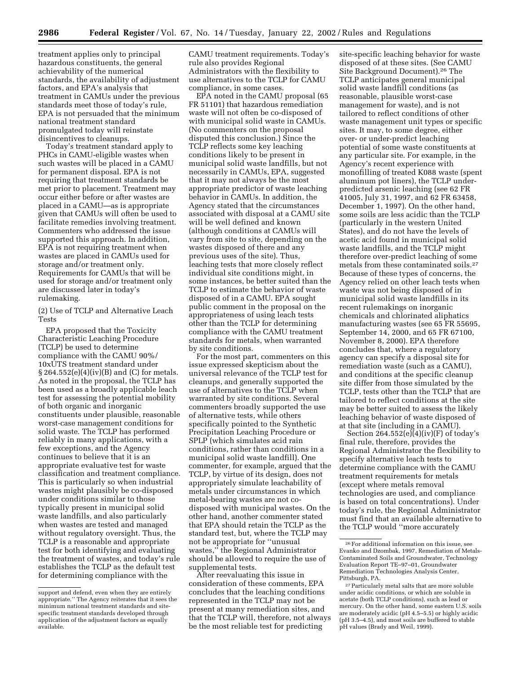treatment applies only to principal hazardous constituents, the general achievability of the numerical standards, the availability of adjustment factors, and EPA's analysis that treatment in CAMUs under the previous standards meet those of today's rule, EPA is not persuaded that the minimum national treatment standard promulgated today will reinstate disincentives to cleanups.

Today's treatment standard apply to PHCs in CAMU-eligible wastes when such wastes will be placed in a CAMU for permanent disposal. EPA is not requiring that treatment standards be met prior to placement. Treatment may occur either before or after wastes are placed in a CAMU—as is appropriate given that CAMUs will often be used to facilitate remedies involving treatment. Commenters who addressed the issue supported this approach. In addition, EPA is not requiring treatment when wastes are placed in CAMUs used for storage and/or treatment only. Requirements for CAMUs that will be used for storage and/or treatment only are discussed later in today's rulemaking.

(2) Use of TCLP and Alternative Leach Tests

EPA proposed that the Toxicity Characteristic Leaching Procedure (TCLP) be used to determine compliance with the CAMU 90%/ 10xUTS treatment standard under  $\S 264.552(e)(4)(iv)(B)$  and (C) for metals. As noted in the proposal, the TCLP has been used as a broadly applicable leach test for assessing the potential mobility of both organic and inorganic constituents under plausible, reasonable worst-case management conditions for solid waste. The TCLP has performed reliably in many applications, with a few exceptions, and the Agency continues to believe that it is an appropriate evaluative test for waste classification and treatment compliance. This is particularly so when industrial wastes might plausibly be co-disposed under conditions similar to those typically present in municipal solid waste landfills, and also particularly when wastes are tested and managed without regulatory oversight. Thus, the TCLP is a reasonable and appropriate test for both identifying and evaluating the treatment of wastes, and today's rule establishes the TCLP as the default test for determining compliance with the

CAMU treatment requirements. Today's rule also provides Regional Administrators with the flexibility to use alternatives to the TCLP for CAMU compliance, in some cases.

EPA noted in the CAMU proposal (65 FR 51101) that hazardous remediation waste will not often be co-disposed of with municipal solid waste in CAMUs. (No commenters on the proposal disputed this conclusion.) Since the TCLP reflects some key leaching conditions likely to be present in municipal solid waste landfills, but not necessarily in CAMUs, EPA, suggested that it may not always be the most appropriate predictor of waste leaching behavior in CAMUs. In addition, the Agency stated that the circumstances associated with disposal at a CAMU site will be well defined and known (although conditions at CAMUs will vary from site to site, depending on the wastes disposed of there and any previous uses of the site). Thus, leaching tests that more closely reflect individual site conditions might, in some instances, be better suited than the TCLP to estimate the behavior of waste disposed of in a CAMU. EPA sought public comment in the proposal on the appropriateness of using leach tests other than the TCLP for determining compliance with the CAMU treatment standards for metals, when warranted by site conditions.

For the most part, commenters on this issue expressed skepticism about the universal relevance of the TCLP test for cleanups, and generally supported the use of alternatives to the TCLP when warranted by site conditions. Several commenters broadly supported the use of alternative tests, while others specifically pointed to the Synthetic Precipitation Leaching Procedure or SPLP (which simulates acid rain conditions, rather than conditions in a municipal solid waste landfill). One commenter, for example, argued that the TCLP, by virtue of its design, does not appropriately simulate leachability of metals under circumstances in which metal-bearing wastes are not codisposed with municipal wastes. On the other hand, another commenter stated that EPA should retain the TCLP as the standard test, but, where the TCLP may not be appropriate for ''unusual wastes,'' the Regional Administrator should be allowed to require the use of supplemental tests.

After reevaluating this issue in consideration of these comments, EPA concludes that the leaching conditions represented in the TCLP may not be present at many remediation sites, and that the TCLP will, therefore, not always be the most reliable test for predicting

site-specific leaching behavior for waste disposed of at these sites. (See CAMU Site Background Document).26 The TCLP anticipates general municipal solid waste landfill conditions (as reasonable, plausible worst-case management for waste), and is not tailored to reflect conditions of other waste management unit types or specific sites. It may, to some degree, either over- or under-predict leaching potential of some waste constituents at any particular site. For example, in the Agency's recent experience with monofilling of treated K088 waste (spent aluminum pot liners), the TCLP underpredicted arsenic leaching (see 62 FR 41005, July 31, 1997, and 62 FR 63458, December 1, 1997). On the other hand, some soils are less acidic than the TCLP (particularly in the western United States), and do not have the levels of acetic acid found in municipal solid waste landfills, and the TCLP might therefore over-predict leaching of some metals from these contaminated soils.27 Because of these types of concerns, the Agency relied on other leach tests when waste was not being disposed of in municipal solid waste landfills in its recent rulemakings on inorganic chemicals and chlorinated aliphatics manufacturing wastes (see 65 FR 55695, September 14, 2000, and 65 FR 67100, November 8, 2000). EPA therefore concludes that, where a regulatory agency can specify a disposal site for remediation waste (such as a CAMU), and conditions at the specific cleanup site differ from those simulated by the TCLP, tests other than the TCLP that are tailored to reflect conditions at the site may be better suited to assess the likely leaching behavior of waste disposed of at that site (including in a CAMU).

Section  $264.552(e)(4)(iv)(F)$  of today's final rule, therefore, provides the Regional Administrator the flexibility to specify alternative leach tests to determine compliance with the CAMU treatment requirements for metals (except where metals removal technologies are used, and compliance is based on total concentrations). Under today's rule, the Regional Administrator must find that an available alternative to the TCLP would ''more accurately

support and defend, even when they are entirely appropriate.'' The Agency reiterates that it sees the minimum national treatment standards and sitespecific treatment standards developed through application of the adjustment factors as equally available.

<sup>26</sup>For additional information on this issue, see Evanko and Dzombak, 1997, Remediation of Metals-Contaminated Soils and Groundwater, Technology Evaluation Report TE–97–01, Groundwater Remediation Technologies Analysis Center, Pittsburgh, PA.

<sup>27</sup>Particularly metal salts that are more soluble under acidic conditions, or which are soluble in acetate (both TCLP conditions), such as lead or mercury. On the other hand, some eastern U.S. soils are moderately acidic (pH 4.5–5.5) or highly acidic (pH 3.5–4.5), and most soils are buffered to stable pH values (Brady and Weil, 1999).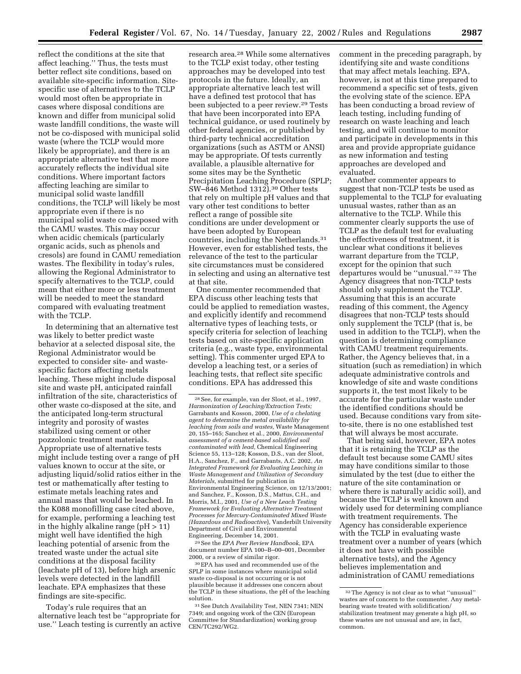reflect the conditions at the site that affect leaching.'' Thus, the tests must better reflect site conditions, based on available site-specific information. Sitespecific use of alternatives to the TCLP would most often be appropriate in cases where disposal conditions are known and differ from municipal solid waste landfill conditions, the waste will not be co-disposed with municipal solid waste (where the TCLP would more likely be appropriate), and there is an appropriate alternative test that more accurately reflects the individual site conditions. Where important factors affecting leaching are similar to municipal solid waste landfill conditions, the TCLP will likely be most appropriate even if there is no municipal solid waste co-disposed with the CAMU wastes. This may occur when acidic chemicals (particularly organic acids, such as phenols and cresols) are found in CAMU remediation wastes. The flexibility in today's rules, allowing the Regional Administrator to specify alternatives to the TCLP, could mean that either more or less treatment will be needed to meet the standard compared with evaluating treatment with the TCLP.

In determining that an alternative test was likely to better predict waste behavior at a selected disposal site, the Regional Administrator would be expected to consider site- and wastespecific factors affecting metals leaching. These might include disposal site and waste pH, anticipated rainfall infiltration of the site, characteristics of other waste co-disposed at the site, and the anticipated long-term structural integrity and porosity of wastes stabilized using cement or other pozzolonic treatment materials. Appropriate use of alternative tests might include testing over a range of pH values known to occur at the site, or adjusting liquid/solid ratios either in the test or mathematically after testing to estimate metals leaching rates and annual mass that would be leached. In the K088 monofilling case cited above, for example, performing a leaching test in the highly alkaline range (pH > 11) might well have identified the high leaching potential of arsenic from the treated waste under the actual site conditions at the disposal facility (leachate pH of 13), before high arsenic levels were detected in the landfill leachate. EPA emphasizes that these findings are site-specific.

Today's rule requires that an alternative leach test be ''appropriate for use.'' Leach testing is currently an active

research area.28 While some alternatives to the TCLP exist today, other testing approaches may be developed into test protocols in the future. Ideally, an appropriate alternative leach test will have a defined test protocol that has been subjected to a peer review.29 Tests that have been incorporated into EPA technical guidance, or used routinely by other federal agencies, or published by third-party technical accreditation organizations (such as ASTM or ANSI) may be appropriate. Of tests currently available, a plausible alternative for some sites may be the Synthetic Precipitation Leaching Procedure (SPLP; SW–846 Method 1312).30 Other tests that rely on multiple pH values and that vary other test conditions to better reflect a range of possible site conditions are under development or have been adopted by European countries, including the Netherlands.31 However, even for established tests, the relevance of the test to the particular site circumstances must be considered in selecting and using an alternative test at that site.

One commenter recommended that EPA discuss other leaching tests that could be applied to remediation wastes, and explicitly identify and recommend alternative types of leaching tests, or specify criteria for selection of leaching tests based on site-specific application criteria (e.g., waste type, environmental setting). This commenter urged EPA to develop a leaching test, or a series of leaching tests, that reflect site specific conditions. EPA has addressed this

29See the *EPA Peer Review Handbook,* EPA document number EPA 100–B–00–001, December 2000, or a review of similar rigor.

30EPA has used and recommended use of the SPLP in some instances where municipal solid waste co-disposal is not occurring or is not plausible because it addresses one concern about the TCLP in these situations, the pH of the leaching solution.

31See Dutch Availability Test, NEN 7341; NEN 7349; and ongoing work of the CEN (European Committee for Standardization) working group CEN/TC292/WG2.

comment in the preceding paragraph, by identifying site and waste conditions that may affect metals leaching. EPA, however, is not at this time prepared to recommend a specific set of tests, given the evolving state of the science. EPA has been conducting a broad review of leach testing, including funding of research on waste leaching and leach testing, and will continue to monitor and participate in developments in this area and provide appropriate guidance as new information and testing approaches are developed and evaluated.

Another commenter appears to suggest that non-TCLP tests be used as supplemental to the TCLP for evaluating unusual wastes, rather than as an alternative to the TCLP. While this commenter clearly supports the use of TCLP as the default test for evaluating the effectiveness of treatment, it is unclear what conditions it believes warrant departure from the TCLP, except for the opinion that such departures would be ''unusual.'' 32 The Agency disagrees that non-TCLP tests should only supplement the TCLP. Assuming that this is an accurate reading of this comment, the Agency disagrees that non-TCLP tests should only supplement the TCLP (that is, be used in addition to the TCLP), when the question is determining compliance with CAMU treatment requirements. Rather, the Agency believes that, in a situation (such as remediation) in which adequate administrative controls and knowledge of site and waste conditions supports it, the test most likely to be accurate for the particular waste under the identified conditions should be used. Because conditions vary from siteto-site, there is no one established test that will always be most accurate.

That being said, however, EPA notes that it is retaining the TCLP as the default test because some CAMU sites may have conditions similar to those simulated by the test (due to either the nature of the site contamination or where there is naturally acidic soil), and because the TCLP is well known and widely used for determining compliance with treatment requirements. The Agency has considerable experience with the TCLP in evaluating waste treatment over a number of years (which it does not have with possible alternative tests), and the Agency believes implementation and administration of CAMU remediations

<sup>28</sup>See, for example, van der Sloot, et al., 1997, *Harmonization of Leaching/Extraction Tests;* Garrabants and Kosson, 2000, *Use of a chelating agent to determine the metal availability for leaching from soils and wastes,* Waste Management 20, 155–165; Sanchez et al., 2000, *Environmental assessment of a cement-based solidified soil contaminated with lead,* Chemical Engineering Science 55, 113–128; Kosson, D.S., van der Sloot, H.A., Sanchez, F., and Garrabants, A.C. 2002, *An Integrated Framework for Evaluating Leaching in Waste Management and Utilization of Secondary Materials,* submitted for publication in Environmental Engineering Science, on 12/13/2001; and Sanchez, F., Kosson, D.S., Mattus, C.H., and Morris, M.I., 2001, *Use of a New Leach Testing Framework for Evaluating Alternative Treatment Processes for Mercury-Contaminated Mixed Waste (Hazardous and Radioactive*), Vanderbilt University Department of Civil and Environmental Engineering, December 14, 2001.

<sup>32</sup>The Agency is not clear as to what ''unusual'' wastes are of concern to the commenter. Any metalbearing waste treated with solidification/ stabilization treatment may generate a high pH, so these wastes are not unusual and are, in fact, common.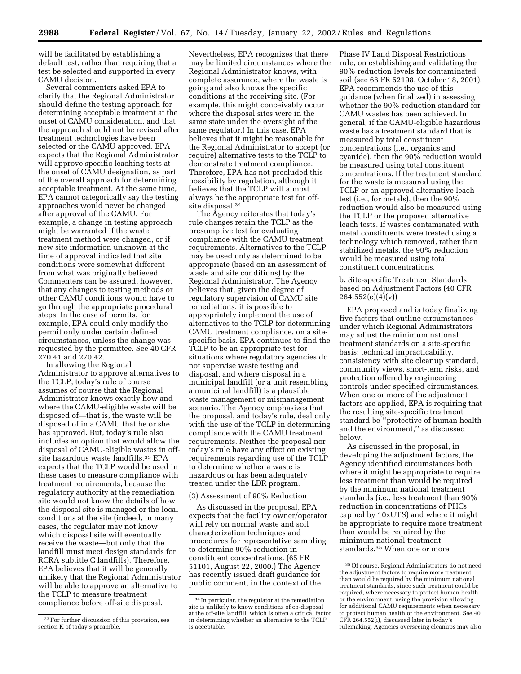will be facilitated by establishing a default test, rather than requiring that a test be selected and supported in every CAMU decision.

Several commenters asked EPA to clarify that the Regional Administrator should define the testing approach for determining acceptable treatment at the onset of CAMU consideration, and that the approach should not be revised after treatment technologies have been selected or the CAMU approved. EPA expects that the Regional Administrator will approve specific leaching tests at the onset of CAMU designation, as part of the overall approach for determining acceptable treatment. At the same time, EPA cannot categorically say the testing approaches would never be changed after approval of the CAMU. For example, a change in testing approach might be warranted if the waste treatment method were changed, or if new site information unknown at the time of approval indicated that site conditions were somewhat different from what was originally believed. Commenters can be assured, however, that any changes to testing methods or other CAMU conditions would have to go through the appropriate procedural steps. In the case of permits, for example, EPA could only modify the permit only under certain defined circumstances, unless the change was requested by the permittee. See 40 CFR 270.41 and 270.42.

In allowing the Regional Administrator to approve alternatives to the TCLP, today's rule of course assumes of course that the Regional Administrator knows exactly how and where the CAMU-eligible waste will be disposed of—that is, the waste will be disposed of in a CAMU that he or she has approved. But, today's rule also includes an option that would allow the disposal of CAMU-eligible wastes in offsite hazardous waste landfills.33 EPA expects that the TCLP would be used in these cases to measure compliance with treatment requirements, because the regulatory authority at the remediation site would not know the details of how the disposal site is managed or the local conditions at the site (indeed, in many cases, the regulator may not know which disposal site will eventually receive the waste—but only that the landfill must meet design standards for RCRA subtitle C landfills). Therefore, EPA believes that it will be generally unlikely that the Regional Administrator will be able to approve an alternative to the TCLP to measure treatment compliance before off-site disposal.

Nevertheless, EPA recognizes that there may be limited circumstances where the Regional Administrator knows, with complete assurance, where the waste is going and also knows the specific conditions at the receiving site. (For example, this might conceivably occur where the disposal sites were in the same state under the oversight of the same regulator.) In this case, EPA believes that it might be reasonable for the Regional Administrator to accept (or require) alternative tests to the TCLP to demonstrate treatment compliance. Therefore, EPA has not precluded this possibility by regulation, although it believes that the TCLP will almost always be the appropriate test for offsite disposal.34

The Agency reiterates that today's rule changes retain the TCLP as the presumptive test for evaluating compliance with the CAMU treatment requirements. Alternatives to the TCLP may be used only as determined to be appropriate (based on an assessment of waste and site conditions) by the Regional Administrator. The Agency believes that, given the degree of regulatory supervision of CAMU site remediations, it is possible to appropriately implement the use of alternatives to the TCLP for determining CAMU treatment compliance, on a sitespecific basis. EPA continues to find the TCLP to be an appropriate test for situations where regulatory agencies do not supervise waste testing and disposal, and where disposal in a municipal landfill (or a unit resembling a municipal landfill) is a plausible waste management or mismanagement scenario. The Agency emphasizes that the proposal, and today's rule, deal only with the use of the TCLP in determining compliance with the CAMU treatment requirements. Neither the proposal nor today's rule have any effect on existing requirements regarding use of the TCLP to determine whether a waste is hazardous or has been adequately treated under the LDR program.

#### (3) Assessment of 90% Reduction

As discussed in the proposal, EPA expects that the facility owner/operator will rely on normal waste and soil characterization techniques and procedures for representative sampling to determine 90% reduction in constituent concentrations. (65 FR 51101, August 22, 2000.) The Agency has recently issued draft guidance for public comment, in the context of the

Phase IV Land Disposal Restrictions rule, on establishing and validating the 90% reduction levels for contaminated soil (see 66 FR 52198, October 18, 2001). EPA recommends the use of this guidance (when finalized) in assessing whether the 90% reduction standard for CAMU wastes has been achieved. In general, if the CAMU-eligible hazardous waste has a treatment standard that is measured by total constituent concentrations (i.e., organics and cyanide), then the 90% reduction would be measured using total constituent concentrations. If the treatment standard for the waste is measured using the TCLP or an approved alternative leach test (i.e., for metals), then the 90% reduction would also be measured using the TCLP or the proposed alternative leach tests. If wastes contaminated with metal constituents were treated using a technology which removed, rather than stabilized metals, the 90% reduction would be measured using total constituent concentrations.

b. Site-specific Treatment Standards based on Adjustment Factors (40 CFR 264.552(e)(4)(v))

EPA proposed and is today finalizing five factors that outline circumstances under which Regional Administrators may adjust the minimum national treatment standards on a site-specific basis: technical impracticability, consistency with site cleanup standard, community views, short-term risks, and protection offered by engineering controls under specified circumstances. When one or more of the adjustment factors are applied, EPA is requiring that the resulting site-specific treatment standard be ''protective of human health and the environment,'' as discussed below.

As discussed in the proposal, in developing the adjustment factors, the Agency identified circumstances both where it might be appropriate to require less treatment than would be required by the minimum national treatment standards (i.e., less treatment than 90% reduction in concentrations of PHCs capped by 10xUTS) and where it might be appropriate to require more treatment than would be required by the minimum national treatment standards.35 When one or more

<sup>33</sup>For further discussion of this provision, see section K of today's preamble.

<sup>34</sup> In particular, the regulator at the remediation site is unlikely to know conditions of co-disposal at the off-site landfill, which is often a critical factor in determining whether an alternative to the TCLP is acceptable.

<sup>35</sup>Of course, Regional Administrators do not need the adjustment factors to require more treatment than would be required by the minimum national treatment standards, since such treatment could be required, where necessary to protect human health or the environment, using the provision allowing for additional CAMU requirements when necessary to protect human health or the environment. See 40 CFR 264.552(i), discussed later in today's rulemaking. Agencies overseeing cleanups may also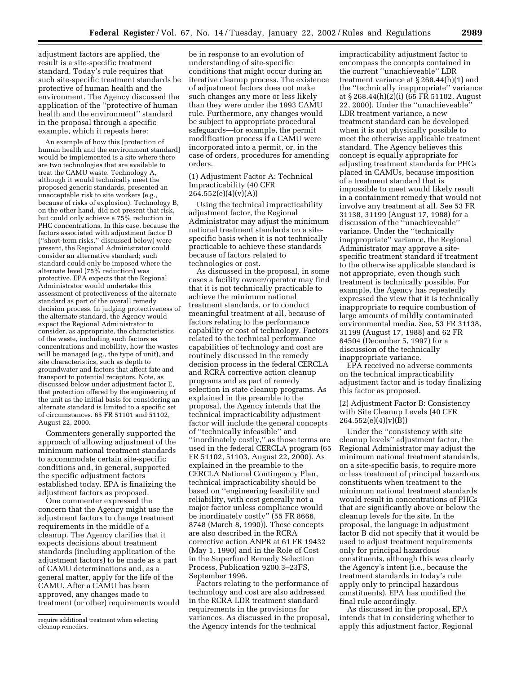adjustment factors are applied, the result is a site-specific treatment standard. Today's rule requires that such site-specific treatment standards be protective of human health and the environment. The Agency discussed the application of the ''protective of human health and the environment'' standard in the proposal through a specific example, which it repeats here:

An example of how this [protection of human health and the environment standard] would be implemented is a site where there are two technologies that are available to treat the CAMU waste. Technology A, although it would technically meet the proposed generic standards, presented an unacceptable risk to site workers (e.g., because of risks of explosion). Technology B, on the other hand, did not present that risk, but could only achieve a 75% reduction in PHC concentrations. In this case, because the factors associated with adjustment factor D (''short-term risks,'' discussed below) were present, the Regional Administrator could consider an alternative standard; such standard could only be imposed where the alternate level (75% reduction) was protective. EPA expects that the Regional Administrator would undertake this assessment of protectiveness of the alternate standard as part of the overall remedy decision process. In judging protectiveness of the alternate standard, the Agency would expect the Regional Administrator to consider, as appropriate, the characteristics of the waste, including such factors as concentrations and mobility, how the wastes will be managed (e.g., the type of unit), and site characteristics, such as depth to groundwater and factors that affect fate and transport to potential receptors. Note, as discussed below under adjustment factor E, that protection offered by the engineering of the unit as the initial basis for considering an alternate standard is limited to a specific set of circumstances. 65 FR 51101 and 51102, August 22, 2000.

Commenters generally supported the approach of allowing adjustment of the minimum national treatment standards to accommodate certain site-specific conditions and, in general, supported the specific adjustment factors established today. EPA is finalizing the adjustment factors as proposed.

One commenter expressed the concern that the Agency might use the adjustment factors to change treatment requirements in the middle of a cleanup. The Agency clarifies that it expects decisions about treatment standards (including application of the adjustment factors) to be made as a part of CAMU determinations and, as a general matter, apply for the life of the CAMU. After a CAMU has been approved, any changes made to treatment (or other) requirements would

be in response to an evolution of understanding of site-specific conditions that might occur during an iterative cleanup process. The existence of adjustment factors does not make such changes any more or less likely than they were under the 1993 CAMU rule. Furthermore, any changes would be subject to appropriate procedural safeguards—for example, the permit modification process if a CAMU were incorporated into a permit, or, in the case of orders, procedures for amending orders.

#### (1) Adjustment Factor A: Technical Impracticability (40 CFR 264.552(e)(4)(v)(A))

Using the technical impracticability adjustment factor, the Regional Administrator may adjust the minimum national treatment standards on a sitespecific basis when it is not technically practicable to achieve these standards because of factors related to technologies or cost.

As discussed in the proposal, in some cases a facility owner/operator may find that it is not technically practicable to achieve the minimum national treatment standards, or to conduct meaningful treatment at all, because of factors relating to the performance capability or cost of technology. Factors related to the technical performance capabilities of technology and cost are routinely discussed in the remedy decision process in the federal CERCLA and RCRA corrective action cleanup programs and as part of remedy selection in state cleanup programs. As explained in the preamble to the proposal, the Agency intends that the technical impracticability adjustment factor will include the general concepts of ''technically infeasible'' and ''inordinately costly,'' as those terms are used in the federal CERCLA program (65 FR 51102, 51103, August 22, 2000). As explained in the preamble to the CERCLA National Contingency Plan, technical impracticability should be based on ''engineering feasibility and reliability, with cost generally not a major factor unless compliance would be inordinately costly'' (55 FR 8666, 8748 (March 8, 1990)). These concepts are also described in the RCRA corrective action ANPR at 61 FR 19432 (May 1, 1990) and in the Role of Cost in the Superfund Remedy Selection Process, Publication 9200.3–23FS, September 1996.

Factors relating to the performance of technology and cost are also addressed in the RCRA LDR treatment standard requirements in the provisions for variances. As discussed in the proposal, the Agency intends for the technical

impracticability adjustment factor to encompass the concepts contained in the current ''unachieveable'' LDR treatment variance at § 268.44(h)(1) and the ''technically inappropriate'' variance at § 268.44(h)(2)(i) (65 FR 51102, August 22, 2000). Under the ''unachieveable'' LDR treatment variance, a new treatment standard can be developed when it is not physically possible to meet the otherwise applicable treatment standard. The Agency believes this concept is equally appropriate for adjusting treatment standards for PHCs placed in CAMUs, because imposition of a treatment standard that is impossible to meet would likely result in a containment remedy that would not involve any treatment at all. See 53 FR 31138, 31199 (August 17, 1988) for a discussion of the ''unachieveable'' variance. Under the ''technically inappropriate'' variance, the Regional Administrator may approve a sitespecific treatment standard if treatment to the otherwise applicable standard is not appropriate, even though such treatment is technically possible. For example, the Agency has repeatedly expressed the view that it is technically inappropriate to require combustion of large amounts of mildly contaminated environmental media. See, 53 FR 31138, 31199 (August 17, 1988) and 62 FR 64504 (December 5, 1997) for a discussion of the technically inappropriate variance.

EPA received no adverse comments on the technical impracticability adjustment factor and is today finalizing this factor as proposed.

(2) Adjustment Factor B: Consistency with Site Cleanup Levels (40 CFR 264.552(e)(4)(v)(B))

Under the ''consistency with site cleanup levels'' adjustment factor, the Regional Administrator may adjust the minimum national treatment standards, on a site-specific basis, to require more or less treatment of principal hazardous constituents when treatment to the minimum national treatment standards would result in concentrations of PHCs that are significantly above or below the cleanup levels for the site. In the proposal, the language in adjustment factor B did not specify that it would be used to adjust treatment requirements only for principal hazardous constituents, although this was clearly the Agency's intent (i.e., because the treatment standards in today's rule apply only to principal hazardous constituents). EPA has modified the final rule accordingly.

As discussed in the proposal, EPA intends that in considering whether to apply this adjustment factor, Regional

require additional treatment when selecting cleanup remedies.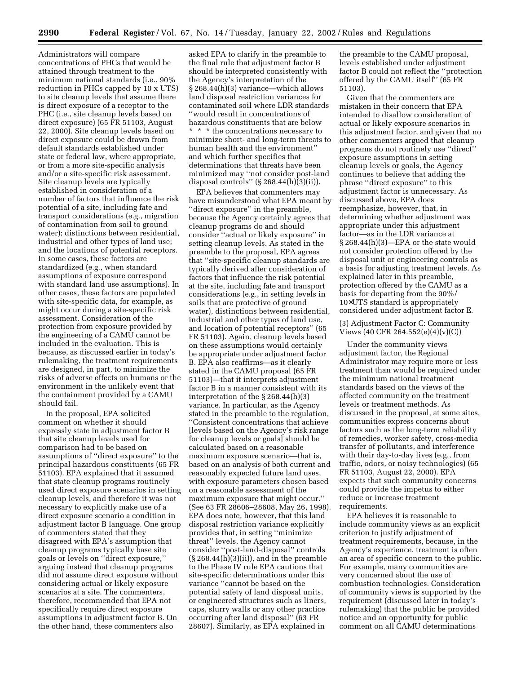Administrators will compare concentrations of PHCs that would be attained through treatment to the minimum national standards (i.e., 90% reduction in PHCs capped by 10 x UTS) to site cleanup levels that assume there is direct exposure of a receptor to the PHC (i.e., site cleanup levels based on direct exposure) (65 FR 51103, August 22, 2000). Site cleanup levels based on direct exposure could be drawn from default standards established under state or federal law, where appropriate, or from a more site-specific analysis and/or a site-specific risk assessment. Site cleanup levels are typically established in consideration of a number of factors that influence the risk potential of a site, including fate and transport considerations (e.g., migration of contamination from soil to ground water); distinctions between residential, industrial and other types of land use; and the locations of potential receptors. In some cases, these factors are standardized (e.g., when standard assumptions of exposure correspond with standard land use assumptions). In other cases, these factors are populated with site-specific data, for example, as might occur during a site-specific risk assessment. Consideration of the protection from exposure provided by the engineering of a CAMU cannot be included in the evaluation. This is because, as discussed earlier in today's rulemaking, the treatment requirements are designed, in part, to minimize the risks of adverse effects on humans or the environment in the unlikely event that the containment provided by a CAMU should fail.

In the proposal, EPA solicited comment on whether it should expressly state in adjustment factor B that site cleanup levels used for comparison had to be based on assumptions of ''direct exposure'' to the principal hazardous constituents (65 FR 51103). EPA explained that it assumed that state cleanup programs routinely used direct exposure scenarios in setting cleanup levels, and therefore it was not necessary to explicitly make use of a direct exposure scenario a condition in adjustment factor B language. One group of commenters stated that they disagreed with EPA's assumption that cleanup programs typically base site goals or levels on ''direct exposure,'' arguing instead that cleanup programs did not assume direct exposure without considering actual or likely exposure scenarios at a site. The commenters, therefore, recommended that EPA not specifically require direct exposure assumptions in adjustment factor B. On the other hand, these commenters also

asked EPA to clarify in the preamble to the final rule that adjustment factor B should be interpreted consistently with the Agency's interpretation of the § 268.44(h)(3) variance—which allows land disposal restriction variances for contaminated soil where LDR standards ''would result in concentrations of hazardous constituents that are below \* \* \* the concentrations necessary to minimize short- and long-term threats to human health and the environment'' and which further specifies that determinations that threats have been minimized may ''not consider post-land disposal controls" (§ 268.44(h) $\overline{3}$ (ii)).

EPA believes that commenters may have misunderstood what EPA meant by ''direct exposure'' in the preamble, because the Agency certainly agrees that cleanup programs do and should consider ''actual or likely exposure'' in setting cleanup levels. As stated in the preamble to the proposal, EPA agrees that ''site-specific cleanup standards are typically derived after consideration of factors that influence the risk potential at the site, including fate and transport considerations (e.g., in setting levels in soils that are protective of ground water), distinctions between residential, industrial and other types of land use, and location of potential receptors'' (65 FR 51103). Again, cleanup levels based on these assumptions would certainly be appropriate under adjustment factor B. EPA also reaffirms—as it clearly stated in the CAMU proposal (65 FR 51103)—that it interprets adjustment factor B in a manner consistent with its interpretation of the § 268.44(h)(3) variance. In particular, as the Agency stated in the preamble to the regulation, ''Consistent concentrations that achieve [levels based on the Agency's risk range for cleanup levels or goals] should be calculated based on a reasonable maximum exposure scenario—that is, based on an analysis of both current and reasonably expected future land uses, with exposure parameters chosen based on a reasonable assessment of the maximum exposure that might occur.'' (See 63 FR 28606–28608, May 26, 1998). EPA does note, however, that this land disposal restriction variance explicitly provides that, in setting ''minimize threat'' levels, the Agency cannot consider ''post-land-disposal'' controls  $(\S 268.44(h)(3)(ii))$ , and in the preamble to the Phase IV rule EPA cautions that site-specific determinations under this variance ''cannot be based on the potential safety of land disposal units, or engineered structures such as liners, caps, slurry walls or any other practice occurring after land disposal'' (63 FR 28607). Similarly, as EPA explained in

the preamble to the CAMU proposal, levels established under adjustment factor B could not reflect the ''protection offered by the CAMU itself'' (65 FR 51103).

Given that the commenters are mistaken in their concern that EPA intended to disallow consideration of actual or likely exposure scenarios in this adjustment factor, and given that no other commenters argued that cleanup programs do not routinely use ''direct'' exposure assumptions in setting cleanup levels or goals, the Agency continues to believe that adding the phrase ''direct exposure'' to this adjustment factor is unnecessary. As discussed above, EPA does reemphasize, however, that, in determining whether adjustment was appropriate under this adjustment factor—as in the LDR variance at § 268.44(h)(3)—EPA or the state would not consider protection offered by the disposal unit or engineering controls as a basis for adjusting treatment levels. As explained later in this preamble, protection offered by the CAMU as a basis for departing from the 90%/ 10×UTS standard is appropriately considered under adjustment factor E.

(3) Adjustment Factor C: Community Views (40 CFR 264.552(e)(4)(v)(C))

Under the community views adjustment factor, the Regional Administrator may require more or less treatment than would be required under the minimum national treatment standards based on the views of the affected community on the treatment levels or treatment methods. As discussed in the proposal, at some sites, communities express concerns about factors such as the long-term reliability of remedies, worker safety, cross-media transfer of pollutants, and interference with their day-to-day lives (e.g., from traffic, odors, or noisy technologies) (65 FR 51103, August 22, 2000). EPA expects that such community concerns could provide the impetus to either reduce or increase treatment requirements.

EPA believes it is reasonable to include community views as an explicit criterion to justify adjustment of treatment requirements, because, in the Agency's experience, treatment is often an area of specific concern to the public. For example, many communities are very concerned about the use of combustion technologies. Consideration of community views is supported by the requirement (discussed later in today's rulemaking) that the public be provided notice and an opportunity for public comment on all CAMU determinations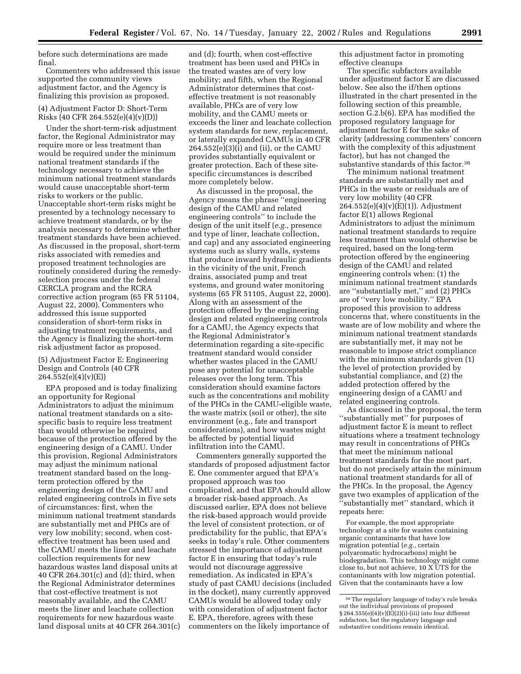before such determinations are made final.

Commenters who addressed this issue supported the community views adjustment factor, and the Agency is finalizing this provision as proposed.

#### (4) Adjustment Factor D: Short-Term Risks (40 CFR 264.552(e)(4)(v)(D))

Under the short-term-risk adjustment factor, the Regional Administrator may require more or less treatment than would be required under the minimum national treatment standards if the technology necessary to achieve the minimum national treatment standards would cause unacceptable short-term risks to workers or the public. Unacceptable short-term risks might be presented by a technology necessary to achieve treatment standards, or by the analysis necessary to determine whether treatment standards have been achieved. As discussed in the proposal, short-term risks associated with remedies and proposed treatment technologies are routinely considered during the remedyselection process under the federal CERCLA program and the RCRA corrective action program (65 FR 51104, August 22, 2000). Commenters who addressed this issue supported consideration of short-term risks in adjusting treatment requirements, and the Agency is finalizing the short-term risk adjustment factor as proposed.

#### (5) Adjustment Factor E: Engineering Design and Controls (40 CFR  $264.552(e)(4)(v)(E)$

EPA proposed and is today finalizing an opportunity for Regional Administrators to adjust the minimum national treatment standards on a sitespecific basis to require less treatment than would otherwise be required because of the protection offered by the engineering design of a CAMU. Under this provision, Regional Administrators may adjust the minimum national treatment standard based on the longterm protection offered by the engineering design of the CAMU and related engineering controls in five sets of circumstances: first, when the minimum national treatment standards are substantially met and PHCs are of very low mobility; second, when costeffective treatment has been used and the CAMU meets the liner and leachate collection requirements for new hazardous wastes land disposal units at 40 CFR 264.301(c) and (d); third, when the Regional Administrator determines that cost-effective treatment is not reasonably available, and the CAMU meets the liner and leachate collection requirements for new hazardous waste land disposal units at 40 CFR 264.301(c)

and (d); fourth, when cost-effective treatment has been used and PHCs in the treated wastes are of very low mobility; and fifth, when the Regional Administrator determines that costeffective treatment is not reasonably available, PHCs are of very low mobility, and the CAMU meets or exceeds the liner and leachate collection system standards for new, replacement, or laterally expanded CAMUs in 40 CFR 264.552(e)(3)(i) and (ii), or the CAMU provides substantially equivalent or greater protection. Each of these sitespecific circumstances is described more completely below.

As discussed in the proposal, the Agency means the phrase ''engineering design of the CAMU and related engineering controls'' to include the design of the unit itself (*e.g.*, presence and type of liner, leachate collection, and cap) and any associated engineering systems such as slurry walls, systems that produce inward hydraulic gradients in the vicinity of the unit, French drains, associated pump and treat systems, and ground water monitoring systems (65 FR 51105, August 22, 2000). Along with an assessment of the protection offered by the engineering design and related engineering controls for a CAMU, the Agency expects that the Regional Administrator's determination regarding a site-specific treatment standard would consider whether wastes placed in the CAMU pose any potential for unacceptable releases over the long term. This consideration should examine factors such as the concentrations and mobility of the PHCs in the CAMU-eligible waste, the waste matrix (soil or other), the site environment (e.g., fate and transport considerations), and how wastes might be affected by potential liquid infiltration into the CAMU.

Commenters generally supported the standards of proposed adjustment factor E. One commenter argued that EPA's proposed approach was too complicated, and that EPA should allow a broader risk-based approach. As discussed earlier, EPA does not believe the risk-based approach would provide the level of consistent protection, or of predictability for the public, that EPA's seeks in today's rule. Other commenters stressed the importance of adjustment factor E in ensuring that today's rule would not discourage aggressive remediation. As indicated in EPA's study of past CAMU decisions (included in the docket), many currently approved CAMUs would be allowed today only with consideration of adjustment factor E. EPA, therefore, agrees with these commenters on the likely importance of

this adjustment factor in promoting effective cleanups

The specific subfactors available under adjustment factor E are discussed below. See also the if/then options illustrated in the chart presented in the following section of this preamble, section G.2.b(6). EPA has modified the proposed regulatory language for adjustment factor E for the sake of clarity (addressing commenters' concern with the complexity of this adjustment factor), but has not changed the substantive standards of this factor.<sup>36</sup>

The minimum national treatment standards are substantially met and PHCs in the waste or residuals are of very low mobility (40 CFR 264.552(e)(4)(v)(E)(1)). Adjustment factor E(1) allows Regional Administrators to adjust the minimum national treatment standards to require less treatment than would otherwise be required, based on the long-term protection offered by the engineering design of the CAMU and related engineering controls when: (1) the minimum national treatment standards are ''substantially met,'' and (2) PHCs are of ''very low mobility.'' EPA proposed this provision to address concerns that, where constituents in the waste are of low mobility and where the minimum national treatment standards are substantially met, it may not be reasonable to impose strict compliance with the minimum standards given  $(1)$ the level of protection provided by substantial compliance, and (2) the added protection offered by the engineering design of a CAMU and related engineering controls.

As discussed in the proposal, the term ''substantially met'' for purposes of adjustment factor E is meant to reflect situations where a treatment technology may result in concentrations of PHCs that meet the minimum national treatment standards for the most part, but do not precisely attain the minimum national treatment standards for all of the PHCs. In the proposal, the Agency gave two examples of application of the 'substantially met" standard, which it repeats here:

For example, the most appropriate technology at a site for wastes containing organic contaminants that have low migration potential (*e.g.*, certain polyaromatic hydrocarbons) might be biodegradation. This technology might come close to, but not achieve, 10 X UTS for the contaminants with low migration potential. Given that the contaminants have a low

<sup>36</sup>The regulatory language of today's rule breaks out the individual provisions of proposed § 264.555(e)(4)(v)( $\vec{E}$ )(2)(i)-(iii) into four different subfactors, but the regulatory language and substantive conditions remain identical.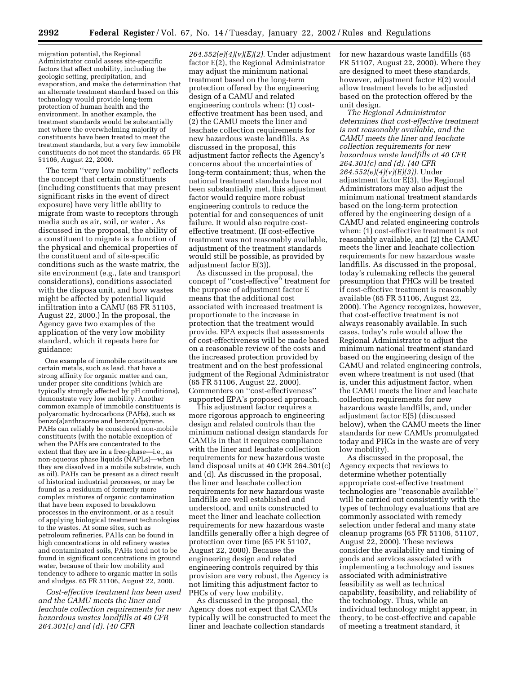migration potential, the Regional Administrator could assess site-specific factors that affect mobility, including the geologic setting, precipitation, and evaporation, and make the determination that an alternate treatment standard based on this technology would provide long-term protection of human health and the environment. In another example, the treatment standards would be substantially met where the overwhelming majority of constituents have been treated to meet the treatment standards, but a very few immobile constituents do not meet the standards. 65 FR 51106, August 22, 2000.

The term ''very low mobility'' reflects the concept that certain constituents (including constituents that may present significant risks in the event of direct exposure) have very little ability to migrate from waste to receptors through media such as air, soil, or water . As discussed in the proposal, the ability of a constituent to migrate is a function of the physical and chemical properties of the constituent and of site-specific conditions such as the waste matrix, the site environment (e.g., fate and transport considerations), conditions associated with the disposa unit, and how wastes might be affected by potential liquid infiltration into a CAMU (65 FR 51105, August 22, 2000.) In the proposal, the Agency gave two examples of the application of the very low mobility standard, which it repeats here for guidance:

One example of immobile constituents are certain metals, such as lead, that have a strong affinity for organic matter and can, under proper site conditions (which are typically strongly affected by pH conditions), demonstrate very low mobility. Another common example of immobile constituents is polyaromatic hydrocarbons (PAHs), such as benzo(a)anthracene and benzo(a)pyrene. PAHs can reliably be considered non-mobile constituents (with the notable exception of when the PAHs are concentrated to the extent that they are in a free-phase—i.e., as non-aqueous phase liquids (NAPLs)—when they are dissolved in a mobile substrate, such as oil). PAHs can be present as a direct result of historical industrial processes, or may be found as a residuum of formerly more complex mixtures of organic contamination that have been exposed to breakdown processes in the environment, or as a result of applying biological treatment technologies to the wastes. At some sites, such as petroleum refineries, PAHs can be found in high concentrations in old refinery wastes and contaminated soils, PAHs tend not to be found in significant concentrations in ground water, because of their low mobility and tendency to adhere to organic matter in soils and sludges. 65 FR 51106, August 22, 2000.

*Cost-effective treatment has been used and the CAMU meets the liner and leachate collection requirements for new hazardous wastes landfills at 40 CFR 264.301(c) and (d). (40 CFR*

*264.552(e)(4)(v)(E)(2).* Under adjustment factor E(2), the Regional Administrator may adjust the minimum national treatment based on the long-term protection offered by the engineering design of a CAMU and related engineering controls when: (1) costeffective treatment has been used, and (2) the CAMU meets the liner and leachate collection requirements for new hazardous waste landfills. As discussed in the proposal, this adjustment factor reflects the Agency's concerns about the uncertainties of long-term containment; thus, when the national treatment standards have not been substantially met, this adjustment factor would require more robust engineering controls to reduce the potential for and consequences of unit failure. It would also require costeffective treatment. (If cost-effective treatment was not reasonably available, adjustment of the treatment standards would still be possible, as provided by adjustment factor E(3)).

As discussed in the proposal, the concept of ''cost-effective'' treatment for the purpose of adjustment factor E means that the additional cost associated with increased treatment is proportionate to the increase in protection that the treatment would provide. EPA expects that assessments of cost-effectiveness will be made based on a reasonable review of the costs and the increased protection provided by treatment and on the best professional judgment of the Regional Administrator (65 FR 51106, August 22, 2000). Commenters on ''cost-effectiveness'' supported EPA's proposed approach.

This adjustment factor requires a more rigorous approach to engineering design and related controls than the minimum national design standards for CAMUs in that it requires compliance with the liner and leachate collection requirements for new hazardous waste land disposal units at 40 CFR 264.301(c) and (d). As discussed in the proposal, the liner and leachate collection requirements for new hazardous waste landfills are well established and understood, and units constructed to meet the liner and leachate collection requirements for new hazardous waste landfills generally offer a high degree of protection over time (65 FR 51107, August 22, 2000). Because the engineering design and related engineering controls required by this provision are very robust, the Agency is not limiting this adjustment factor to PHCs of very low mobility.

As discussed in the proposal, the Agency does not expect that CAMUs typically will be constructed to meet the liner and leachate collection standards

for new hazardous waste landfills (65 FR 51107, August 22, 2000). Where they are designed to meet these standards, however, adjustment factor E(2) would allow treatment levels to be adjusted based on the protection offered by the unit design.

*The Regional Administrator determines that cost-effective treatment is not reasonably available, and the CAMU meets the liner and leachate collection requirements for new hazardous waste landfills at 40 CFR 264.301(c) and (d). (40 CFR 264.552(e)(4)(v)(E)(3)).* Under adjustment factor E(3), the Regional Administrators may also adjust the minimum national treatment standards based on the long-term protection offered by the engineering design of a CAMU and related engineering controls when: (1) cost-effective treatment is not reasonably available, and (2) the CAMU meets the liner and leachate collection requirements for new hazardous waste landfills. As discussed in the proposal, today's rulemaking reflects the general presumption that PHCs will be treated if cost-effective treatment is reasonably available (65 FR 51106, August 22, 2000). The Agency recognizes, however, that cost-effective treatment is not always reasonably available. In such cases, today's rule would allow the Regional Administrator to adjust the minimum national treatment standard based on the engineering design of the CAMU and related engineering controls, even where treatment is not used (that is, under this adjustment factor, when the CAMU meets the liner and leachate collection requirements for new hazardous waste landfills, and, under adjustment factor E(5) (discussed below), when the CAMU meets the liner standards for new CAMUs promulgated today and PHCs in the waste are of very low mobility).

As discussed in the proposal, the Agency expects that reviews to determine whether potentially appropriate cost-effective treatment technologies are ''reasonable available'' will be carried out consistently with the types of technology evaluations that are commonly associated with remedy selection under federal and many state cleanup programs (65 FR 51106, 51107, August 22, 2000). These reviews consider the availability and timing of goods and services associated with implementing a technology and issues associated with administrative feasibility as well as technical capability, feasibility, and reliability of the technology. Thus, while an individual technology might appear, in theory, to be cost-effective and capable of meeting a treatment standard, it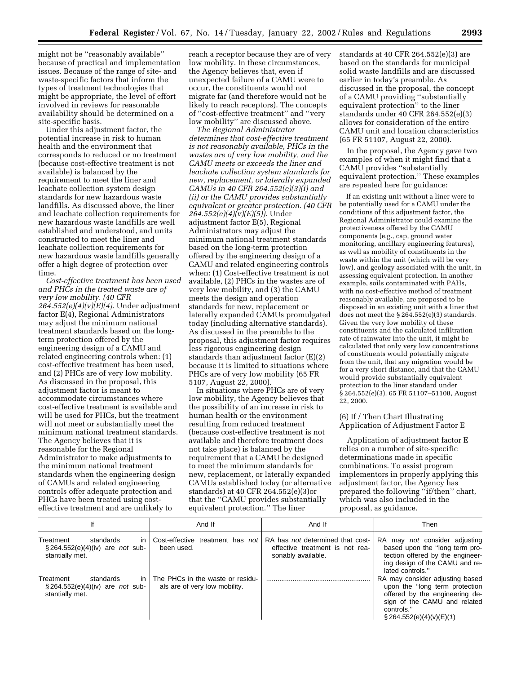might not be ''reasonably available'' because of practical and implementation issues. Because of the range of site- and waste-specific factors that inform the types of treatment technologies that might be appropriate, the level of effort involved in reviews for reasonable availability should be determined on a site-specific basis.

Under this adjustment factor, the potential increase in risk to human health and the environment that corresponds to reduced or no treatment (because cost-effective treatment is not available) is balanced by the requirement to meet the liner and leachate collection system design standards for new hazardous waste landfills. As discussed above, the liner and leachate collection requirements for new hazardous waste landfills are well established and understood, and units constructed to meet the liner and leachate collection requirements for new hazardous waste landfills generally offer a high degree of protection over time.

*Cost-effective treatment has been used and PHCs in the treated waste are of very low mobility. (40 CFR 264.552(e)(4)(v)(E)(4).* Under adjustment factor E(4), Regional Administrators may adjust the minimum national treatment standards based on the longterm protection offered by the engineering design of a CAMU and related engineering controls when: (1) cost-effective treatment has been used, and (2) PHCs are of very low mobility. As discussed in the proposal, this adjustment factor is meant to accommodate circumstances where cost-effective treatment is available and will be used for PHCs, but the treatment will not meet or substantially meet the minimum national treatment standards. The Agency believes that it is reasonable for the Regional Administrator to make adjustments to the minimum national treatment standards when the engineering design of CAMUs and related engineering controls offer adequate protection and PHCs have been treated using costeffective treatment and are unlikely to

reach a receptor because they are of very low mobility. In these circumstances, the Agency believes that, even if unexpected failure of a CAMU were to occur, the constituents would not migrate far (and therefore would not be likely to reach receptors). The concepts of ''cost-effective treatment'' and ''very low mobility'' are discussed above.

*The Regional Administrator determines that cost-effective treatment is not reasonably available, PHCs in the wastes are of very low mobility, and the CAMU meets or exceeds the liner and leachate collection system standards for new, replacement, or laterally expanded CAMUs in 40 CFR 264.552(e)(3)(i) and (ii) or the CAMU provides substantially equivalent or greater protection. (40 CFR 264.552(e)(4)(v)(E)(5)).* Under adjustment factor E(5), Regional Administrators may adjust the minimum national treatment standards based on the long-term protection offered by the engineering design of a CAMU and related engineering controls when: (1) Cost-effective treatment is not available, (2) PHCs in the wastes are of very low mobility, and (3) the CAMU meets the design and operation standards for new, replacement or laterally expanded CAMUs promulgated today (including alternative standards). As discussed in the preamble to the proposal, this adjustment factor requires less rigorous engineering design standards than adjustment factor (E)(2) because it is limited to situations where PHCs are of very low mobility (65 FR 5107, August 22, 2000).

In situations where PHCs are of very low mobility, the Agency believes that the possibility of an increase in risk to human health or the environment resulting from reduced treatment (because cost-effective treatment is not available and therefore treatment does not take place) is balanced by the requirement that a CAMU be designed to meet the minimum standards for new, replacement, or laterally expanded CAMUs established today (or alternative standards) at 40 CFR 264.552(e)(3)or that the ''CAMU provides substantially equivalent protection.'' The liner

standards at 40 CFR 264.552(e)(3) are based on the standards for municipal solid waste landfills and are discussed earlier in today's preamble. As discussed in the proposal, the concept of a CAMU providing ''substantially equivalent protection'' to the liner standards under 40 CFR 264.552(e)(3) allows for consideration of the entire CAMU unit and location characteristics (65 FR 51107, August 22, 2000).

In the proposal, the Agency gave two examples of when it might find that a CAMU provides ''substantially equivalent protection.'' These examples are repeated here for guidance:

If an existing unit without a liner were to be potentially used for a CAMU under the conditions of this adjustment factor, the Regional Administrator could examine the protectiveness offered by the CAMU components (e.g., cap, ground water monitoring, ancillary engineering features), as well as mobility of constituents in the waste within the unit (which will be very low), and geology associated with the unit, in assessing equivalent protection. In another example, soils contaminated with PAHs, with no cost-effective method of treatment reasonably available, are proposed to be disposed in an existing unit with a liner that does not meet the § 264.552(e)(3) standards. Given the very low mobility of these constituents and the calculated infiltration rate of rainwater into the unit, it might be calculated that only very low concentrations of constituents would potentially migrate from the unit, that any migration would be for a very short distance, and that the CAMU would provide substantially equivalent protection to the liner standard under § 264.552(e)(3). 65 FR 51107-51108, August 22, 2000.

#### (6) If / Then Chart Illustrating Application of Adjustment Factor E

Application of adjustment factor E relies on a number of site-specific determinations made in specific combinations. To assist program implementors in properly applying this adjustment factor, the Agency has prepared the following ''if/then'' chart, which was also included in the proposal, as guidance.

| lf                                                                                            | And If                                                            | And If                                                                                           | Then                                                                                                                                                                             |
|-----------------------------------------------------------------------------------------------|-------------------------------------------------------------------|--------------------------------------------------------------------------------------------------|----------------------------------------------------------------------------------------------------------------------------------------------------------------------------------|
| Treatment<br>standards<br>ın<br>$\S 264.552(e)(4)(iv)$ are <i>not</i> sub-<br>stantially met. | Cost-effective treatment has not<br>been used.                    | RA has <i>not</i> determined that cost-<br>effective treatment is not rea-<br>sonably available. | RA may not consider adjusting<br>based upon the "long term pro-<br>tection offered by the engineer-<br>ing design of the CAMU and re-<br>lated controls."                        |
| standards<br>Treatment<br>in<br>$\S 264.552(e)(4)(iv)$ are <i>not</i> sub-<br>stantially met. | The PHCs in the waste or residu-<br>als are of very low mobility. |                                                                                                  | RA may consider adjusting based<br>upon the "long term protection<br>offered by the engineering de-<br>sign of the CAMU and related<br>controls."<br>$\S 264.552(e)(4)(v)(E)(1)$ |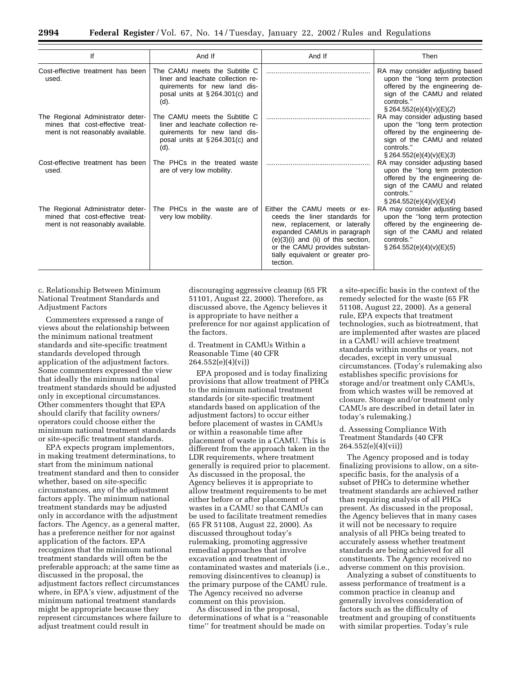| lf                                                                                                         | And If                                                                                                                                           | And If                                                                                                                                                                                                                                                      | Then                                                                                                                                                                             |
|------------------------------------------------------------------------------------------------------------|--------------------------------------------------------------------------------------------------------------------------------------------------|-------------------------------------------------------------------------------------------------------------------------------------------------------------------------------------------------------------------------------------------------------------|----------------------------------------------------------------------------------------------------------------------------------------------------------------------------------|
| Cost-effective treatment has been<br>used.                                                                 | The CAMU meets the Subtitle C<br>liner and leachate collection re-<br>quirements for new land dis-<br>posal units at $\S 264.301(c)$ and<br>(d). |                                                                                                                                                                                                                                                             | RA may consider adjusting based<br>upon the "long term protection<br>offered by the engineering de-<br>sign of the CAMU and related<br>controls."<br>$\S 264.552(e)(4)(v)(E)(2)$ |
| The Regional Administrator deter-<br>mines that cost-effective treat-<br>ment is not reasonably available. | The CAMU meets the Subtitle C<br>liner and leachate collection re-<br>quirements for new land dis-<br>posal units at $\S 264.301(c)$ and<br>(d). |                                                                                                                                                                                                                                                             | RA may consider adjusting based<br>upon the "long term protection<br>offered by the engineering de-<br>sign of the CAMU and related<br>controls."<br>$\S 264.552(e)(4)(v)(E)(3)$ |
| Cost-effective treatment has been<br>used.                                                                 | The PHCs in the treated waste<br>are of very low mobility.                                                                                       |                                                                                                                                                                                                                                                             | RA may consider adjusting based<br>upon the "long term protection<br>offered by the engineering de-<br>sign of the CAMU and related<br>controls."<br>$\S 264.552(e)(4)(v)(E)(4)$ |
| The Regional Administrator deter-<br>mined that cost-effective treat-<br>ment is not reasonably available. | The PHCs in the waste are of<br>very low mobility.                                                                                               | Either the CAMU meets or ex-<br>ceeds the liner standards for<br>new, replacement, or laterally<br>expanded CAMUs in paragraph<br>$(e)(3)(i)$ and $(ii)$ of this section,<br>or the CAMU provides substan-<br>tially equivalent or greater pro-<br>tection. | RA may consider adjusting based<br>upon the "long term protection<br>offered by the engineering de-<br>sign of the CAMU and related<br>controls."<br>$\S 264.552(e)(4)(v)(E)(5)$ |

c. Relationship Between Minimum National Treatment Standards and Adjustment Factors

Commenters expressed a range of views about the relationship between the minimum national treatment standards and site-specific treatment standards developed through application of the adjustment factors. Some commenters expressed the view that ideally the minimum national treatment standards should be adjusted only in exceptional circumstances. Other commenters thought that EPA should clarify that facility owners/ operators could choose either the minimum national treatment standards or site-specific treatment standards.

EPA expects program implementors, in making treatment determinations, to start from the minimum national treatment standard and then to consider whether, based on site-specific circumstances, any of the adjustment factors apply. The minimum national treatment standards may be adjusted only in accordance with the adjustment factors. The Agency, as a general matter, has a preference neither for nor against application of the factors. EPA recognizes that the minimum national treatment standards will often be the preferable approach; at the same time as discussed in the proposal, the adjustment factors reflect circumstances where, in EPA's view, adjustment of the minimum national treatment standards might be appropriate because they represent circumstances where failure to adjust treatment could result in

discouraging aggressive cleanup (65 FR 51101, August 22, 2000). Therefore, as discussed above, the Agency believes it is appropriate to have neither a preference for nor against application of the factors.

#### d. Treatment in CAMUs Within a Reasonable Time (40 CFR 264.552(e)(4)(vi))

EPA proposed and is today finalizing provisions that allow treatment of PHCs to the minimum national treatment standards (or site-specific treatment standards based on application of the adjustment factors) to occur either before placement of wastes in CAMUs or within a reasonable time after placement of waste in a CAMU. This is different from the approach taken in the LDR requirements, where treatment generally is required prior to placement. As discussed in the proposal, the Agency believes it is appropriate to allow treatment requirements to be met either before or after placement of wastes in a CAMU so that CAMUs can be used to facilitate treatment remedies (65 FR 51108, August 22, 2000). As discussed throughout today's rulemaking, promoting aggressive remedial approaches that involve excavation and treatment of contaminated wastes and materials (i.e., removing disincentives to cleanup) is the primary purpose of the CAMU rule. The Agency received no adverse comment on this provision.

As discussed in the proposal, determinations of what is a ''reasonable time'' for treatment should be made on

a site-specific basis in the context of the remedy selected for the waste (65 FR 51108, August 22, 2000). As a general rule, EPA expects that treatment technologies, such as biotreatment, that are implemented after wastes are placed in a CAMU will achieve treatment standards within months or years, not decades, except in very unusual circumstances. (Today's rulemaking also establishes specific provisions for storage and/or treatment only CAMUs, from which wastes will be removed at closure. Storage and/or treatment only CAMUs are described in detail later in today's rulemaking.)

#### d. Assessing Compliance With Treatment Standards (40 CFR 264.552(e)(4)(vii))

The Agency proposed and is today finalizing provisions to allow, on a sitespecific basis, for the analysis of a subset of PHCs to determine whether treatment standards are achieved rather than requiring analysis of all PHCs present. As discussed in the proposal, the Agency believes that in many cases it will not be necessary to require analysis of all PHCs being treated to accurately assess whether treatment standards are being achieved for all constituents. The Agency received no adverse comment on this provision.

Analyzing a subset of constituents to assess performance of treatment is a common practice in cleanup and generally involves consideration of factors such as the difficulty of treatment and grouping of constituents with similar properties. Today's rule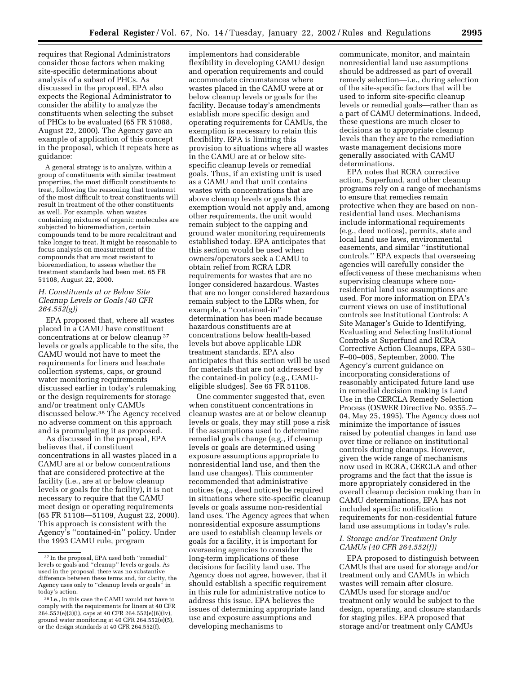requires that Regional Administrators consider those factors when making site-specific determinations about analysis of a subset of PHCs. As discussed in the proposal, EPA also expects the Regional Administrator to consider the ability to analyze the constituents when selecting the subset of PHCs to be evaluated (65 FR 51088, August 22, 2000). The Agency gave an example of application of this concept in the proposal, which it repeats here as guidance:

A general strategy is to analyze, within a group of constituents with similar treatment properties, the most difficult constituents to treat, following the reasoning that treatment of the most difficult to treat constituents will result in treatment of the other constituents as well. For example, when wastes containing mixtures of organic molecules are subjected to bioremediation, certain compounds tend to be more recalcitrant and take longer to treat. It might be reasonable to focus analysis on measurement of the compounds that are most resistant to bioremediation, to assess whether the treatment standards had been met. 65 FR 51108, August 22, 2000.

#### *H. Constituents at or Below Site Cleanup Levels or Goals (40 CFR 264.552(g))*

EPA proposed that, where all wastes placed in a CAMU have constituent concentrations at or below cleanup 37 levels or goals applicable to the site, the CAMU would not have to meet the requirements for liners and leachate collection systems, caps, or ground water monitoring requirements discussed earlier in today's rulemaking or the design requirements for storage and/or treatment only CAMUs discussed below.38 The Agency received no adverse comment on this approach and is promulgating it as proposed.

As discussed in the proposal, EPA believes that, if constituent concentrations in all wastes placed in a CAMU are at or below concentrations that are considered protective at the facility (i.e., are at or below cleanup levels or goals for the facility), it is not necessary to require that the CAMU meet design or operating requirements (65 FR 51108—51109, August 22, 2000). This approach is consistent with the Agency's ''contained-in'' policy. Under the 1993 CAMU rule, program

implementors had considerable flexibility in developing CAMU design and operation requirements and could accommodate circumstances where wastes placed in the CAMU were at or below cleanup levels or goals for the facility. Because today's amendments establish more specific design and operating requirements for CAMUs, the exemption is necessary to retain this flexibility. EPA is limiting this provision to situations where all wastes in the CAMU are at or below sitespecific cleanup levels or remedial goals. Thus, if an existing unit is used as a CAMU and that unit contains wastes with concentrations that are above cleanup levels or goals this exemption would not apply and, among other requirements, the unit would remain subject to the capping and ground water monitoring requirements established today. EPA anticipates that this section would be used when owners/operators seek a CAMU to obtain relief from RCRA LDR requirements for wastes that are no longer considered hazardous. Wastes that are no longer considered hazardous remain subject to the LDRs when, for example, a ''contained-in'' determination has been made because hazardous constituents are at concentrations below health-based levels but above applicable LDR treatment standards. EPA also anticipates that this section will be used for materials that are not addressed by the contained-in policy (e.g., CAMUeligible sludges). See 65 FR 51108.

One commenter suggested that, even when constituent concentrations in cleanup wastes are at or below cleanup levels or goals, they may still pose a risk if the assumptions used to determine remedial goals change (e.g., if cleanup levels or goals are determined using exposure assumptions appropriate to nonresidential land use, and then the land use changes). This commenter recommended that administrative notices (e.g., deed notices) be required in situations where site-specific cleanup levels or goals assume non-residential land uses. The Agency agrees that when nonresidential exposure assumptions are used to establish cleanup levels or goals for a facility, it is important for overseeing agencies to consider the long-term implications of these decisions for facility land use. The Agency does not agree, however, that it should establish a specific requirement in this rule for administrative notice to address this issue. EPA believes the issues of determining appropriate land use and exposure assumptions and developing mechanisms to

communicate, monitor, and maintain nonresidential land use assumptions should be addressed as part of overall remedy selection—i.e., during selection of the site-specific factors that will be used to inform site-specific cleanup levels or remedial goals—rather than as a part of CAMU determinations. Indeed, these questions are much closer to decisions as to appropriate cleanup levels than they are to the remediation waste management decisions more generally associated with CAMU determinations.

EPA notes that RCRA corrective action, Superfund, and other cleanup programs rely on a range of mechanisms to ensure that remedies remain protective when they are based on nonresidential land uses. Mechanisms include informational requirements (e.g., deed notices), permits, state and local land use laws, environmental easements, and similar ''institutional controls.'' EPA expects that overseeing agencies will carefully consider the effectiveness of these mechanisms when supervising cleanups where nonresidential land use assumptions are used. For more information on EPA's current views on use of institutional controls see Institutional Controls: A Site Manager's Guide to Identifying, Evaluating and Selecting Institutional Controls at Superfund and RCRA Corrective Action Cleanups, EPA 530– F–00–005, September, 2000. The Agency's current guidance on incorporating considerations of reasonably anticipated future land use in remedial decision making is Land Use in the CERCLA Remedy Selection Process (OSWER Directive No. 9355.7– 04, May 25, 1995). The Agency does not minimize the importance of issues raised by potential changes in land use over time or reliance on institutional controls during cleanups. However, given the wide range of mechanisms now used in RCRA, CERCLA and other programs and the fact that the issue is more appropriately considered in the overall cleanup decision making than in CAMU determinations, EPA has not included specific notification requirements for non-residential future land use assumptions in today's rule.

#### *I. Storage and/or Treatment Only CAMUs (40 CFR 264.552(f))*

EPA proposed to distinguish between CAMUs that are used for storage and/or treatment only and CAMUs in which wastes will remain after closure. CAMUs used for storage and/or treatment only would be subject to the design, operating, and closure standards for staging piles. EPA proposed that storage and/or treatment only CAMUs

<sup>37</sup> In the proposal, EPA used both ''remedial'' levels or goals and ''cleanup'' levels or goals. As used in the proposal, there was no substantive difference between these terms and, for clarity, the Agency uses only to ''cleanup levels or goals'' in today's action.

<sup>38</sup> I.e., in this case the CAMU would not have to comply with the requirements for liners at 40 CFR 264.552(e)(3)(i), caps at 40 CFR 264.552(e)(6)(iv), ground water monitoring at 40 CFR 264.552(e)(5), or the design standards at 40 CFR 264.552(f).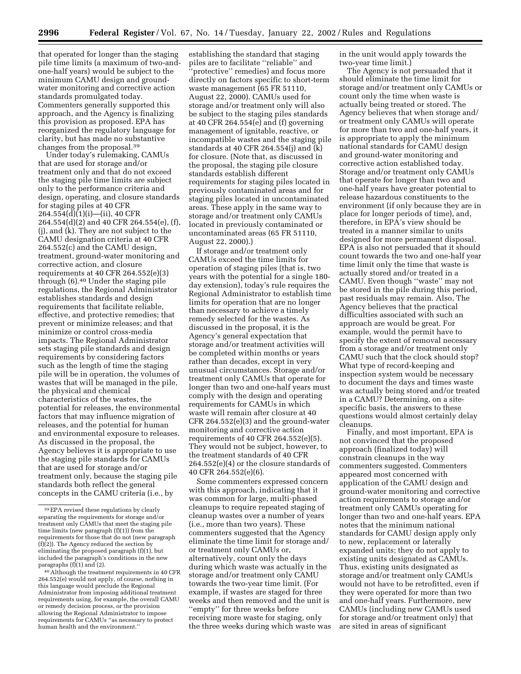that operated for longer than the staging pile time limits (a maximum of two-andone-half years) would be subject to the minimum CAMU design and groundwater monitoring and corrective action standards promulgated today. Commenters generally supported this approach, and the Agency is finalizing this provision as proposed. EPA has reorganized the regulatory language for clarity, but has made no substantive changes from the proposal.39

Under today's rulemaking, CAMUs that are used for storage and/or treatment only and that do not exceed the staging pile time limits are subject only to the performance criteria and design, operating, and closure standards for staging piles at 40 CFR 264.554(d)(1)(i)—(ii), 40 CFR 264.554(d)(2) and 40 CFR 264.554(e), (f), (j), and (k). They are not subject to the CAMU designation criteria at 40 CFR 264.552(c) and the CAMU design, treatment, ground-water monitoring and corrective action, and closure requirements at 40 CFR 264.552(e)(3) through (6).40 Under the staging pile regulations, the Regional Administrator establishes standards and design requirements that facilitate reliable, effective, and protective remedies; that prevent or minimize releases; and that minimize or control cross-media impacts. The Regional Administrator sets staging pile standards and design requirements by considering factors such as the length of time the staging pile will be in operation, the volumes of wastes that will be managed in the pile, the physical and chemical characteristics of the wastes, the potential for releases, the environmental factors that may influence migration of releases, and the potential for human and environmental exposure to releases. As discussed in the proposal, the Agency believes it is appropriate to use the staging pile standards for CAMUs that are used for storage and/or treatment only, because the staging pile standards both reflect the general concepts in the CAMU criteria (i.e., by

establishing the standard that staging piles are to facilitate ''reliable'' and 'protective'' remedies) and focus more directly on factors specific to short-term waste management (65 FR 51110, August 22, 2000). CAMUs used for storage and/or treatment only will also be subject to the staging piles standards at 40 CFR 264.554(e) and (f) governing management of ignitable, reactive, or incompatible wastes and the staging pile standards at 40 CFR 264.554(j) and (k) for closure. (Note that, as discussed in the proposal, the staging pile closure standards establish different requirements for staging piles located in previously contaminated areas and for staging piles located in uncontaminated areas. These apply in the same way to storage and/or treatment only CAMUs located in previously contaminated or uncontaminated areas (65 FR 51110, August 22, 2000).)

If storage and/or treatment only CAMUs exceed the time limits for operation of staging piles (that is, two years with the potential for a single 180 day extension), today's rule requires the Regional Administrator to establish time limits for operation that are no longer than necessary to achieve a timely remedy selected for the wastes. As discussed in the proposal, it is the Agency's general expectation that storage and/or treatment activities will be completed within months or years rather than decades, except in very unusual circumstances. Storage and/or treatment only CAMUs that operate for longer than two and one-half years must comply with the design and operating requirements for CAMUs in which waste will remain after closure at 40 CFR 264.552(e)(3) and the ground-water monitoring and corrective action requirements of 40 CFR 264.552(e)(5). They would not be subject, however, to the treatment standards of 40 CFR 264.552(e)(4) or the closure standards of 40 CFR 264.552(e)(6).

Some commenters expressed concern with this approach, indicating that it was common for large, multi-phased cleanups to require repeated staging of cleanup wastes over a number of years (i.e., more than two years). These commenters suggested that the Agency eliminate the time limit for storage and/ or treatment only CAMUs or, alternatively, count only the days during which waste was actually in the storage and/or treatment only CAMU towards the two-year time limit. (For example, if wastes are staged for three weeks and then removed and the unit is ''empty'' for three weeks before receiving more waste for staging, only the three weeks during which waste was in the unit would apply towards the two-year time limit.)

The Agency is not persuaded that it should eliminate the time limit for storage and/or treatment only CAMUs or count only the time when waste is actually being treated or stored. The Agency believes that when storage and/ or treatment only CAMUs will operate for more than two and one-half years, it is appropriate to apply the minimum national standards for CAMU design and ground-water monitoring and corrective action established today. Storage and/or treatment only CAMUs that operate for longer than two and one-half years have greater potential to release hazardous constituents to the environment (if only because they are in place for longer periods of time), and, therefore, in EPA's view should be treated in a manner similar to units designed for more permanent disposal. EPA is also not persuaded that it should count towards the two and one-half year time limit only the time that waste is actually stored and/or treated in a CAMU. Even though ''waste'' may not be stored in the pile during this period, past residuals may remain. Also, The Agency believes that the practical difficulties associated with such an approach are would be great. For example, would the permit have to specify the extent of removal necessary from a storage and/or treatment only CAMU such that the clock should stop? What type of record-keeping and inspection system would be necessary to document the days and times waste was actually being stored and/or treated in a CAMU? Determining, on a sitespecific basis, the answers to these questions would almost certainly delay cleanups.

Finally, and most important, EPA is not convinced that the proposed approach (finalized today) will constrain cleanups in the way commenters suggested. Commenters appeared most concerned with application of the CAMU design and ground-water monitoring and corrective action requirements to storage and/or treatment only CAMUs operating for longer than two and one-half years. EPA notes that the minimum national standards for CAMU design apply only to new, replacement or laterally expanded units; they do not apply to existing units designated as CAMUs. Thus, existing units designated as storage and/or treatment only CAMUs would not have to be retrofitted, even if they were operated for more than two and one-half years. Furthermore, new CAMUs (including new CAMUs used for storage and/or treatment only) that are sited in areas of significant

<sup>39</sup>EPA revised these regulations by clearly separating the requirements for storage and/or treatment only CAMUs that meet the staging pile time limits (new paragraph (f)(1)) from the requirements for those that do not (new paragraph (f)(2)). The Agency reduced the section by eliminating the proposed paragraph (f)(1), but included the paragraph's conditions in the new paragraphs (f)(1) and (2).

<sup>40</sup>Although the treatment requirements in 40 CFR 264.552(e) would not apply, of course, nothing in this language would preclude the Regional Administrator from imposing additional treatment requirements using, for example, the overall CAMU or remedy decision process, or the provision allowing the Regional Administrator to impose requirements for CAMUs ''as necessary to protect human health and the environment.''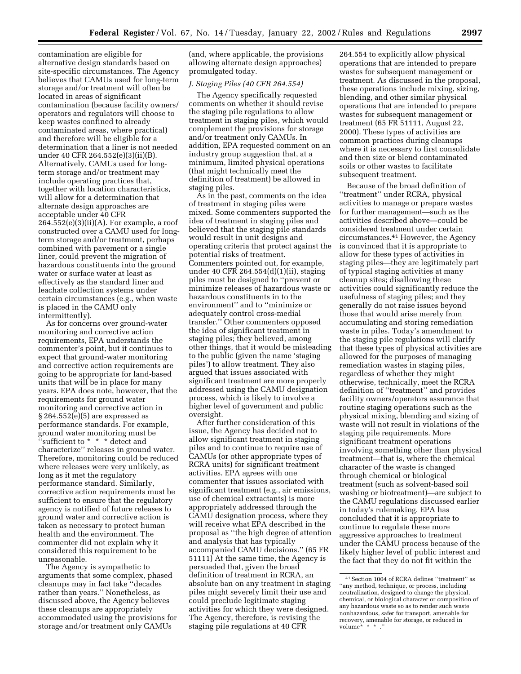contamination are eligible for alternative design standards based on site-specific circumstances. The Agency believes that CAMUs used for long-term storage and/or treatment will often be located in areas of significant contamination (because facility owners/ operators and regulators will choose to keep wastes confined to already contaminated areas, where practical) and therefore will be eligible for a determination that a liner is not needed under 40 CFR 264.552(e)(3)(ii)(B). Alternatively, CAMUs used for longterm storage and/or treatment may include operating practices that, together with location characteristics, will allow for a determination that alternate design approaches are acceptable under 40 CFR  $264.552(e)(3)(ii)(A)$ . For example, a roof constructed over a CAMU used for longterm storage and/or treatment, perhaps combined with pavement or a single liner, could prevent the migration of hazardous constituents into the ground water or surface water at least as effectively as the standard liner and leachate collection systems under certain circumstances (e.g., when waste is placed in the CAMU only intermittently).

As for concerns over ground-water monitoring and corrective action requirements, EPA understands the commenter's point, but it continues to expect that ground-water monitoring and corrective action requirements are going to be appropriate for land-based units that will be in place for many years. EPA does note, however, that the requirements for ground water monitoring and corrective action in § 264.552(e)(5) are expressed as performance standards. For example, ground water monitoring must be ''sufficient to \* \* \* detect and characterize'' releases in ground water. Therefore, monitoring could be reduced where releases were very unlikely, as long as it met the regulatory performance standard. Similarly, corrective action requirements must be sufficient to ensure that the regulatory agency is notified of future releases to ground water and corrective action is taken as necessary to protect human health and the environment. The commenter did not explain why it considered this requirement to be unreasonable.

The Agency is sympathetic to arguments that some complex, phased cleanups may in fact take ''decades rather than years." Nonetheless, as discussed above, the Agency believes these cleanups are appropriately accommodated using the provisions for storage and/or treatment only CAMUs

(and, where applicable, the provisions allowing alternate design approaches) promulgated today.

#### *J. Staging Piles (40 CFR 264.554)*

The Agency specifically requested comments on whether it should revise the staging pile regulations to allow treatment in staging piles, which would complement the provisions for storage and/or treatment only CAMUs. In addition, EPA requested comment on an industry group suggestion that, at a minimum, limited physical operations (that might technically meet the definition of treatment) be allowed in staging piles.

As in the past, comments on the idea of treatment in staging piles were mixed. Some commenters supported the idea of treatment in staging piles and believed that the staging pile standards would result in unit designs and operating criteria that protect against the potential risks of treatment. Commenters pointed out, for example, under 40 CFR 264.554(d)(1)(ii), staging piles must be designed to ''prevent or minimize releases of hazardous waste or hazardous constituents in to the environment'' and to ''minimize or adequately control cross-medial transfer.'' Other commenters opposed the idea of significant treatment in staging piles; they believed, among other things, that it would be misleading to the public (given the name 'staging piles') to allow treatment. They also argued that issues associated with significant treatment are more properly addressed using the CAMU designation process, which is likely to involve a higher level of government and public oversight.

After further consideration of this issue, the Agency has decided not to allow significant treatment in staging piles and to continue to require use of CAMUs (or other appropriate types of RCRA units) for significant treatment activities. EPA agrees with one commenter that issues associated with significant treatment (e.g., air emissions, use of chemical extractants) is more appropriately addressed through the CAMU designation process, where they will receive what EPA described in the proposal as ''the high degree of attention and analysis that has typically accompanied CAMU decisions.'' (65 FR 51111) At the same time, the Agency is persuaded that, given the broad definition of treatment in RCRA, an absolute ban on any treatment in staging piles might severely limit their use and could preclude legitimate staging activities for which they were designed. The Agency, therefore, is revising the staging pile regulations at 40 CFR

264.554 to explicitly allow physical operations that are intended to prepare wastes for subsequent management or treatment. As discussed in the proposal, these operations include mixing, sizing, blending, and other similar physical operations that are intended to prepare wastes for subsequent management or treatment (65 FR 51111, August 22, 2000). These types of activities are common practices during cleanups where it is necessary to first consolidate and then size or blend contaminated soils or other wastes to facilitate subsequent treatment.

Because of the broad definition of ''treatment'' under RCRA, physical activities to manage or prepare wastes for further management—such as the activities described above—could be considered treatment under certain circumstances.41 However, the Agency is convinced that it is appropriate to allow for these types of activities in staging piles—they are legitimately part of typical staging activities at many cleanup sites; disallowing these activities could significantly reduce the usefulness of staging piles; and they generally do not raise issues beyond those that would arise merely from accumulating and storing remediation waste in piles. Today's amendment to the staging pile regulations will clarify that these types of physical activities are allowed for the purposes of managing remediation wastes in staging piles, regardless of whether they might otherwise, technically, meet the RCRA definition of ''treatment'' and provides facility owners/operators assurance that routine staging operations such as the physical mixing, blending and sizing of waste will not result in violations of the staging pile requirements. More significant treatment operations involving something other than physical treatment—that is, where the chemical character of the waste is changed through chemical or biological treatment (such as solvent-based soil washing or biotreatment)—are subject to the CAMU regulations discussed earlier in today's rulemaking. EPA has concluded that it is appropriate to continue to regulate these more aggressive approaches to treatment under the CAMU process because of the likely higher level of public interest and the fact that they do not fit within the

<sup>41</sup>Section 1004 of RCRA defines ''treatment'' as ''any method, technique, or process, including neutralization, designed to change the physical, chemical, or biological character or composition of any hazardous waste so as to render such waste nonhazardous, safer for transport, amenable for recovery, amenable for storage, or reduced in  $volume^*$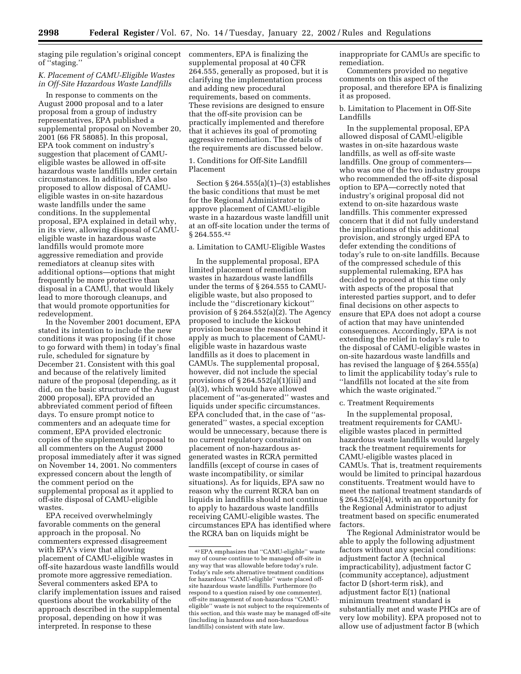staging pile regulation's original concept commenters, EPA is finalizing the of ''staging.''

#### *K. Placement of CAMU-Eligible Wastes in Off-Site Hazardous Waste Landfills*

In response to comments on the August 2000 proposal and to a later proposal from a group of industry representatives, EPA published a supplemental proposal on November 20, 2001 (66 FR 58085). In this proposal, EPA took comment on industry's suggestion that placement of CAMUeligible wastes be allowed in off-site hazardous waste landfills under certain circumstances. In addition, EPA also proposed to allow disposal of CAMUeligible wastes in on-site hazardous waste landfills under the same conditions. In the supplemental proposal, EPA explained in detail why, in its view, allowing disposal of CAMUeligible waste in hazardous waste landfills would promote more aggressive remediation and provide remediators at cleanup sites with additional options—options that might frequently be more protective than disposal in a CAMU, that would likely lead to more thorough cleanups, and that would promote opportunities for redevelopment.

In the November 2001 document, EPA stated its intention to include the new conditions it was proposing (if it chose to go forward with them) in today's final rule, scheduled for signature by December 21. Consistent with this goal and because of the relatively limited nature of the proposal (depending, as it did, on the basic structure of the August 2000 proposal), EPA provided an abbreviated comment period of fifteen days. To ensure prompt notice to commenters and an adequate time for comment, EPA provided electronic copies of the supplemental proposal to all commenters on the August 2000 proposal immediately after it was signed on November 14, 2001. No commenters expressed concern about the length of the comment period on the supplemental proposal as it applied to off-site disposal of CAMU-eligible wastes.

EPA received overwhelmingly favorable comments on the general approach in the proposal. No commenters expressed disagreement with EPA's view that allowing placement of CAMU-eligible wastes in off-site hazardous waste landfills would promote more aggressive remediation. Several commenters asked EPA to clarify implementation issues and raised questions about the workability of the approach described in the supplemental proposal, depending on how it was interpreted. In response to these

supplemental proposal at 40 CFR 264.555, generally as proposed, but it is clarifying the implementation process and adding new procedural requirements, based on comments. These revisions are designed to ensure that the off-site provision can be practically implemented and therefore that it achieves its goal of promoting aggressive remediation. The details of the requirements are discussed below.

1. Conditions for Off-Site Landfill Placement

Section § 264.555(a)(1)–(3) establishes the basic conditions that must be met for the Regional Administrator to approve placement of CAMU-eligible waste in a hazardous waste landfill unit at an off-site location under the terms of § 264.555.42

#### a. Limitation to CAMU-Eligible Wastes

In the supplemental proposal, EPA limited placement of remediation wastes in hazardous waste landfills under the terms of § 264.555 to CAMUeligible waste, but also proposed to include the ''discretionary kickout'' provision of § 264.552(a)(2). The Agency proposed to include the kickout provision because the reasons behind it apply as much to placement of CAMUeligible waste in hazardous waste landfills as it does to placement in CAMUs. The supplemental proposal, however, did not include the special provisions of § 264.552(a)(1)(iii) and (a)(3), which would have allowed placement of ''as-generated'' wastes and liquids under specific circumstances. EPA concluded that, in the case of ''asgenerated'' wastes, a special exception would be unnecessary, because there is no current regulatory constraint on placement of non-hazardous asgenerated wastes in RCRA permitted landfills (except of course in cases of waste incompatibility, or similar situations). As for liquids, EPA saw no reason why the current RCRA ban on liquids in landfills should not continue to apply to hazardous waste landfills receiving CAMU-eligible wastes. The circumstances EPA has identified where the RCRA ban on liquids might be

inappropriate for CAMUs are specific to remediation.

Commenters provided no negative comments on this aspect of the proposal, and therefore EPA is finalizing it as proposed.

#### b. Limitation to Placement in Off-Site Landfills

In the supplemental proposal, EPA allowed disposal of CAMU-eligible wastes in on-site hazardous waste landfills, as well as off-site waste landfills. One group of commenters who was one of the two industry groups who recommended the off-site disposal option to EPA—correctly noted that industry's original proposal did not extend to on-site hazardous waste landfills. This commenter expressed concern that it did not fully understand the implications of this additional provision, and strongly urged EPA to defer extending the conditions of today's rule to on-site landfills. Because of the compressed schedule of this supplemental rulemaking, EPA has decided to proceed at this time only with aspects of the proposal that interested parties support, and to defer final decisions on other aspects to ensure that EPA does not adopt a course of action that may have unintended consequences. Accordingly, EPA is not extending the relief in today's rule to the disposal of CAMU-eligible wastes in on-site hazardous waste landfills and has revised the language of § 264.555(a) to limit the applicability today's rule to ''landfills not located at the site from which the waste originated.''

#### c. Treatment Requirements

In the supplemental proposal, treatment requirements for CAMUeligible wastes placed in permitted hazardous waste landfills would largely track the treatment requirements for CAMU-eligible wastes placed in CAMUs. That is, treatment requirements would be limited to principal hazardous constituents. Treatment would have to meet the national treatment standards of § 264.552(e)(4), with an opportunity for the Regional Administrator to adjust treatment based on specific enumerated factors.

The Regional Administrator would be able to apply the following adjustment factors without any special conditions: adjustment factor A (technical impracticability), adjustment factor C (community acceptance), adjustment factor D (short-term risk), and adjustment factor E(1) (national minimum treatment standard is substantially met and waste PHCs are of very low mobility). EPA proposed not to allow use of adjustment factor B (which

<sup>42</sup>EPA emphasizes that ''CAMU-eligible'' waste may of course continue to be managed off-site in any way that was allowable before today's rule. Today's rule sets alternative treatment conditions for hazardous ''CAMU-eligible'' waste placed offsite hazardous waste landfills. Furthermore (to respond to a question raised by one commenter), off-site management of non-hazardous ''CAMUeligible'' waste is not subject to the requirements of this section, and this waste may be managed off-site (including in hazardous and non-hazardous landfills) consistent with state law.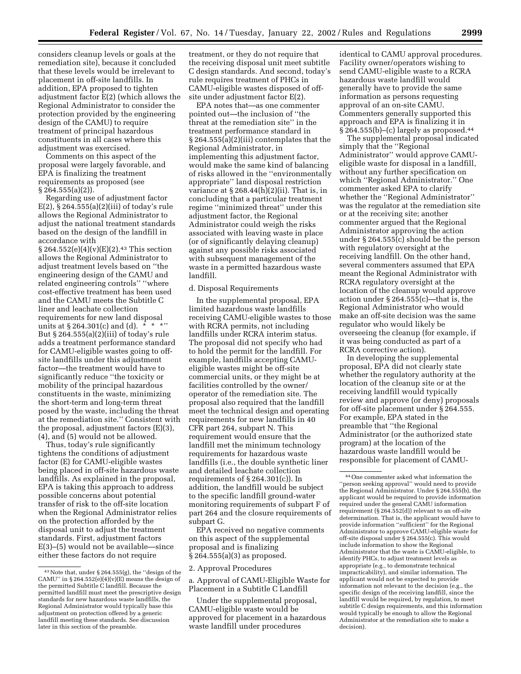considers cleanup levels or goals at the remediation site), because it concluded that these levels would be irrelevant to placement in off-site landfills. In addition, EPA proposed to tighten adjustment factor E(2) (which allows the Regional Administrator to consider the protection provided by the engineering design of the CAMU) to require treatment of principal hazardous constituents in all cases where this adjustment was exercised.

Comments on this aspect of the proposal were largely favorable, and EPA is finalizing the treatment requirements as proposed (see § 264.555(a)(2)).

Regarding use of adjustment factor  $E(2)$ , § 264.555(a)(2)(iii) of today's rule allows the Regional Administrator to adjust the national treatment standards based on the design of the landfill in accordance with

 $\S 264.552(e)(4)(v)(E)(2).43$  This section allows the Regional Administrator to adjust treatment levels based on ''the engineering design of the CAMU and related engineering controls'' ''where cost-effective treatment has been used and the CAMU meets the Subtitle C liner and leachate collection requirements for new land disposal units at  $\S 264.301(c)$  and (d). \* \* \*'' But § 264.555(a)(2)(iii) of today's rule adds a treatment performance standard for CAMU-eligible wastes going to offsite landfills under this adjustment factor—the treatment would have to significantly reduce ''the toxicity or mobility of the principal hazardous constituents in the waste, minimizing the short-term and long-term threat posed by the waste, including the threat at the remediation site.'' Consistent with the proposal, adjustment factors (E)(3), (4), and (5) would not be allowed.

Thus, today's rule significantly tightens the conditions of adjustment factor (E) for CAMU-eligible wastes being placed in off-site hazardous waste landfills. As explained in the proposal, EPA is taking this approach to address possible concerns about potential transfer of risk to the off-site location when the Regional Administrator relies on the protection afforded by the disposal unit to adjust the treatment standards. First, adjustment factors E(3)–(5) would not be available—since either these factors do not require

treatment, or they do not require that the receiving disposal unit meet subtitle C design standards. And second, today's rule requires treatment of PHCs in CAMU-eligible wastes disposed of offsite under adjustment factor E(2).

EPA notes that—as one commenter pointed out—the inclusion of ''the threat at the remediation site'' in the treatment performance standard in § 264.555(a)(2)(iii) contemplates that the Regional Administrator, in implementing this adjustment factor, would make the same kind of balancing of risks allowed in the ''environmentally appropriate'' land disposal restriction variance at  $\S 268.44(h)(2)(ii)$ . That is, in concluding that a particular treatment regime ''minimized threat'' under this adjustment factor, the Regional Administrator could weigh the risks associated with leaving waste in place (or of significantly delaying cleanup) against any possible risks associated with subsequent management of the waste in a permitted hazardous waste landfill.

#### d. Disposal Requirements

In the supplemental proposal, EPA limited hazardous waste landfills receiving CAMU-eligible wastes to those with RCRA permits, not including landfills under RCRA interim status. The proposal did not specify who had to hold the permit for the landfill. For example, landfills accepting CAMUeligible wastes might be off-site commercial units, or they might be at facilities controlled by the owner/ operator of the remediation site. The proposal also required that the landfill meet the technical design and operating requirements for new landfills in 40 CFR part 264, subpart N. This requirement would ensure that the landfill met the minimum technology requirements for hazardous waste landfills (i.e., the double synthetic liner and detailed leachate collection requirements of  $\S 264.301(c)$ . In addition, the landfill would be subject to the specific landfill ground-water monitoring requirements of subpart F of part 264 and the closure requirements of subpart G.

EPA received no negative comments on this aspect of the supplemental proposal and is finalizing § 264.555(a)(3) as proposed.

2. Approval Procedures

a. Approval of CAMU-Eligible Waste for Placement in a Subtitle C Landfill

Under the supplemental proposal, CAMU-eligible waste would be approved for placement in a hazardous waste landfill under procedures

identical to CAMU approval procedures. Facility owner/operators wishing to send CAMU-eligible waste to a RCRA hazardous waste landfill would generally have to provide the same information as persons requesting approval of an on-site CAMU. Commenters generally supported this approach and EPA is finalizing it in  $§ 264.555(b)–(c)$  largely as proposed.<sup>44</sup>

The supplemental proposal indicated simply that the ''Regional Administrator'' would approve CAMUeligible waste for disposal in a landfill, without any further specification on which ''Regional Administrator.'' One commenter asked EPA to clarify whether the ''Regional Administrator'' was the regulator at the remediation site or at the receiving site; another commenter argued that the Regional Administrator approving the action under § 264.555(c) should be the person with regulatory oversight at the receiving landfill. On the other hand, several commenters assumed that EPA meant the Regional Administrator with RCRA regulatory oversight at the location of the cleanup would approve action under § 264.555(c)—that is, the Regional Administrator who would make an off-site decision was the same regulator who would likely be overseeing the cleanup (for example, if it was being conducted as part of a RCRA corrective action).

In developing the supplemental proposal, EPA did not clearly state whether the regulatory authority at the location of the cleanup site or at the receiving landfill would typically review and approve (or deny) proposals for off-site placement under § 264.555. For example, EPA stated in the preamble that ''the Regional Administrator (or the authorized state program) at the location of the hazardous waste landfill would be responsible for placement of CAMU-

<sup>43</sup>Note that, under § 264.555(g), the ''design of the CAMU" in  $\S 264.552(e)(4)(v)(E)$  means the design of the permitted Subtitle C landfill. Because the permitted landfill must meet the prescriptive design standards for new hazardous waste landfills, the Regional Administrator would typically base this adjustment on protection offered by a generic landfill meeting these standards. See discussion later in this section of the preamble.

<sup>44</sup>One commenter asked what information the ''person seeking approval'' would need to provide the Regional Administrator. Under § 264.555(b), the applicant would be required to provide information required under the general CAMU information requirement (§ 264.552(d)) relevant to an off-site determination. That is, the applicant would have to provide information ''sufficient'' for the Regional Administrator to approve CAMU-eligible waste for off-site disposal under § 264.555(c). This would include information to show the Regional Administrator that the waste is CAMU-eligible, to identify PHCs, to adjust treatment levels as appropriate (e.g., to demonstrate technical impracticability), and similar information. The applicant would not be expected to provide information not relevant to the decision (e.g., the specific design of the receiving landfill, since the landfill would be required, by regulation, to meet subtitle C design requirements, and this information would typically be enough to allow the Regional Administrator at the remediation site to make a decision).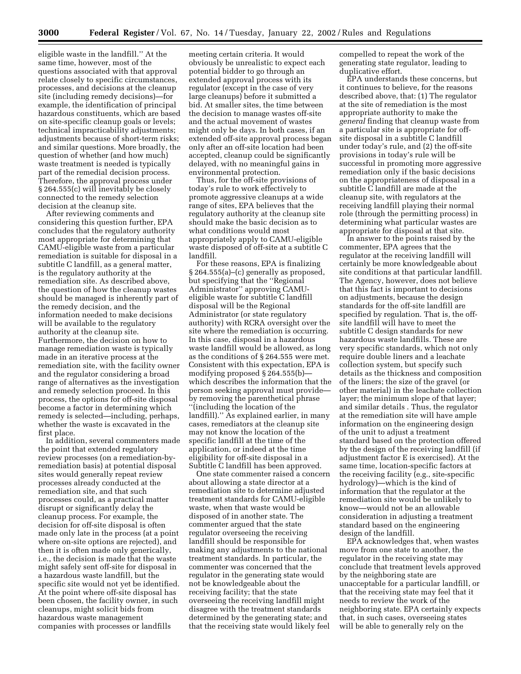eligible waste in the landfill.'' At the same time, however, most of the questions associated with that approval relate closely to specific circumstances, processes, and decisions at the cleanup site (including remedy decisions)—for example, the identification of principal hazardous constituents, which are based on site-specific cleanup goals or levels; technical impracticability adjustments; adjustments because of short-term risks; and similar questions. More broadly, the question of whether (and how much) waste treatment is needed is typically part of the remedial decision process. Therefore, the approval process under § 264.555(c) will inevitably be closely connected to the remedy selection decision at the cleanup site.

After reviewing comments and considering this question further, EPA concludes that the regulatory authority most appropriate for determining that CAMU-eligible waste from a particular remediation is suitable for disposal in a subtitle C landfill, as a general matter, is the regulatory authority at the remediation site. As described above, the question of how the cleanup wastes should be managed is inherently part of the remedy decision, and the information needed to make decisions will be available to the regulatory authority at the cleanup site. Furthermore, the decision on how to manage remediation waste is typically made in an iterative process at the remediation site, with the facility owner and the regulator considering a broad range of alternatives as the investigation and remedy selection proceed. In this process, the options for off-site disposal become a factor in determining which remedy is selected—including, perhaps, whether the waste is excavated in the first place.

In addition, several commenters made the point that extended regulatory review processes (on a remediation-byremediation basis) at potential disposal sites would generally repeat review processes already conducted at the remediation site, and that such processes could, as a practical matter disrupt or significantly delay the cleanup process. For example, the decision for off-site disposal is often made only late in the process (at a point where on-site options are rejected), and then it is often made only generically, i.e., the decision is made that the waste might safely sent off-site for disposal in a hazardous waste landfill, but the specific site would not yet be identified. At the point where off-site disposal has been chosen, the facility owner, in such cleanups, might solicit bids from hazardous waste management companies with processes or landfills

meeting certain criteria. It would obviously be unrealistic to expect each potential bidder to go through an extended approval process with its regulator (except in the case of very large cleanups) before it submitted a bid. At smaller sites, the time between the decision to manage wastes off-site and the actual movement of wastes might only be days. In both cases, if an extended off-site approval process began only after an off-site location had been accepted, cleanup could be significantly delayed, with no meaningful gains in environmental protection.

Thus, for the off-site provisions of today's rule to work effectively to promote aggressive cleanups at a wide range of sites, EPA believes that the regulatory authority at the cleanup site should make the basic decision as to what conditions would most appropriately apply to CAMU-eligible waste disposed of off-site at a subtitle C landfill.

For these reasons, EPA is finalizing § 264.555(a)–(c) generally as proposed, but specifying that the ''Regional Administrator'' approving CAMUeligible waste for subtitle C landfill disposal will be the Regional Administrator (or state regulatory authority) with RCRA oversight over the site where the remediation is occurring. In this case, disposal in a hazardous waste landfill would be allowed, as long as the conditions of § 264.555 were met. Consistent with this expectation, EPA is modifying proposed § 264.555(b) which describes the information that the person seeking approval must provide by removing the parenthetical phrase ''(including the location of the landfill).'' As explained earlier, in many cases, remediators at the cleanup site may not know the location of the specific landfill at the time of the application, or indeed at the time eligibility for off-site disposal in a Subtitle C landfill has been approved.

One state commenter raised a concern about allowing a state director at a remediation site to determine adjusted treatment standards for CAMU-eligible waste, when that waste would be disposed of in another state. The commenter argued that the state regulator overseeing the receiving landfill should be responsible for making any adjustments to the national treatment standards. In particular, the commenter was concerned that the regulator in the generating state would not be knowledgeable about the receiving facility; that the state overseeing the receiving landfill might disagree with the treatment standards determined by the generating state; and that the receiving state would likely feel

compelled to repeat the work of the generating state regulator, leading to duplicative effort.

EPA understands these concerns, but it continues to believe, for the reasons described above, that: (1) The regulator at the site of remediation is the most appropriate authority to make the *general* finding that cleanup waste from a particular site is appropriate for offsite disposal in a subtitle C landfill under today's rule, and (2) the off-site provisions in today's rule will be successful in promoting more aggressive remediation only if the basic decisions on the appropriateness of disposal in a subtitle C landfill are made at the cleanup site, with regulators at the receiving landfill playing their normal role (through the permitting process) in determining what particular wastes are appropriate for disposal at that site.

In answer to the points raised by the commenter, EPA agrees that the regulator at the receiving landfill will certainly be more knowledgeable about site conditions at that particular landfill. The Agency, however, does not believe that this fact is important to decisions on adjustments, because the design standards for the off-site landfill are specified by regulation. That is, the offsite landfill will have to meet the subtitle C design standards for new hazardous waste landfills. These are very specific standards, which not only require double liners and a leachate collection system, but specify such details as the thickness and composition of the liners; the size of the gravel (or other material) in the leachate collection layer; the minimum slope of that layer; and similar details . Thus, the regulator at the remediation site will have ample information on the engineering design of the unit to adjust a treatment standard based on the protection offered by the design of the receiving landfill (if adjustment factor E is exercised). At the same time, location-specific factors at the receiving facility (e.g., site-specific hydrology)—which is the kind of information that the regulator at the remediation site would be unlikely to know—would not be an allowable consideration in adjusting a treatment standard based on the engineering design of the landfill.

EPA acknowledges that, when wastes move from one state to another, the regulator in the receiving state may conclude that treatment levels approved by the neighboring state are unacceptable for a particular landfill, or that the receiving state may feel that it needs to review the work of the neighboring state. EPA certainly expects that, in such cases, overseeing states will be able to generally rely on the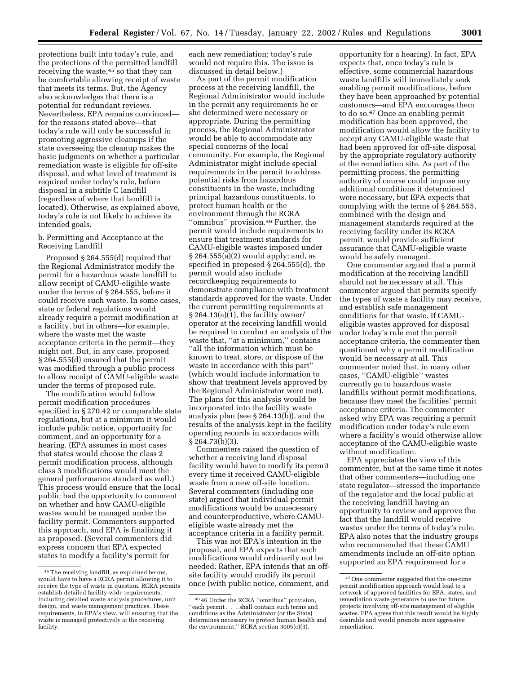protections built into today's rule, and the protections of the permitted landfill receiving the waste, 45 so that they can be comfortable allowing receipt of waste that meets its terms. But, the Agency also acknowledges that there is a potential for redundant reviews. Nevertheless, EPA remains convinced for the reasons stated above—that today's rule will only be successful in promoting aggressive cleanups if the state overseeing the cleanup makes the basic judgments on whether a particular remediation waste is eligible for off-site disposal, and what level of treatment is required under today's rule, before disposal in a subtitle C landfill (regardless of where that landfill is located). Otherwise, as explained above, today's rule is not likely to achieve its intended goals.

#### b. Permitting and Acceptance at the Receiving Landfill

Proposed § 264.555(d) required that the Regional Administrator modify the permit for a hazardous waste landfill to allow receipt of CAMU-eligible waste under the terms of § 264.555, before it could receive such waste. In some cases, state or federal regulations would already require a permit modification at a facility, but in others—for example, where the waste met the waste acceptance criteria in the permit—they might not. But, in any case, proposed § 264.555(d) ensured that the permit was modified through a public process to allow receipt of CAMU-eligible waste under the terms of proposed rule.

The modification would follow permit modification procedures specified in § 270.42 or comparable state regulations, but at a minimum it would include public notice, opportunity for comment, and an opportunity for a hearing. (EPA assumes in most cases that states would choose the class 2 permit modification process, although class 3 modifications would meet the general performance standard as well.) This process would ensure that the local public had the opportunity to comment on whether and how CAMU-eligible wastes would be managed under the facility permit. Commenters supported this approach, and EPA is finalizing it as proposed. (Several commenters did express concern that EPA expected states to modify a facility's permit for

each new remediation; today's rule would not require this. The issue is discussed in detail below.)

As part of the permit modification process at the receiving landfill, the Regional Administrator would include in the permit any requirements he or she determined were necessary or appropriate. During the permitting process, the Regional Administrator would be able to accommodate any special concerns of the local community. For example, the Regional Administrator might include special requirements in the permit to address potential risks from hazardous constituents in the waste, including principal hazardous constituents, to protect human health or the environment through the RCRA ''omnibus'' provision.46 Further, the permit would include requirements to ensure that treatment standards for CAMU-eligible wastes imposed under § 264.555(a)(2) would apply; and, as specified in proposed § 264.555(d), the permit would also include recordkeeping requirements to demonstrate compliance with treatment standards approved for the waste. Under the current permitting requirements at  $\S 264.13(a)(1)$ , the facility owner/ operator at the receiving landfill would be required to conduct an analysis of the waste that, ''at a minimum,'' contains ''all the information which must be known to treat, store, or dispose of the waste in accordance with this part'' (which would include information to show that treatment levels approved by the Regional Administrator were met). The plans for this analysis would be incorporated into the facility waste analysis plan (see § 264.13(b)), and the results of the analysis kept in the facility operating records in accordance with § 264.73(b)(3).

Commenters raised the question of whether a receiving land disposal facility would have to modify its permit every time it received CAMU-eligible waste from a new off-site location. Several commenters (including one state) argued that individual permit modifications would be unnecessary and counterproductive, where CAMUeligible waste already met the acceptance criteria in a facility permit.

This was not EPA's intention in the proposal, and EPA expects that such modifications would ordinarily not be needed. Rather, EPA intends that an offsite facility would modify its permit once (with public notice, comment, and

opportunity for a hearing). In fact, EPA expects that, once today's rule is effective, some commercial hazardous waste landfills will immediately seek enabling permit modifications, before they have been approached by potential customers—and EPA encourages them to do so.47 Once an enabling permit modification has been approved, the modification would allow the facility to accept any CAMU-eligible waste that had been approved for off-site disposal by the appropriate regulatory authority at the remediation site. As part of the permitting process, the permitting authority of course could impose any additional conditions it determined were necessary, but EPA expects that complying with the terms of § 264.555, combined with the design and management standards required at the receiving facility under its RCRA permit, would provide sufficient assurance that CAMU-eligible waste would be safely managed.

One commenter argued that a permit modification at the receiving landfill should not be necessary at all. This commenter argued that permits specify the types of waste a facility may receive, and establish safe management conditions for that waste. If CAMUeligible wastes approved for disposal under today's rule met the permit acceptance criteria, the commenter then questioned why a permit modification would be necessary at all. This commenter noted that, in many other cases, ''CAMU-eligible'' wastes currently go to hazardous waste landfills without permit modifications, because they meet the facilities' permit acceptance criteria. The commenter asked why EPA was requiring a permit modification under today's rule even where a facility's would otherwise allow acceptance of the CAMU-eligible waste without modification.

EPA appreciates the view of this commenter, but at the same time it notes that other commenters—including one state regulator—stressed the importance of the regulator and the local public at the receiving landfill having an opportunity to review and approve the fact that the landfill would receive wastes under the terms of today's rule. EPA also notes that the industry groups who recommended that these CAMU amendments include an off-site option supported an EPA requirement for a

<sup>45</sup>The receiving landfill, as explained below, would have to have a RCRA permit allowing it to receive the type of waste in question. RCRA permits establish detailed facility-wide requirements, including detailed waste analysis procedures, unit design, and waste management practices. These requirements, in EPA's view, will ensuring that the waste is managed protectively at the receiving facility.

<sup>46</sup> 46 Under the RCRA ''omnibus'' provision, ''each permit . . . shall contain such terms and conditions as the Administrator (or the State) determines necessary to protect human health and the environment.'' RCRA section 3005(c)(3).

<sup>47</sup>One commenter suggested that the one-time permit modification approach would lead to a network of approved facilities for EPA, states, and remediation waste generators to use for future projects involving off-site management of eligible wastes. EPA agrees that this result would be highly desirable and would promote more aggressive remediation.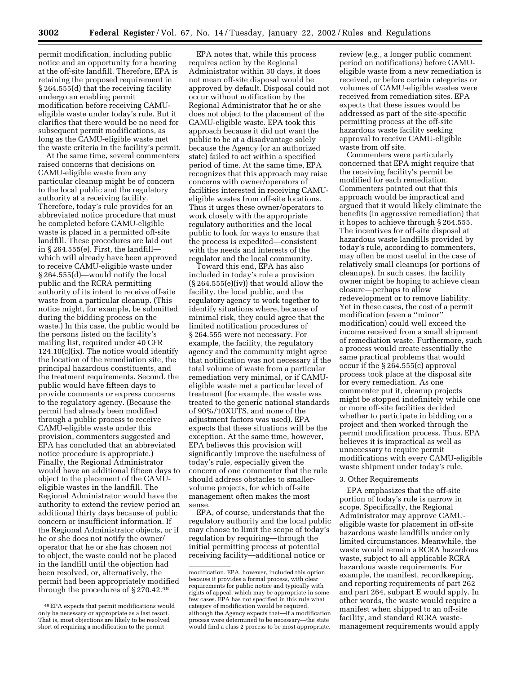permit modification, including public notice and an opportunity for a hearing at the off-site landfill. Therefore, EPA is retaining the proposed requirement in § 264.555(d) that the receiving facility undergo an enabling permit modification before receiving CAMUeligible waste under today's rule. But it clarifies that there would be no need for subsequent permit modifications, as long as the CAMU-eligible waste met the waste criteria in the facility's permit.

At the same time, several commenters raised concerns that decisions on CAMU-eligible waste from any particular cleanup might be of concern to the local public and the regulatory authority at a receiving facility. Therefore, today's rule provides for an abbreviated notice procedure that must be completed before CAMU-eligible waste is placed in a permitted off-site landfill. These procedures are laid out in § 264.555(e). First, the landfill which will already have been approved to receive CAMU-eligible waste under § 264.555(d)—would notify the local public and the RCRA permitting authority of its intent to receive off-site waste from a particular cleanup. (This notice might, for example, be submitted during the bidding process on the waste.) In this case, the public would be the persons listed on the facility's mailing list, required under 40 CFR  $124.10(c)(ix)$ . The notice would identify the location of the remediation site, the principal hazardous constituents, and the treatment requirements. Second, the public would have fifteen days to provide comments or express concerns to the regulatory agency. (Because the permit had already been modified through a public process to receive CAMU-eligible waste under this provision, commenters suggested and EPA has concluded that an abbreviated notice procedure is appropriate.) Finally, the Regional Administrator would have an additional fifteen days to object to the placement of the CAMUeligible wastes in the landfill. The Regional Administrator would have the authority to extend the review period an additional thirty days because of public concern or insufficient information. If the Regional Administrator objects, or if he or she does not notify the owner/ operator that he or she has chosen not to object, the waste could not be placed in the landfill until the objection had been resolved, or, alternatively, the permit had been appropriately modified through the procedures of § 270.42.48

EPA notes that, while this process requires action by the Regional Administrator within 30 days, it does not mean off-site disposal would be approved by default. Disposal could not occur without notification by the Regional Administrator that he or she does not object to the placement of the CAMU-eligible waste. EPA took this approach because it did not want the public to be at a disadvantage solely because the Agency (or an authorized state) failed to act within a specified period of time. At the same time, EPA recognizes that this approach may raise concerns with owner/operators of facilities interested in receiving CAMUeligible wastes from off-site locations. Thus it urges these owner/operators to work closely with the appropriate regulatory authorities and the local public to look for ways to ensure that the process is expedited—consistent with the needs and interests of the regulator and the local community.

Toward this end, EPA has also included in today's rule a provision  $(S 264.555(e)(iv))$  that would allow the facility, the local public, and the regulatory agency to work together to identify situations where, because of minimal risk, they could agree that the limited notification procedures of § 264.555 were not necessary. For example, the facility, the regulatory agency and the community might agree that notification was not necessary if the total volume of waste from a particular remediation very minimal, or if CAMUeligible waste met a particular level of treatment (for example, the waste was treated to the generic national standards of 90%/10XUTS, and none of the adjustment factors was used). EPA expects that these situations will be the exception. At the same time, however, EPA believes this provision will significantly improve the usefulness of today's rule, especially given the concern of one commenter that the rule should address obstacles to smallervolume projects, for which off-site management often makes the most sense.

EPA, of course, understands that the regulatory authority and the local public may choose to limit the scope of today's regulation by requiring—through the initial permitting process at potential receiving facility—additional notice or

review (e.g., a longer public comment period on notifications) before CAMUeligible waste from a new remediation is received, or before certain categories or volumes of CAMU-eligible wastes were received from remediation sites. EPA expects that these issues would be addressed as part of the site-specific permitting process at the off-site hazardous waste facility seeking approval to receive CAMU-eligible waste from off site.

Commenters were particularly concerned that EPA might require that the receiving facility's permit be modified for each remediation. Commenters pointed out that this approach would be impractical and argued that it would likely eliminate the benefits (in aggressive remediation) that it hopes to achieve through § 264.555. The incentives for off-site disposal at hazardous waste landfills provided by today's rule, according to commenters, may often be most useful in the case of relatively small cleanups (or portions of cleanups). In such cases, the facility owner might be hoping to achieve clean closure—perhaps to allow redevelopment or to remove liability. Yet in these cases, the cost of a permit modification (even a ''minor'' modification) could well exceed the income received from a small shipment of remediation waste. Furthermore, such a process would create essentially the same practical problems that would occur if the § 264.555(c) approval process took place at the disposal site for every remediation. As one commenter put it, cleanup projects might be stopped indefinitely while one or more off-site facilities decided whether to participate in bidding on a project and then worked through the permit modification process. Thus, EPA believes it is impractical as well as unnecessary to require permit modifications with every CAMU-eligible waste shipment under today's rule.

#### 3. Other Requirements

EPA emphasizes that the off-site portion of today's rule is narrow in scope. Specifically, the Regional Administrator may approve CAMUeligible waste for placement in off-site hazardous waste landfills under only limited circumstances. Meanwhile, the waste would remain a RCRA hazardous waste, subject to all applicable RCRA hazardous waste requirements. For example, the manifest, recordkeeping, and reporting requirements of part 262 and part 264, subpart E would apply. In other words, the waste would require a manifest when shipped to an off-site facility, and standard RCRA wastemanagement requirements would apply

<sup>48</sup>EPA expects that permit modifications would only be necessary or appropriate as a last resort. That is, most objections are likely to be resolved short of requiring a modification to the permit

modification. EPA, however, included this option because it provides a formal process, with clear requirements for public notice and typically with rights of appeal, which may be appropriate in some few cases. EPA has not specified in this rule what category of modification would be required, although the Agency expects that—if a modification process were determined to be necessary—the state would find a class 2 process to be most appropriate.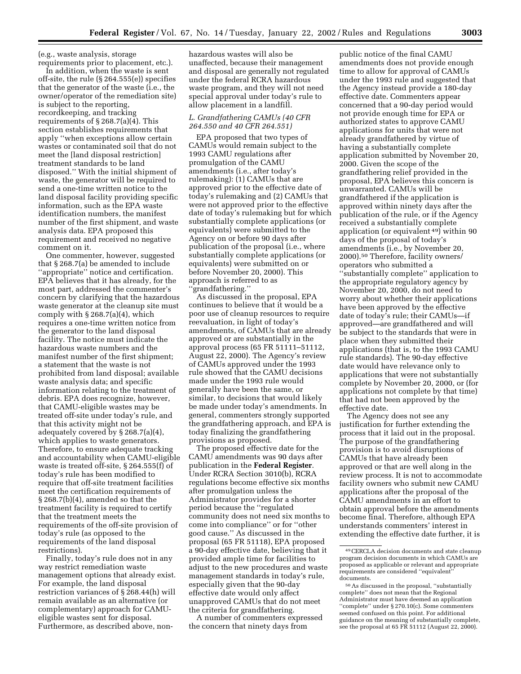(e.g., waste analysis, storage requirements prior to placement, etc.).

In addition, when the waste is sent off-site, the rule (§ 264.555(e)) specifies that the generator of the waste (i.e., the owner/operator of the remediation site) is subject to the reporting, recordkeeping, and tracking requirements of  $\S 268.7(a)(4)$ . This section establishes requirements that apply ''when exceptions allow certain wastes or contaminated soil that do not meet the [land disposal restriction] treatment standards to be land disposed.'' With the initial shipment of waste, the generator will be required to send a one-time written notice to the land disposal facility providing specific information, such as the EPA waste identification numbers, the manifest number of the first shipment, and waste analysis data. EPA proposed this requirement and received no negative comment on it.

One commenter, however, suggested that § 268.7(a) be amended to include ''appropriate'' notice and certification. EPA believes that it has already, for the most part, addressed the commenter's concern by clarifying that the hazardous waste generator at the cleanup site must comply with  $\S 268.7(a)(4)$ , which requires a one-time written notice from the generator to the land disposal facility. The notice must indicate the hazardous waste numbers and the manifest number of the first shipment; a statement that the waste is not prohibited from land disposal; available waste analysis data; and specific information relating to the treatment of debris. EPA does recognize, however, that CAMU-eligible wastes may be treated off-site under today's rule, and that this activity might not be adequately covered by § 268.7(a)(4), which applies to waste generators. Therefore, to ensure adequate tracking and accountability when CAMU-eligible waste is treated off-site, § 264.555(f) of today's rule has been modified to require that off-site treatment facilities meet the certification requirements of § 268.7(b)(4), amended so that the treatment facility is required to certify that the treatment meets the requirements of the off-site provision of today's rule (as opposed to the requirements of the land disposal restrictions).

Finally, today's rule does not in any way restrict remediation waste management options that already exist. For example, the land disposal restriction variances of § 268.44(h) will remain available as an alternative (or complementary) approach for CAMUeligible wastes sent for disposal. Furthermore, as described above, non-

hazardous wastes will also be unaffected, because their management and disposal are generally not regulated under the federal RCRA hazardous waste program, and they will not need special approval under today's rule to allow placement in a landfill.

#### *L. Grandfathering CAMUs (40 CFR 264.550 and 40 CFR 264.551)*

EPA proposed that two types of CAMUs would remain subject to the 1993 CAMU regulations after promulgation of the CAMU amendments (i.e., after today's rulemaking): (1) CAMUs that are approved prior to the effective date of today's rulemaking and (2) CAMUs that were not approved prior to the effective date of today's rulemaking but for which substantially complete applications (or equivalents) were submitted to the Agency on or before 90 days after publication of the proposal (i.e., where substantially complete applications (or equivalents) were submitted on or before November 20, 2000). This approach is referred to as ''grandfathering.''

As discussed in the proposal, EPA continues to believe that it would be a poor use of cleanup resources to require reevaluation, in light of today's amendments, of CAMUs that are already approved or are substantially in the approval process (65 FR 51111–51112, August 22, 2000). The Agency's review of CAMUs approved under the 1993 rule showed that the CAMU decisions made under the 1993 rule would generally have been the same, or similar, to decisions that would likely be made under today's amendments. In general, commenters strongly supported the grandfathering approach, and EPA is today finalizing the grandfathering provisions as proposed.

The proposed effective date for the CAMU amendments was 90 days after publication in the **Federal Register**. Under RCRA Section 3010(b), RCRA regulations become effective six months after promulgation unless the Administrator provides for a shorter period because the ''regulated community does not need six months to come into compliance'' or for ''other good cause.'' As discussed in the proposal (65 FR 51118), EPA proposed a 90-day effective date, believing that it provided ample time for facilities to adjust to the new procedures and waste management standards in today's rule, especially given that the 90-day effective date would only affect unapproved CAMUs that do not meet the criteria for grandfathering.

A number of commenters expressed the concern that ninety days from

public notice of the final CAMU amendments does not provide enough time to allow for approval of CAMUs under the 1993 rule and suggested that the Agency instead provide a 180-day effective date. Commenters appear concerned that a 90-day period would not provide enough time for EPA or authorized states to approve CAMU applications for units that were not already grandfathered by virtue of having a substantially complete application submitted by November 20, 2000. Given the scope of the grandfathering relief provided in the proposal, EPA believes this concern is unwarranted. CAMUs will be grandfathered if the application is approved within ninety days after the publication of the rule, or if the Agency received a substantially complete application (or equivalent 49) within 90 days of the proposal of today's amendments (i.e., by November 20, 2000).50 Therefore, facility owners/ operators who submitted a ''substantially complete'' application to the appropriate regulatory agency by November 20, 2000, do not need to worry about whether their applications have been approved by the effective date of today's rule; their CAMUs—if approved—are grandfathered and will be subject to the standards that were in place when they submitted their applications (that is, to the 1993 CAMU rule standards). The 90-day effective date would have relevance only to applications that were not substantially complete by November 20, 2000, or (for applications not complete by that time) that had not been approved by the effective date.

The Agency does not see any justification for further extending the process that it laid out in the proposal. The purpose of the grandfathering provision is to avoid disruptions of CAMUs that have already been approved or that are well along in the review process. It is not to accommodate facility owners who submit new CAMU applications after the proposal of the CAMU amendments in an effort to obtain approval before the amendments become final. Therefore, although EPA understands commenters' interest in extending the effective date further, it is

<sup>49</sup>CERCLA decision documents and state cleanup program decision documents in which CAMUs are proposed as applicable or relevant and appropriate requirements are considered ''equivalent'' documents.

<sup>50</sup>As discussed in the proposal, ''substantially complete'' does not mean that the Regional Administrator must have deemed an application ''complete'' under § 270.10(c). Some commenters seemed confused on this point. For additional guidance on the meaning of substantially complete, see the proposal at 65 FR 51112 (August 22, 2000).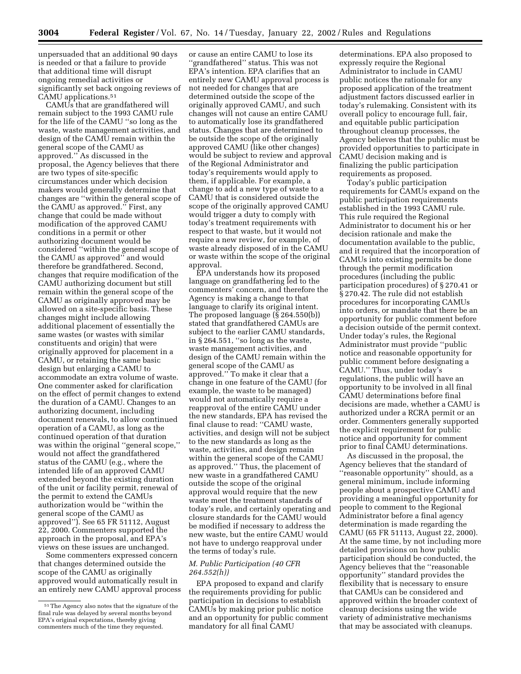unpersuaded that an additional 90 days is needed or that a failure to provide that additional time will disrupt ongoing remedial activities or significantly set back ongoing reviews of CAMU applications.51

CAMUs that are grandfathered will remain subject to the 1993 CAMU rule for the life of the CAMU ''so long as the waste, waste management activities, and design of the CAMU remain within the general scope of the CAMU as approved.'' As discussed in the proposal, the Agency believes that there are two types of site-specific circumstances under which decision makers would generally determine that changes are ''within the general scope of the CAMU as approved.'' First, any change that could be made without modification of the approved CAMU conditions in a permit or other authorizing document would be considered ''within the general scope of the CAMU as approved'' and would therefore be grandfathered. Second, changes that require modification of the CAMU authorizing document but still remain within the general scope of the CAMU as originally approved may be allowed on a site-specific basis. These changes might include allowing additional placement of essentially the same wastes (or wastes with similar constituents and origin) that were originally approved for placement in a CAMU, or retaining the same basic design but enlarging a CAMU to accommodate an extra volume of waste. One commenter asked for clarification on the effect of permit changes to extend the duration of a CAMU. Changes to an authorizing document, including document renewals, to allow continued operation of a CAMU, as long as the continued operation of that duration was within the original "general scope," would not affect the grandfathered status of the CAMU (e.g., where the intended life of an approved CAMU extended beyond the existing duration of the unit or facility permit, renewal of the permit to extend the CAMUs authorization would be ''within the general scope of the CAMU as approved''). See 65 FR 51112, August 22, 2000. Commenters supported the approach in the proposal, and EPA's views on these issues are unchanged.

Some commenters expressed concern that changes determined outside the scope of the CAMU as originally approved would automatically result in an entirely new CAMU approval process

or cause an entire CAMU to lose its ''grandfathered'' status. This was not EPA's intention. EPA clarifies that an entirely new CAMU approval process is not needed for changes that are determined outside the scope of the originally approved CAMU, and such changes will not cause an entire CAMU to automatically lose its grandfathered status. Changes that are determined to be outside the scope of the originally approved CAMU (like other changes) would be subject to review and approval of the Regional Administrator and today's requirements would apply to them, if applicable. For example, a change to add a new type of waste to a CAMU that is considered outside the scope of the originally approved CAMU would trigger a duty to comply with today's treatment requirements with respect to that waste, but it would not require a new review, for example, of waste already disposed of in the CAMU or waste within the scope of the original approval.

EPA understands how its proposed language on grandfathering led to the commenters' concern, and therefore the Agency is making a change to that language to clarify its original intent. The proposed language (§ 264.550(b)) stated that grandfathered CAMUs are subject to the earlier CAMU standards, in § 264.551, ''so long as the waste, waste management activities, and design of the CAMU remain within the general scope of the CAMU as approved.'' To make it clear that a change in one feature of the CAMU (for example, the waste to be managed) would not automatically require a reapproval of the entire CAMU under the new standards, EPA has revised the final clause to read: ''CAMU waste, activities, and design will not be subject to the new standards as long as the waste, activities, and design remain within the general scope of the CAMU as approved.'' Thus, the placement of new waste in a grandfathered CAMU outside the scope of the original approval would require that the new waste meet the treatment standards of today's rule, and certainly operating and closure standards for the CAMU would be modified if necessary to address the new waste, but the entire CAMU would not have to undergo reapproval under the terms of today's rule.

#### *M. Public Participation (40 CFR 264.552(h))*

EPA proposed to expand and clarify the requirements providing for public participation in decisions to establish CAMUs by making prior public notice and an opportunity for public comment mandatory for all final CAMU

determinations. EPA also proposed to expressly require the Regional Administrator to include in CAMU public notices the rationale for any proposed application of the treatment adjustment factors discussed earlier in today's rulemaking. Consistent with its overall policy to encourage full, fair, and equitable public participation throughout cleanup processes, the Agency believes that the public must be provided opportunities to participate in CAMU decision making and is finalizing the public participation requirements as proposed.

Today's public participation requirements for CAMUs expand on the public participation requirements established in the 1993 CAMU rule. This rule required the Regional Administrator to document his or her decision rationale and make the documentation available to the public, and it required that the incorporation of CAMUs into existing permits be done through the permit modification procedures (including the public participation procedures) of § 270.41 or § 270.42. The rule did not establish procedures for incorporating CAMUs into orders, or mandate that there be an opportunity for public comment before a decision outside of the permit context. Under today's rules, the Regional Administrator must provide ''public notice and reasonable opportunity for public comment before designating a CAMU.'' Thus, under today's regulations, the public will have an opportunity to be involved in all final CAMU determinations before final decisions are made, whether a CAMU is authorized under a RCRA permit or an order. Commenters generally supported the explicit requirement for public notice and opportunity for comment prior to final CAMU determinations.

As discussed in the proposal, the Agency believes that the standard of ''reasonable opportunity'' should, as a general minimum, include informing people about a prospective CAMU and providing a meaningful opportunity for people to comment to the Regional Administrator before a final agency determination is made regarding the CAMU (65 FR 51113, August 22, 2000). At the same time, by not including more detailed provisions on how public participation should be conducted, the Agency believes that the ''reasonable opportunity'' standard provides the flexibility that is necessary to ensure that CAMUs can be considered and approved within the broader context of cleanup decisions using the wide variety of administrative mechanisms that may be associated with cleanups.

<sup>51</sup>The Agency also notes that the signature of the final rule was delayed by several months beyond EPA's original expectations, thereby giving commenters much of the time they requested.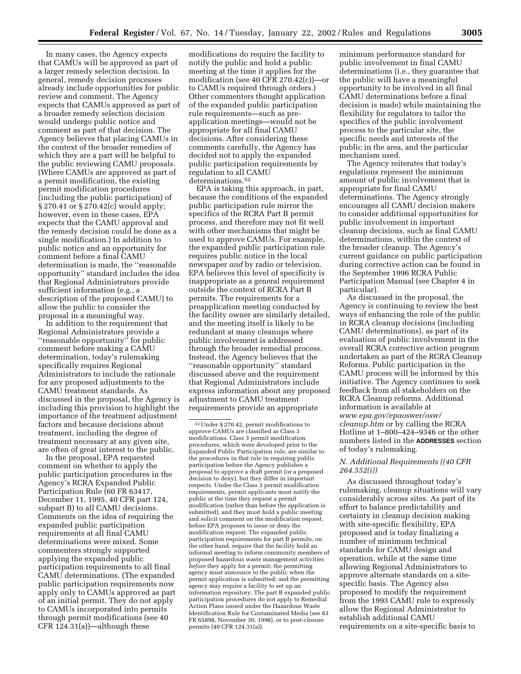In many cases, the Agency expects that CAMUs will be approved as part of a larger remedy selection decision. In general, remedy decision processes already include opportunities for public review and comment. The Agency expects that CAMUs approved as part of a broader remedy selection decision would undergo public notice and comment as part of that decision. The Agency believes that placing CAMUs in the context of the broader remedies of which they are a part will be helpful to the public reviewing CAMU proposals. (Where CAMUs are approved as part of a permit modification, the existing permit modification procedures (including the public participation) of § 270.41 or § 270.42(c) would apply; however, even in these cases, EPA expects that the CAMU approval and the remedy decision could be done as a single modification.) In addition to public notice and an opportunity for comment before a final CAMU determination is made, the ''reasonable opportunity'' standard includes the idea that Regional Administrators provide sufficient information (e.g., a description of the proposed CAMU) to allow the public to consider the proposal in a meaningful way.

In addition to the requirement that Regional Administrators provide a ''reasonable opportunity'' for public comment before making a CAMU determination, today's rulemaking specifically requires Regional Administrators to include the rationale for any proposed adjustments to the CAMU treatment standards. As discussed in the proposal, the Agency is including this provision to highlight the importance of the treatment adjustment factors and because decisions about treatment, including the degree of treatment necessary at any given site, are often of great interest to the public.

In the proposal, EPA requested comment on whether to apply the public participation procedures in the Agency's RCRA Expanded Public Participation Rule (60 FR 63417, December 11, 1995, 40 CFR part 124, subpart B) to all CAMU decisions. Comments on the idea of requiring the expanded public participation requirements at all final CAMU determinations were mixed. Some commenters strongly supported applying the expanded public participation requirements to all final CAMU determinations. (The expanded public participation requirements now apply only to CAMUs approved as part of an initial permit. They do not apply to CAMUs incorporated into permits through permit modifications (see 40 CFR 124.31(a))—although these

modifications do require the facility to notify the public and hold a public meeting at the time it applies for the modification (see 40 CFR 270.42(c))—or to CAMUs required through orders.) Other commenters thought application of the expanded public participation rule requirements—such as preapplication meetings—would not be appropriate for all final CAMU decisions. After considering these comments carefully, the Agency has decided not to apply the expanded public participation requirements by regulation to all CAMU determinations.52

EPA is taking this approach, in part, because the conditions of the expanded public participation rule mirror the specifics of the RCRA Part B permit process, and therefore may not fit well with other mechanisms that might be used to approve CAMUs. For example, the expanded public participation rule requires public notice in the local newspaper *and* by radio or television. EPA believes this level of specificity is inappropriate as a general requirement outside the context of RCRA Part B permits. The requirements for a preapplication meeting conducted by the facility owner are similarly detailed, and the meeting itself is likely to be redundant at many cleanups where public involvement is addressed through the broader remedial process. Instead, the Agency believes that the ''reasonable opportunity'' standard discussed above and the requirement that Regional Administrators include express information about any proposed adjustment to CAMU treatment requirements provide an appropriate

minimum performance standard for public involvement in final CAMU determinations (i.e., they guarantee that the public will have a meaningful opportunity to be involved in all final CAMU determinations before a final decision is made) while maintaining the flexibility for regulators to tailor the specifics of the public involvement process to the particular site, the specific needs and interests of the public in the area, and the particular mechanism used.

The Agency reiterates that today's regulations represent the minimum amount of public involvement that is appropriate for final CAMU determinations. The Agency strongly encourages all CAMU decision makers to consider additional opportunities for public involvement in important cleanup decisions, such as final CAMU determinations, within the context of the broader cleanup. The Agency's current guidance on public participation during corrective action can be found in the September 1996 RCRA Public Participation Manual (see Chapter 4 in particular).

As discussed in the proposal, the Agency is continuing to review the best ways of enhancing the role of the public in RCRA cleanup decisions (including CAMU determinations), as part of its evaluation of public involvement in the overall RCRA corrective action program undertaken as part of the RCRA Cleanup Reforms. Public participation in the CAMU process will be informed by this initiative. The Agency continues to seek feedback from all stakeholders on the RCRA Cleanup reforms. Additional information is available at *www.epa.gov/epaoswer/osw/ cleanup.htm* or by calling the RCRA Hotline at 1–800–424–9346 or the other numbers listed in the **ADDRESSES** section of today's rulemaking.

#### *N. Additional Requirements ((40 CFR 264.552(i))*

As discussed throughout today's rulemaking, cleanup situations will vary considerably across sites. As part of its effort to balance predictability and certainty in cleanup decision making with site-specific flexibility, EPA proposed and is today finalizing a number of minimum technical standards for CAMU design and operation, while at the same time allowing Regional Administrators to approve alternate standards on a sitespecific basis. The Agency also proposed to modify the requirement from the 1993 CAMU rule to expressly allow the Regional Administrator to establish additional CAMU requirements on a site-specific basis to

<sup>52</sup>Under § 270.42, permit modifications to approve CAMUs are classified as Class 3 modifications. Class 3 permit modification procedures, which were developed prior to the Expanded Public Participation rule, are similar to the procedures in that rule in requiring public participation before the Agency publishes a proposal to approve a draft permit (or a proposed decision to deny), but they differ in important respects. Under the Class 3 permit modification requirements, permit applicants must notify the public at the time they request a permit modification (rather than before the application is submitted), and they must hold a public meeting and solicit comment on the modification request, before EPA proposes to issue or deny the modification request. The expanded public participation requirements for part B permits, on the other hand, require that the facility hold an informal meeting to inform community members of proposed hazardous waste management activities *before* they apply for a permit; the permitting agency must announce to the public when the permit application is submitted; and the permitting agency may require a facility to set up an information repository. The part B expanded public participation procedures do not apply to Remedial Action Plans issued under the Hazardous Waste Identification Rule for Contaminated Media (see 63 FR 65898, November 30, 1998), or to post-closure permits (40 CFR 124.31(a)).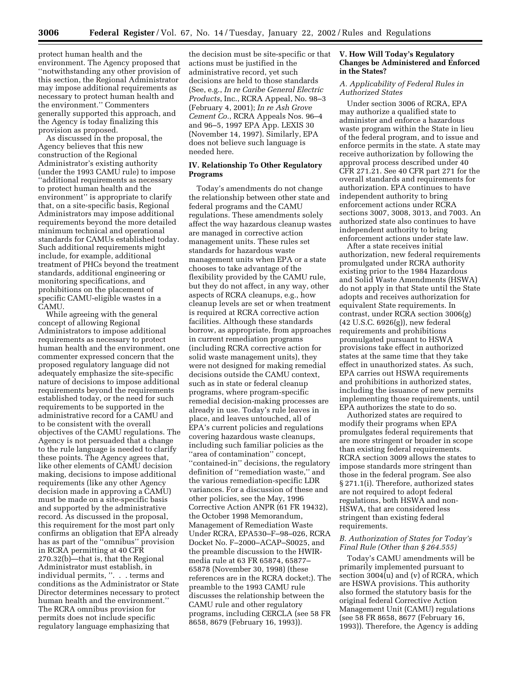protect human health and the environment. The Agency proposed that ''notwithstanding any other provision of this section, the Regional Administrator may impose additional requirements as necessary to protect human health and the environment.'' Commenters generally supported this approach, and the Agency is today finalizing this provision as proposed.

As discussed in the proposal, the Agency believes that this new construction of the Regional Administrator's existing authority (under the 1993 CAMU rule) to impose ''additional requirements as necessary to protect human health and the environment'' is appropriate to clarify that, on a site-specific basis, Regional Administrators may impose additional requirements beyond the more detailed minimum technical and operational standards for CAMUs established today. Such additional requirements might include, for example, additional treatment of PHCs beyond the treatment standards, additional engineering or monitoring specifications, and prohibitions on the placement of specific CAMU-eligible wastes in a CAMU.

While agreeing with the general concept of allowing Regional Administrators to impose additional requirements as necessary to protect human health and the environment, one commenter expressed concern that the proposed regulatory language did not adequately emphasize the site-specific nature of decisions to impose additional requirements beyond the requirements established today, or the need for such requirements to be supported in the administrative record for a CAMU and to be consistent with the overall objectives of the CAMU regulations. The Agency is not persuaded that a change to the rule language is needed to clarify these points. The Agency agrees that, like other elements of CAMU decision making, decisions to impose additional requirements (like any other Agency decision made in approving a CAMU) must be made on a site-specific basis and supported by the administrative record. As discussed in the proposal, this requirement for the most part only confirms an obligation that EPA already has as part of the ''omnibus'' provision in RCRA permitting at 40 CFR 270.32(b)—that is, that the Regional Administrator must establish, in individual permits, ''. . . terms and conditions as the Administrator or State Director determines necessary to protect human health and the environment.'' The RCRA omnibus provision for permits does not include specific regulatory language emphasizing that

the decision must be site-specific or that actions must be justified in the administrative record, yet such decisions are held to those standards (See, e.g., *In re Caribe General Electric Products*, Inc., RCRA Appeal, No. 98–3 (February 4, 2001); *In re Ash Grove Cement Co.*, RCRA Appeals Nos. 96–4 and 96–5, 1997 EPA App. LEXIS 30 (November 14, 1997). Similarly, EPA does not believe such language is needed here.

#### **IV. Relationship To Other Regulatory Programs**

Today's amendments do not change the relationship between other state and federal programs and the CAMU regulations. These amendments solely affect the way hazardous cleanup wastes are managed in corrective action management units. These rules set standards for hazardous waste management units when EPA or a state chooses to take advantage of the flexibility provided by the CAMU rule, but they do not affect, in any way, other aspects of RCRA cleanups, e.g., how cleanup levels are set or when treatment is required at RCRA corrective action facilities. Although these standards borrow, as appropriate, from approaches in current remediation programs (including RCRA corrective action for solid waste management units), they were not designed for making remedial decisions outside the CAMU context, such as in state or federal cleanup programs, where program-specific remedial decision-making processes are already in use. Today's rule leaves in place, and leaves untouched, all of EPA's current policies and regulations covering hazardous waste cleanups, including such familiar policies as the "area of contamination" concept, ''contained-in'' decisions, the regulatory definition of ''remediation waste,'' and the various remediation-specific LDR variances. For a discussion of these and other policies, see the May, 1996 Corrective Action ANPR (61 FR 19432), the October 1998 Memorandum, Management of Remediation Waste Under RCRA, EPA530–F–98–026, RCRA Docket No. F–2000–ACAP–S0025, and the preamble discussion to the HWIRmedia rule at 63 FR 65874, 65877– 65878 (November 30, 1998) (these references are in the RCRA docket;). The preamble to the 1993 CAMU rule discusses the relationship between the CAMU rule and other regulatory programs, including CERCLA (see 58 FR 8658, 8679 (February 16, 1993)).

#### **V. How Will Today's Regulatory Changes be Administered and Enforced in the States?**

#### *A. Applicability of Federal Rules in Authorized States*

Under section 3006 of RCRA, EPA may authorize a qualified state to administer and enforce a hazardous waste program within the State in lieu of the federal program, and to issue and enforce permits in the state. A state may receive authorization by following the approval process described under 40 CFR 271.21. See 40 CFR part 271 for the overall standards and requirements for authorization. EPA continues to have independent authority to bring enforcement actions under RCRA sections 3007, 3008, 3013, and 7003. An authorized state also continues to have independent authority to bring enforcement actions under state law.

After a state receives initial authorization, new federal requirements promulgated under RCRA authority existing prior to the 1984 Hazardous and Solid Waste Amendments (HSWA) do not apply in that State until the State adopts and receives authorization for equivalent State requirements. In contrast, under RCRA section 3006(g) (42 U.S.C. 6926(g)), new federal requirements and prohibitions promulgated pursuant to HSWA provisions take effect in authorized states at the same time that they take effect in unauthorized states. As such, EPA carries out HSWA requirements and prohibitions in authorized states, including the issuance of new permits implementing those requirements, until EPA authorizes the state to do so.

Authorized states are required to modify their programs when EPA promulgates federal requirements that are more stringent or broader in scope than existing federal requirements. RCRA section 3009 allows the states to impose standards more stringent than those in the federal program. See also § 271.1(i). Therefore, authorized states are not required to adopt federal regulations, both HSWA and non-HSWA, that are considered less stringent than existing federal requirements.

#### *B. Authorization of States for Today's Final Rule (Other than § 264.555)*

Today's CAMU amendments will be primarily implemented pursuant to section 3004(u) and (v) of RCRA, which are HSWA provisions. This authority also formed the statutory basis for the original federal Corrective Action Management Unit (CAMU) regulations (see 58 FR 8658, 8677 (February 16, 1993)). Therefore, the Agency is adding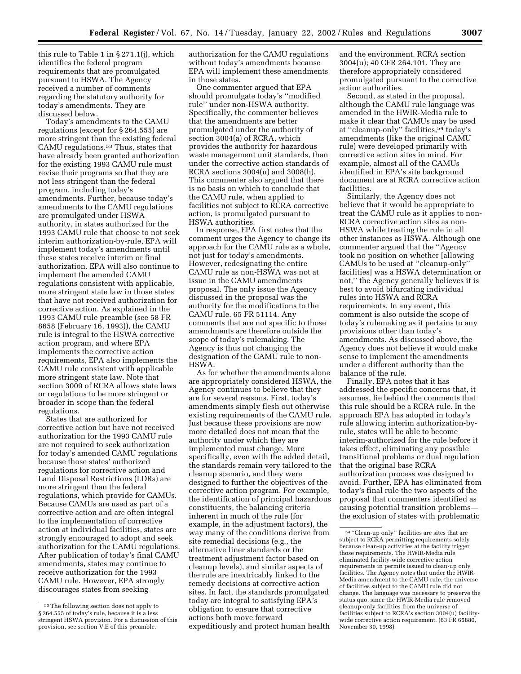this rule to Table 1 in § 271.1(j), which identifies the federal program requirements that are promulgated pursuant to HSWA. The Agency received a number of comments regarding the statutory authority for today's amendments. They are discussed below.

Today's amendments to the CAMU regulations (except for § 264.555) are more stringent than the existing federal CAMU regulations.53 Thus, states that have already been granted authorization for the existing 1993 CAMU rule must revise their programs so that they are not less stringent than the federal program, including today's amendments. Further, because today's amendments to the CAMU regulations are promulgated under HSWA authority, in states authorized for the 1993 CAMU rule that choose to not seek interim authorization-by-rule, EPA will implement today's amendments until these states receive interim or final authorization. EPA will also continue to implement the amended CAMU regulations consistent with applicable, more stringent state law in those states that have not received authorization for corrective action. As explained in the 1993 CAMU rule preamble (see 58 FR 8658 (February 16, 1993)), the CAMU rule is integral to the HSWA corrective action program, and where EPA implements the corrective action requirements, EPA also implements the CAMU rule consistent with applicable more stringent state law. Note that section 3009 of RCRA allows state laws or regulations to be more stringent or broader in scope than the federal regulations.

States that are authorized for corrective action but have not received authorization for the 1993 CAMU rule are not required to seek authorization for today's amended CAMU regulations because those states' authorized regulations for corrective action and Land Disposal Restrictions (LDRs) are more stringent than the federal regulations, which provide for CAMUs. Because CAMUs are used as part of a corrective action and are often integral to the implementation of corrective action at individual facilities, states are strongly encouraged to adopt and seek authorization for the CAMU regulations. After publication of today's final CAMU amendments, states may continue to receive authorization for the 1993 CAMU rule. However, EPA strongly discourages states from seeking

authorization for the CAMU regulations without today's amendments because EPA will implement these amendments in those states.

One commenter argued that EPA should promulgate today's ''modified rule'' under non-HSWA authority. Specifically, the commenter believes that the amendments are better promulgated under the authority of section 3004(a) of RCRA, which provides the authority for hazardous waste management unit standards, than under the corrective action standards of RCRA sections 3004(u) and 3008(h). This commenter also argued that there is no basis on which to conclude that the CAMU rule, when applied to facilities not subject to RCRA corrective action, is promulgated pursuant to HSWA authorities.

In response, EPA first notes that the comment urges the Agency to change its approach for the CAMU rule as a whole, not just for today's amendments. However, redesignating the entire CAMU rule as non-HSWA was not at issue in the CAMU amendments proposal. The only issue the Agency discussed in the proposal was the authority for the modifications to the CAMU rule. 65 FR 51114. Any comments that are not specific to those amendments are therefore outside the scope of today's rulemaking. The Agency is thus not changing the designation of the CAMU rule to non-HSWA.

As for whether the amendments alone are appropriately considered HSWA, the Agency continues to believe that they are for several reasons. First, today's amendments simply flesh out otherwise existing requirements of the CAMU rule. Just because these provisions are now more detailed does not mean that the authority under which they are implemented must change. More specifically, even with the added detail, the standards remain very tailored to the cleanup scenario, and they were designed to further the objectives of the corrective action program. For example, the identification of principal hazardous constituents, the balancing criteria inherent in much of the rule (for example, in the adjustment factors), the way many of the conditions derive from site remedial decisions (e.g., the alternative liner standards or the treatment adjustment factor based on cleanup levels), and similar aspects of the rule are inextricably linked to the remedy decisions at corrective action sites. In fact, the standards promulgated today are integral to satisfying EPA's obligation to ensure that corrective actions both move forward expeditiously and protect human health

and the environment. RCRA section 3004(u); 40 CFR 264.101. They are therefore appropriately considered promulgated pursuant to the corrective action authorities.

Second, as stated in the proposal, although the CAMU rule language was amended in the HWIR-Media rule to make it clear that CAMUs may be used at ''cleanup-only'' facilities,54 today's amendments (like the original CAMU rule) were developed primarily with corrective action sites in mind. For example, almost all of the CAMUs identified in EPA's site background document are at RCRA corrective action facilities.

Similarly, the Agency does not believe that it would be appropriate to treat the CAMU rule as it applies to non-RCRA corrective action sites as non-HSWA while treating the rule in all other instances as HSWA. Although one commenter argued that the ''Agency took no position on whether [allowing CAMUs to be used at ''cleanup-only'' facilities] was a HSWA determination or not,'' the Agency generally believes it is best to avoid bifurcating individual rules into HSWA and RCRA requirements. In any event, this comment is also outside the scope of today's rulemaking as it pertains to any provisions other than today's amendments. As discussed above, the Agency does not believe it would make sense to implement the amendments under a different authority than the balance of the rule.

Finally, EPA notes that it has addressed the specific concerns that, it assumes, lie behind the comments that this rule should be a RCRA rule. In the approach EPA has adopted in today's rule allowing interim authorization-byrule, states will be able to become interim-authorized for the rule before it takes effect, eliminating any possible transitional problems or dual regulation that the original base RCRA authorization process was designed to avoid. Further, EPA has eliminated from today's final rule the two aspects of the proposal that commenters identified as causing potential transition problems the exclusion of states with problematic

<sup>53</sup>The following section does not apply to § 264.555 of today's rule, because it is a less stringent HSWA provision. For a discussion of this provision, see section V.E of this preamble.

<sup>54</sup> ''Clean-up only'' facilities are sites that are subject to RCRA permitting requirements solely because clean-up activities at the facility trigger those requirements. The HWIR-Media rule eliminated facility-wide corrective action requirements in permits issued to clean-up only facilities. The Agency notes that under the HWIR-Media amendment to the CAMU rule, the universe of facilities subject to the CAMU rule did not change. The language was necessary to preserve the status quo, since the HWIR-Media rule removed cleanup-only facilities from the universe of facilities subject to RCRA's section 3004(u) facilitywide corrective action requirement. (63 FR 65880, November 30, 1998).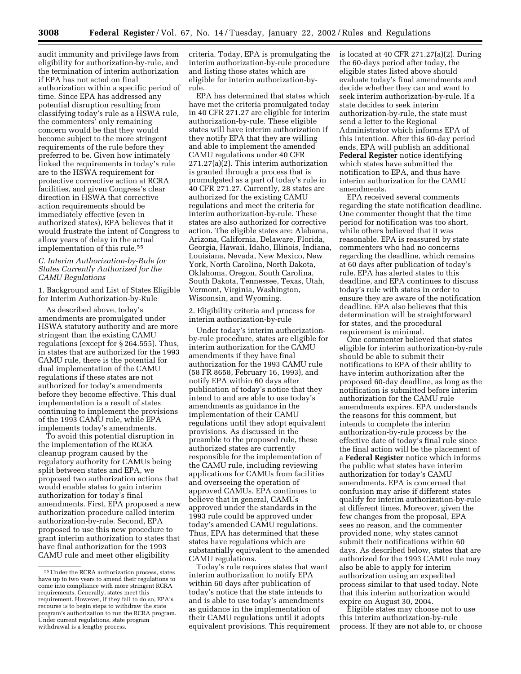audit immunity and privilege laws from eligibility for authorization-by-rule, and the termination of interim authorization if EPA has not acted on final authorization within a specific period of time. Since EPA has addressed any potential disruption resulting from classifying today's rule as a HSWA rule, the commenters' only remaining concern would be that they would become subject to the more stringent requirements of the rule before they preferred to be. Given how intimately linked the requirements in today's rule are to the HSWA requirement for protective corrrective action at RCRA facilities, and given Congress's clear direction in HSWA that corrective action requirements should be immediately effective (even in authorized states), EPA believes that it would frustrate the intent of Congress to allow years of delay in the actual implementation of this rule.55

#### *C. Interim Authorization-by-Rule for States Currently Authorized for the CAMU Regulations*

1. Background and List of States Eligible for Interim Authorization-by-Rule

As described above, today's amendments are promulgated under HSWA statutory authority and are more stringent than the existing CAMU regulations (except for § 264.555). Thus, in states that are authorized for the 1993 CAMU rule, there is the potential for dual implementation of the CAMU regulations if these states are not authorized for today's amendments before they become effective. This dual implementation is a result of states continuing to implement the provisions of the 1993 CAMU rule, while EPA implements today's amendments.

To avoid this potential disruption in the implementation of the RCRA cleanup program caused by the regulatory authority for CAMUs being split between states and EPA, we proposed two authorization actions that would enable states to gain interim authorization for today's final amendments. First, EPA proposed a new authorization procedure called interim authorization-by-rule. Second, EPA proposed to use this new procedure to grant interim authorization to states that have final authorization for the 1993 CAMU rule and meet other eligibility

criteria. Today, EPA is promulgating the interim authorization-by-rule procedure and listing those states which are eligible for interim authorization-byrule.

EPA has determined that states which have met the criteria promulgated today in 40 CFR 271.27 are eligible for interim authorization-by-rule. These eligible states will have interim authorization if they notify EPA that they are willing and able to implement the amended CAMU regulations under 40 CFR 271.27(a)(2). This interim authorization is granted through a process that is promulgated as a part of today's rule in 40 CFR 271.27. Currently, 28 states are authorized for the existing CAMU regulations and meet the criteria for interim authorization-by-rule. These states are also authorized for corrective action. The eligible states are: Alabama, Arizona, California, Delaware, Florida, Georgia, Hawaii, Idaho, Illinois, Indiana, Louisiana, Nevada, New Mexico, New York, North Carolina, North Dakota, Oklahoma, Oregon, South Carolina, South Dakota, Tennessee, Texas, Utah, Vermont, Virginia, Washington, Wisconsin, and Wyoming.

2. Eligibility criteria and process for interim authorization-by-rule

Under today's interim authorizationby-rule procedure, states are eligible for interim authorization for the CAMU amendments if they have final authorization for the 1993 CAMU rule (58 FR 8658, February 16, 1993), and notify EPA within 60 days after publication of today's notice that they intend to and are able to use today's amendments as guidance in the implementation of their CAMU regulations until they adopt equivalent provisions. As discussed in the preamble to the proposed rule, these authorized states are currently responsible for the implementation of the CAMU rule, including reviewing applications for CAMUs from facilities and overseeing the operation of approved CAMUs. EPA continues to believe that in general, CAMUs approved under the standards in the 1993 rule could be approved under today's amended CAMU regulations. Thus, EPA has determined that these states have regulations which are substantially equivalent to the amended CAMU regulations.

Today's rule requires states that want interim authorization to notify EPA within 60 days after publication of today's notice that the state intends to and is able to use today's amendments as guidance in the implementation of their CAMU regulations until it adopts equivalent provisions. This requirement is located at 40 CFR 271.27(a)(2). During the 60-days period after today, the eligible states listed above should evaluate today's final amendments and decide whether they can and want to seek interim authorization-by-rule. If a state decides to seek interim authorization-by-rule, the state must send a letter to the Regional Administrator which informs EPA of this intention. After this 60-day period ends, EPA will publish an additional **Federal Register** notice identifying which states have submitted the notification to EPA, and thus have interim authorization for the CAMU amendments.

EPA received several comments regarding the state notification deadline. One commenter thought that the time period for notification was too short, while others believed that it was reasonable. EPA is reassured by state commenters who had no concerns regarding the deadline, which remains at 60 days after publication of today's rule. EPA has alerted states to this deadline, and EPA continues to discuss today's rule with states in order to ensure they are aware of the notification deadline. EPA also believes that this determination will be straightforward for states, and the procedural requirement is minimal.

One commenter believed that states eligible for interim authorization-by-rule should be able to submit their notifications to EPA of their ability to have interim authorization after the proposed 60-day deadline, as long as the notification is submitted before interim authorization for the CAMU rule amendments expires. EPA understands the reasons for this comment, but intends to complete the interim authorization-by-rule process by the effective date of today's final rule since the final action will be the placement of a **Federal Register** notice which informs the public what states have interim authorization for today's CAMU amendments. EPA is concerned that confusion may arise if different states qualify for interim authorization-by-rule at different times. Moreover, given the few changes from the proposal, EPA sees no reason, and the commenter provided none, why states cannot submit their notifications within 60 days. As described below, states that are authorized for the 1993 CAMU rule may also be able to apply for interim authorization using an expedited process similar to that used today. Note that this interim authorization would expire on August 30, 2004.

Eligible states may choose not to use this interim authorization-by-rule process. If they are not able to, or choose

<sup>55</sup>Under the RCRA authorization process, states have up to two years to amend their regulations to come into compliance with more stringent RCRA requirements. Generally, states meet this requirement. However, if they fail to do so, EPA's recourse is to begin steps to withdraw the state program's authorization to run the RCRA program. Under current regulations, state program withdrawal is a lengthy process.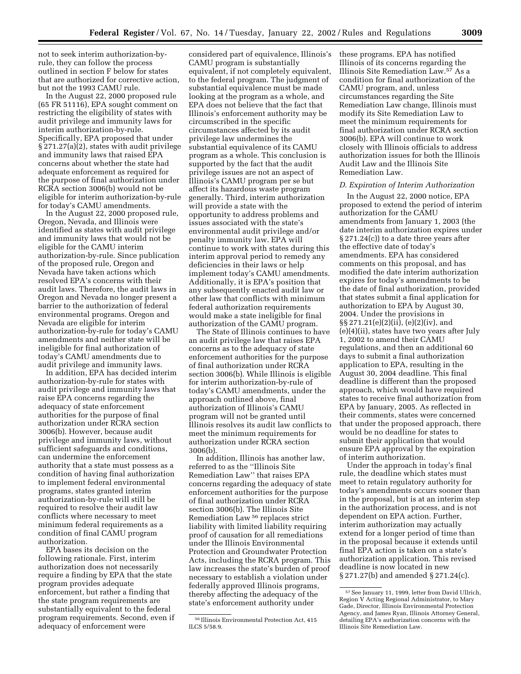not to seek interim authorization-byrule, they can follow the process outlined in section F below for states that are authorized for corrective action, but not the 1993 CAMU rule.

In the August 22, 2000 proposed rule (65 FR 51116), EPA sought comment on restricting the eligibility of states with audit privilege and immunity laws for interim authorization-by-rule. Specifically, EPA proposed that under § 271.27(a)(2), states with audit privilege and immunity laws that raised EPA concerns about whether the state had adequate enforcement as required for the purpose of final authorization under RCRA section 3006(b) would not be eligible for interim authorization-by-rule for today's CAMU amendments.

In the August 22, 2000 proposed rule, Oregon, Nevada, and Illinois were identified as states with audit privilege and immunity laws that would not be eligible for the CAMU interim authorization-by-rule. Since publication of the proposed rule, Oregon and Nevada have taken actions which resolved EPA's concerns with their audit laws. Therefore, the audit laws in Oregon and Nevada no longer present a barrier to the authorization of federal environmental programs. Oregon and Nevada are eligible for interim authorization-by-rule for today's CAMU amendments and neither state will be ineligible for final authorization of today's CAMU amendments due to audit privilege and immunity laws.

In addition, EPA has decided interim authorization-by-rule for states with audit privilege and immunity laws that raise EPA concerns regarding the adequacy of state enforcement authorities for the purpose of final authorization under RCRA section 3006(b). However, because audit privilege and immunity laws, without sufficient safeguards and conditions, can undermine the enforcement authority that a state must possess as a condition of having final authorization to implement federal environmental programs, states granted interim authorization-by-rule will still be required to resolve their audit law conflicts where necessary to meet minimum federal requirements as a condition of final CAMU program authorization.

EPA bases its decision on the following rationale. First, interim authorization does not necessarily require a finding by EPA that the state program provides adequate enforcement, but rather a finding that the state program requirements are substantially equivalent to the federal program requirements. Second, even if adequacy of enforcement were

considered part of equivalence, Illinois's CAMU program is substantially equivalent, if not completely equivalent, to the federal program. The judgment of substantial equivalence must be made looking at the program as a whole, and EPA does not believe that the fact that Illinois's enforcement authority may be circumscribed in the specific circumstances affected by its audit privilege law undermines the substantial equivalence of its CAMU program as a whole. This conclusion is supported by the fact that the audit privilege issues are not an aspect of Illinois's CAMU program per se but affect its hazardous waste program generally. Third, interim authorization will provide a state with the opportunity to address problems and issues associated with the state's environmental audit privilege and/or penalty immunity law. EPA will continue to work with states during this interim approval period to remedy any deficiencies in their laws or help implement today's CAMU amendments. Additionally, it is EPA's position that any subsequently enacted audit law or other law that conflicts with minimum federal authorization requirements would make a state ineligible for final authorization of the CAMU program.

The State of Illinois continues to have an audit privilege law that raises EPA concerns as to the adequacy of state enforcement authorities for the purpose of final authorization under RCRA section 3006(b). While Illinois is eligible for interim authorization-by-rule of today's CAMU amendments, under the approach outlined above, final authorization of Illinois's CAMU program will not be granted until Illinois resolves its audit law conflicts to meet the minimum requirements for authorization under RCRA section 3006(b).

In addition, Illinois has another law, referred to as the ''Illinois Site Remediation Law'' that raises EPA concerns regarding the adequacy of state enforcement authorities for the purpose of final authorization under RCRA section 3006(b). The Illinois Site Remediation Law 56 replaces strict liability with limited liability requiring proof of causation for all remediations under the Illinois Environmental Protection and Groundwater Protection Acts, including the RCRA program. This law increases the state's burden of proof necessary to establish a violation under federally approved Illinois programs, thereby affecting the adequacy of the state's enforcement authority under

these programs. EPA has notified Illinois of its concerns regarding the Illinois Site Remediation Law.57 As a condition for final authorization of the CAMU program, and, unless circumstances regarding the Site Remediation Law change, Illinois must modify its Site Remediation Law to meet the minimum requirements for final authorization under RCRA section 3006(b). EPA will continue to work closely with Illinois officials to address authorization issues for both the Illinois Audit Law and the Illinois Site Remediation Law.

#### *D. Expiration of Interim Authorization*

In the August 22, 2000 notice, EPA proposed to extend the period of interim authorization for the CAMU amendments from January 1, 2003 (the date interim authorization expires under § 271.24(c)) to a date three years after the effective date of today's amendments. EPA has considered comments on this proposal, and has modified the date interim authorization expires for today's amendments to be the date of final authorization, provided that states submit a final application for authorization to EPA by August 30, 2004. Under the provisions in §§ 271.21(e)(2)(ii), (e)(2)(iv), and (e)(4)(ii), states have two years after July 1, 2002 to amend their CAMU regulations, and then an additional 60 days to submit a final authorization application to EPA, resulting in the August 30, 2004 deadline. This final deadline is different than the proposed approach, which would have required states to receive final authorization from EPA by January, 2005. As reflected in their comments, states were concerned that under the proposed approach, there would be no deadline for states to submit their application that would ensure EPA approval by the expiration of interim authorization.

Under the approach in today's final rule, the deadline which states must meet to retain regulatory authority for today's amendments occurs sooner than in the proposal, but is at an interim step in the authorization process, and is not dependent on EPA action. Further, interim authorization may actually extend for a longer period of time than in the proposal because it extends until final EPA action is taken on a state's authorization application. This revised deadline is now located in new § 271.27(b) and amended § 271.24(c).

<sup>56</sup> Illinois Environmental Protection Act, 415 ILCS 5/58.9.

<sup>57</sup>See January 11, 1999, letter from David Ullrich, Region V Acting Regional Administrator, to Mary Gade, Director, Illinois Environmental Protection Agency, and James Ryan, Illinois Attorney General, detailing EPA's authorization concerns with the Illinois Site Remediation Law.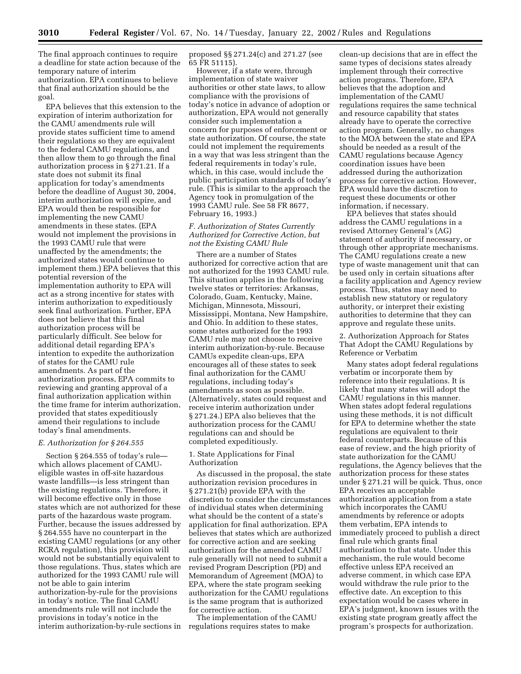**3010 Federal Register** / Vol. 67, No. 14 / Tuesday, January 22, 2002 / Rules and Regulations

The final approach continues to require a deadline for state action because of the temporary nature of interim authorization. EPA continues to believe that final authorization should be the goal.

EPA believes that this extension to the expiration of interim authorization for the CAMU amendments rule will provide states sufficient time to amend their regulations so they are equivalent to the federal CAMU regulations, and then allow them to go through the final authorization process in § 271.21. If a state does not submit its final application for today's amendments before the deadline of August 30, 2004, interim authorization will expire, and EPA would then be responsible for implementing the new CAMU amendments in these states. (EPA would not implement the provisions in the 1993 CAMU rule that were unaffected by the amendments; the authorized states would continue to implement them.) EPA believes that this potential reversion of the implementation authority to EPA will act as a strong incentive for states with interim authorization to expeditiously seek final authorization. Further, EPA does not believe that this final authorization process will be particularly difficult. See below for additional detail regarding EPA's intention to expedite the authorization of states for the CAMU rule amendments. As part of the authorization process, EPA commits to reviewing and granting approval of a final authorization application within the time frame for interim authorization, provided that states expeditiously amend their regulations to include today's final amendments.

#### *E. Authorization for § 264.555*

Section § 264.555 of today's rule which allows placement of CAMUeligible wastes in off-site hazardous waste landfills—is less stringent than the existing regulations. Therefore, it will become effective only in those states which are not authorized for these parts of the hazardous waste program. Further, because the issues addressed by § 264.555 have no counterpart in the existing CAMU regulations (or any other RCRA regulation), this provision will would not be substantially equivalent to those regulations. Thus, states which are authorized for the 1993 CAMU rule will not be able to gain interim authorization-by-rule for the provisions in today's notice. The final CAMU amendments rule will not include the provisions in today's notice in the interim authorization-by-rule sections in proposed §§ 271.24(c) and 271.27 (see 65 FR 51115).

However, if a state were, through implementation of state waiver authorities or other state laws, to allow compliance with the provisions of today's notice in advance of adoption or authorization, EPA would not generally consider such implementation a concern for purposes of enforcement or state authorization. Of course, the state could not implement the requirements in a way that was less stringent than the federal requirements in today's rule, which, in this case, would include the public participation standards of today's rule. (This is similar to the approach the Agency took in promulgation of the 1993 CAMU rule. See 58 FR 8677, February 16, 1993.)

#### *F. Authorization of States Currently Authorized for Corrective Action, but not the Existing CAMU Rule*

There are a number of States authorized for corrective action that are not authorized for the 1993 CAMU rule. This situation applies in the following twelve states or territories: Arkansas, Colorado, Guam, Kentucky, Maine, Michigan, Minnesota, Missouri, Mississippi, Montana, New Hampshire, and Ohio. In addition to these states, some states authorized for the 1993 CAMU rule may not choose to receive interim authorization-by-rule. Because CAMUs expedite clean-ups, EPA encourages all of these states to seek final authorization for the CAMU regulations, including today's amendments as soon as possible. (Alternatively, states could request and receive interim authorization under § 271.24.) EPA also believes that the authorization process for the CAMU regulations can and should be completed expeditiously.

#### 1. State Applications for Final Authorization

As discussed in the proposal, the state authorization revision procedures in § 271.21(b) provide EPA with the discretion to consider the circumstances of individual states when determining what should be the content of a state's application for final authorization. EPA believes that states which are authorized for corrective action and are seeking authorization for the amended CAMU rule generally will not need to submit a revised Program Description (PD) and Memorandum of Agreement (MOA) to EPA, where the state program seeking authorization for the CAMU regulations is the same program that is authorized for corrective action.

The implementation of the CAMU regulations requires states to make

clean-up decisions that are in effect the same types of decisions states already implement through their corrective action programs. Therefore, EPA believes that the adoption and implementation of the CAMU regulations requires the same technical and resource capability that states already have to operate the corrective action program. Generally, no changes to the MOA between the state and EPA should be needed as a result of the CAMU regulations because Agency coordination issues have been addressed during the authorization process for corrective action. However, EPA would have the discretion to request these documents or other information, if necessary.

EPA believes that states should address the CAMU regulations in a revised Attorney General's (AG) statement of authority if necessary, or through other appropriate mechanisms. The CAMU regulations create a new type of waste management unit that can be used only in certain situations after a facility application and Agency review process. Thus, states may need to establish new statutory or regulatory authority, or interpret their existing authorities to determine that they can approve and regulate these units.

2. Authorization Approach for States That Adopt the CAMU Regulations by Reference or Verbatim

Many states adopt federal regulations verbatim or incorporate them by reference into their regulations. It is likely that many states will adopt the CAMU regulations in this manner. When states adopt federal regulations using these methods, it is not difficult for EPA to determine whether the state regulations are equivalent to their federal counterparts. Because of this ease of review, and the high priority of state authorization for the CAMU regulations, the Agency believes that the authorization process for these states under § 271.21 will be quick. Thus, once EPA receives an acceptable authorization application from a state which incorporates the CAMU amendments by reference or adopts them verbatim, EPA intends to immediately proceed to publish a direct final rule which grants final authorization to that state. Under this mechanism, the rule would become effective unless EPA received an adverse comment, in which case EPA would withdraw the rule prior to the effective date. An exception to this expectation would be cases where in EPA's judgment, known issues with the existing state program greatly affect the program's prospects for authorization.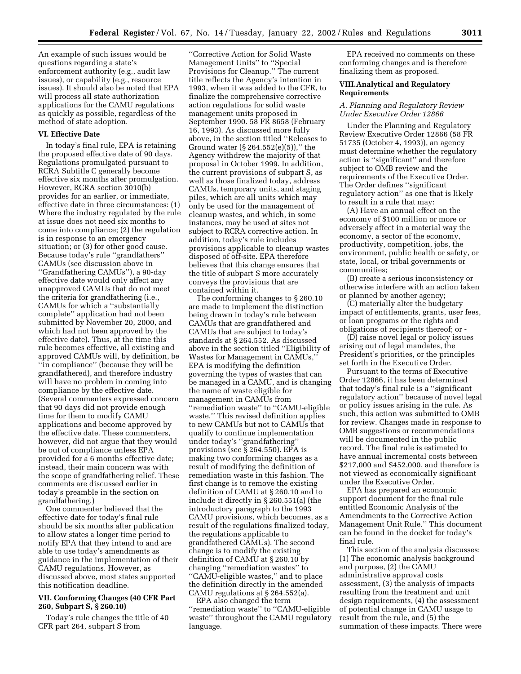An example of such issues would be questions regarding a state's enforcement authority (e.g., audit law issues), or capability (e.g., resource issues). It should also be noted that EPA will process all state authorization applications for the CAMU regulations as quickly as possible, regardless of the method of state adoption.

#### **VI. Effective Date**

In today's final rule, EPA is retaining the proposed effective date of 90 days. Regulations promulgated pursuant to RCRA Subtitle C generally become effective six months after promulgation. However, RCRA section 3010(b) provides for an earlier, or immediate, effective date in three circumstances: (1) Where the industry regulated by the rule at issue does not need six months to come into compliance; (2) the regulation is in response to an emergency situation; or (3) for other good cause. Because today's rule ''grandfathers'' CAMUs (see discussion above in ''Grandfathering CAMUs''), a 90-day effective date would only affect any unapproved CAMUs that do not meet the criteria for grandfathering (i.e., CAMUs for which a ''substantially complete'' application had not been submitted by November 20, 2000, and which had not been approved by the effective date). Thus, at the time this rule becomes effective, all existing and approved CAMUs will, by definition, be ''in compliance'' (because they will be grandfathered), and therefore industry will have no problem in coming into compliance by the effective date. (Several commenters expressed concern that 90 days did not provide enough time for them to modify CAMU applications and become approved by the effective date. These commenters, however, did not argue that they would be out of compliance unless EPA provided for a 6 months effective date; instead, their main concern was with the scope of grandfathering relief. These comments are discussed earlier in today's preamble in the section on grandfathering.)

One commenter believed that the effective date for today's final rule should be six months after publication to allow states a longer time period to notify EPA that they intend to and are able to use today's amendments as guidance in the implementation of their CAMU regulations. However, as discussed above, most states supported this notification deadline.

#### **VII. Conforming Changes (40 CFR Part 260, Subpart S, § 260.10)**

Today's rule changes the title of 40 CFR part 264, subpart S from

''Corrective Action for Solid Waste Management Units'' to ''Special Provisions for Cleanup.'' The current title reflects the Agency's intention in 1993, when it was added to the CFR, to finalize the comprehensive corrective action regulations for solid waste management units proposed in September 1990. 58 FR 8658 (February 16, 1993). As discussed more fully above, in the section titled ''Releases to Ground water  $(\S 264.552(e)(5))$ ," the Agency withdrew the majority of that proposal in October 1999. In addition, the current provisions of subpart S, as well as those finalized today, address CAMUs, temporary units, and staging piles, which are all units which may only be used for the management of cleanup wastes, and which, in some instances, may be used at sites not subject to RCRA corrective action. In addition, today's rule includes provisions applicable to cleanup wastes disposed of off-site. EPA therefore believes that this change ensures that the title of subpart S more accurately conveys the provisions that are contained within it.

The conforming changes to § 260.10 are made to implement the distinction being drawn in today's rule between CAMUs that are grandfathered and CAMUs that are subject to today's standards at § 264.552. As discussed above in the section titled ''Eligibility of Wastes for Management in CAMUs,'' EPA is modifying the definition governing the types of wastes that can be managed in a CAMU, and is changing the name of waste eligible for management in CAMUs from ''remediation waste'' to ''CAMU-eligible waste.'' This revised definition applies to new CAMUs but not to CAMUs that qualify to continue implementation under today's ''grandfathering'' provisions (see § 264.550). EPA is making two conforming changes as a result of modifying the definition of remediation waste in this fashion. The first change is to remove the existing definition of CAMU at § 260.10 and to include it directly in § 260.551(a) (the introductory paragraph to the 1993 CAMU provisions, which becomes, as a result of the regulations finalized today, the regulations applicable to grandfathered CAMUs). The second change is to modify the existing definition of CAMU at § 260.10 by changing ''remediation wastes'' to ''CAMU-eligible wastes,'' and to place the definition directly in the amended CAMU regulations at § 264.552(a).

EPA also changed the term ''remediation waste'' to ''CAMU-eligible waste'' throughout the CAMU regulatory language.

EPA received no comments on these conforming changes and is therefore finalizing them as proposed.

#### **VIII.Analytical and Regulatory Requirements**

#### *A. Planning and Regulatory Review Under Executive Order 12866*

Under the Planning and Regulatory Review Executive Order 12866 (58 FR 51735 (October 4, 1993)), an agency must determine whether the regulatory action is ''significant'' and therefore subject to OMB review and the requirements of the Executive Order. The Order defines ''significant regulatory action'' as one that is likely to result in a rule that may:

(A) Have an annual effect on the economy of \$100 million or more or adversely affect in a material way the economy, a sector of the economy, productivity, competition, jobs, the environment, public health or safety, or state, local, or tribal governments or communities;

(B) create a serious inconsistency or otherwise interfere with an action taken or planned by another agency;

(C) materially alter the budgetary impact of entitlements, grants, user fees, or loan programs or the rights and obligations of recipients thereof; or -

(D) raise novel legal or policy issues arising out of legal mandates, the President's priorities, or the principles set forth in the Executive Order.

Pursuant to the terms of Executive Order 12866, it has been determined that today's final rule is a ''significant regulatory action'' because of novel legal or policy issues arising in the rule. As such, this action was submitted to OMB for review. Changes made in response to OMB suggestions or recommendations will be documented in the public record. The final rule is estimated to have annual incremental costs between \$217,000 and \$452,000, and therefore is not viewed as economically significant under the Executive Order.

EPA has prepared an economic support document for the final rule entitled Economic Analysis of the Amendments to the Corrective Action Management Unit Rule.'' This document can be found in the docket for today's final rule.

This section of the analysis discusses: (1) The economic analysis background and purpose, (2) the CAMU administrative approval costs assessment, (3) the analysis of impacts resulting from the treatment and unit design requirements, (4) the assessment of potential change in CAMU usage to result from the rule, and (5) the summation of these impacts. There were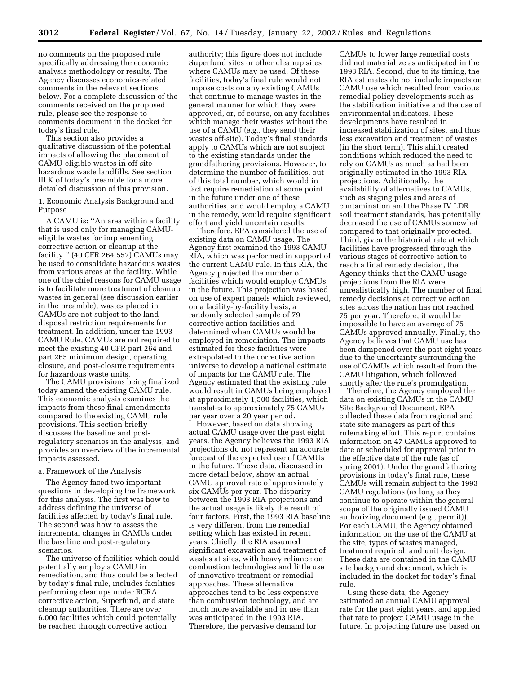no comments on the proposed rule specifically addressing the economic analysis methodology or results. The Agency discusses economics-related comments in the relevant sections below. For a complete discussion of the comments received on the proposed rule, please see the response to comments document in the docket for today's final rule.

This section also provides a qualitative discussion of the potential impacts of allowing the placement of CAMU-eligible wastes in off-site hazardous waste landfills. See section III.K of today's preamble for a more detailed discussion of this provision.

1. Economic Analysis Background and Purpose

A CAMU is: ''An area within a facility that is used only for managing CAMUeligible wastes for implementing corrective action or cleanup at the facility.'' (40 CFR 264.552) CAMUs may be used to consolidate hazardous wastes from various areas at the facility. While one of the chief reasons for CAMU usage is to facilitate more treatment of cleanup wastes in general (see discussion earlier in the preamble), wastes placed in CAMUs are not subject to the land disposal restriction requirements for treatment. In addition, under the 1993 CAMU Rule, CAMUs are not required to meet the existing 40 CFR part 264 and part 265 minimum design, operating, closure, and post-closure requirements for hazardous waste units.

The CAMU provisions being finalized today amend the existing CAMU rule. This economic analysis examines the impacts from these final amendments compared to the existing CAMU rule provisions. This section briefly discusses the baseline and postregulatory scenarios in the analysis, and provides an overview of the incremental impacts assessed.

#### a. Framework of the Analysis

The Agency faced two important questions in developing the framework for this analysis. The first was how to address defining the universe of facilities affected by today's final rule. The second was how to assess the incremental changes in CAMUs under the baseline and post-regulatory scenarios.

The universe of facilities which could potentially employ a CAMU in remediation, and thus could be affected by today's final rule, includes facilities performing cleanups under RCRA corrective action, Superfund, and state cleanup authorities. There are over 6,000 facilities which could potentially be reached through corrective action

authority; this figure does not include Superfund sites or other cleanup sites where CAMUs may be used. Of these facilities, today's final rule would not impose costs on any existing CAMUs that continue to manage wastes in the general manner for which they were approved, or, of course, on any facilities which manage their wastes without the use of a CAMU (e.g., they send their wastes off-site). Today's final standards apply to CAMUs which are not subject to the existing standards under the grandfathering provisions. However, to determine the number of facilities, out of this total number, which would in fact require remediation at some point in the future under one of these authorities, and would employ a CAMU in the remedy, would require significant effort and yield uncertain results.

Therefore, EPA considered the use of existing data on CAMU usage. The Agency first examined the 1993 CAMU RIA, which was performed in support of the current CAMU rule. In this RIA, the Agency projected the number of facilities which would employ CAMUs in the future. This projection was based on use of expert panels which reviewed, on a facility-by-facility basis, a randomly selected sample of 79 corrective action facilities and determined when CAMUs would be employed in remediation. The impacts estimated for these facilities were extrapolated to the corrective action universe to develop a national estimate of impacts for the CAMU rule. The Agency estimated that the existing rule would result in CAMUs being employed at approximately 1,500 facilities, which translates to approximately 75 CAMUs per year over a 20 year period.

However, based on data showing actual CAMU usage over the past eight years, the Agency believes the 1993 RIA projections do not represent an accurate forecast of the expected use of CAMUs in the future. These data, discussed in more detail below, show an actual CAMU approval rate of approximately six CAMUs per year. The disparity between the 1993 RIA projections and the actual usage is likely the result of four factors. First, the 1993 RIA baseline is very different from the remedial setting which has existed in recent years. Chiefly, the RIA assumed significant excavation and treatment of wastes at sites, with heavy reliance on combustion technologies and little use of innovative treatment or remedial approaches. These alternative approaches tend to be less expensive than combustion technology, and are much more available and in use than was anticipated in the 1993 RIA. Therefore, the pervasive demand for

CAMUs to lower large remedial costs did not materialize as anticipated in the 1993 RIA. Second, due to its timing, the RIA estimates do not include impacts on CAMU use which resulted from various remedial policy developments such as the stabilization initiative and the use of environmental indicators. These developments have resulted in increased stabilization of sites, and thus less excavation and treatment of wastes (in the short term). This shift created conditions which reduced the need to rely on CAMUs as much as had been originally estimated in the 1993 RIA projections. Additionally, the availability of alternatives to CAMUs, such as staging piles and areas of contamination and the Phase IV LDR soil treatment standards, has potentially decreased the use of CAMUs somewhat compared to that originally projected. Third, given the historical rate at which facilities have progressed through the various stages of corrective action to reach a final remedy decision, the Agency thinks that the CAMU usage projections from the RIA were unrealistically high. The number of final remedy decisions at corrective action sites across the nation has not reached 75 per year. Therefore, it would be impossible to have an average of 75 CAMUs approved annually. Finally, the Agency believes that CAMU use has been dampened over the past eight years due to the uncertainty surrounding the use of CAMUs which resulted from the CAMU litigation, which followed shortly after the rule's promulgation.

Therefore, the Agency employed the data on existing CAMUs in the CAMU Site Background Document. EPA collected these data from regional and state site managers as part of this rulemaking effort. This report contains information on 47 CAMUs approved to date or scheduled for approval prior to the effective date of the rule (as of spring 2001). Under the grandfathering provisions in today's final rule, these CAMUs will remain subject to the 1993 CAMU regulations (as long as they continue to operate within the general scope of the originally issued CAMU authorizing document (e.g., permit)). For each CAMU, the Agency obtained information on the use of the CAMU at the site, types of wastes managed, treatment required, and unit design. These data are contained in the CAMU site background document, which is included in the docket for today's final rule.

Using these data, the Agency estimated an annual CAMU approval rate for the past eight years, and applied that rate to project CAMU usage in the future. In projecting future use based on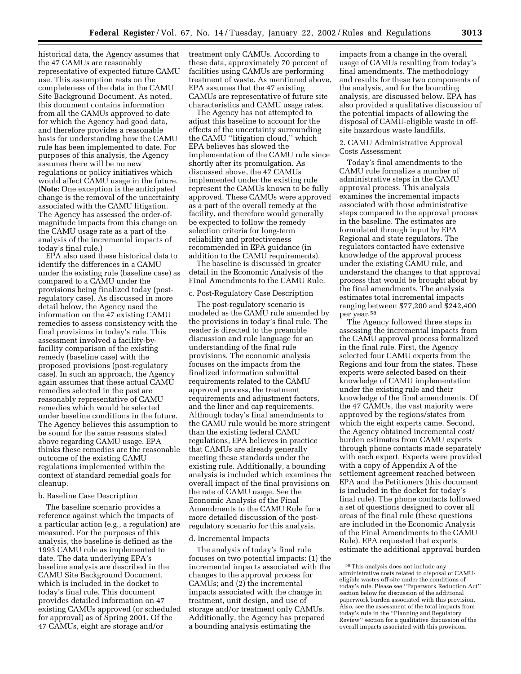historical data, the Agency assumes that the 47 CAMUs are reasonably representative of expected future CAMU use. This assumption rests on the completeness of the data in the CAMU Site Background Document. As noted, this document contains information from all the CAMUs approved to date for which the Agency had good data, and therefore provides a reasonable basis for understanding how the CAMU rule has been implemented to date. For purposes of this analysis, the Agency assumes there will be no new regulations or policy initiatives which would affect CAMU usage in the future. (**Note:** One exception is the anticipated change is the removal of the uncertainty associated with the CAMU litigation. The Agency has assessed the order-ofmagnitude impacts from this change on the CAMU usage rate as a part of the analysis of the incremental impacts of today's final rule.)

EPA also used these historical data to identify the differences in a CAMU under the existing rule (baseline case) as compared to a CAMU under the provisions being finalized today (postregulatory case). As discussed in more detail below, the Agency used the information on the 47 existing CAMU remedies to assess consistency with the final provisions in today's rule. This assessment involved a facility-byfacility comparison of the existing remedy (baseline case) with the proposed provisions (post-regulatory case). In such an approach, the Agency again assumes that these actual CAMU remedies selected in the past are reasonably representative of CAMU remedies which would be selected under baseline conditions in the future. The Agency believes this assumption to be sound for the same reasons stated above regarding CAMU usage. EPA thinks these remedies are the reasonable outcome of the existing CAMU regulations implemented within the context of standard remedial goals for cleanup.

#### b. Baseline Case Description

The baseline scenario provides a reference against which the impacts of a particular action (e.g., a regulation) are measured. For the purposes of this analysis, the baseline is defined as the 1993 CAMU rule as implemented to date. The data underlying EPA's baseline analysis are described in the CAMU Site Background Document, which is included in the docket to today's final rule. This document provides detailed information on 47 existing CAMUs approved (or scheduled for approval) as of Spring 2001. Of the 47 CAMUs, eight are storage and/or

treatment only CAMUs. According to these data, approximately 70 percent of facilities using CAMUs are performing treatment of waste. As mentioned above, EPA assumes that the 47 existing CAMUs are representative of future site characteristics and CAMU usage rates.

The Agency has not attempted to adjust this baseline to account for the effects of the uncertainty surrounding the CAMU ''litigation cloud,'' which EPA believes has slowed the implementation of the CAMU rule since shortly after its promulgation. As discussed above, the 47 CAMUs implemented under the existing rule represent the CAMUs known to be fully approved. These CAMUs were approved as a part of the overall remedy at the facility, and therefore would generally be expected to follow the remedy selection criteria for long-term reliability and protectiveness recommended in EPA guidance (in addition to the CAMU requirements).

The baseline is discussed in greater detail in the Economic Analysis of the Final Amendments to the CAMU Rule.

#### c. Post-Regulatory Case Description

The post-regulatory scenario is modeled as the CAMU rule amended by the provisions in today's final rule. The reader is directed to the preamble discussion and rule language for an understanding of the final rule provisions. The economic analysis focuses on the impacts from the finalized information submittal requirements related to the CAMU approval process, the treatment requirements and adjustment factors, and the liner and cap requirements. Although today's final amendments to the CAMU rule would be more stringent than the existing federal CAMU regulations, EPA believes in practice that CAMUs are already generally meeting these standards under the existing rule. Additionally, a bounding analysis is included which examines the overall impact of the final provisions on the rate of CAMU usage. See the Economic Analysis of the Final Amendments to the CAMU Rule for a more detailed discussion of the postregulatory scenario for this analysis.

#### d. Incremental Impacts

The analysis of today's final rule focuses on two potential impacts: (1) the incremental impacts associated with the changes to the approval process for CAMUs; and (2) the incremental impacts associated with the change in treatment, unit design, and use of storage and/or treatment only CAMUs. Additionally, the Agency has prepared a bounding analysis estimating the

impacts from a change in the overall usage of CAMUs resulting from today's final amendments. The methodology and results for these two components of the analysis, and for the bounding analysis, are discussed below. EPA has also provided a qualitative discussion of the potential impacts of allowing the disposal of CAMU-eligible waste in offsite hazardous waste landfills.

#### 2. CAMU Administrative Approval Costs Assessment

Today's final amendments to the CAMU rule formalize a number of administrative steps in the CAMU approval process. This analysis examines the incremental impacts associated with those administrative steps compared to the approval process in the baseline. The estimates are formulated through input by EPA Regional and state regulators. The regulators contacted have extensive knowledge of the approval process under the existing CAMU rule, and understand the changes to that approval process that would be brought about by the final amendments. The analysis estimates total incremental impacts ranging between \$77,200 and \$242,400 per year.58

The Agency followed three steps in assessing the incremental impacts from the CAMU approval process formalized in the final rule. First, the Agency selected four CAMU experts from the Regions and four from the states. These experts were selected based on their knowledge of CAMU implementation under the existing rule and their knowledge of the final amendments. Of the 47 CAMUs, the vast majority were approved by the regions/states from which the eight experts came. Second, the Agency obtained incremental cost/ burden estimates from CAMU experts through phone contacts made separately with each expert. Experts were provided with a copy of Appendix A of the settlement agreement reached between EPA and the Petitioners (this document is included in the docket for today's final rule). The phone contacts followed a set of questions designed to cover all areas of the final rule (these questions are included in the Economic Analysis of the Final Amendments to the CAMU Rule). EPA requested that experts estimate the additional approval burden

<sup>58</sup>This analysis does not include any administrative costs related to disposal of CAMUeligible wastes off-site under the conditions of today's rule. Please see ''Paperwork Reduction Act'' section below for discussion of the additional paperwork burden associated with this provision. Also, see the assessment of the total impacts from today's rule in the ''Planning and Regulatory Review'' section for a qualitative discussion of the overall impacts associated with this provision.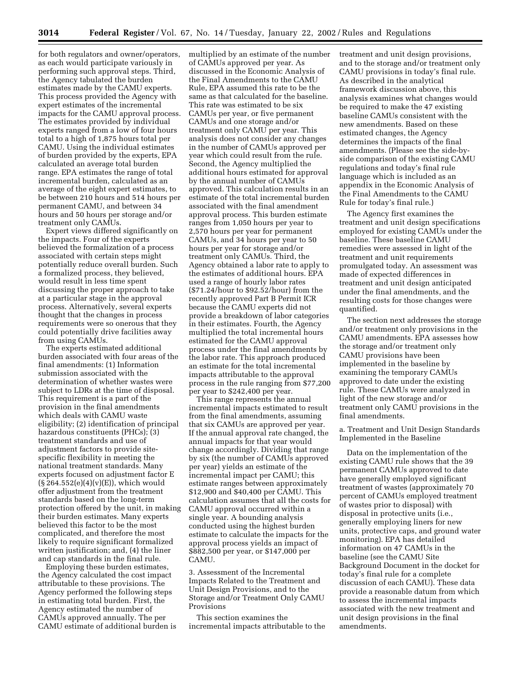for both regulators and owner/operators, as each would participate variously in performing such approval steps. Third, the Agency tabulated the burden estimates made by the CAMU experts. This process provided the Agency with expert estimates of the incremental impacts for the CAMU approval process. The estimates provided by individual experts ranged from a low of four hours total to a high of 1,875 hours total per CAMU. Using the individual estimates of burden provided by the experts, EPA calculated an average total burden range. EPA estimates the range of total incremental burden, calculated as an average of the eight expert estimates, to be between 210 hours and 514 hours per permanent CAMU, and between 34 hours and 50 hours per storage and/or treatment only CAMUs.

Expert views differed significantly on the impacts. Four of the experts believed the formalization of a process associated with certain steps might potentially reduce overall burden. Such a formalized process, they believed, would result in less time spent discussing the proper approach to take at a particular stage in the approval process. Alternatively, several experts thought that the changes in process requirements were so onerous that they could potentially drive facilities away from using CAMUs.

The experts estimated additional burden associated with four areas of the final amendments: (1) Information submission associated with the determination of whether wastes were subject to LDRs at the time of disposal. This requirement is a part of the provision in the final amendments which deals with CAMU waste eligibility; (2) identification of principal hazardous constituents (PHCs); (3) treatment standards and use of adjustment factors to provide sitespecific flexibility in meeting the national treatment standards. Many experts focused on adjustment factor E  $(S 264.552(e)(4)(v)(E))$ , which would offer adjustment from the treatment standards based on the long-term protection offered by the unit, in making their burden estimates. Many experts believed this factor to be the most complicated, and therefore the most likely to require significant formalized written justification; and, (4) the liner and cap standards in the final rule.

Employing these burden estimates, the Agency calculated the cost impact attributable to these provisions. The Agency performed the following steps in estimating total burden. First, the Agency estimated the number of CAMUs approved annually. The per CAMU estimate of additional burden is multiplied by an estimate of the number of CAMUs approved per year. As discussed in the Economic Analysis of the Final Amendments to the CAMU Rule, EPA assumed this rate to be the same as that calculated for the baseline. This rate was estimated to be six CAMUs per year, or five permanent CAMUs and one storage and/or treatment only CAMU per year. This analysis does not consider any changes in the number of CAMUs approved per year which could result from the rule. Second, the Agency multiplied the additional hours estimated for approval by the annual number of CAMUs approved. This calculation results in an estimate of the total incremental burden associated with the final amendment approval process. This burden estimate ranges from 1,050 hours per year to 2,570 hours per year for permanent CAMUs, and 34 hours per year to 50 hours per year for storage and/or treatment only CAMUs. Third, the Agency obtained a labor rate to apply to the estimates of additional hours. EPA used a range of hourly labor rates (\$71.24/hour to \$92.52/hour) from the recently approved Part B Permit ICR because the CAMU experts did not provide a breakdown of labor categories in their estimates. Fourth, the Agency multiplied the total incremental hours estimated for the CAMU approval process under the final amendments by the labor rate. This approach produced an estimate for the total incremental impacts attributable to the approval process in the rule ranging from \$77,200 per year to \$242,400 per year.

This range represents the annual incremental impacts estimated to result from the final amendments, assuming that six CAMUs are approved per year. If the annual approval rate changed, the annual impacts for that year would change accordingly. Dividing that range by six (the number of CAMUs approved per year) yields an estimate of the incremental impact per CAMU; this estimate ranges between approximately \$12,900 and \$40,400 per CAMU. This calculation assumes that all the costs for CAMU approval occurred within a single year. A bounding analysis conducted using the highest burden estimate to calculate the impacts for the approval process yields an impact of \$882,500 per year, or \$147,000 per **CAMU** 

3. Assessment of the Incremental Impacts Related to the Treatment and Unit Design Provisions, and to the Storage and/or Treatment Only CAMU Provisions

This section examines the incremental impacts attributable to the treatment and unit design provisions, and to the storage and/or treatment only CAMU provisions in today's final rule. As described in the analytical framework discussion above, this analysis examines what changes would be required to make the 47 existing baseline CAMUs consistent with the new amendments. Based on these estimated changes, the Agency determines the impacts of the final amendments. (Please see the side-byside comparison of the existing CAMU regulations and today's final rule language which is included as an appendix in the Economic Analysis of the Final Amendments to the CAMU Rule for today's final rule.)

The Agency first examines the treatment and unit design specifications employed for existing CAMUs under the baseline. These baseline CAMU remedies were assessed in light of the treatment and unit requirements promulgated today. An assessment was made of expected differences in treatment and unit design anticipated under the final amendments, and the resulting costs for those changes were quantified.

The section next addresses the storage and/or treatment only provisions in the CAMU amendments. EPA assesses how the storage and/or treatment only CAMU provisions have been implemented in the baseline by examining the temporary CAMUs approved to date under the existing rule. These CAMUs were analyzed in light of the new storage and/or treatment only CAMU provisions in the final amendments.

a. Treatment and Unit Design Standards Implemented in the Baseline

Data on the implementation of the existing CAMU rule shows that the 39 permanent CAMUs approved to date have generally employed significant treatment of wastes (approximately 70 percent of CAMUs employed treatment of wastes prior to disposal) with disposal in protective units (i.e., generally employing liners for new units, protective caps, and ground water monitoring). EPA has detailed information on 47 CAMUs in the baseline (see the CAMU Site Background Document in the docket for today's final rule for a complete discussion of each CAMU). These data provide a reasonable datum from which to assess the incremental impacts associated with the new treatment and unit design provisions in the final amendments.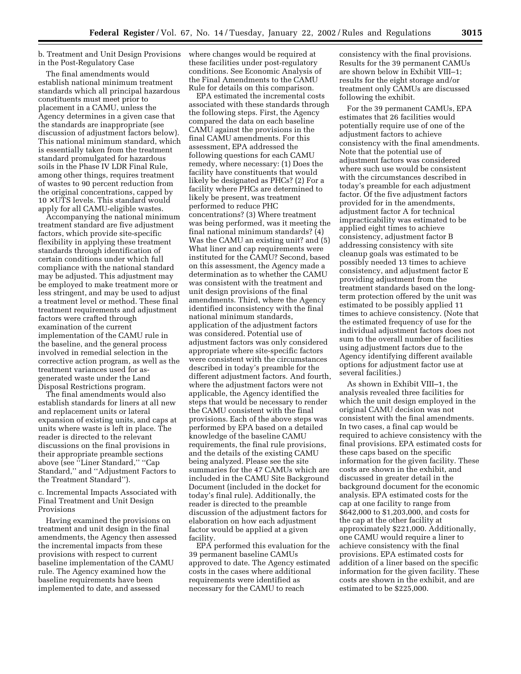#### b. Treatment and Unit Design Provisions in the Post-Regulatory Case

The final amendments would establish national minimum treatment standards which all principal hazardous constituents must meet prior to placement in a CAMU, unless the Agency determines in a given case that the standards are inappropriate (see discussion of adjustment factors below). This national minimum standard, which is essentially taken from the treatment standard promulgated for hazardous soils in the Phase IV LDR Final Rule, among other things, requires treatment of wastes to 90 percent reduction from the original concentrations, capped by  $10 \times UTS$  levels. This standard would apply for all CAMU-eligible wastes.

Accompanying the national minimum treatment standard are five adjustment factors, which provide site-specific flexibility in applying these treatment standards through identification of certain conditions under which full compliance with the national standard may be adjusted. This adjustment may be employed to make treatment more or less stringent, and may be used to adjust a treatment level or method. These final treatment requirements and adjustment factors were crafted through examination of the current implementation of the CAMU rule in the baseline, and the general process involved in remedial selection in the corrective action program, as well as the treatment variances used for asgenerated waste under the Land Disposal Restrictions program.

The final amendments would also establish standards for liners at all new and replacement units or lateral expansion of existing units, and caps at units where waste is left in place. The reader is directed to the relevant discussions on the final provisions in their appropriate preamble sections above (see ''Liner Standard,'' ''Cap Standard,'' and ''Adjustment Factors to the Treatment Standard'').

#### c. Incremental Impacts Associated with Final Treatment and Unit Design Provisions

Having examined the provisions on treatment and unit design in the final amendments, the Agency then assessed the incremental impacts from these provisions with respect to current baseline implementation of the CAMU rule. The Agency examined how the baseline requirements have been implemented to date, and assessed

where changes would be required at these facilities under post-regulatory conditions. See Economic Analysis of the Final Amendments to the CAMU Rule for details on this comparison.

EPA estimated the incremental costs associated with these standards through the following steps. First, the Agency compared the data on each baseline CAMU against the provisions in the final CAMU amendments. For this assessment, EPA addressed the following questions for each CAMU remedy, where necessary: (1) Does the facility have constituents that would likely be designated as PHCs? (2) For a facility where PHCs are determined to likely be present, was treatment performed to reduce PHC concentrations? (3) Where treatment was being performed, was it meeting the final national minimum standards? (4) Was the CAMU an existing unit? and (5) What liner and cap requirements were instituted for the CAMU? Second, based on this assessment, the Agency made a determination as to whether the CAMU was consistent with the treatment and unit design provisions of the final amendments. Third, where the Agency identified inconsistency with the final national minimum standards, application of the adjustment factors was considered. Potential use of adjustment factors was only considered appropriate where site-specific factors were consistent with the circumstances described in today's preamble for the different adjustment factors. And fourth, where the adjustment factors were not applicable, the Agency identified the steps that would be necessary to render the CAMU consistent with the final provisions. Each of the above steps was performed by EPA based on a detailed knowledge of the baseline CAMU requirements, the final rule provisions, and the details of the existing CAMU being analyzed. Please see the site summaries for the 47 CAMUs which are included in the CAMU Site Background Document (included in the docket for today's final rule). Additionally, the reader is directed to the preamble discussion of the adjustment factors for elaboration on how each adjustment factor would be applied at a given facility.

EPA performed this evaluation for the 39 permanent baseline CAMUs approved to date. The Agency estimated costs in the cases where additional requirements were identified as necessary for the CAMU to reach

consistency with the final provisions. Results for the 39 permanent CAMUs are shown below in Exhibit VIII–1; results for the eight storage and/or treatment only CAMUs are discussed following the exhibit.

For the 39 permanent CAMUs, EPA estimates that 26 facilities would potentially require use of one of the adjustment factors to achieve consistency with the final amendments. Note that the potential use of adjustment factors was considered where such use would be consistent with the circumstances described in today's preamble for each adjustment factor. Of the five adjustment factors provided for in the amendments, adjustment factor A for technical impracticability was estimated to be applied eight times to achieve consistency, adjustment factor B addressing consistency with site cleanup goals was estimated to be possibly needed 13 times to achieve consistency, and adjustment factor E providing adjustment from the treatment standards based on the longterm protection offered by the unit was estimated to be possibly applied 11 times to achieve consistency. (Note that the estimated frequency of use for the individual adjustment factors does not sum to the overall number of facilities using adjustment factors due to the Agency identifying different available options for adjustment factor use at several facilities.)

As shown in Exhibit VIII–1, the analysis revealed three facilities for which the unit design employed in the original CAMU decision was not consistent with the final amendments. In two cases, a final cap would be required to achieve consistency with the final provisions. EPA estimated costs for these caps based on the specific information for the given facility. These costs are shown in the exhibit, and discussed in greater detail in the background document for the economic analysis. EPA estimated costs for the cap at one facility to range from \$642,000 to \$1,203,000, and costs for the cap at the other facility at approximately \$221,000. Additionally, one CAMU would require a liner to achieve consistency with the final provisions. EPA estimated costs for addition of a liner based on the specific information for the given facility. These costs are shown in the exhibit, and are estimated to be \$225,000.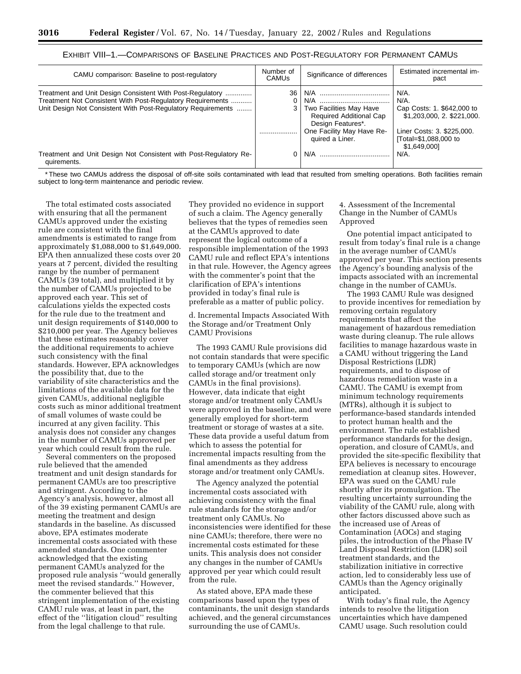| CAMU comparison: Baseline to post-regulatory                                                                                                                                            | Number of<br><b>CAMUS</b> | Significance of differences                                             | Estimated incremental im-<br>pact                                           |
|-----------------------------------------------------------------------------------------------------------------------------------------------------------------------------------------|---------------------------|-------------------------------------------------------------------------|-----------------------------------------------------------------------------|
| Treatment and Unit Design Consistent With Post-Regulatory<br>Treatment Not Consistent With Post-Regulatory Requirements<br>Unit Design Not Consistent With Post-Regulatory Reguirements | 36<br>3.                  | Two Facilities May Have<br>Required Additional Cap<br>Design Features*. | $N/A$ .<br>N/A.<br>Cap Costs: 1. \$642,000 to<br>\$1,203,000, 2. \$221,000. |
|                                                                                                                                                                                         |                           | One Facility May Have Re-<br>quired a Liner.                            | Liner Costs: 3. \$225,000.<br>[Total=\$1,088,000 to<br>\$1,649,000]         |
| Treatment and Unit Design Not Consistent with Post-Regulatory Re-<br>quirements.                                                                                                        |                           | N/A                                                                     | $N/A$ .                                                                     |

#### EXHIBIT VIII–1.—COMPARISONS OF BASELINE PRACTICES AND POST-REGULATORY FOR PERMANENT CAMUS

\* These two CAMUs address the disposal of off-site soils contaminated with lead that resulted from smelting operations. Both facilities remain subject to long-term maintenance and periodic review.

The total estimated costs associated with ensuring that all the permanent CAMUs approved under the existing rule are consistent with the final amendments is estimated to range from approximately \$1,088,000 to \$1,649,000. EPA then annualized these costs over 20 years at 7 percent, divided the resulting range by the number of permanent CAMUs (39 total), and multiplied it by the number of CAMUs projected to be approved each year. This set of calculations yields the expected costs for the rule due to the treatment and unit design requirements of \$140,000 to \$210,000 per year. The Agency believes that these estimates reasonably cover the additional requirements to achieve such consistency with the final standards. However, EPA acknowledges the possibility that, due to the variability of site characteristics and the limitations of the available data for the given CAMUs, additional negligible costs such as minor additional treatment of small volumes of waste could be incurred at any given facility. This analysis does not consider any changes in the number of CAMUs approved per year which could result from the rule.

Several commenters on the proposed rule believed that the amended treatment and unit design standards for permanent CAMUs are too prescriptive and stringent. According to the Agency's analysis, however, almost all of the 39 existing permanent CAMUs are meeting the treatment and design standards in the baseline. As discussed above, EPA estimates moderate incremental costs associated with these amended standards. One commenter acknowledged that the existing permanent CAMUs analyzed for the proposed rule analysis ''would generally meet the revised standards.'' However, the commenter believed that this stringent implementation of the existing CAMU rule was, at least in part, the effect of the ''litigation cloud'' resulting from the legal challenge to that rule.

They provided no evidence in support of such a claim. The Agency generally believes that the types of remedies seen at the CAMUs approved to date represent the logical outcome of a responsible implementation of the 1993 CAMU rule and reflect EPA's intentions in that rule. However, the Agency agrees with the commenter's point that the clarification of EPA's intentions provided in today's final rule is preferable as a matter of public policy.

d. Incremental Impacts Associated With the Storage and/or Treatment Only CAMU Provisions

The 1993 CAMU Rule provisions did not contain standards that were specific to temporary CAMUs (which are now called storage and/or treatment only CAMUs in the final provisions). However, data indicate that eight storage and/or treatment only CAMUs were approved in the baseline, and were generally employed for short-term treatment or storage of wastes at a site. These data provide a useful datum from which to assess the potential for incremental impacts resulting from the final amendments as they address storage and/or treatment only CAMUs.

The Agency analyzed the potential incremental costs associated with achieving consistency with the final rule standards for the storage and/or treatment only CAMUs. No inconsistencies were identified for these nine CAMUs; therefore, there were no incremental costs estimated for these units. This analysis does not consider any changes in the number of CAMUs approved per year which could result from the rule.

As stated above, EPA made these comparisons based upon the types of contaminants, the unit design standards achieved, and the general circumstances surrounding the use of CAMUs.

4. Assessment of the Incremental Change in the Number of CAMUs Approved

One potential impact anticipated to result from today's final rule is a change in the average number of CAMUs approved per year. This section presents the Agency's bounding analysis of the impacts associated with an incremental change in the number of CAMUs.

The 1993 CAMU Rule was designed to provide incentives for remediation by removing certain regulatory requirements that affect the management of hazardous remediation waste during cleanup. The rule allows facilities to manage hazardous waste in a CAMU without triggering the Land Disposal Restrictions (LDR) requirements, and to dispose of hazardous remediation waste in a CAMU. The CAMU is exempt from minimum technology requirements (MTRs), although it is subject to performance-based standards intended to protect human health and the environment. The rule established performance standards for the design, operation, and closure of CAMUs, and provided the site-specific flexibility that EPA believes is necessary to encourage remediation at cleanup sites. However, EPA was sued on the CAMU rule shortly after its promulgation. The resulting uncertainty surrounding the viability of the CAMU rule, along with other factors discussed above such as the increased use of Areas of Contamination (AOCs) and staging piles, the introduction of the Phase IV Land Disposal Restriction (LDR) soil treatment standards, and the stabilization initiative in corrective action, led to considerably less use of CAMUs than the Agency originally anticipated.

With today's final rule, the Agency intends to resolve the litigation uncertainties which have dampened CAMU usage. Such resolution could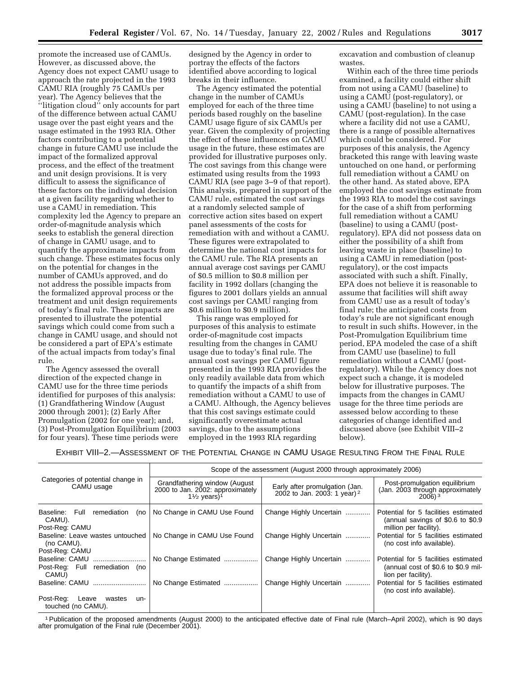promote the increased use of CAMUs. However, as discussed above, the Agency does not expect CAMU usage to approach the rate projected in the 1993 CAMU RIA (roughly 75 CAMUs per year). The Agency believes that the ''litigation cloud'' only accounts for part of the difference between actual CAMU usage over the past eight years and the usage estimated in the 1993 RIA. Other factors contributing to a potential change in future CAMU use include the impact of the formalized approval process, and the effect of the treatment and unit design provisions. It is very difficult to assess the significance of these factors on the individual decision at a given facility regarding whether to use a CAMU in remediation. This complexity led the Agency to prepare an order-of-magnitude analysis which seeks to establish the general direction of change in CAMU usage, and to quantify the approximate impacts from such change. These estimates focus only on the potential for changes in the number of CAMUs approved, and do not address the possible impacts from the formalized approval process or the treatment and unit design requirements of today's final rule. These impacts are presented to illustrate the potential savings which could come from such a change in CAMU usage, and should not be considered a part of EPA's estimate of the actual impacts from today's final rule.

The Agency assessed the overall direction of the expected change in CAMU use for the three time periods identified for purposes of this analysis: (1) Grandfathering Window (August 2000 through 2001); (2) Early After Promulgation (2002 for one year); and, (3) Post-Promulgation Equilibrium (2003 for four years). These time periods were

designed by the Agency in order to portray the effects of the factors identified above according to logical breaks in their influence.

The Agency estimated the potential change in the number of CAMUs employed for each of the three time periods based roughly on the baseline CAMU usage figure of six CAMUs per year. Given the complexity of projecting the effect of these influences on CAMU usage in the future, these estimates are provided for illustrative purposes only. The cost savings from this change were estimated using results from the 1993 CAMU RIA (see page 3–9 of that report). This analysis, prepared in support of the CAMU rule, estimated the cost savings at a randomly selected sample of corrective action sites based on expert panel assessments of the costs for remediation with and without a CAMU. These figures were extrapolated to determine the national cost impacts for the CAMU rule. The RIA presents an annual average cost savings per CAMU of \$0.5 million to \$0.8 million per facility in 1992 dollars (changing the figures to 2001 dollars yields an annual cost savings per CAMU ranging from \$0.6 million to \$0.9 million).

This range was employed for purposes of this analysis to estimate order-of-magnitude cost impacts resulting from the changes in CAMU usage due to today's final rule. The annual cost savings per CAMU figure presented in the 1993 RIA provides the only readily available data from which to quantify the impacts of a shift from remediation without a CAMU to use of a CAMU. Although, the Agency believes that this cost savings estimate could significantly overestimate actual savings, due to the assumptions employed in the 1993 RIA regarding

excavation and combustion of cleanup wastes.

Within each of the three time periods examined, a facility could either shift from not using a CAMU (baseline) to using a CAMU (post-regulatory), or using a CAMU (baseline) to not using a CAMU (post-regulation). In the case where a facility did not use a CAMU, there is a range of possible alternatives which could be considered. For purposes of this analysis, the Agency bracketed this range with leaving waste untouched on one hand, or performing full remediation without a CAMU on the other hand. As stated above, EPA employed the cost savings estimate from the 1993 RIA to model the cost savings for the case of a shift from performing full remediation without a CAMU (baseline) to using a CAMU (postregulatory). EPA did not possess data on either the possibility of a shift from leaving waste in place (baseline) to using a CAMU in remediation (postregulatory), or the cost impacts associated with such a shift. Finally, EPA does not believe it is reasonable to assume that facilities will shift away from CAMU use as a result of today's final rule; the anticipated costs from today's rule are not significant enough to result in such shifts. However, in the Post-Promulgation Equilibrium time period, EPA modeled the case of a shift from CAMU use (baseline) to full remediation without a CAMU (postregulatory). While the Agency does not expect such a change, it is modeled below for illustrative purposes. The impacts from the changes in CAMU usage for the three time periods are assessed below according to these categories of change identified and discussed above (see Exhibit VIII–2 below).

EXHIBIT VIII–2.—ASSESSMENT OF THE POTENTIAL CHANGE IN CAMU USAGE RESULTING FROM THE FINAL RULE

|                                                                  | Scope of the assessment (August 2000 through approximately 2006)                                         |                                                                  |                                                                                                     |  |  |  |
|------------------------------------------------------------------|----------------------------------------------------------------------------------------------------------|------------------------------------------------------------------|-----------------------------------------------------------------------------------------------------|--|--|--|
| Categories of potential change in<br>CAMU usage                  | Grandfathering window (August)<br>2000 to Jan. 2002: approximately<br>$1\frac{1}{2}$ years) <sup>1</sup> | Early after promulgation (Jan.<br>2002 to Jan. 2003: 1 year) $2$ | Post-promulgation equilibrium<br>(Jan. 2003 through approximately<br>$2006$ <sup>3</sup>            |  |  |  |
| Baseline: Full<br>remediation<br>(no<br>CAMU).<br>Post-Reg: CAMU | No Change in CAMU Use Found                                                                              | Change Highly Uncertain                                          | Potential for 5 facilities estimated<br>(annual savings of \$0.6 to \$0.9<br>million per facility). |  |  |  |
| Baseline: Leave wastes untouched<br>(no CAMU).<br>Post-Reg: CAMU | No Change in CAMU Use Found                                                                              | Change Highly Uncertain                                          | Potential for 5 facilities estimated<br>(no cost info available).                                   |  |  |  |
| Baseline: CAMU<br>remediation<br>Post-Reg: Full<br>no)<br>CAMU)  | No Change Estimated                                                                                      | Change Highly Uncertain                                          | Potential for 5 facilities estimated<br>(annual cost of \$0.6 to \$0.9 mil-<br>lion per facility).  |  |  |  |
|                                                                  | No Change Estimated                                                                                      | Change Highly Uncertain                                          | Potential for 5 facilities estimated<br>(no cost info available).                                   |  |  |  |
| Post-Reg:<br>Leave<br>wastes<br>un-<br>touched (no CAMU).        |                                                                                                          |                                                                  |                                                                                                     |  |  |  |

1Publication of the proposed amendments (August 2000) to the anticipated effective date of Final rule (March–April 2002), which is 90 days after promulgation of the Final rule (December 2001).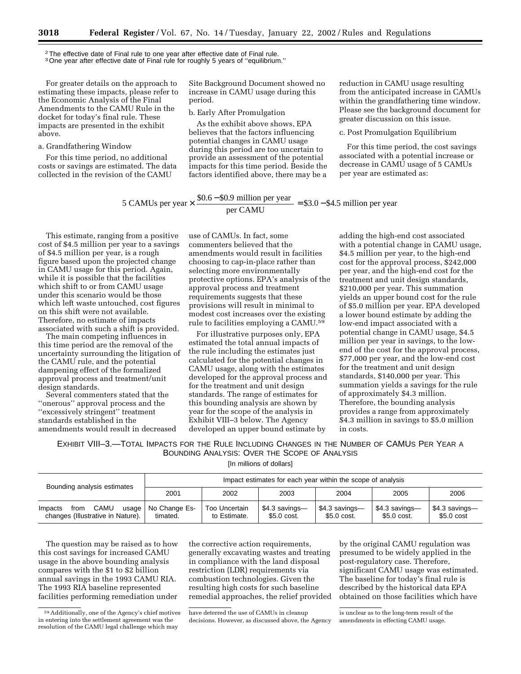<sup>2</sup>The effective date of Final rule to one year after effective date of Final rule.

<sup>3</sup> One year after effective date of Final rule for roughly 5 years of "equilibrium."

For greater details on the approach to estimating these impacts, please refer to the Economic Analysis of the Final Amendments to the CAMU Rule in the docket for today's final rule. These impacts are presented in the exhibit above.

a. Grandfathering Window

For this time period, no additional costs or savings are estimated. The data collected in the revision of the CAMU

Site Background Document showed no increase in CAMU usage during this period.

#### b. Early After Promulgation

As the exhibit above shows, EPA believes that the factors influencing potential changes in CAMU usage during this period are too uncertain to provide an assessment of the potential impacts for this time period. Beside the factors identified above, there may be a

reduction in CAMU usage resulting from the anticipated increase in CAMUs within the grandfathering time window. Please see the background document for greater discussion on this issue.

c. Post Promulgation Equilibrium

For this time period, the cost savings associated with a potential increase or decrease in CAMU usage of 5 CAMUs per year are estimated as:

5 CAMUs per year  $\times \frac{$0.6 - $0.9 \text{ million per year}}{99}$  = \$3.0 - \$4.5 million per year

This estimate, ranging from a positive cost of \$4.5 million per year to a savings of \$4.5 million per year, is a rough figure based upon the projected change in CAMU usage for this period. Again, while it is possible that the facilities which shift to or from CAMU usage under this scenario would be those which left waste untouched, cost figures on this shift were not available. Therefore, no estimate of impacts associated with such a shift is provided.

The main competing influences in this time period are the removal of the uncertainty surrounding the litigation of the CAMU rule, and the potential dampening effect of the formalized approval process and treatment/unit design standards.

Several commenters stated that the ''onerous'' approval process and the ''excessively stringent'' treatment standards established in the amendments would result in decreased

use of CAMUs. In fact, some commenters believed that the amendments would result in facilities choosing to cap-in-place rather than selecting more environmentally protective options. EPA's analysis of the approval process and treatment requirements suggests that these provisions will result in minimal to modest cost increases over the existing rule to facilities employing a CAMU.59

For illustrative purposes only, EPA estimated the total annual impacts of the rule including the estimates just calculated for the potential changes in CAMU usage, along with the estimates developed for the approval process and for the treatment and unit design standards. The range of estimates for this bounding analysis are shown by year for the scope of the analysis in Exhibit VIII–3 below. The Agency developed an upper bound estimate by

adding the high-end cost associated with a potential change in CAMU usage, \$4.5 million per year, to the high-end cost for the approval process, \$242,000 per year, and the high-end cost for the treatment and unit design standards, \$210,000 per year. This summation yields an upper bound cost for the rule of \$5.0 million per year. EPA developed a lower bound estimate by adding the low-end impact associated with a potential change in CAMU usage, \$4.5 million per year in savings, to the lowend of the cost for the approval process, \$77,000 per year, and the low-end cost for the treatment and unit design standards, \$140,000 per year. This summation yields a savings for the rule of approximately \$4.3 million. Therefore, the bounding analysis provides a range from approximately \$4.3 million in savings to \$5.0 million in costs.

EXHIBIT VIII–3.—TOTAL IMPACTS FOR THE RULE INCLUDING CHANGES IN THE NUMBER OF CAMUS PER YEAR A BOUNDING ANALYSIS: OVER THE SCOPE OF ANALYSIS

[In millions of dollars]

| Bounding analysis estimates                                           | Impact estimates for each year within the scope of analysis |                               |                                |                               |                                |                                       |
|-----------------------------------------------------------------------|-------------------------------------------------------------|-------------------------------|--------------------------------|-------------------------------|--------------------------------|---------------------------------------|
|                                                                       | 2001                                                        | 2002                          | 2003                           | 2004                          | 2005                           | 2006                                  |
| CAMU<br>Impacts<br>usage<br>from<br>changes (Illustrative in Nature). | No Change Es-<br>timated.                                   | Too Uncertain<br>to Estimate. | $$4.3$ savings-<br>\$5.0 cost. | \$4.3 savings-<br>\$5.0 cost. | $$4.3$ savings-<br>\$5.0 cost. | \$4.3 savings—<br>$$5.0 \text{ cost}$ |

The question may be raised as to how this cost savings for increased CAMU usage in the above bounding analysis compares with the \$1 to \$2 billion annual savings in the 1993 CAMU RIA. The 1993 RIA baseline represented facilities performing remediation under

the corrective action requirements, generally excavating wastes and treating in compliance with the land disposal restriction (LDR) requirements via combustion technologies. Given the resulting high costs for such baseline remedial approaches, the relief provided

by the original CAMU regulation was presumed to be widely applied in the post-regulatory case. Therefore, significant CAMU usage was estimated. The baseline for today's final rule is described by the historical data EPA obtained on those facilities which have

<sup>59</sup>Additionally, one of the Agency's chief motives in entering into the settlement agreement was the resolution of the CAMU legal challenge which may

have deterred the use of CAMUs in cleanup decisions. However, as discussed above, the Agency

is unclear as to the long-term result of the amendments in effecting CAMU usage.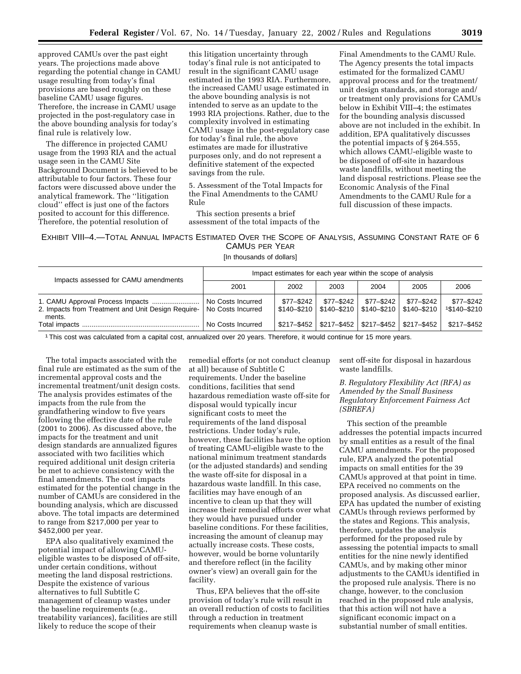approved CAMUs over the past eight years. The projections made above regarding the potential change in CAMU usage resulting from today's final provisions are based roughly on these baseline CAMU usage figures. Therefore, the increase in CAMU usage projected in the post-regulatory case in the above bounding analysis for today's final rule is relatively low.

The difference in projected CAMU usage from the 1993 RIA and the actual usage seen in the CAMU Site Background Document is believed to be attributable to four factors. These four factors were discussed above under the analytical framework. The ''litigation cloud'' effect is just one of the factors posited to account for this difference. Therefore, the potential resolution of

this litigation uncertainty through today's final rule is not anticipated to result in the significant CAMU usage estimated in the 1993 RIA. Furthermore, the increased CAMU usage estimated in the above bounding analysis is not intended to serve as an update to the 1993 RIA projections. Rather, due to the complexity involved in estimating CAMU usage in the post-regulatory case for today's final rule, the above estimates are made for illustrative purposes only, and do not represent a definitive statement of the expected savings from the rule.

5. Assessment of the Total Impacts for the Final Amendments to the CAMU Rule

This section presents a brief assessment of the total impacts of the

Final Amendments to the CAMU Rule. The Agency presents the total impacts estimated for the formalized CAMU approval process and for the treatment/ unit design standards, and storage and/ or treatment only provisions for CAMUs below in Exhibit VIII–4; the estimates for the bounding analysis discussed above are not included in the exhibit. In addition, EPA qualitatively discusses the potential impacts of § 264.555, which allows CAMU-eligible waste to be disposed of off-site in hazardous waste landfills, without meeting the land disposal restrictions. Please see the Economic Analysis of the Final Amendments to the CAMU Rule for a full discussion of these impacts.

#### EXHIBIT VIII–4.—TOTAL ANNUAL IMPACTS ESTIMATED OVER THE SCOPE OF ANALYSIS, ASSUMING CONSTANT RATE OF 6 CAMUS PER YEAR

[In thousands of dollars]

| Impacts assessed for CAMU amendments                         | Impact estimates for each year within the scope of analysis |             |              |                                                                               |             |                              |
|--------------------------------------------------------------|-------------------------------------------------------------|-------------|--------------|-------------------------------------------------------------------------------|-------------|------------------------------|
|                                                              | 2001                                                        | 2002        | 2003         | 2004                                                                          | 2005        | 2006                         |
| 2. Impacts from Treatment and Unit Design Require-<br>ments. | No Costs Incurred<br>No Costs Incurred                      | \$77-\$242  | $$77 - $242$ | $$77 - $242$<br>$$140 - $210$   $$140 - $210$   $$140 - $210$   $$140 - $210$ | \$77-\$242  | $$77 - $242$<br>1\$140-\$210 |
|                                                              | No Costs Incurred                                           | \$217-\$452 |              | \$217-\$452   \$217-\$452                                                     | \$217-\$452 | \$217-\$452                  |

1This cost was calculated from a capital cost, annualized over 20 years. Therefore, it would continue for 15 more years.

The total impacts associated with the final rule are estimated as the sum of the incremental approval costs and the incremental treatment/unit design costs. The analysis provides estimates of the impacts from the rule from the grandfathering window to five years following the effective date of the rule (2001 to 2006). As discussed above, the impacts for the treatment and unit design standards are annualized figures associated with two facilities which required additional unit design criteria be met to achieve consistency with the final amendments. The cost impacts estimated for the potential change in the number of CAMUs are considered in the bounding analysis, which are discussed above. The total impacts are determined to range from \$217,000 per year to \$452,000 per year.

EPA also qualitatively examined the potential impact of allowing CAMUeligible wastes to be disposed of off-site, under certain conditions, without meeting the land disposal restrictions. Despite the existence of various alternatives to full Subtitle C management of cleanup wastes under the baseline requirements (e.g., treatability variances), facilities are still likely to reduce the scope of their

remedial efforts (or not conduct cleanup at all) because of Subtitle C requirements. Under the baseline conditions, facilities that send hazardous remediation waste off-site for disposal would typically incur significant costs to meet the requirements of the land disposal restrictions. Under today's rule, however, these facilities have the option of treating CAMU-eligible waste to the national minimum treatment standards (or the adjusted standards) and sending the waste off-site for disposal in a hazardous waste landfill. In this case, facilities may have enough of an incentive to clean up that they will increase their remedial efforts over what they would have pursued under baseline conditions. For these facilities, increasing the amount of cleanup may actually increase costs. These costs, however, would be borne voluntarily and therefore reflect (in the facility owner's view) an overall gain for the facility.

Thus, EPA believes that the off-site provision of today's rule will result in an overall reduction of costs to facilities through a reduction in treatment requirements when cleanup waste is

sent off-site for disposal in hazardous waste landfills.

*B. Regulatory Flexibility Act (RFA) as Amended by the Small Business Regulatory Enforcement Fairness Act (SBREFA)*

This section of the preamble addresses the potential impacts incurred by small entities as a result of the final CAMU amendments. For the proposed rule, EPA analyzed the potential impacts on small entities for the 39 CAMUs approved at that point in time. EPA received no comments on the proposed analysis. As discussed earlier, EPA has updated the number of existing CAMUs through reviews performed by the states and Regions. This analysis, therefore, updates the analysis performed for the proposed rule by assessing the potential impacts to small entities for the nine newly identified CAMUs, and by making other minor adjustments to the CAMUs identified in the proposed rule analysis. There is no change, however, to the conclusion reached in the proposed rule analysis, that this action will not have a significant economic impact on a substantial number of small entities.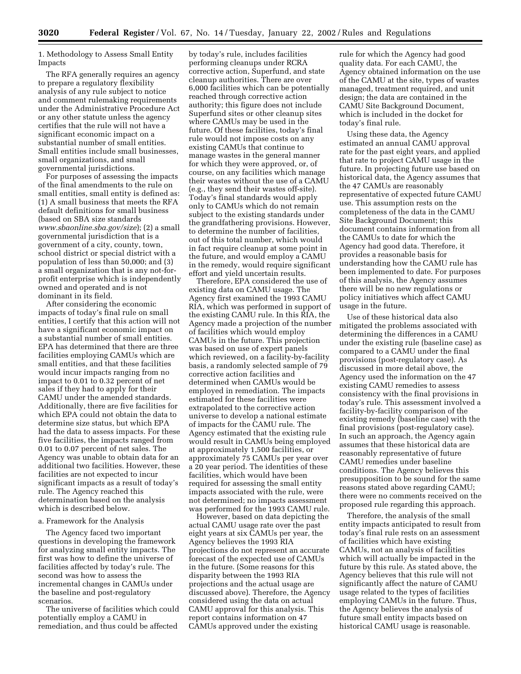1. Methodology to Assess Small Entity Impacts

The RFA generally requires an agency to prepare a regulatory flexibility analysis of any rule subject to notice and comment rulemaking requirements under the Administrative Procedure Act or any other statute unless the agency certifies that the rule will not have a significant economic impact on a substantial number of small entities. Small entities include small businesses, small organizations, and small governmental jurisdictions.

For purposes of assessing the impacts of the final amendments to the rule on small entities, small entity is defined as: (1) A small business that meets the RFA default definitions for small business (based on SBA size standards *www.sbaonline.sba.gov/size*); (2) a small governmental jurisdiction that is a government of a city, county, town, school district or special district with a population of less than 50,000; and (3) a small organization that is any not-forprofit enterprise which is independently owned and operated and is not dominant in its field.

After considering the economic impacts of today's final rule on small entities, I certify that this action will not have a significant economic impact on a substantial number of small entities. EPA has determined that there are three facilities employing CAMUs which are small entities, and that these facilities would incur impacts ranging from no impact to 0.01 to 0.32 percent of net sales if they had to apply for their CAMU under the amended standards. Additionally, there are five facilities for which EPA could not obtain the data to determine size status, but which EPA had the data to assess impacts. For these five facilities, the impacts ranged from 0.01 to 0.07 percent of net sales. The Agency was unable to obtain data for an additional two facilities. However, these facilities are not expected to incur significant impacts as a result of today's rule. The Agency reached this determination based on the analysis which is described below.

#### a. Framework for the Analysis

The Agency faced two important questions in developing the framework for analyzing small entity impacts. The first was how to define the universe of facilities affected by today's rule. The second was how to assess the incremental changes in CAMUs under the baseline and post-regulatory scenarios.

The universe of facilities which could potentially employ a CAMU in remediation, and thus could be affected

by today's rule, includes facilities performing cleanups under RCRA corrective action, Superfund, and state cleanup authorities. There are over 6,000 facilities which can be potentially reached through corrective action authority; this figure does not include Superfund sites or other cleanup sites where CAMUs may be used in the future. Of these facilities, today's final rule would not impose costs on any existing CAMUs that continue to manage wastes in the general manner for which they were approved, or, of course, on any facilities which manage their wastes without the use of a CAMU (e.g., they send their wastes off-site). Today's final standards would apply only to CAMUs which do not remain subject to the existing standards under the grandfathering provisions. However, to determine the number of facilities, out of this total number, which would in fact require cleanup at some point in the future, and would employ a CAMU in the remedy, would require significant effort and yield uncertain results.

Therefore, EPA considered the use of existing data on CAMU usage. The Agency first examined the 1993 CAMU RIA, which was performed in support of the existing CAMU rule. In this RIA, the Agency made a projection of the number of facilities which would employ CAMUs in the future. This projection was based on use of expert panels which reviewed, on a facility-by-facility basis, a randomly selected sample of 79 corrective action facilities and determined when CAMUs would be employed in remediation. The impacts estimated for these facilities were extrapolated to the corrective action universe to develop a national estimate of impacts for the CAMU rule. The Agency estimated that the existing rule would result in CAMUs being employed at approximately 1,500 facilities, or approximately 75 CAMUs per year over a 20 year period. The identities of these facilities, which would have been required for assessing the small entity impacts associated with the rule, were not determined; no impacts assessment was performed for the 1993 CAMU rule.

However, based on data depicting the actual CAMU usage rate over the past eight years at six CAMUs per year, the Agency believes the 1993 RIA projections do not represent an accurate forecast of the expected use of CAMUs in the future. (Some reasons for this disparity between the 1993 RIA projections and the actual usage are discussed above). Therefore, the Agency considered using the data on actual CAMU approval for this analysis. This report contains information on 47 CAMUs approved under the existing

rule for which the Agency had good quality data. For each CAMU, the Agency obtained information on the use of the CAMU at the site, types of wastes managed, treatment required, and unit design; the data are contained in the CAMU Site Background Document, which is included in the docket for today's final rule.

Using these data, the Agency estimated an annual CAMU approval rate for the past eight years, and applied that rate to project CAMU usage in the future. In projecting future use based on historical data, the Agency assumes that the 47 CAMUs are reasonably representative of expected future CAMU use. This assumption rests on the completeness of the data in the CAMU Site Background Document; this document contains information from all the CAMUs to date for which the Agency had good data. Therefore, it provides a reasonable basis for understanding how the CAMU rule has been implemented to date. For purposes of this analysis, the Agency assumes there will be no new regulations or policy initiatives which affect CAMU usage in the future.

Use of these historical data also mitigated the problems associated with determining the differences in a CAMU under the existing rule (baseline case) as compared to a CAMU under the final provisions (post-regulatory case). As discussed in more detail above, the Agency used the information on the 47 existing CAMU remedies to assess consistency with the final provisions in today's rule. This assessment involved a facility-by-facility comparison of the existing remedy (baseline case) with the final provisions (post-regulatory case). In such an approach, the Agency again assumes that these historical data are reasonably representative of future CAMU remedies under baseline conditions. The Agency believes this presupposition to be sound for the same reasons stated above regarding CAMU; there were no comments received on the proposed rule regarding this approach.

Therefore, the analysis of the small entity impacts anticipated to result from today's final rule rests on an assessment of facilities which have existing CAMUs, not an analysis of facilities which will actually be impacted in the future by this rule. As stated above, the Agency believes that this rule will not significantly affect the nature of CAMU usage related to the types of facilities employing CAMUs in the future. Thus, the Agency believes the analysis of future small entity impacts based on historical CAMU usage is reasonable.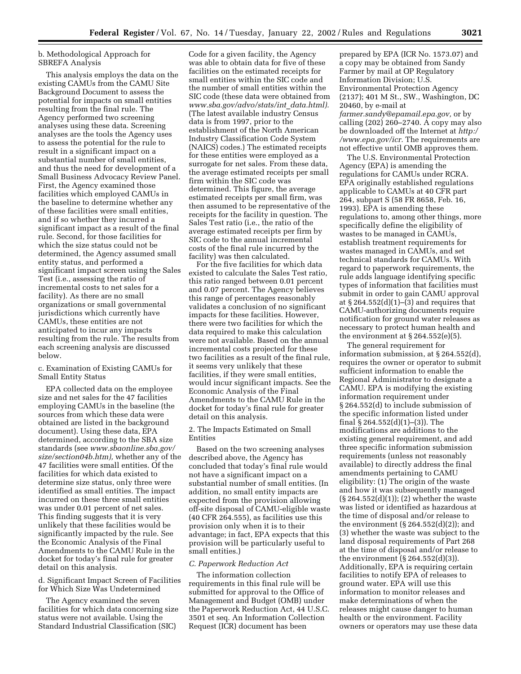#### b. Methodological Approach for SBREFA Analysis

This analysis employs the data on the existing CAMUs from the CAMU Site Background Document to assess the potential for impacts on small entities resulting from the final rule. The Agency performed two screening analyses using these data. Screening analyses are the tools the Agency uses to assess the potential for the rule to result in a significant impact on a substantial number of small entities, and thus the need for development of a Small Business Advocacy Review Panel. First, the Agency examined those facilities which employed CAMUs in the baseline to determine whether any of these facilities were small entities, and if so whether they incurred a significant impact as a result of the final rule. Second, for those facilities for which the size status could not be determined, the Agency assumed small entity status, and performed a significant impact screen using the Sales Test (i.e., assessing the ratio of incremental costs to net sales for a facility). As there are no small organizations or small governmental jurisdictions which currently have CAMUs, these entities are not anticipated to incur any impacts resulting from the rule. The results from each screening analysis are discussed below.

#### c. Examination of Existing CAMUs for Small Entity Status

EPA collected data on the employee size and net sales for the 47 facilities employing CAMUs in the baseline (the sources from which these data were obtained are listed in the background document). Using these data, EPA determined, according to the SBA size standards (see *www.sbaonline.sba.gov/ size/section04b.htm),* whether any of the 47 facilities were small entities. Of the facilities for which data existed to determine size status, only three were identified as small entities. The impact incurred on these three small entities was under 0.01 percent of net sales. This finding suggests that it is very unlikely that these facilities would be significantly impacted by the rule. See the Economic Analysis of the Final Amendments to the CAMU Rule in the docket for today's final rule for greater detail on this analysis.

d. Significant Impact Screen of Facilities for Which Size Was Undetermined

The Agency examined the seven facilities for which data concerning size status were not available. Using the Standard Industrial Classification (SIC)

Code for a given facility, the Agency was able to obtain data for five of these facilities on the estimated receipts for small entities within the SIC code and the number of small entities within the SIC code (these data were obtained from *www.sba.gov/advo/stats/int*\_*data.html).* (The latest available industry Census data is from 1997, prior to the establishment of the North American Industry Classification Code System (NAICS) codes.) The estimated receipts for these entities were employed as a surrogate for net sales. From these data, the average estimated receipts per small firm within the SIC code was determined. This figure, the average estimated receipts per small firm, was then assumed to be representative of the receipts for the facility in question. The Sales Test ratio (i.e., the ratio of the average estimated receipts per firm by SIC code to the annual incremental costs of the final rule incurred by the facility) was then calculated.

For the five facilities for which data existed to calculate the Sales Test ratio, this ratio ranged between 0.01 percent and 0.07 percent. The Agency believes this range of percentages reasonably validates a conclusion of no significant impacts for these facilities. However, there were two facilities for which the data required to make this calculation were not available. Based on the annual incremental costs projected for these two facilities as a result of the final rule, it seems very unlikely that these facilities, if they were small entities, would incur significant impacts. See the Economic Analysis of the Final Amendments to the CAMU Rule in the docket for today's final rule for greater detail on this analysis.

2. The Impacts Estimated on Small Entities

Based on the two screening analyses described above, the Agency has concluded that today's final rule would not have a significant impact on a substantial number of small entities. (In addition, no small entity impacts are expected from the provision allowing off-site disposal of CAMU-eligible waste (40 CFR 264.555), as facilities use this provision only when it is to their advantage; in fact, EPA expects that this provision will be particularly useful to small entities.)

#### *C. Paperwork Reduction Act*

The information collection requirements in this final rule will be submitted for approval to the Office of Management and Budget (OMB) under the Paperwork Reduction Act, 44 U.S.C. 3501 et seq. An Information Collection Request (ICR) document has been

prepared by EPA (ICR No. 1573.07) and a copy may be obtained from Sandy Farmer by mail at OP Regulatory Information Division; U.S. Environmental Protection Agency (2137); 401 M St., SW., Washington, DC 20460, by e-mail at *farmer.sandy@epamail.epa.gov,* or by calling (202) 260–2740. A copy may also be downloaded off the Internet at *http:/ /www.epa.gov/icr.* The requirements are not effective until OMB approves them.

The U.S. Environmental Protection Agency (EPA) is amending the regulations for CAMUs under RCRA. EPA originally established regulations applicable to CAMUs at 40 CFR part 264, subpart S (58 FR 8658, Feb. 16, 1993). EPA is amending these regulations to, among other things, more specifically define the eligibility of wastes to be managed in CAMUs, establish treatment requirements for wastes managed in CAMUs, and set technical standards for CAMUs. With regard to paperwork requirements, the rule adds language identifying specific types of information that facilities must submit in order to gain CAMU approval at  $\S 264.552(d)(1)–(3)$  and requires that CAMU-authorizing documents require notification for ground water releases as necessary to protect human health and the environment at  $\S 264.552(e)(5)$ .

The general requirement for information submission, at § 264.552(d), requires the owner or operator to submit sufficient information to enable the Regional Administrator to designate a CAMU. EPA is modifying the existing information requirement under § 264.552(d) to include submission of the specific information listed under final § 264.552(d)(1)–(3)). The modifications are additions to the existing general requirement, and add three specific information submission requirements (unless not reasonably available) to directly address the final amendments pertaining to CAMU eligibility: (1) The origin of the waste and how it was subsequently managed (§ 264.552(d)(1)); (2) whether the waste was listed or identified as hazardous at the time of disposal and/or release to the environment  $(\S 264.552(d)(2))$ ; and (3) whether the waste was subject to the land disposal requirements of Part 268 at the time of disposal and/or release to the environment (§ 264.552(d)(3)). Additionally, EPA is requiring certain facilities to notify EPA of releases to ground water. EPA will use this information to monitor releases and make determinations of when the releases might cause danger to human health or the environment. Facility owners or operators may use these data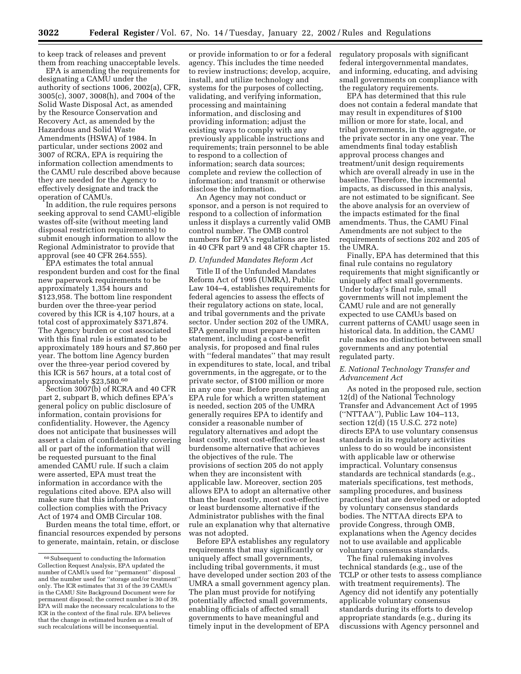to keep track of releases and prevent them from reaching unacceptable levels.

EPA is amending the requirements for designating a CAMU under the authority of sections 1006, 2002(a), CFR, 3005(c), 3007, 3008(h), and 7004 of the Solid Waste Disposal Act, as amended by the Resource Conservation and Recovery Act, as amended by the Hazardous and Solid Waste Amendments (HSWA) of 1984. In particular, under sections 2002 and 3007 of RCRA, EPA is requiring the information collection amendments to the CAMU rule described above because they are needed for the Agency to effectively designate and track the operation of CAMUs.

In addition, the rule requires persons seeking approval to send CAMU-eligible wastes off-site (without meeting land disposal restriction requirements) to submit enough information to allow the Regional Administrator to provide that approval (see 40 CFR 264.555).

EPA estimates the total annual respondent burden and cost for the final new paperwork requirements to be approximately 1,354 hours and \$123,958. The bottom line respondent burden over the three-year period covered by this ICR is 4,107 hours, at a total cost of approximately \$371,874. The Agency burden or cost associated with this final rule is estimated to be approximately 189 hours and \$7,860 per year. The bottom line Agency burden over the three-year period covered by this ICR is 567 hours, at a total cost of approximately \$23,580.60

Section 3007(b) of RCRA and 40 CFR part 2, subpart B, which defines EPA's general policy on public disclosure of information, contain provisions for confidentiality. However, the Agency does not anticipate that businesses will assert a claim of confidentiality covering all or part of the information that will be requested pursuant to the final amended CAMU rule. If such a claim were asserted, EPA must treat the information in accordance with the regulations cited above. EPA also will make sure that this information collection complies with the Privacy Act of 1974 and OMB Circular 108.

Burden means the total time, effort, or financial resources expended by persons to generate, maintain, retain, or disclose

or provide information to or for a federal agency. This includes the time needed to review instructions; develop, acquire, install, and utilize technology and systems for the purposes of collecting, validating, and verifying information, processing and maintaining information, and disclosing and providing information; adjust the existing ways to comply with any previously applicable instructions and requirements; train personnel to be able to respond to a collection of information; search data sources; complete and review the collection of information; and transmit or otherwise disclose the information.

An Agency may not conduct or sponsor, and a person is not required to respond to a collection of information unless it displays a currently valid OMB control number. The OMB control numbers for EPA's regulations are listed in 40 CFR part 9 and 48 CFR chapter 15.

#### *D. Unfunded Mandates Reform Act*

Title II of the Unfunded Mandates Reform Act of 1995 (UMRA), Public Law 104–4, establishes requirements for federal agencies to assess the effects of their regulatory actions on state, local, and tribal governments and the private sector. Under section 202 of the UMRA, EPA generally must prepare a written statement, including a cost-benefit analysis, for proposed and final rules with ''federal mandates'' that may result in expenditures to state, local, and tribal governments, in the aggregate, or to the private sector, of \$100 million or more in any one year. Before promulgating an EPA rule for which a written statement is needed, section 205 of the UMRA generally requires EPA to identify and consider a reasonable number of regulatory alternatives and adopt the least costly, most cost-effective or least burdensome alternative that achieves the objectives of the rule. The provisions of section 205 do not apply when they are inconsistent with applicable law. Moreover, section 205 allows EPA to adopt an alternative other than the least costly, most cost-effective or least burdensome alternative if the Administrator publishes with the final rule an explanation why that alternative was not adopted.

Before EPA establishes any regulatory requirements that may significantly or uniquely affect small governments, including tribal governments, it must have developed under section 203 of the UMRA a small government agency plan. The plan must provide for notifying potentially affected small governments, enabling officials of affected small governments to have meaningful and timely input in the development of EPA

regulatory proposals with significant federal intergovernmental mandates, and informing, educating, and advising small governments on compliance with the regulatory requirements.

EPA has determined that this rule does not contain a federal mandate that may result in expenditures of \$100 million or more for state, local, and tribal governments, in the aggregate, or the private sector in any one year. The amendments final today establish approval process changes and treatment/unit design requirements which are overall already in use in the baseline. Therefore, the incremental impacts, as discussed in this analysis, are not estimated to be significant. See the above analysis for an overview of the impacts estimated for the final amendments. Thus, the CAMU Final Amendments are not subject to the requirements of sections 202 and 205 of the UMRA.

Finally, EPA has determined that this final rule contains no regulatory requirements that might significantly or uniquely affect small governments. Under today's final rule, small governments will not implement the CAMU rule and are not generally expected to use CAMUs based on current patterns of CAMU usage seen in historical data. In addition, the CAMU rule makes no distinction between small governments and any potential regulated party.

#### *E. National Technology Transfer and Advancement Act*

As noted in the proposed rule, section 12(d) of the National Technology Transfer and Advancement Act of 1995 (''NTTAA''), Public Law 104–113, section 12(d) (15 U.S.C. 272 note) directs EPA to use voluntary consensus standards in its regulatory activities unless to do so would be inconsistent with applicable law or otherwise impractical. Voluntary consensus standards are technical standards (e.g., materials specifications, test methods, sampling procedures, and business practices) that are developed or adopted by voluntary consensus standards bodies. The NTTAA directs EPA to provide Congress, through OMB, explanations when the Agency decides not to use available and applicable voluntary consensus standards.

The final rulemaking involves technical standards (e.g., use of the TCLP or other tests to assess compliance with treatment requirements). The Agency did not identify any potentially applicable voluntary consensus standards during its efforts to develop appropriate standards (e.g., during its discussions with Agency personnel and

<sup>60</sup>Subsequent to conducting the Information Collection Request Analysis, EPA updated the number of CAMUs used for ''permanent'' disposal and the number used for ''storage and/or treatment'' only. The ICR estimates that 31 of the 39 CAMUs in the CAMU Site Background Document were for permanent disposal; the correct number is 30 of 39. EPA will make the necessary recalculations to the ICR in the context of the final rule. EPA believes that the change in estimated burden as a result of such recalculations will be inconsequential.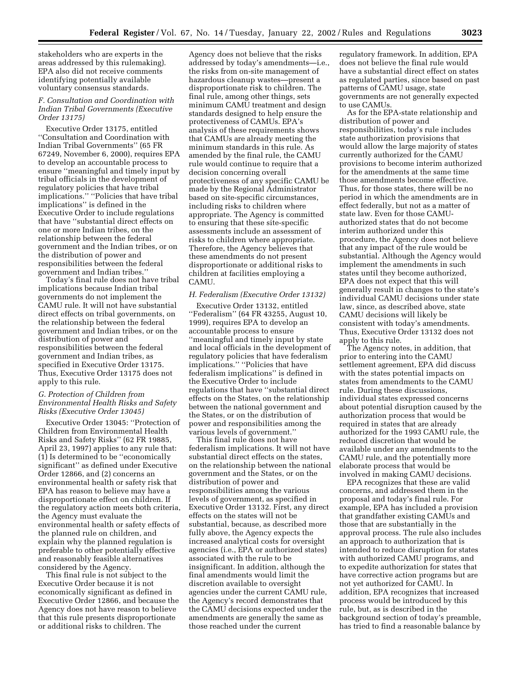stakeholders who are experts in the areas addressed by this rulemaking). EPA also did not receive comments identifying potentially available voluntary consensus standards.

#### *F. Consultation and Coordination with Indian Tribal Governments (Executive Order 13175)*

Executive Order 13175, entitled ''Consultation and Coordination with Indian Tribal Governments'' (65 FR 67249, November 6, 2000), requires EPA to develop an accountable process to ensure ''meaningful and timely input by tribal officials in the development of regulatory policies that have tribal implications.'' ''Policies that have tribal implications'' is defined in the Executive Order to include regulations that have ''substantial direct effects on one or more Indian tribes, on the relationship between the federal government and the Indian tribes, or on the distribution of power and responsibilities between the federal government and Indian tribes.''

Today's final rule does not have tribal implications because Indian tribal governments do not implement the CAMU rule. It will not have substantial direct effects on tribal governments, on the relationship between the federal government and Indian tribes, or on the distribution of power and responsibilities between the federal government and Indian tribes, as specified in Executive Order 13175. Thus, Executive Order 13175 does not apply to this rule.

#### *G. Protection of Children from Environmental Health Risks and Safety Risks (Executive Order 13045)*

Executive Order 13045: ''Protection of Children from Environmental Health Risks and Safety Risks'' (62 FR 19885, April 23, 1997) applies to any rule that: (1) Is determined to be ''economically significant'' as defined under Executive Order 12866, and (2) concerns an environmental health or safety risk that EPA has reason to believe may have a disproportionate effect on children. If the regulatory action meets both criteria, the Agency must evaluate the environmental health or safety effects of the planned rule on children, and explain why the planned regulation is preferable to other potentially effective and reasonably feasible alternatives considered by the Agency.

This final rule is not subject to the Executive Order because it is not economically significant as defined in Executive Order 12866, and because the Agency does not have reason to believe that this rule presents disproportionate or additional risks to children. The

Agency does not believe that the risks addressed by today's amendments—i.e., the risks from on-site management of hazardous cleanup wastes—present a disproportionate risk to children. The final rule, among other things, sets minimum CAMU treatment and design standards designed to help ensure the protectiveness of CAMUs. EPA's analysis of these requirements shows that CAMUs are already meeting the minimum standards in this rule. As amended by the final rule, the CAMU rule would continue to require that a decision concerning overall protectiveness of any specific CAMU be made by the Regional Administrator based on site-specific circumstances, including risks to children where appropriate. The Agency is committed to ensuring that these site-specific assessments include an assessment of risks to children where appropriate. Therefore, the Agency believes that these amendments do not present disproportionate or additional risks to children at facilities employing a CAMU.

#### *H. Federalism (Executive Order 13132)*

Executive Order 13132, entitled ''Federalism'' (64 FR 43255, August 10, 1999), requires EPA to develop an accountable process to ensure ''meaningful and timely input by state and local officials in the development of regulatory policies that have federalism implications.'' ''Policies that have federalism implications'' is defined in the Executive Order to include regulations that have ''substantial direct effects on the States, on the relationship between the national government and the States, or on the distribution of power and responsibilities among the various levels of government.''

This final rule does not have federalism implications. It will not have substantial direct effects on the states, on the relationship between the national government and the States, or on the distribution of power and responsibilities among the various levels of government, as specified in Executive Order 13132. First, any direct effects on the states will not be substantial, because, as described more fully above, the Agency expects the increased analytical costs for oversight agencies (i.e., EPA or authorized states) associated with the rule to be insignificant. In addition, although the final amendments would limit the discretion available to oversight agencies under the current CAMU rule, the Agency's record demonstrates that the CAMU decisions expected under the amendments are generally the same as those reached under the current

regulatory framework. In addition, EPA does not believe the final rule would have a substantial direct effect on states as regulated parties, since based on past patterns of CAMU usage, state governments are not generally expected to use CAMUs.

As for the EPA-state relationship and distribution of power and responsibilities, today's rule includes state authorization provisions that would allow the large majority of states currently authorized for the CAMU provisions to become interim authorized for the amendments at the same time those amendments become effective. Thus, for those states, there will be no period in which the amendments are in effect federally, but not as a matter of state law. Even for those CAMUauthorized states that do not become interim authorized under this procedure, the Agency does not believe that any impact of the rule would be substantial. Although the Agency would implement the amendments in such states until they become authorized, EPA does not expect that this will generally result in changes to the state's individual CAMU decisions under state law, since, as described above, state CAMU decisions will likely be consistent with today's amendments. Thus, Executive Order 13132 does not apply to this rule.

The Agency notes, in addition, that prior to entering into the CAMU settlement agreement, EPA did discuss with the states potential impacts on states from amendments to the CAMU rule. During these discussions, individual states expressed concerns about potential disruption caused by the authorization process that would be required in states that are already authorized for the 1993 CAMU rule, the reduced discretion that would be available under any amendments to the CAMU rule, and the potentially more elaborate process that would be involved in making CAMU decisions.

EPA recognizes that these are valid concerns, and addressed them in the proposal and today's final rule. For example, EPA has included a provision that grandfather existing CAMUs and those that are substantially in the approval process. The rule also includes an approach to authorization that is intended to reduce disruption for states with authorized CAMU programs, and to expedite authorization for states that have corrective action programs but are not yet authorized for CAMU. In addition, EPA recognizes that increased process would be introduced by this rule, but, as is described in the background section of today's preamble, has tried to find a reasonable balance by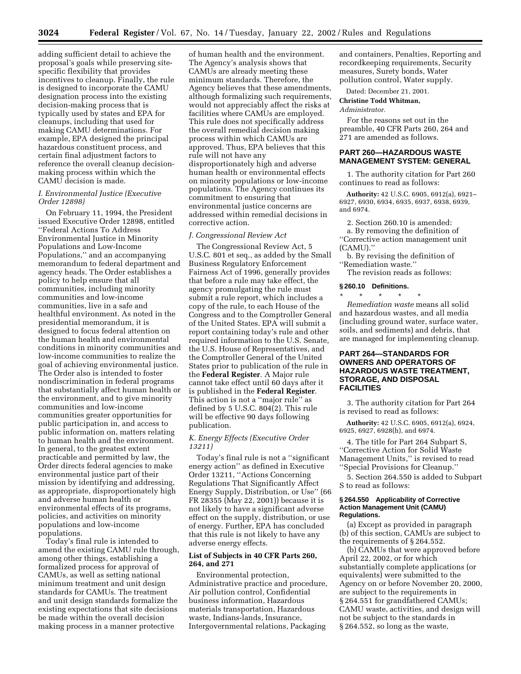adding sufficient detail to achieve the proposal's goals while preserving sitespecific flexibility that provides incentives to cleanup. Finally, the rule is designed to incorporate the CAMU designation process into the existing decision-making process that is typically used by states and EPA for cleanups, including that used for making CAMU determinations. For example, EPA designed the principal hazardous constituent process, and certain final adjustment factors to reference the overall cleanup decisionmaking process within which the CAMU decision is made.

#### *I. Environmental Justice (Executive Order 12898)*

On February 11, 1994, the President issued Executive Order 12898, entitled ''Federal Actions To Address Environmental Justice in Minority Populations and Low-Income Populations,'' and an accompanying memorandum to federal department and agency heads. The Order establishes a policy to help ensure that all communities, including minority communities and low-income communities, live in a safe and healthful environment. As noted in the presidential memorandum, it is designed to focus federal attention on the human health and environmental conditions in minority communities and low-income communities to realize the goal of achieving environmental justice. The Order also is intended to foster nondiscrimination in federal programs that substantially affect human health or the environment, and to give minority communities and low-income communities greater opportunities for public participation in, and access to public information on, matters relating to human health and the environment. In general, to the greatest extent practicable and permitted by law, the Order directs federal agencies to make environmental justice part of their mission by identifying and addressing, as appropriate, disproportionately high and adverse human health or environmental effects of its programs, policies, and activities on minority populations and low-income populations.

Today's final rule is intended to amend the existing CAMU rule through, among other things, establishing a formalized process for approval of CAMUs, as well as setting national minimum treatment and unit design standards for CAMUs. The treatment and unit design standards formalize the existing expectations that site decisions be made within the overall decision making process in a manner protective

of human health and the environment. The Agency's analysis shows that CAMUs are already meeting these minimum standards. Therefore, the Agency believes that these amendments, although formalizing such requirements, would not appreciably affect the risks at facilities where CAMUs are employed. This rule does not specifically address the overall remedial decision making process within which CAMUs are approved. Thus, EPA believes that this rule will not have any disproportionately high and adverse human health or environmental effects on minority populations or low-income populations. The Agency continues its commitment to ensuring that environmental justice concerns are addressed within remedial decisions in corrective action.

#### *J. Congressional Review Act*

The Congressional Review Act, 5 U.S.C. 801 et seq., as added by the Small Business Regulatory Enforcement Fairness Act of 1996, generally provides that before a rule may take effect, the agency promulgating the rule must submit a rule report, which includes a copy of the rule, to each House of the Congress and to the Comptroller General of the United States. EPA will submit a report containing today's rule and other required information to the U.S. Senate, the U.S. House of Representatives, and the Comptroller General of the United States prior to publication of the rule in the **Federal Register**. A Major rule cannot take effect until 60 days after it is published in the **Federal Register**. This action is not a ''major rule'' as defined by 5 U.S.C. 804(2). This rule will be effective 90 days following publication.

#### *K. Energy Effects (Executive Order 13211)*

Today's final rule is not a ''significant energy action'' as defined in Executive Order 13211, ''Actions Concerning Regulations That Significantly Affect Energy Supply, Distribution, or Use'' (66 FR 28355 (May 22, 2001)) because it is not likely to have a significant adverse effect on the supply, distribution, or use of energy. Further, EPA has concluded that this rule is not likely to have any adverse energy effects.

#### **List of Subjects in 40 CFR Parts 260, 264, and 271**

Environmental protection, Administrative practice and procedure, Air pollution control, Confidential business information, Hazardous materials transportation, Hazardous waste, Indians-lands, Insurance, Intergovernmental relations, Packaging

and containers, Penalties, Reporting and recordkeeping requirements, Security measures, Surety bonds, Water pollution control, Water supply.

Dated: December 21, 2001.

#### **Christine Todd Whitman,**

*Administrator.*

For the reasons set out in the preamble, 40 CFR Parts 260, 264 and 271 are amended as follows.

#### **PART 260—HAZARDOUS WASTE MANAGEMENT SYSTEM: GENERAL**

1. The authority citation for Part 260 continues to read as follows:

**Authority:** 42 U.S.C. 6905, 6912(a), 6921– 6927, 6930, 6934, 6935, 6937, 6938, 6939, and 6974.

2. Section 260.10 is amended:

a. By removing the definition of ''Corrective action management unit (CAMU).''

b. By revising the definition of ''Remediation waste.''

The revision reads as follows:

#### **§ 260.10 Definitions.**

\* \* \* \* \* *Remediation waste* means all solid and hazardous wastes, and all media (including ground water, surface water, soils, and sediments) and debris, that are managed for implementing cleanup.

#### **PART 264—STANDARDS FOR OWNERS AND OPERATORS OF HAZARDOUS WASTE TREATMENT, STORAGE, AND DISPOSAL FACILITIES**

3. The authority citation for Part 264 is revised to read as follows:

**Authority:** 42 U.S.C. 6905, 6912(a), 6924, 6925, 6927, 6928(h), and 6974.

4. The title for Part 264 Subpart S, ''Corrective Action for Solid Waste Management Units,'' is revised to read ''Special Provisions for Cleanup.''

5. Section 264.550 is added to Subpart S to read as follows:

#### **§ 264.550 Applicability of Corrective Action Management Unit (CAMU) Regulations.**

(a) Except as provided in paragraph (b) of this section, CAMUs are subject to the requirements of § 264.552.

(b) CAMUs that were approved before April 22, 2002, or for which substantially complete applications (or equivalents) were submitted to the Agency on or before November 20, 2000, are subject to the requirements in § 264.551 for grandfathered CAMUs; CAMU waste, activities, and design will not be subject to the standards in § 264.552, so long as the waste,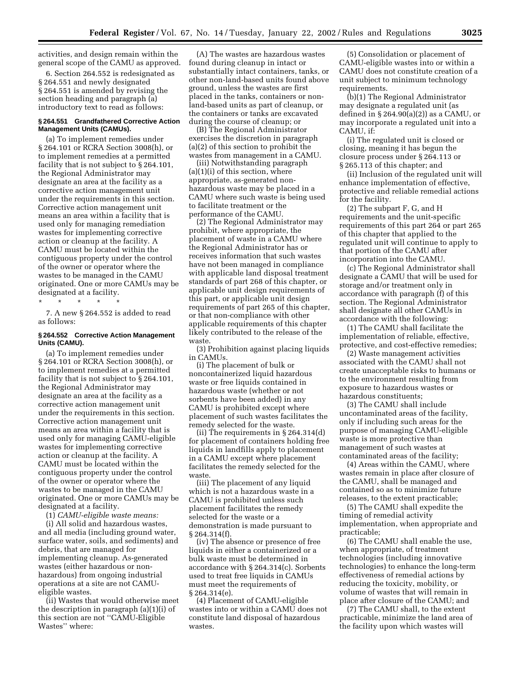activities, and design remain within the general scope of the CAMU as approved.

6. Section 264.552 is redesignated as § 264.551 and newly designated § 264.551 is amended by revising the section heading and paragraph (a) introductory text to read as follows:

#### **§ 264.551 Grandfathered Corrective Action Management Units (CAMUs).**

(a) To implement remedies under § 264.101 or RCRA Section 3008(h), or to implement remedies at a permitted facility that is not subject to § 264.101, the Regional Administrator may designate an area at the facility as a corrective action management unit under the requirements in this section. Corrective action management unit means an area within a facility that is used only for managing remediation wastes for implementing corrective action or cleanup at the facility. A CAMU must be located within the contiguous property under the control of the owner or operator where the wastes to be managed in the CAMU originated. One or more CAMUs may be designated at a facility.

\* \* \* \* \*

7. A new § 264.552 is added to read as follows:

#### **§ 264.552 Corrective Action Management Units (CAMU).**

(a) To implement remedies under § 264.101 or RCRA Section 3008(h), or to implement remedies at a permitted facility that is not subject to § 264.101, the Regional Administrator may designate an area at the facility as a corrective action management unit under the requirements in this section. Corrective action management unit means an area within a facility that is used only for managing CAMU-eligible wastes for implementing corrective action or cleanup at the facility. A CAMU must be located within the contiguous property under the control of the owner or operator where the wastes to be managed in the CAMU originated. One or more CAMUs may be designated at a facility.

(1) *CAMU-eligible waste means:*

(i) All solid and hazardous wastes, and all media (including ground water, surface water, soils, and sediments) and debris, that are managed for implementing cleanup. As-generated wastes (either hazardous or nonhazardous) from ongoing industrial operations at a site are not CAMUeligible wastes.

(ii) Wastes that would otherwise meet the description in paragraph (a)(1)(i) of this section are not ''CAMU-Eligible Wastes'' where:

(A) The wastes are hazardous wastes found during cleanup in intact or substantially intact containers, tanks, or other non-land-based units found above ground, unless the wastes are first placed in the tanks, containers or nonland-based units as part of cleanup, or the containers or tanks are excavated during the course of cleanup; or

(B) The Regional Administrator exercises the discretion in paragraph (a)(2) of this section to prohibit the wastes from management in a CAMU.

(iii) Notwithstanding paragraph (a)(1)(i) of this section, where appropriate, as-generated nonhazardous waste may be placed in a CAMU where such waste is being used to facilitate treatment or the performance of the CAMU.

(2) The Regional Administrator may prohibit, where appropriate, the placement of waste in a CAMU where the Regional Administrator has or receives information that such wastes have not been managed in compliance with applicable land disposal treatment standards of part 268 of this chapter, or applicable unit design requirements of this part, or applicable unit design requirements of part 265 of this chapter, or that non-compliance with other applicable requirements of this chapter likely contributed to the release of the waste.

(3) Prohibition against placing liquids in CAMUs.

(i) The placement of bulk or noncontainerized liquid hazardous waste or free liquids contained in hazardous waste (whether or not sorbents have been added) in any CAMU is prohibited except where placement of such wastes facilitates the remedy selected for the waste.

(ii) The requirements in § 264.314(d) for placement of containers holding free liquids in landfills apply to placement in a CAMU except where placement facilitates the remedy selected for the waste.

(iii) The placement of any liquid which is not a hazardous waste in a CAMU is prohibited unless such placement facilitates the remedy selected for the waste or a demonstration is made pursuant to § 264.314(f).

(iv) The absence or presence of free liquids in either a containerized or a bulk waste must be determined in accordance with § 264.314(c). Sorbents used to treat free liquids in CAMUs must meet the requirements of § 264.314(e).

(4) Placement of CAMU-eligible wastes into or within a CAMU does not constitute land disposal of hazardous wastes.

(5) Consolidation or placement of CAMU-eligible wastes into or within a CAMU does not constitute creation of a unit subject to minimum technology requirements.

(b)(1) The Regional Administrator may designate a regulated unit (as defined in  $\S 264.90(a)(2)$  as a CAMU, or may incorporate a regulated unit into a CAMU, if:

(i) The regulated unit is closed or closing, meaning it has begun the closure process under § 264.113 or § 265.113 of this chapter; and

(ii) Inclusion of the regulated unit will enhance implementation of effective, protective and reliable remedial actions for the facility.

(2) The subpart F, G, and H requirements and the unit-specific requirements of this part 264 or part 265 of this chapter that applied to the regulated unit will continue to apply to that portion of the CAMU after incorporation into the CAMU.

(c) The Regional Administrator shall designate a CAMU that will be used for storage and/or treatment only in accordance with paragraph (f) of this section. The Regional Administrator shall designate all other CAMUs in accordance with the following:

(1) The CAMU shall facilitate the implementation of reliable, effective, protective, and cost-effective remedies;

(2) Waste management activities associated with the CAMU shall not create unacceptable risks to humans or to the environment resulting from exposure to hazardous wastes or hazardous constituents;

(3) The CAMU shall include uncontaminated areas of the facility, only if including such areas for the purpose of managing CAMU-eligible waste is more protective than management of such wastes at contaminated areas of the facility;

(4) Areas within the CAMU, where wastes remain in place after closure of the CAMU, shall be managed and contained so as to minimize future releases, to the extent practicable;

(5) The CAMU shall expedite the timing of remedial activity implementation, when appropriate and practicable;

(6) The CAMU shall enable the use, when appropriate, of treatment technologies (including innovative technologies) to enhance the long-term effectiveness of remedial actions by reducing the toxicity, mobility, or volume of wastes that will remain in place after closure of the CAMU; and

(7) The CAMU shall, to the extent practicable, minimize the land area of the facility upon which wastes will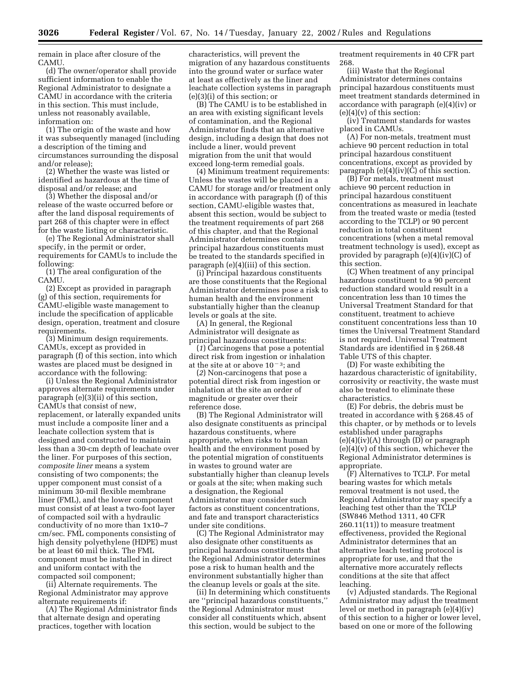remain in place after closure of the CAMU.

(d) The owner/operator shall provide sufficient information to enable the Regional Administrator to designate a CAMU in accordance with the criteria in this section. This must include, unless not reasonably available, information on:

(1) The origin of the waste and how it was subsequently managed (including a description of the timing and circumstances surrounding the disposal and/or release);

(2) Whether the waste was listed or identified as hazardous at the time of disposal and/or release; and

(3) Whether the disposal and/or release of the waste occurred before or after the land disposal requirements of part 268 of this chapter were in effect for the waste listing or characteristic.

(e) The Regional Administrator shall specify, in the permit or order, requirements for CAMUs to include the following:

(1) The areal configuration of the CAMU.

(2) Except as provided in paragraph (g) of this section, requirements for CAMU-eligible waste management to include the specification of applicable design, operation, treatment and closure requirements.

(3) Minimum design requirements. CAMUs, except as provided in paragraph (f) of this section, into which wastes are placed must be designed in accordance with the following:

(i) Unless the Regional Administrator approves alternate requirements under paragraph (e)(3)(ii) of this section, CAMUs that consist of new, replacement, or laterally expanded units must include a composite liner and a leachate collection system that is designed and constructed to maintain less than a 30-cm depth of leachate over the liner. For purposes of this section, *composite liner* means a system consisting of two components; the upper component must consist of a minimum 30-mil flexible membrane liner (FML), and the lower component must consist of at least a two-foot layer of compacted soil with a hydraulic conductivity of no more than 1x10–7 cm/sec. FML components consisting of high density polyethylene (HDPE) must be at least 60 mil thick. The FML component must be installed in direct and uniform contact with the compacted soil component;

(ii) Alternate requirements. The Regional Administrator may approve alternate requirements if:

(A) The Regional Administrator finds that alternate design and operating practices, together with location

characteristics, will prevent the migration of any hazardous constituents into the ground water or surface water at least as effectively as the liner and leachate collection systems in paragraph (e)(3)(i) of this section; or

(B) The CAMU is to be established in an area with existing significant levels of contamination, and the Regional Administrator finds that an alternative design, including a design that does not include a liner, would prevent migration from the unit that would exceed long-term remedial goals.

(4) Minimum treatment requirements: Unless the wastes will be placed in a CAMU for storage and/or treatment only in accordance with paragraph (f) of this section, CAMU-eligible wastes that, absent this section, would be subject to the treatment requirements of part 268 of this chapter, and that the Regional Administrator determines contain principal hazardous constituents must be treated to the standards specified in paragraph (e)(4)(iii) of this section.

(i) Principal hazardous constituents are those constituents that the Regional Administrator determines pose a risk to human health and the environment substantially higher than the cleanup levels or goals at the site.

(A) In general, the Regional Administrator will designate as principal hazardous constituents:

(*1*) Carcinogens that pose a potential direct risk from ingestion or inhalation at the site at or above  $10^{-3}$ ; and

(*2*) Non-carcinogens that pose a potential direct risk from ingestion or inhalation at the site an order of magnitude or greater over their reference dose.

(B) The Regional Administrator will also designate constituents as principal hazardous constituents, where appropriate, when risks to human health and the environment posed by the potential migration of constituents in wastes to ground water are substantially higher than cleanup levels or goals at the site; when making such a designation, the Regional Administrator may consider such factors as constituent concentrations, and fate and transport characteristics under site conditions.

(C) The Regional Administrator may also designate other constituents as principal hazardous constituents that the Regional Administrator determines pose a risk to human health and the environment substantially higher than the cleanup levels or goals at the site.

(ii) In determining which constituents are ''principal hazardous constituents,'' the Regional Administrator must consider all constituents which, absent this section, would be subject to the

treatment requirements in 40 CFR part 268.

(iii) Waste that the Regional Administrator determines contains principal hazardous constituents must meet treatment standards determined in accordance with paragraph (e)(4)(iv) or (e)(4)(v) of this section:

(iv) Treatment standards for wastes placed in CAMUs.

(A) For non-metals, treatment must achieve 90 percent reduction in total principal hazardous constituent concentrations, except as provided by paragraph  $(e)(4)(iv)(C)$  of this section.

(B) For metals, treatment must achieve 90 percent reduction in principal hazardous constituent concentrations as measured in leachate from the treated waste or media (tested according to the TCLP) or 90 percent reduction in total constituent concentrations (when a metal removal treatment technology is used), except as provided by paragraph (e)(4)(iv)(C) of this section.

(C) When treatment of any principal hazardous constituent to a 90 percent reduction standard would result in a concentration less than 10 times the Universal Treatment Standard for that constituent, treatment to achieve constituent concentrations less than 10 times the Universal Treatment Standard is not required. Universal Treatment Standards are identified in § 268.48 Table UTS of this chapter.

(D) For waste exhibiting the hazardous characteristic of ignitability, corrosivity or reactivity, the waste must also be treated to eliminate these characteristics.

(E) For debris, the debris must be treated in accordance with § 268.45 of this chapter, or by methods or to levels established under paragraphs  $(e)(4)(iv)(A)$  through  $(D)$  or paragraph  $(e)(4)(v)$  of this section, whichever the Regional Administrator determines is appropriate.

(F) Alternatives to TCLP. For metal bearing wastes for which metals removal treatment is not used, the Regional Administrator may specify a leaching test other than the TCLP (SW846 Method 1311, 40 CFR 260.11(11)) to measure treatment effectiveness, provided the Regional Administrator determines that an alternative leach testing protocol is appropriate for use, and that the alternative more accurately reflects conditions at the site that affect leaching.

(v) Adjusted standards. The Regional Administrator may adjust the treatment level or method in paragraph (e)(4)(iv) of this section to a higher or lower level, based on one or more of the following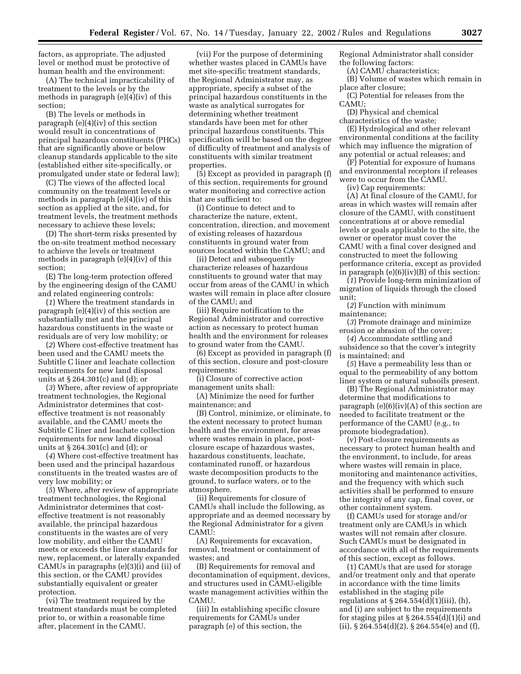factors, as appropriate. The adjusted level or method must be protective of human health and the environment:

(A) The technical impracticability of treatment to the levels or by the methods in paragraph (e)(4)(iv) of this section;

(B) The levels or methods in paragraph (e)(4)(iv) of this section would result in concentrations of principal hazardous constituents (PHCs) that are significantly above or below cleanup standards applicable to the site (established either site-specifically, or promulgated under state or federal law);

(C) The views of the affected local community on the treatment levels or methods in paragraph (e)(4)(iv) of this section as applied at the site, and, for treatment levels, the treatment methods necessary to achieve these levels;

(D) The short-term risks presented by the on-site treatment method necessary to achieve the levels or treatment methods in paragraph (e)(4)(iv) of this section;

(E) The long-term protection offered by the engineering design of the CAMU and related engineering controls:

(*1*) Where the treatment standards in paragraph (e)(4)(iv) of this section are substantially met and the principal hazardous constituents in the waste or residuals are of very low mobility; or

(*2*) Where cost-effective treatment has been used and the CAMU meets the Subtitle C liner and leachate collection requirements for new land disposal units at § 264.301(c) and (d); or

(*3*) Where, after review of appropriate treatment technologies, the Regional Administrator determines that costeffective treatment is not reasonably available, and the CAMU meets the Subtitle C liner and leachate collection requirements for new land disposal units at § 264.301(c) and (d); or

(*4*) Where cost-effective treatment has been used and the principal hazardous constituents in the treated wastes are of very low mobility; or

(*5*) Where, after review of appropriate treatment technologies, the Regional Administrator determines that costeffective treatment is not reasonably available, the principal hazardous constituents in the wastes are of very low mobility, and either the CAMU meets or exceeds the liner standards for new, replacement, or laterally expanded CAMUs in paragraphs (e)(3)(i) and (ii) of this section, or the CAMU provides substantially equivalent or greater protection.

(vi) The treatment required by the treatment standards must be completed prior to, or within a reasonable time after, placement in the CAMU.

(vii) For the purpose of determining whether wastes placed in CAMUs have met site-specific treatment standards, the Regional Administrator may, as appropriate, specify a subset of the principal hazardous constituents in the waste as analytical surrogates for determining whether treatment standards have been met for other principal hazardous constituents. This specification will be based on the degree of difficulty of treatment and analysis of constituents with similar treatment properties.

(5) Except as provided in paragraph (f) of this section, requirements for ground water monitoring and corrective action that are sufficient to:

(i) Continue to detect and to characterize the nature, extent, concentration, direction, and movement of existing releases of hazardous constituents in ground water from sources located within the CAMU; and

(ii) Detect and subsequently characterize releases of hazardous constituents to ground water that may occur from areas of the CAMU in which wastes will remain in place after closure of the CAMU; and

(iii) Require notification to the Regional Administrator and corrective action as necessary to protect human health and the environment for releases to ground water from the CAMU.

(6) Except as provided in paragraph (f) of this section, closure and post-closure requirements:

(i) Closure of corrective action management units shall:

(A) Minimize the need for further maintenance; and

(B) Control, minimize, or eliminate, to the extent necessary to protect human health and the environment, for areas where wastes remain in place, postclosure escape of hazardous wastes, hazardous constituents, leachate, contaminated runoff, or hazardous waste decomposition products to the ground, to surface waters, or to the atmosphere.

(ii) Requirements for closure of CAMUs shall include the following, as appropriate and as deemed necessary by the Regional Administrator for a given CAMU:

(A) Requirements for excavation, removal, treatment or containment of wastes; and

(B) Requirements for removal and decontamination of equipment, devices, and structures used in CAMU-eligible waste management activities within the CAMU.

(iii) In establishing specific closure requirements for CAMUs under paragraph (e) of this section, the

Regional Administrator shall consider the following factors:

(A) CAMU characteristics;

(B) Volume of wastes which remain in place after closure;

(C) Potential for releases from the CAMU;

(D) Physical and chemical characteristics of the waste;

(E) Hydrological and other relevant environmental conditions at the facility which may influence the migration of any potential or actual releases; and

(F) Potential for exposure of humans and environmental receptors if releases were to occur from the CAMU.

(iv) Cap requirements:

(A) At final closure of the CAMU, for areas in which wastes will remain after closure of the CAMU, with constituent concentrations at or above remedial levels or goals applicable to the site, the owner or operator must cover the CAMU with a final cover designed and constructed to meet the following performance criteria, except as provided in paragraph (e)(6)(iv)(B) of this section:

(*1*) Provide long-term minimization of migration of liquids through the closed unit;

(*2*) Function with minimum maintenance;

(*3*) Promote drainage and minimize erosion or abrasion of the cover;

(*4*) Accommodate settling and subsidence so that the cover's integrity is maintained; and

(*5*) Have a permeability less than or equal to the permeability of any bottom liner system or natural subsoils present.

(B) The Regional Administrator may determine that modifications to paragraph  $(e)(6)(iv)(A)$  of this section are needed to facilitate treatment or the performance of the CAMU (e.g., to promote biodegradation).

(v) Post-closure requirements as necessary to protect human health and the environment, to include, for areas where wastes will remain in place, monitoring and maintenance activities, and the frequency with which such activities shall be performed to ensure the integrity of any cap, final cover, or other containment system.

(f) CAMUs used for storage and/or treatment only are CAMUs in which wastes will not remain after closure. Such CAMUs must be designated in accordance with all of the requirements of this section, except as follows.

(1) CAMUs that are used for storage and/or treatment only and that operate in accordance with the time limits established in the staging pile regulations at  $\S 264.554(d)(1)(iii)$ , (h), and (i) are subject to the requirements for staging piles at  $\S 264.554(d)(1)(i)$  and (ii),  $\S 264.554(d)(2)$ ,  $\S 264.554(e)$  and (f),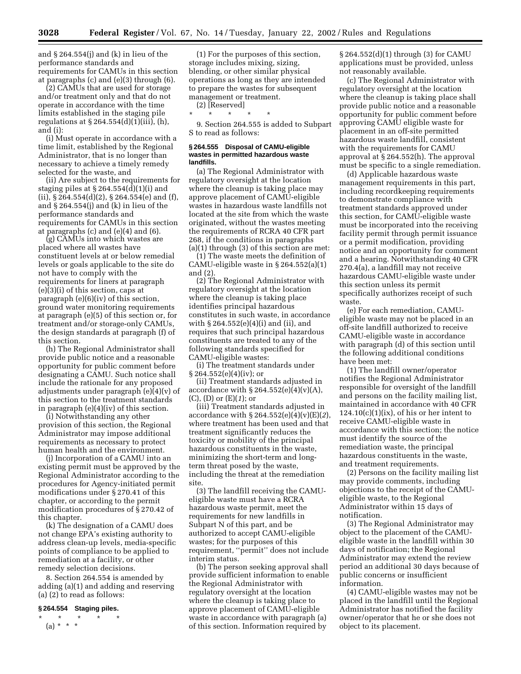and § 264.554(j) and (k) in lieu of the performance standards and requirements for CAMUs in this section at paragraphs (c) and (e)(3) through (6).

(2) CAMUs that are used for storage and/or treatment only and that do not operate in accordance with the time limits established in the staging pile regulations at  $\S 264.554(d)(1)(iii)$ , (h), and (i):

(i) Must operate in accordance with a time limit, established by the Regional Administrator, that is no longer than necessary to achieve a timely remedy selected for the waste, and

(ii) Are subject to the requirements for staging piles at  $\S 264.554(d)(1)(i)$  and (ii),  $\S 264.554(d)(2)$ ,  $\S 264.554(e)$  and (f), and § 264.554(j) and (k) in lieu of the performance standards and requirements for CAMUs in this section at paragraphs (c) and (e)(4) and (6).

(g) CAMUs into which wastes are placed where all wastes have constituent levels at or below remedial levels or goals applicable to the site do not have to comply with the requirements for liners at paragraph (e)(3)(i) of this section, caps at paragraph (e)(6)(iv) of this section, ground water monitoring requirements at paragraph (e)(5) of this section or, for treatment and/or storage-only CAMUs, the design standards at paragraph (f) of this section.

(h) The Regional Administrator shall provide public notice and a reasonable opportunity for public comment before designating a CAMU. Such notice shall include the rationale for any proposed adjustments under paragraph (e)(4)(v) of this section to the treatment standards in paragraph (e)(4)(iv) of this section.

(i) Notwithstanding any other provision of this section, the Regional Administrator may impose additional requirements as necessary to protect human health and the environment.

(j) Incorporation of a CAMU into an existing permit must be approved by the Regional Administrator according to the procedures for Agency-initiated permit modifications under § 270.41 of this chapter, or according to the permit modification procedures of § 270.42 of this chapter.

(k) The designation of a CAMU does not change EPA's existing authority to address clean-up levels, media-specific points of compliance to be applied to remediation at a facility, or other remedy selection decisions.

8. Section 264.554 is amended by adding (a)(1) and adding and reserving (a) (2) to read as follows:

#### **§ 264.554 Staging piles.**

 $\star$   $\star$  $(a) * * * *$ 

(1) For the purposes of this section, storage includes mixing, sizing, blending, or other similar physical operations as long as they are intended to prepare the wastes for subsequent management or treatment.

(2) [Reserved]

\* \* \* \* \*

9. Section 264.555 is added to Subpart S to read as follows:

#### **§ 264.555 Disposal of CAMU-eligible wastes in permitted hazardous waste landfills.**

(a) The Regional Administrator with regulatory oversight at the location where the cleanup is taking place may approve placement of CAMU-eligible wastes in hazardous waste landfills not located at the site from which the waste originated, without the wastes meeting the requirements of RCRA 40 CFR part 268, if the conditions in paragraphs (a)(1) through (3) of this section are met:

(1) The waste meets the definition of CAMU-eligible waste in § 264.552(a)(1) and (2).

(2) The Regional Administrator with regulatory oversight at the location where the cleanup is taking place identifies principal hazardous constitutes in such waste, in accordance with § 264.552(e)(4)(i) and (ii), and requires that such principal hazardous constituents are treated to any of the following standards specified for CAMU-eligible wastes:

(i) The treatment standards under § 264.552(e)(4)(iv); or

(ii) Treatment standards adjusted in accordance with  $\S 264.552(e)(4)(v)(A)$ , (C), (D) or (E)(*1*); or

(iii) Treatment standards adjusted in accordance with § 264.552(e)(4)(v)(E)(*2*), where treatment has been used and that treatment significantly reduces the toxicity or mobility of the principal hazardous constituents in the waste, minimizing the short-term and longterm threat posed by the waste, including the threat at the remediation site.

(3) The landfill receiving the CAMUeligible waste must have a RCRA hazardous waste permit, meet the requirements for new landfills in Subpart N of this part, and be authorized to accept CAMU-eligible wastes; for the purposes of this requirement, ''permit'' does not include interim status.

(b) The person seeking approval shall provide sufficient information to enable the Regional Administrator with regulatory oversight at the location where the cleanup is taking place to approve placement of CAMU-eligible waste in accordance with paragraph (a) of this section. Information required by

§ 264.552(d)(1) through (3) for CAMU applications must be provided, unless not reasonably available.

(c) The Regional Administrator with regulatory oversight at the location where the cleanup is taking place shall provide public notice and a reasonable opportunity for public comment before approving CAMU eligible waste for placement in an off-site permitted hazardous waste landfill, consistent with the requirements for CAMU approval at § 264.552(h). The approval must be specific to a single remediation.

(d) Applicable hazardous waste management requirements in this part, including recordkeeping requirements to demonstrate compliance with treatment standards approved under this section, for CAMU-eligible waste must be incorporated into the receiving facility permit through permit issuance or a permit modification, providing notice and an opportunity for comment and a hearing. Notwithstanding 40 CFR 270.4(a), a landfill may not receive hazardous CAMU-eligible waste under this section unless its permit specifically authorizes receipt of such waste.

(e) For each remediation, CAMUeligible waste may not be placed in an off-site landfill authorized to receive CAMU-eligible waste in accordance with paragraph (d) of this section until the following additional conditions have been met:

(1) The landfill owner/operator notifies the Regional Administrator responsible for oversight of the landfill and persons on the facility mailing list, maintained in accordance with 40 CFR  $124.10(c)(1)(ix)$ , of his or her intent to receive CAMU-eligible waste in accordance with this section; the notice must identify the source of the remediation waste, the principal hazardous constituents in the waste, and treatment requirements.

(2) Persons on the facility mailing list may provide comments, including objections to the receipt of the CAMUeligible waste, to the Regional Administrator within 15 days of notification.

(3) The Regional Administrator may object to the placement of the CAMUeligible waste in the landfill within 30 days of notification; the Regional Administrator may extend the review period an additional 30 days because of public concerns or insufficient information.

(4) CAMU-eligible wastes may not be placed in the landfill until the Regional Administrator has notified the facility owner/operator that he or she does not object to its placement.